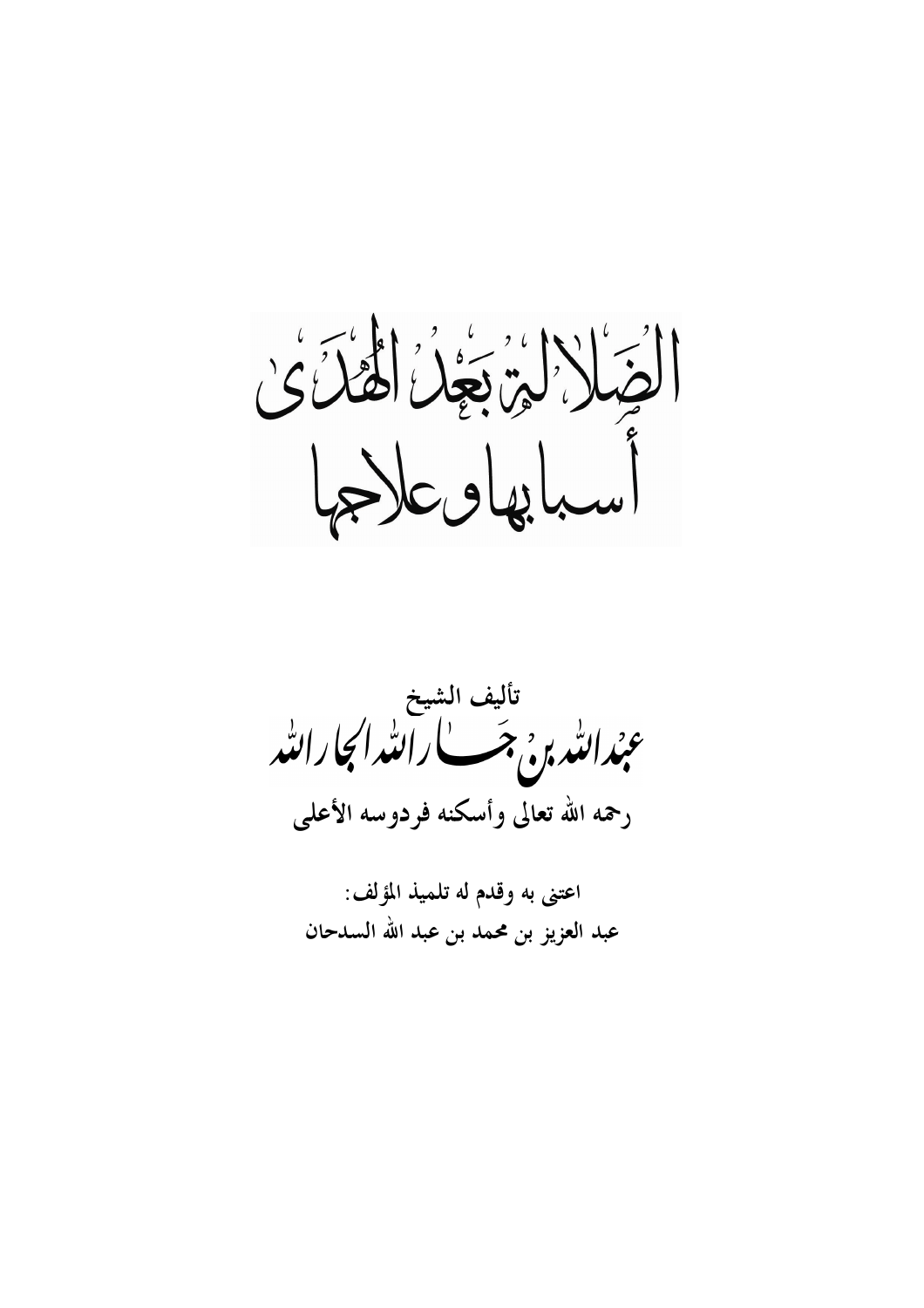الْصَلَا: لَيْنَ بَعْدُنَالْمَثَانَ<br>أسبابهاوعلاجها

<sup>تأليف الشيخ</sup><br>*عبدالله <sub>فرق</sub> جمَـــــار الله الجار الله* رحمه الله تعالى وأسكنه فردوسه الأعلى

اعتني به وقدم له تلميذ المؤلف: عبد العزيز بن محمد بن عبد الله السدحان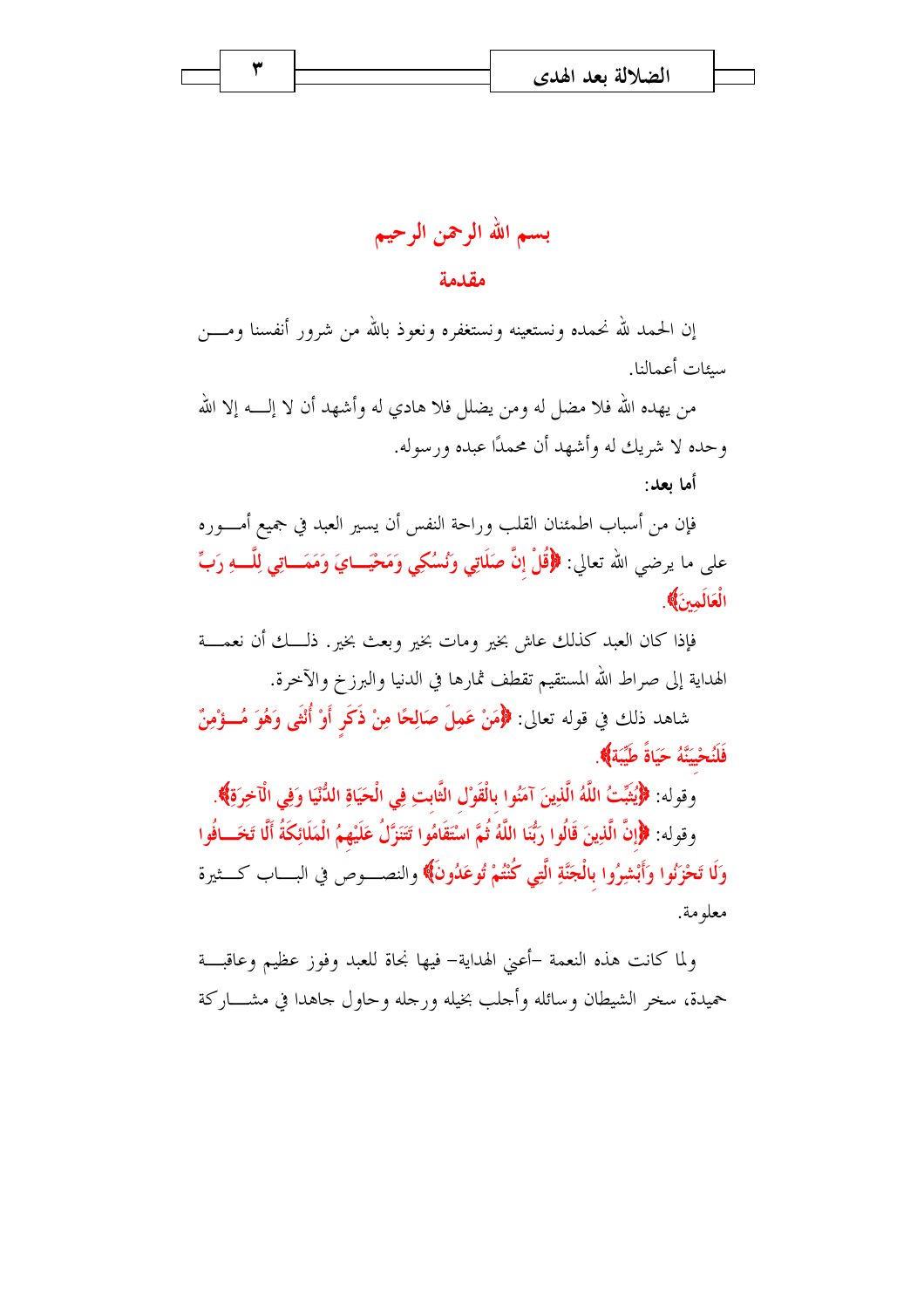بسم الله الرحمن الرحيم

#### مقدمة

إن الحمد لله نحمده ونستعينه ونستغفره ونعوذ بالله من شرور أنفسنا ومــــن سىئات أعمالنا.

من يهده الله فلا مضل له ومن يضلل فلا هادي له وأشهد أن لا إلـــه إلا الله وحده لا شريك له وأشهد أن محمدًا عبده ورسوله.

أما يعد:

فإن من أسباب اطمئنان القلب وراحة النفس أن يسير العبد في جميع أمــــوره على ما يرضى الله تعالى: ﴿قُلْ إِنَّ صَلَاتِي وَنُسُكِي وَمَحْيَــايَ وَمَمَــاتِي لِلَّـــهِ رَبِّ الْعَالَمِينَ﴾.

فإذا كان العبد كذلك عاش بخير ومات بخير وبعث بخير . ذلـــك أن نعمــــة الهداية إلى صراط الله المستقيم تقطف ثمارها في الدنيا والبرزخ والآحرة.

شاهد ذلك في قوله تعالى: ﴿مَنْ عَمِلَ صَالِحًا مِنْ ذَكَرٍ أَوْ أُنْنَى وَهُوَ مُـــؤْمِنٌ فَلَنُحْيَنَّهُ حَيَاةً طَيِّبَة**َ﴾**.

وقوله: ﴿يُثِبِّتُ اللَّهُ الَّذِينَ آمَنُوا بِالْقَوْلِ الثَّابِتِ فِي الْحَيَاةِ الدُّنْيَا وَفِي الْآخِرَةِ﴾. وقوله: ﴿إِنَّ الَّذِينَ قَالُوا رَبُّنَا اللَّهُ ثُمَّ اسْتَقَامُوا تَتَنزَّلُ عَلَيْهِمُ الْمَلَائِكَةُ أَلَّا تَخَــافُوا وَلَا تَحْزَنُوا وَأَبْشِرُوا بِالْجَنَّةِ الَّتِي كُنْتُمْ تُوعَدُونَ﴾ والنصــوص في البـــاب كـــثيرة معلومة.

ولما كانت هذه النعمة –أعين الهداية– فيها نجاة للعبد وفوز عظيم وعاقبـــة حميدة، سخر الشيطان وسائله وأحلب بخيله ورجله وحاول جاهدا في مشــــاركة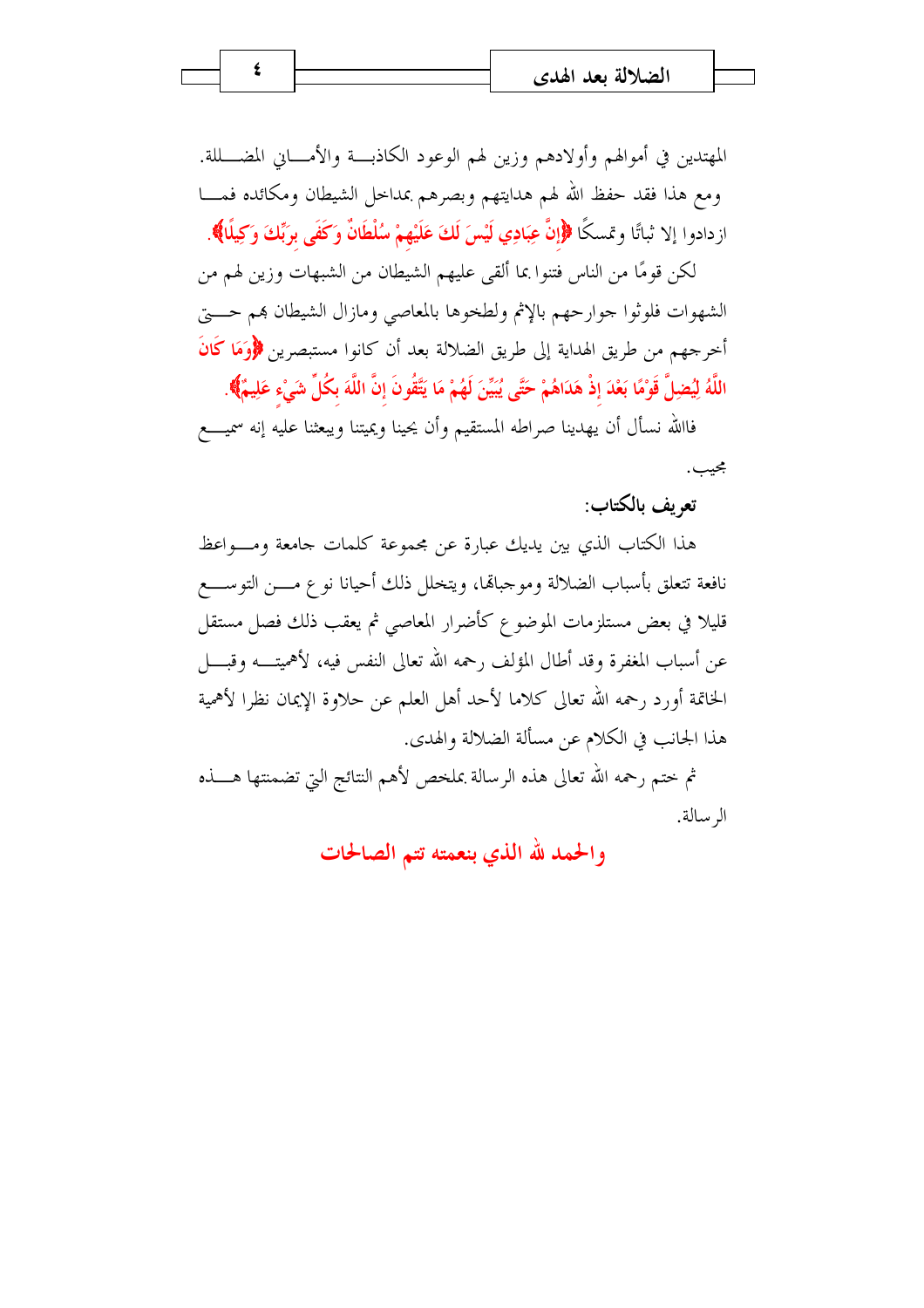|  | الضلاله بعد الهدي |  |
|--|-------------------|--|
|  |                   |  |

المهتدين في أموالهم وأولادهم وزين لهم الوعود الكاذبـــة والأمــــاني المضــــللة. ومع هذا فقد حفظ الله لهم هدايتهم وبصرهم بمداحل الشيطان ومكائده فمســا ازدادوا إلا ثباتًا وتمسكًا ﴿إِنَّ عِبَادِي لَيْسَ لَكَ عَلَيْهِمْ سُلْطَانٌ وَكَفَى بِرَبِّكَ وَكِيلًا﴾.

لكن قومًا من الناس فتنوا بما ألقى عليهم الشيطان من الشبهات وزين لهم من الشهوات فلوثوا حوارحهم بالإثم ولطخوها بالمعاصي ومازال الشيطان بمم حــــتي أخرجهم من طريق الهداية إلى طريق الضلالة بعد أن كانوا مستبصرين ﴿وَمَا كَانَ اللَّهُ لِيُضِلَّ قَوْمًا بَعْدَ إذْ هَدَاهُمْ حَتَّى يُبَيِّنَ لَهُمْ مَا يَتَّقُونَ إنَّ اللَّهَ بكُلِّ شَيْء عَلِيمٌ﴾.

فاالله نسأل أن يهدينا صراطه المستقيم وأن يحينا ويميتنا ويبعثنا عليه إنه سميــــع مجيب.

### تعرىف بالكتاب:

هذا الكتاب الذي بين يديك عبارة عن مجموعة كلمات جامعة ومـــواعظ نافعة تتعلق بأسباب الضلالة وموجباتها، ويتخلل ذلك أحيانا نوع مسن التوســـع قليلًا في بعض مستلزمات الموضوع كأضرار المعاصي ثم يعقب ذلك فصل مستقل عن أسباب المغفرة وقد أطال المؤلف رحمه الله تعالى النفس فيه، لأهميتــــه وقبـــــل الخاتمة أورد رحمه الله تعالى كلاما لأحد أهل العلم عن حلاوة الإيمان نظرا لأهمية هذا الجانب في الكلام عن مسألة الضلالة والهدى.

ثم ختم رحمه الله تعالى هذه الرسالة بملخص لأهم النتائج التي تضمنتها هــــذه الر سالة.

والحمد لله الذي بنعمته تتم الصالحات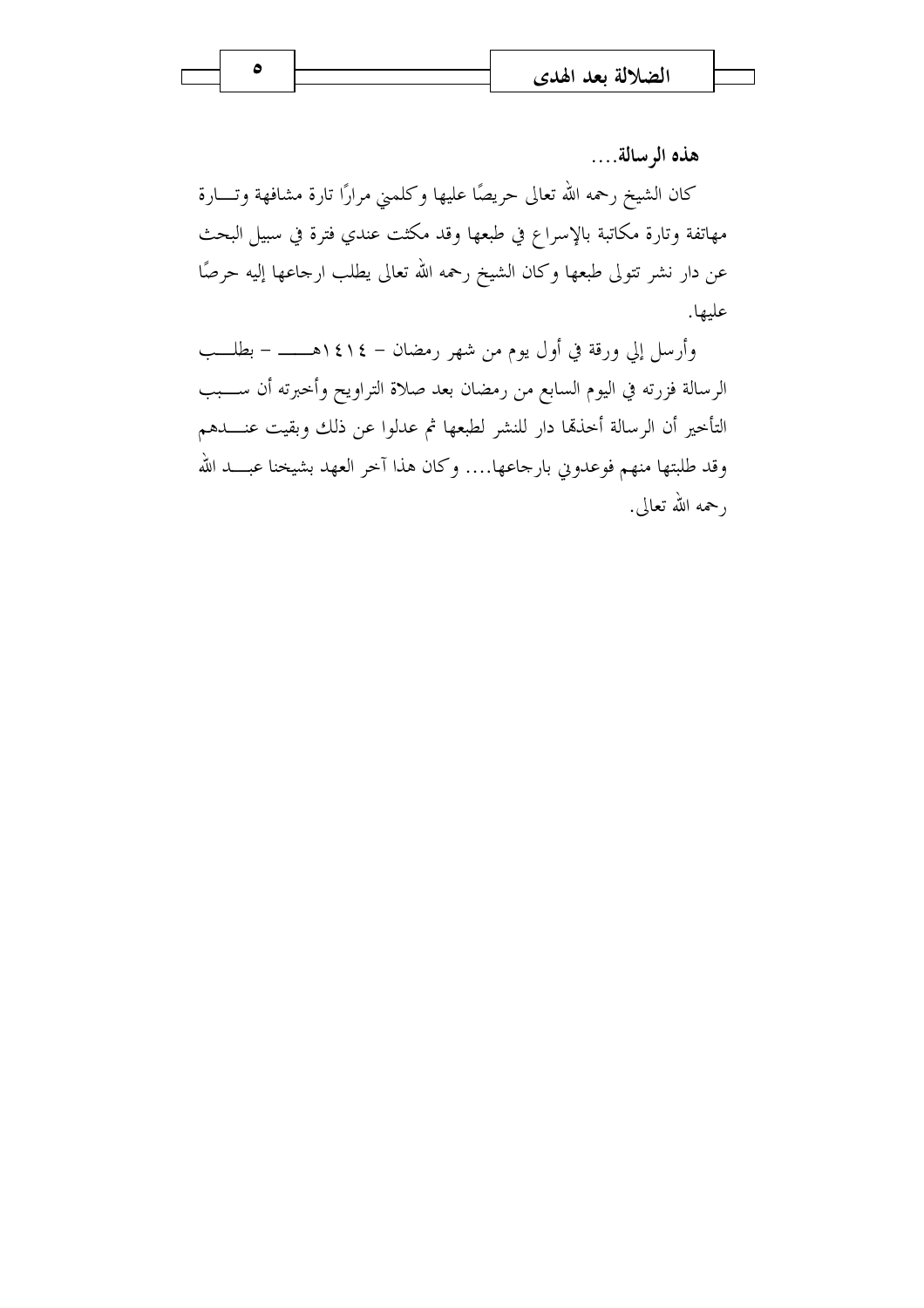هذه الرسالة....

كان الشيخ رحمه الله تعالى حريصًا عليها وكلمني مرارًا تارة مشافهة وتـــارة مهاتفة وتارة مكاتبة بالإسراع في طبعها وقد مكثت عندي فترة في سبيل البحث عن دار نشر تتولى طبعها وكان الشيخ رحمه الله تعالى يطلب ارجاعها إليه حرصًا عليها.

وأرسل إلي ورقة في أول يوم من شهر رمضان – ١٤١٤هـــــ - بطلـــب الرسالة فزرته في اليوم السابع من رمضان بعد صلاة التراويح وأخبرته أن ســــبب التأخير أن الرسالة أخذهما دار للنشر لطبعها ثم عدلوا عن ذلك وبقيت عنــــدهم وقد طلبتها منهم فوعدوني بارحاعها.... وكان هذا آخر العهد بشيخنا عبـــد الله , حمه الله تعالى.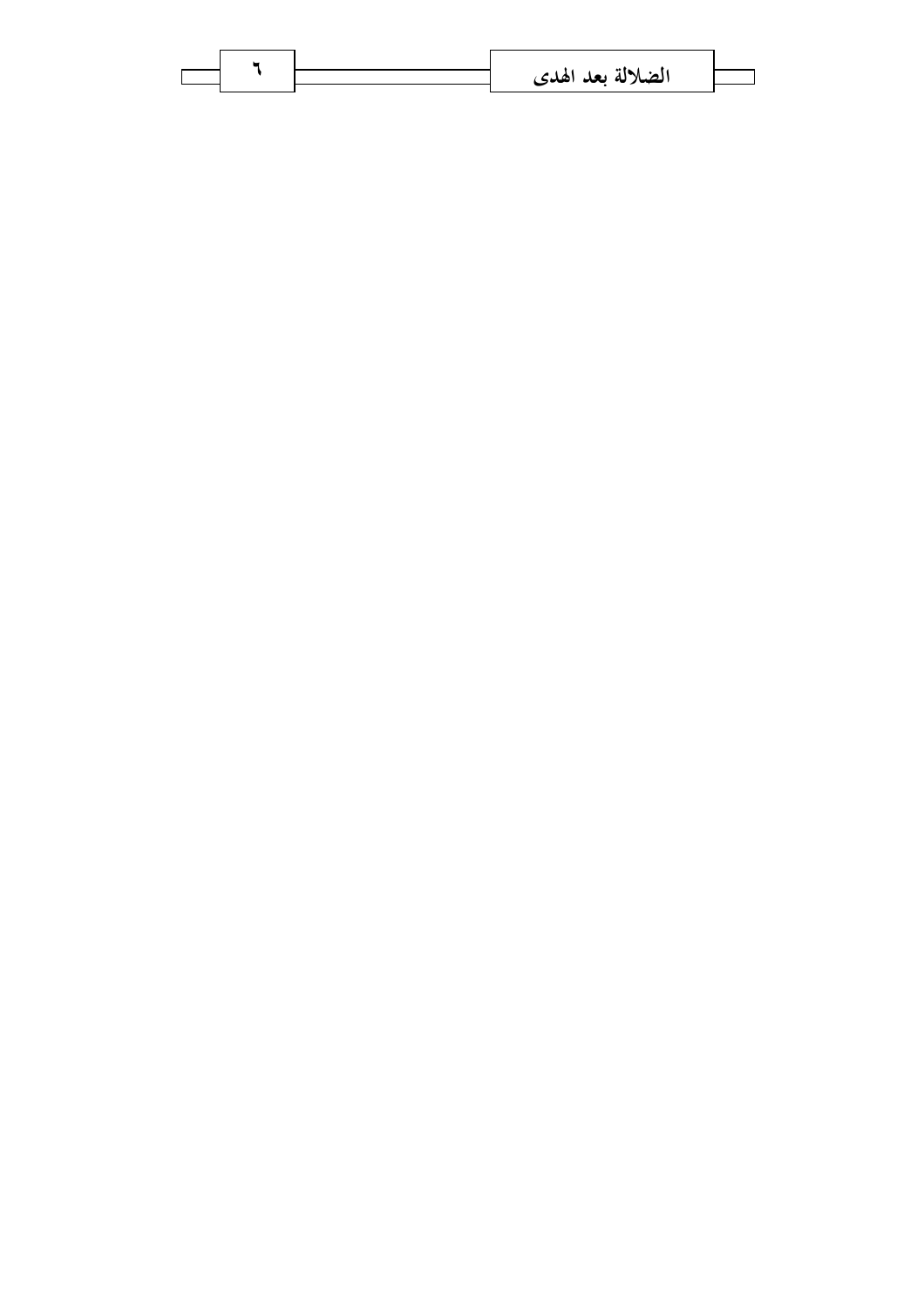|  | الضلالة بعد اهدى |  |
|--|------------------|--|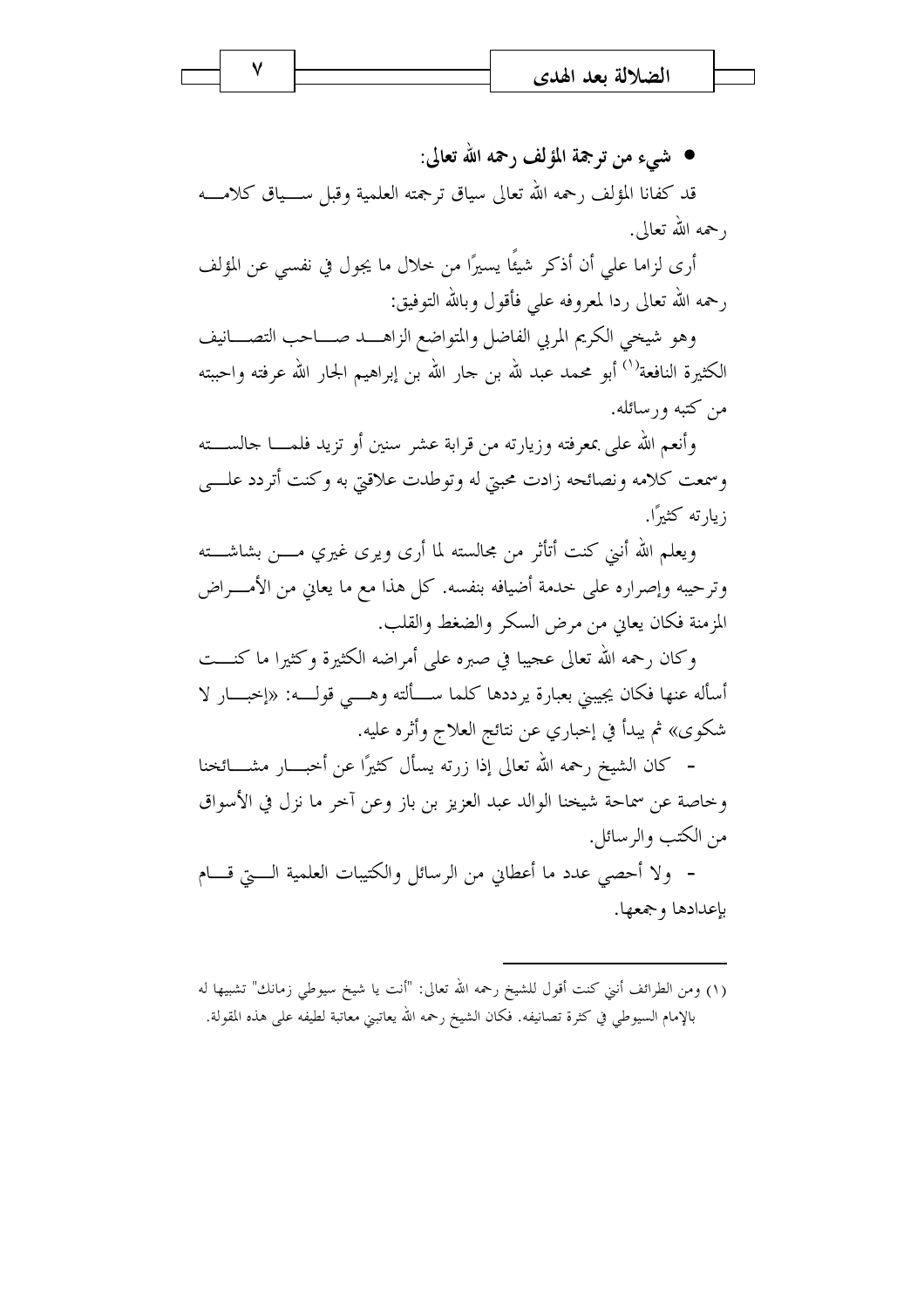● شيء من ترجمة المؤلف رحمه الله تعالى:

قد كفانا المؤلف رحمه الله تعالى سياق ترجمته العلمية وقبل ســـياق كلامــــه , حمه الله تعالى.

أرى لزاما على أن أذكر شيئًا يسيرًا من خلال ما يجول في نفسي عن المؤلف رحمه الله تعالى ردا لمعروفه على فأقول وبالله التوفيق:

وهو شيخي الكريم المربى الفاضل والمتواضع الزاهسد صساحب التصسانيف الكثيرة النافعة<sup>(١)</sup> أبو محمد عبد لله بن جار الله بن إبراهيم الجار الله عرفته واحببته من كتبه ورسائله.

وأنعم الله على بمعرفته وزيارته من قرابة عشر سنين أو تزيد فلمــــا جالســــته وسمعت كلامه ونصائحه زادت محبتي له وتوطدت علاقتي به وكنت أتردد علي زيارته كثبرًا.

ويعلم الله أنن كنت أتأثر من مجالسته لما أرى ويرى غيرى مـــن بشاشـــته وترحيبه وإصراره على حدمة أضيافه بنفسه. كل هذا مع ما يعاني من الأمـــراض المزمنة فكان يعاني من مرض السكر والضغط والقلب.

وكان رحمه الله تعالى عجيبا في صبره على أمراضه الكثيرة وكثيرا ما كنـــت أسأله عنها فكان يجيبني بعبارة يرددها كلما ســـألته وهـــي قولــــه: «إحبــــار لا شكوى» ثم يبدأ في إخباري عن نتائج العلاج وأثره عليه.

- كان الشيخ رحمه الله تعالى إذا زرته يسأل كثيرًا عن أخبــــار مشـــــائخنا وخاصة عن سماحة شيخنا الوالد عبد العزيز بن باز وعن آخر ما نزل في الأسواق من الكتب والرسائل.

- ولا أحصى عدد ما أعطاني من الرسائل والكتيبات العلمية الــــتي قــــام بإعدادها وجمعها.

(١) ومن الطرائف أنني كنت أقول للشيخ رحمه الله تعالى: "أنت يا شيخ سيوطي زمانك" تشبيها له بالإمام السيوطي في كثرة تصانيفه. فكان الشيخ رحمه الله يعاتبني معاتبة لطيفه على هذه المقولة.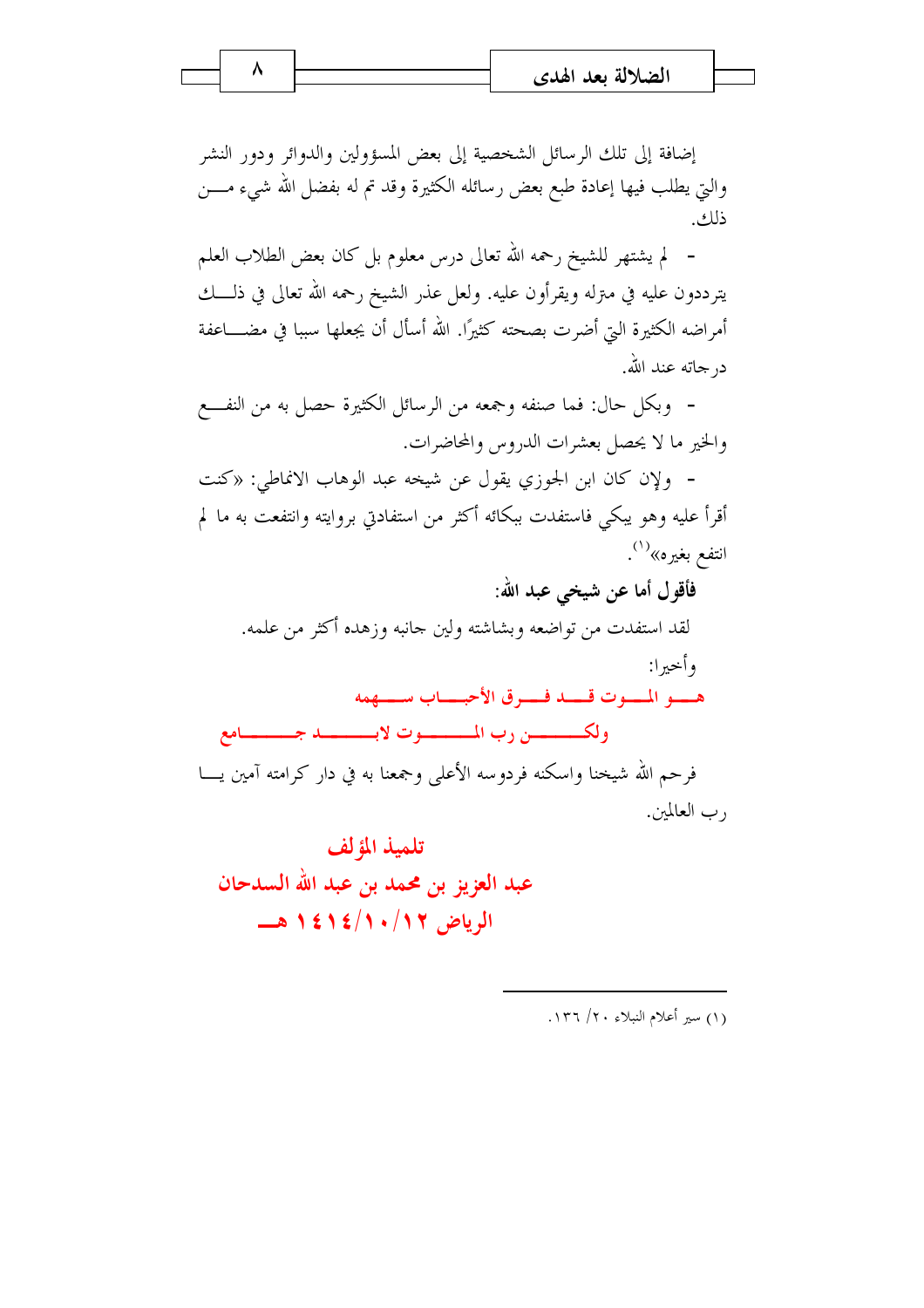|  | الصلالة بعد اهدي |  |
|--|------------------|--|
|  |                  |  |

إضافة إلى تلك الرسائل الشخصية إلى بعض المسؤولين والدوائر ودور النشر والتي يطلب فيها إعادة طبع بعض رسائله الكثيرة وقد تم له بفضل الله شيء مــــن ذلك.

لم يشتهر للشيخ رحمه الله تعالى درس معلوم بل كان بعض الطلاب العلم  $\overline{\phantom{a}}$ يترددون عليه في منزله ويقرأون عليه. ولعل عذر الشيخ رحمه الله تعالى في ذلــــك أمراضه الكثيرة التيّ أضرت بصحته كثيرًا. الله أسأل أن يجعلها سببا في مضــــاعفة د, جاته عند الله.

- وبكل حال: فما صنفه وجمعه من الرسائل الكثيرة حصل به من النفـــع والخير ما لا يحصل بعشرات الدروس والمحاضرات.

- ولإن كان ابن الجوزي يقول عن شيخه عبد الوهاب الانماطي: «كنت أقرأ عليه وهو يبكى فاستفدت ببكائه أكثر من استفادتي بروايته وانتفعت به ما لم انتفع بغيره»<sup>(۱)</sup>.

فأقول أما عن شيخى عبد الله: لقد استفدت من تواضعه وبشاشته ولين حانبه وزهده أكثر من علمه. وأخيرا: هسسو المسبوت قسيد فسيرق الأحيسياب سيستهمه فرحم الله شيخنا واسكنه فردوسه الأعلى وجمعنا به في دار كرامته آمين يـــا رب العالمين.

تلميذ المؤلف عبد العزيز بن محمد بن عبد الله السدحان الرياض ١٤١٠/١٠/١٢ هـــ

(١) سير أعلام النبلاء ٢٠/ ١٣٦.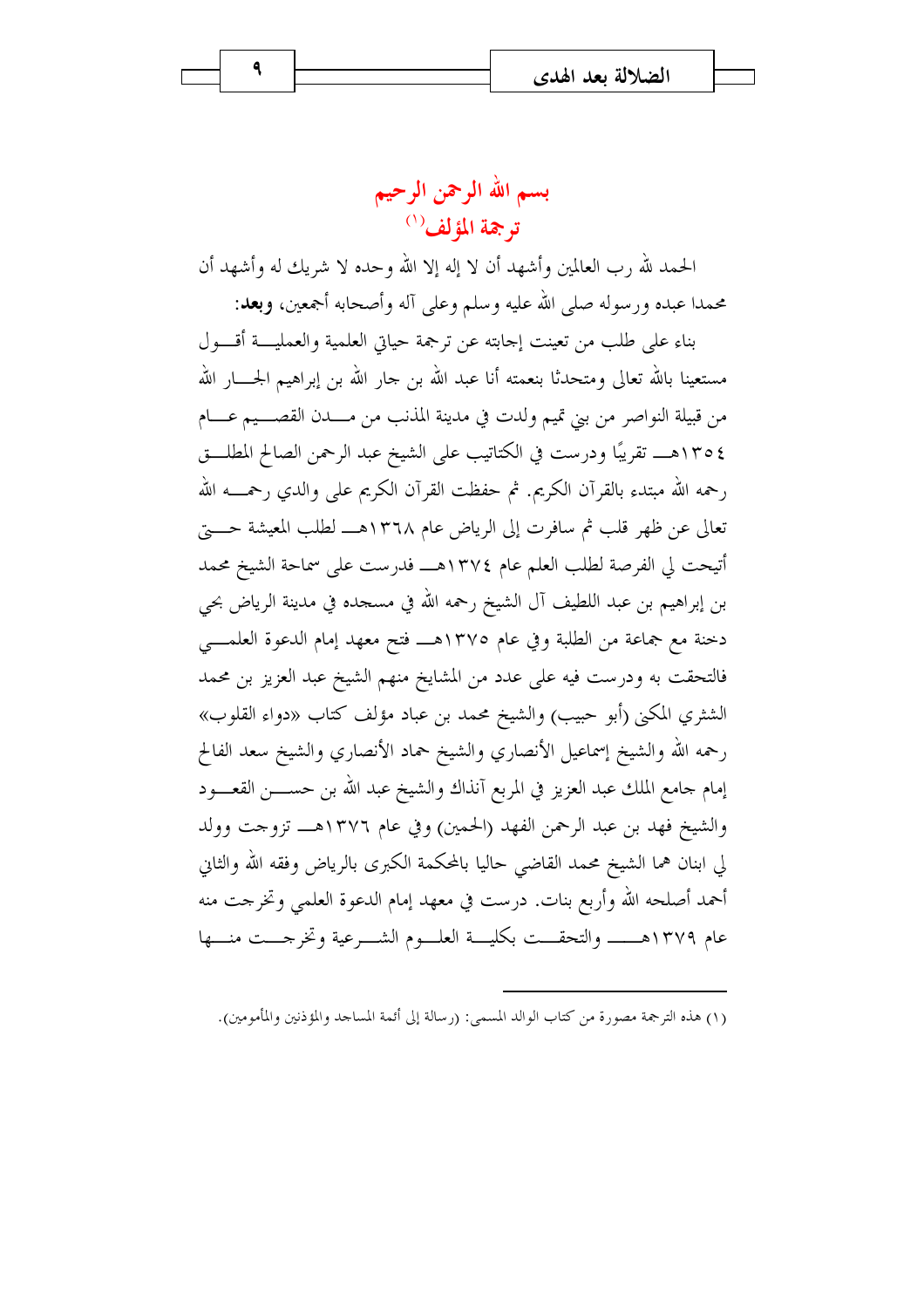بسم الله الرحمن الرحيم  $^{(1)}$ ترجمة المؤلف

الحمد لله رب العالمين وأشهد أن لا إله إلا الله وحده لا شريك له وأشهد أن محمدا عبده ورسوله صلى الله عليه وسلم وعلى آله وأصحابه أجمعين، وبعد:

بناء على طلب من تعينت إجابته عن ترجمة حياتي العلمية والعمليـــة أقـــول مستعينا بالله تعالى ومتحدثا بنعمته أنا عبد الله بن حار الله بن إبراهيم الجــــار الله من قبيلة النواصر من بين تميم ولدت في مدينة المذنب من مسدن القصسيم عسام ١٣٥٤هـــ تقريبًا ودرست في الكتاتيب على الشيخ عبد الرحمن الصالح المطلـــق رحمه الله مبتدء بالقرآن الكريم. ثم حفظت القرآن الكريم على والدي رحمــــه الله تعالى عن ظهر قلب ثم سافرت إلى الرياض عام ١٣٦٨هـــ لطلب المعيشة حــــتي أتيحت لي الفرصة لطلب العلم عام ١٣٧٤هـــ فدرست على سماحة الشيخ محمد بن إبراهيم بن عبد اللطيف آل الشيخ رحمه الله في مسجده في مدينة الرياض بحي دخنة مع جماعة من الطلبة وفي عام ١٣٧٥هـــ فتح معهد إمام الدعوة العلمـــي فالتحقت به ودرست فيه على عدد من المشايخ منهم الشيخ عبد العزيز بن محمد الشثري المكنى (أبو حبيب) والشيخ محمد بن عباد مؤلف كتاب «دواء القلوب» رحمه الله والشيخ إسماعيل الأنصاري والشيخ حماد الأنصاري والشيخ سعد الفالح إمام جامع الملك عبد العزيز في المربع آنذاك والشيخ عبد الله بن حســــن القعــــود والشيخ فهد بن عبد الرحمن الفهد (الحمين) وفي عام ١٣٧٦هــ تزوجت وولد لى ابنان هما الشيخ محمد القاضي حاليا بالمحكمة الكبرى بالرياض وفقه الله والثاني أحمد أصلحه الله وأربع بنات. درست في معهد إمام الدعوة العلمي وتخرجت منه عام ١٣٧٩هـــــــــــــــــــــــــ والتحقـــــت بكليــــة العلــــوم الشــــــرعية وتخرجــــت منـــــها

(١) هذه الترجمة مصورة من كتاب الوالد المسمى: (رسالة إلى أئمة المساحد والمؤذنين والمأمومين).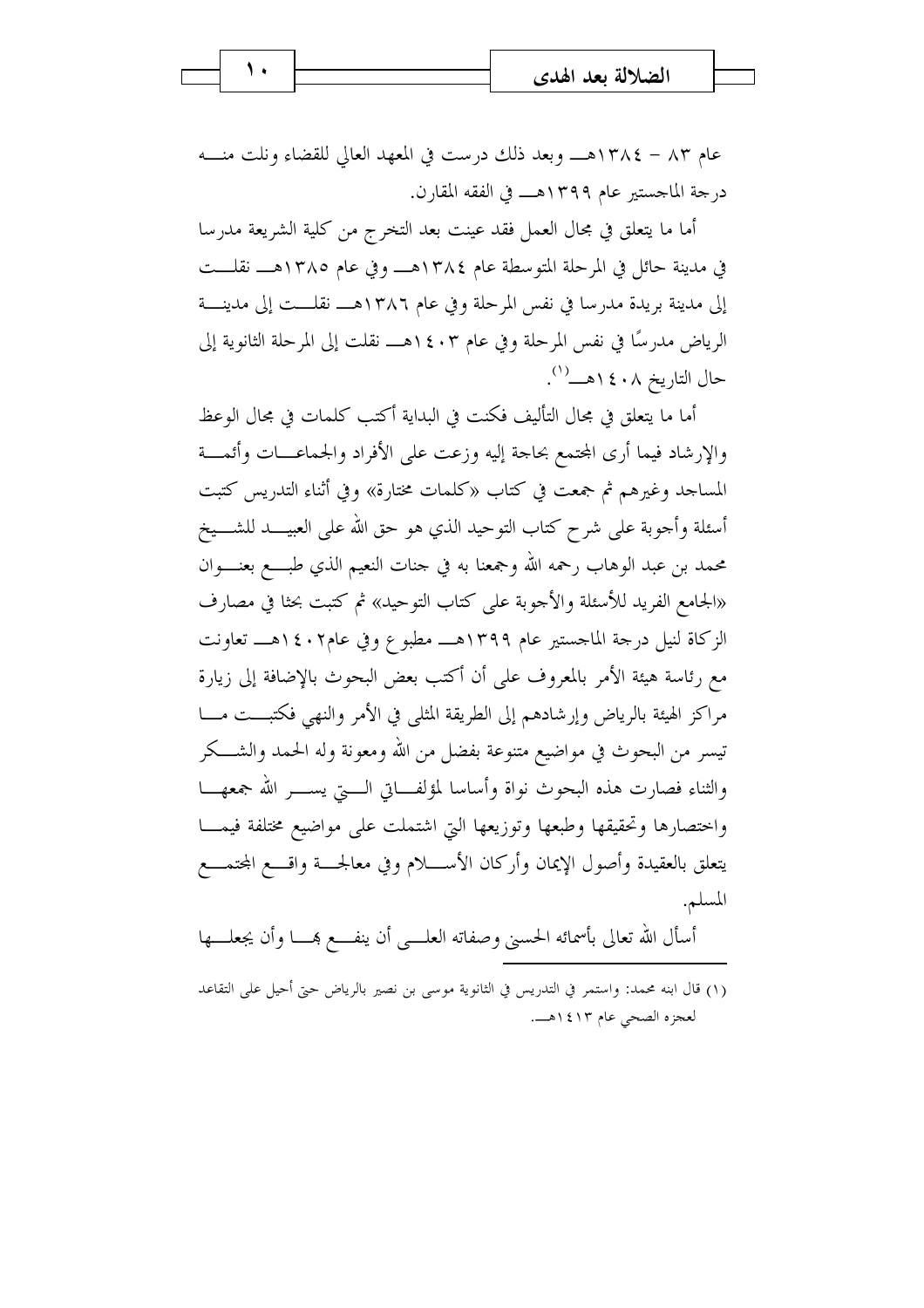|  | الضلالة بعد الهدي |  |
|--|-------------------|--|
|  |                   |  |

درجة الماجستير عام ١٣٩٩هـــ في الفقه المقارن.

أما ما يتعلَّق في مجال العمل فقد عينت بعد التخرُّ ج من كلية الشريعة مدرساً في مدينة حائل في المرحلة المتوسطة عام ١٣٨٤هــــــــوفي عام ١٣٨٥هـــــــ نقلـــــت إلى مدينة بريدة مدرسا في نفس المرحلة وفي عام ١٣٨٦هـــ نقلـــت إلى مدينــــة الرياض مدرسًا في نفس المرحلة وفي عام ١٤٠٣هــ نقلت إلى المرحلة الثانوية إلى 

أما ما يتعلق في مجال التأليف فكنت في البداية أكتب كلمات في مجال الوعظ والإرشاد فيما أرى المجتمع بحاجة إليه وزعت على الأفراد والجماعـــات وأئمـــة المساحد وغيرهم ثم جمعت في كتاب «كلمات مختارة» وفي أثناء التدريس كتبت أسئلة وأجوبة على شرح كتاب التوحيد الذي هو حق الله على العبيــــد للشــــيخ محمد بن عبد الوهاب رحمه الله وجمعنا به في حنات النعيم الذي طبـــع بعنــــوان «الجامع الفريد للأسئلة والأجوبة على كتاب التوحيد» ثم كتبت بحثا في مصارف الزكاة لنيل درجة الماجستير عام ١٣٩٩هـــ مطبوع وفي عام١٤٠٢هـــ تعاونت مع رئاسة هيئة الأمر بالمعروف على أن أكتب بعض البحوث بالإضافة إلى زيارة مراكز الهيئة بالرياض وإرشادهم إلى الطريقة المثلي في الأمر والنهي فكتبـــت مــــا تيسر من البحوث في مواضيع متنوعة بفضل من الله ومعونة وله الحمد والشـــكر والثناء فصارت هذه البحوث نواة وأساسا لمؤلفــاتي الــــتي يســــر الله جمعهــــا واحتصارها وتحقيقها وطبعها وتوزيعها اليت اشتملت على مواضيع مختلفة فيمسا يتعلق بالعقيدة وأصول الإيمان وأركان الأســــلام وفي معالجــــة واقــــع المحتمــــع المسلم.

أسأل الله تعالى بأسمائه الحسني وصفاته العلـــي أن ينفـــع بمــــا وأن يجعلـــها

(١) قال ابنه محمد: واستمر في التدريس في الثانوية موسى بن نصير بالرياض حتى أحيل على التقاعد لعجزه الصحى عام ١٤١٣هــ.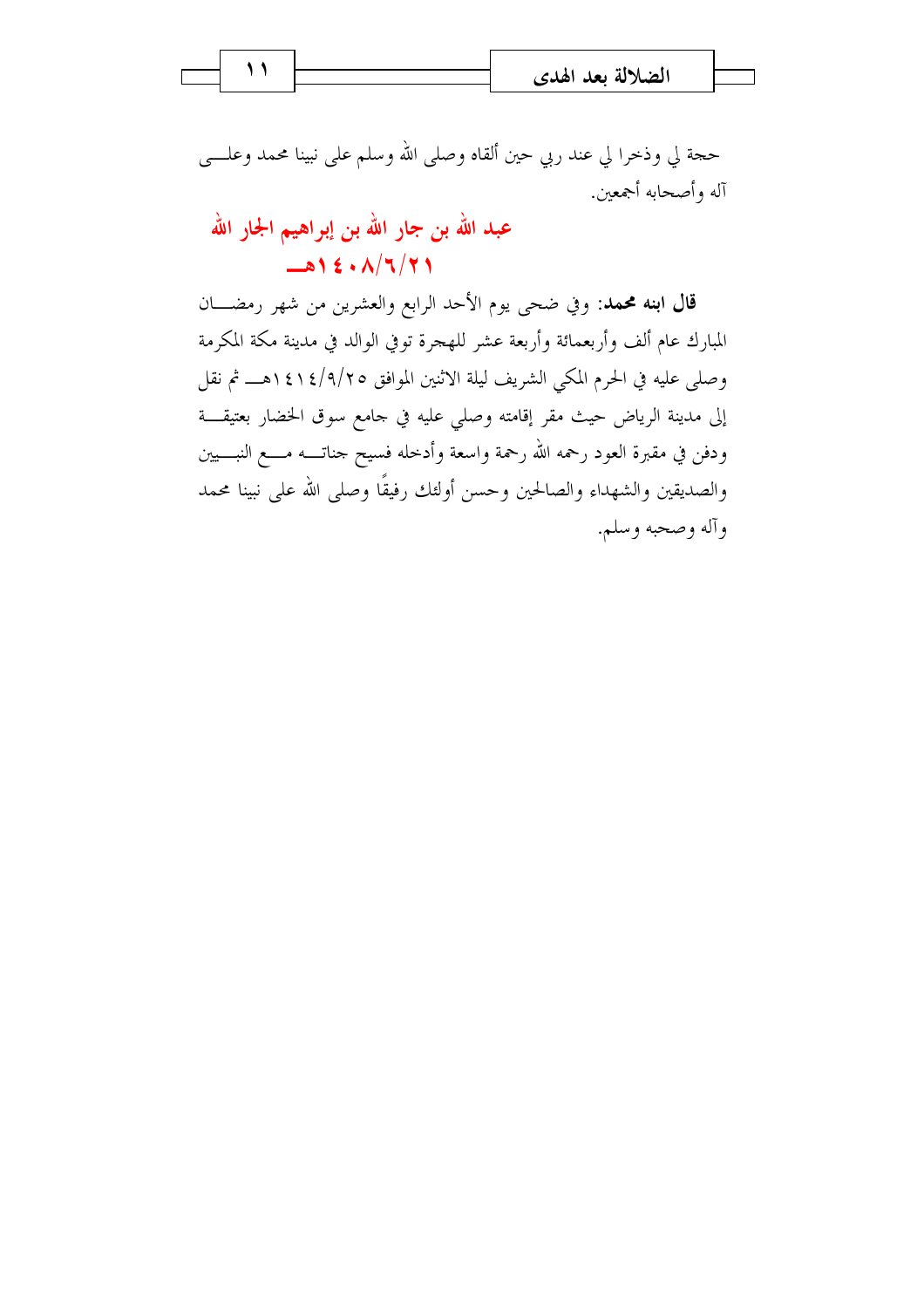|  | الضلاله بعد الهدي |  |
|--|-------------------|--|

حجة لي وذخرا لي عند ربي حين ألقاه وصلى الله وسلم على نبينا محمد وعلــــى آله وأصحابه أجمعين.

عبد الله بن جار الله بن إبراهيم الجار الله  $-212.1/\sqrt{7/7}$ 

قال ابنه محمد: وفي ضحى يوم الأحد الرابع والعشرين من شهر رمضـــان المبارك عام ألف وأربعمائة وأربعة عشر للهجرة توفي الوالد في مدينة مكة المكرمة وصلى عليه في الحرم المكي الشريف ليلة الاثنين الموافق ١٤/٩/٢٥/ ١٤١٤هـــ ثم نقل إلى مدينة الرياض حيث مقر إقامته وصلى عليه في حامع سوق الخضار بعتيقة ودفن في مقبرة العود رحمه الله رحمة واسعة وأدخله فسيح جناتـــه مــــع النبـــــين والصديقين والشهداء والصالحين وحسن أولئك رفيقًا وصلى الله على نبينا محمد وآله وصحبه وسلم.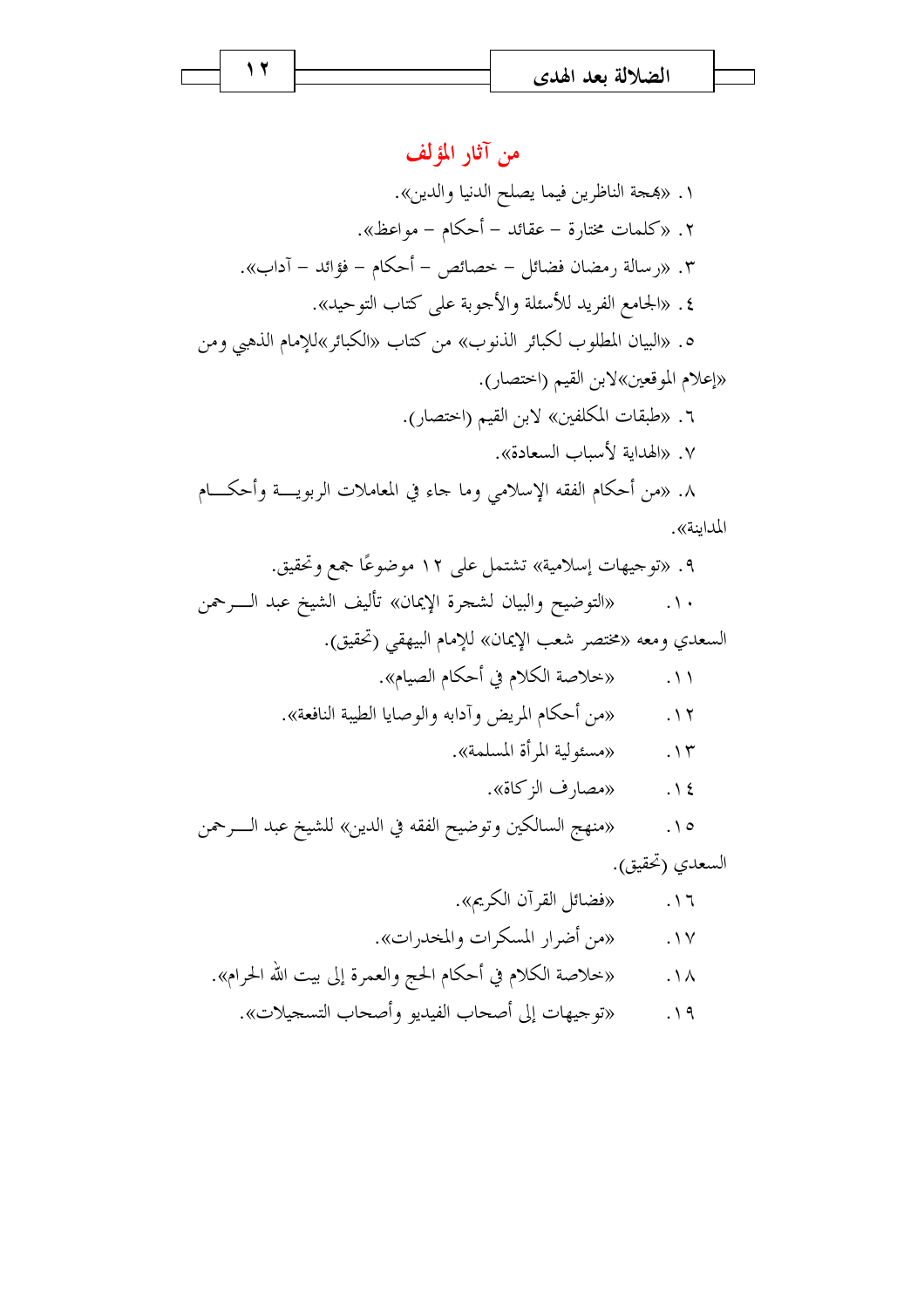من آثار المؤلف

١. «بهجة الناظرين فيما يصلح الدنيا والدين». ۲. «کلمات مختارة – عقائد – أحکام – مواعظ». ٣. «رسالة رمضان فضائل – خصائص – أحكام – فؤائد – آداب». ٤. «الجامع الفريد للأسئلة والأجوبة على كتاب التوحيد». 0. «البيان المطلوب لكبائر الذنوب» من كتاب «الكبائر»للإمام الذهبي ومن «إعلام الموقعين»لابن القيم (اختصار). ٦. «طبقات المكلفين» لابن القيم (اختصار). ٧. «الهداية لأسباب السعادة». ٨. «من أحكام الفقه الإسلامي وما جاء في المعاملات الربويــــة وأحكــــام المداينة».

۹. «توجيهات إسلامية» تشتمل على ١٢ موضوعًا جمع وتحقيق. «التوضيح والبيان لشجرة الإيمان» تأليف الشيخ عبد الـــرحمن  $\cdot \cdot \cdot$ السعدي ومعه «مختصر شعب الإيمان» للإمام البيهقي (تحقيق). «خلاصة الكلام في أحكام الصيام».  $.11$ 

- «من أحكام المريض وآدابه والوصايا الطيبة النافعة».  $.17$ 
	- «مسئولية المرأة المسلمة».  $.15$ 
		- «مصار ف الزكاة».  $. \setminus 5$

«منهج السالكين وتوضيح الفقه في الدين» للشيخ عبد الـوحمن  $\cdot \wedge$   $\circ$ السعدي (تحقيق).

- «فضائل القرآن الكريم».  $.17$ «من أضرار المسكرات والمخدرات».  $.1V$ «خلاصة الكلام في أحكام الحج والعمرة إلى بيت الله الحرام».  $\cdot \wedge$ 
	- «توجيهات إلى أصحاب الفيديو وأصحاب التسجيلات».  $.19$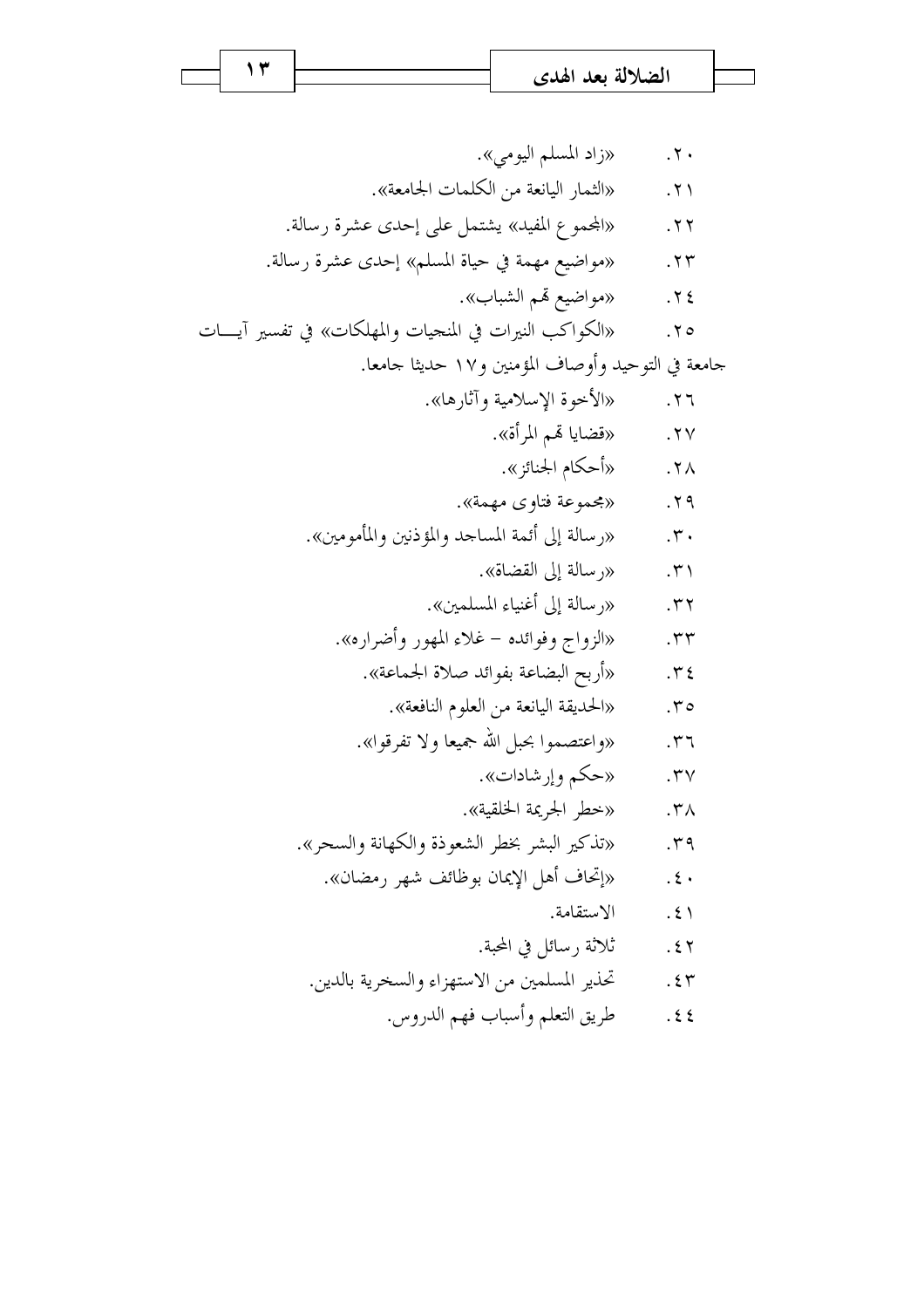$\overline{\phantom{0}}$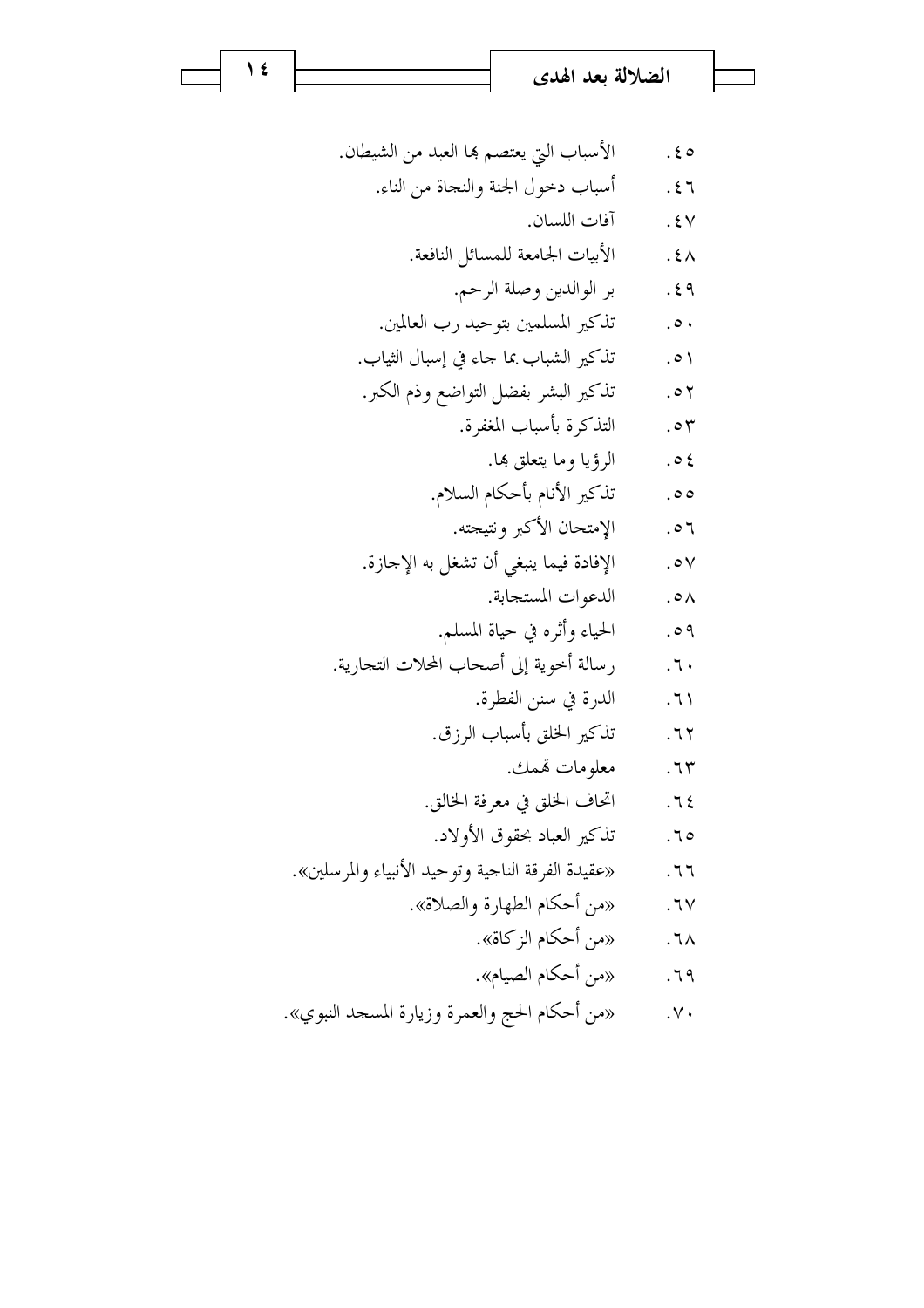$$
\frac{1}{2} \quad 1 \leq
$$

 $\begin{array}{c} \hline \end{array}$ 

٧٠. «من أحكام الحج والعمرة وزيارة المسحد النبوي».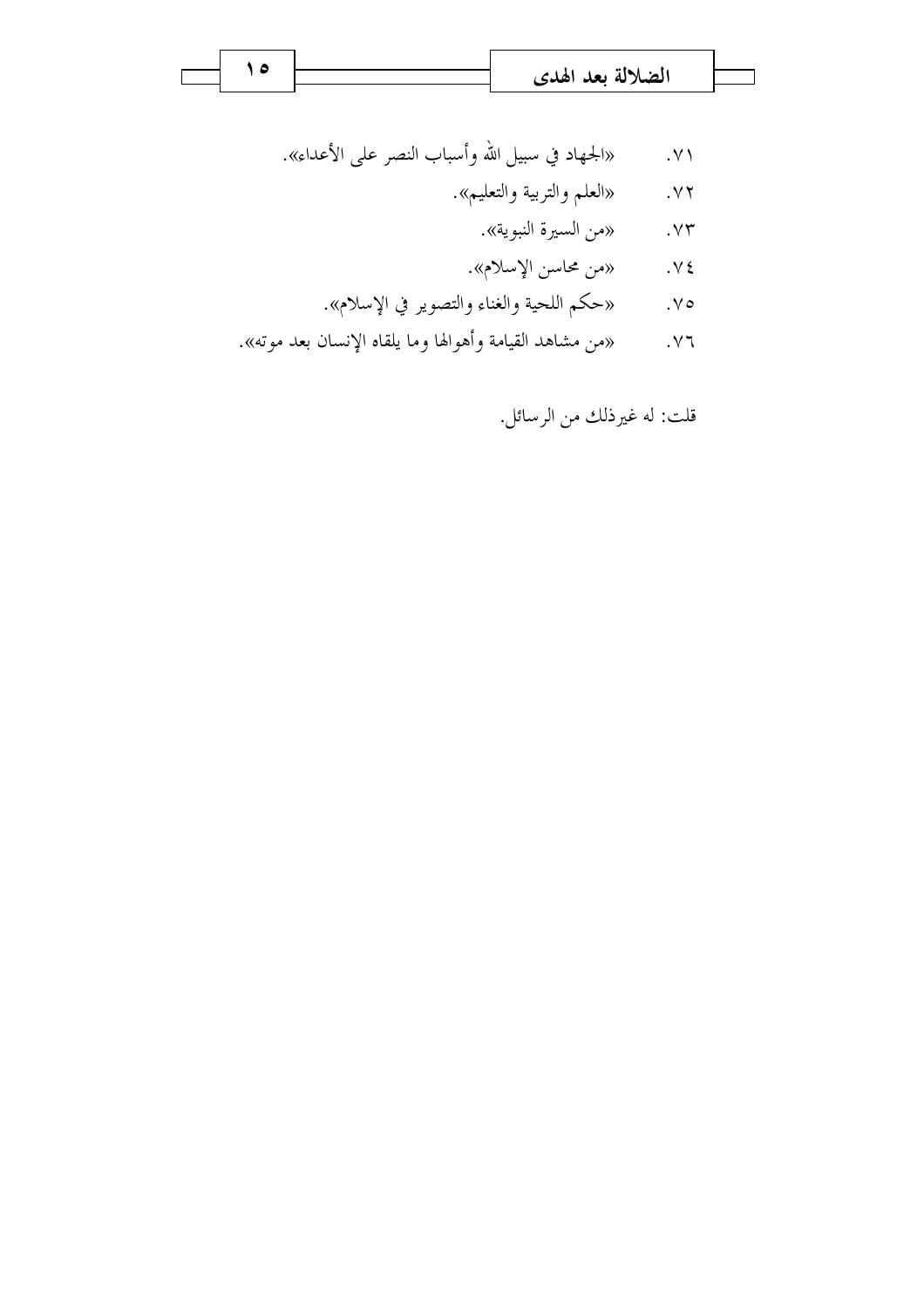|  | الضلاله بعد اهدى |  |
|--|------------------|--|
|  |                  |  |

- «من السيرة النبوية».  $.Y\tau$
- «من محاسن الإسلام».  $.92$
- «حكم اللحية والغناء والتصوير في الإسلام».  $\cdot$ vo
- «من مشاهد القيامة وأهوالها وما يلقاه الإنسان بعد موته».  $.97$

قلت: له غيرذلك من الرسائل.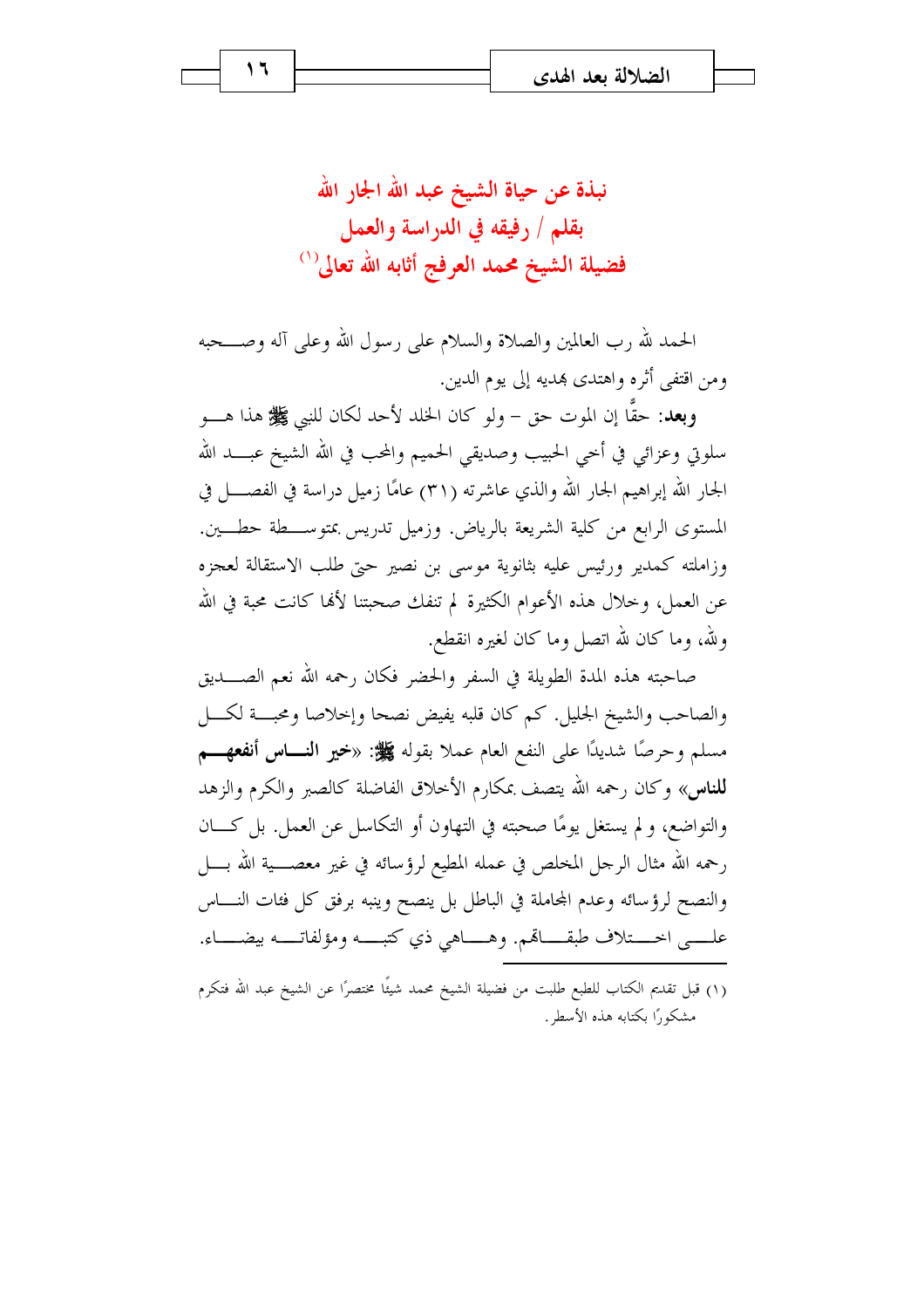$\mathcal{L}$ 

الحمد لله رب العالمين والصلاة والسلام على رسول الله وعلى آله وصـــحبه ومن اقتفى أثره واهتدى هديه إلى يوم الدين.

وبعد: حقًّا إن الموت حق – ولو كان الخلد لأحد لكان للنبي ﷺ هذا هــــو سلوتي وعزائي في أحي الحبيب وصديقي الحميم والمحب في الله الشيخ عبـــد الله الجار الله إبراهيم الجار الله والذي عاشرته (٣١) عامًا زميل دراسة في الفصــــل في المستوى الرابع من كلية الشريعة بالرياض. وزميل تدريس بمتوســـطة حطـــين. وزاملته كمدير ورئيس عليه بثانوية موسى بن نصير حتى طلب الاستقالة لعجزه عن العمل، وخلال هذه الأعوام الكثيرة لم تنفك صحبتنا لألها كانت محبة فى الله ولله، وما كان لله اتصل وما كان لغيره انقطع.

صاحبته هذه المدة الطويلة في السفر والحضر فكان , حمه الله نعم الصــــديق والصاحب والشيخ الجليل. كم كان قلبه يفيض نصحا وإحلاصا ومحبسة لكسل مسلم وحرصًا شديدًا على النفع العام عملاً بقوله ﷺ: «خير النساس أنفعهـــم **للناس**» وكان رحمه الله يتصف بمكارم الأحلاق الفاضلة كالصبر والكرم والزهد والتواضع، و لم يستغل يومًا صحبته في التهاون أو التكاسل عن العمل. بل كـــان رحمه الله مثال الرحل المخلص في عمله المطيع لرؤسائه في غير معصــــية الله بـــــل والنصح لرؤ سائه وعدم المحاملة في الباطل بل ينصح وينبه برفق كل فئات النساس علـــي احــــتلاف طبقـــــاقم. وهـــــاهي ذي كتبــــه ومؤلفاتــــه بيضـــــاء.

(١) قبل تقديم الكتاب للطبع طلبت من فضيلة الشيخ محمد شيئًا مختصرًا عن الشيخ عبد الله فتكرم مشكو,ًا بكتابه هذه الأسطر.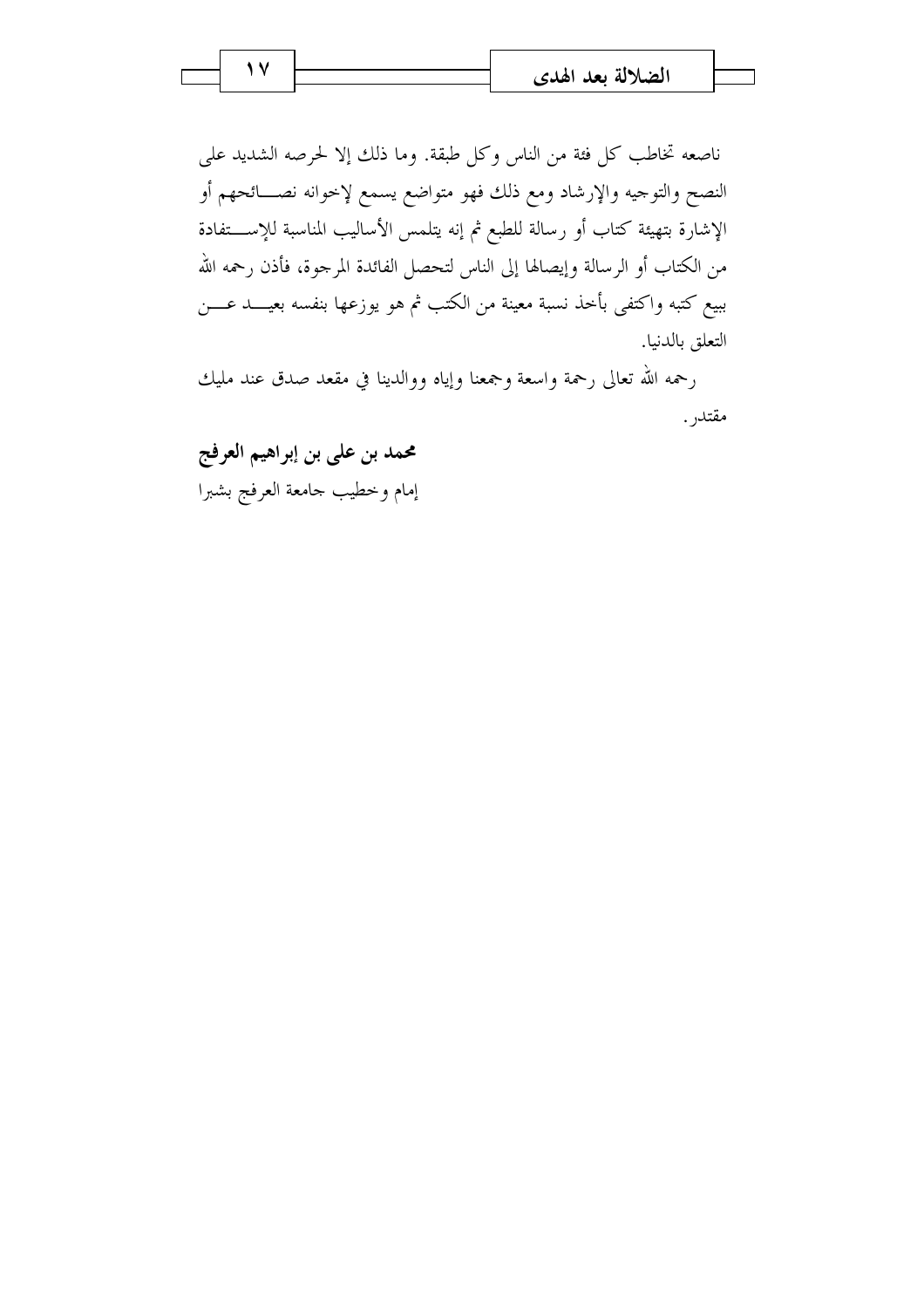|  | الضلالة بعد الهدى |  |
|--|-------------------|--|
|  |                   |  |

ناصعه تخاطب كل فئة من الناس وكل طبقة. وما ذلك إلا لحرصه الشديد على النصح والتوحيه والإرشاد ومع ذلك فهو متواضع يسمع لإخوانه نصـــائحهم أو الإشارة بتهيئة كتاب أو رسالة للطبع ثم إنه يتلمس الأساليب المناسبة للإســـتفادة من الكتاب أو الرسالة وإيصالها إلى الناس لتحصل الفائدة المرجوة، فأذن رحمه الله ببيع كتبه واكتفى بأخذ نسبة معينة من الكتب ثم هو يوزعها بنفسه بعيـــد عــــن التعلق بالدنيا.

رحمه الله تعالى رحمة واسعة وجمعنا وإياه ووالدينا في مقعد صدق عند مليك مقتدر .

محمد بن على بن إبراهيم العرفج إمام وخطيب جامعة العرفج بشبرا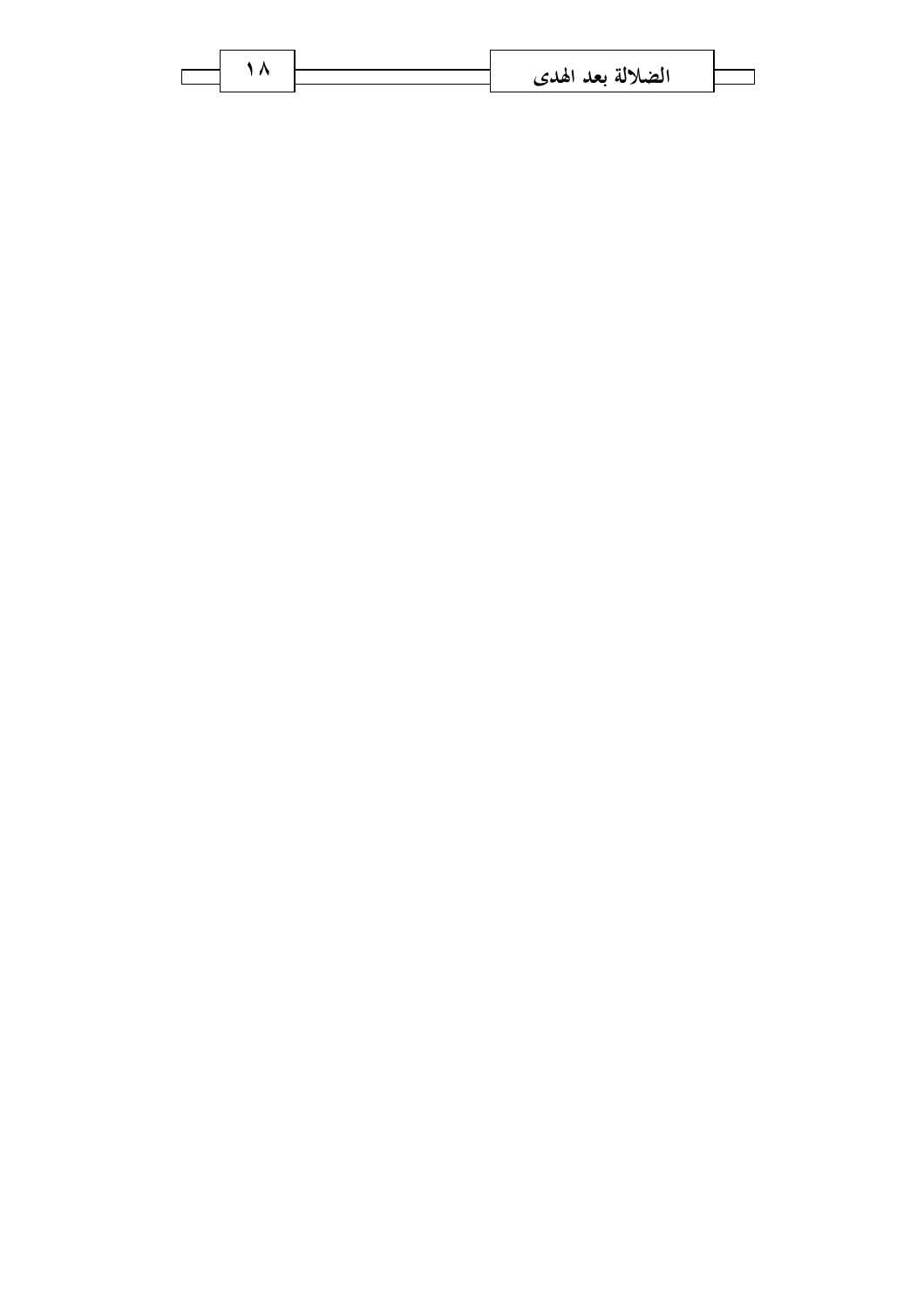|  | الضلالة بعد الهدي |  |
|--|-------------------|--|
|  |                   |  |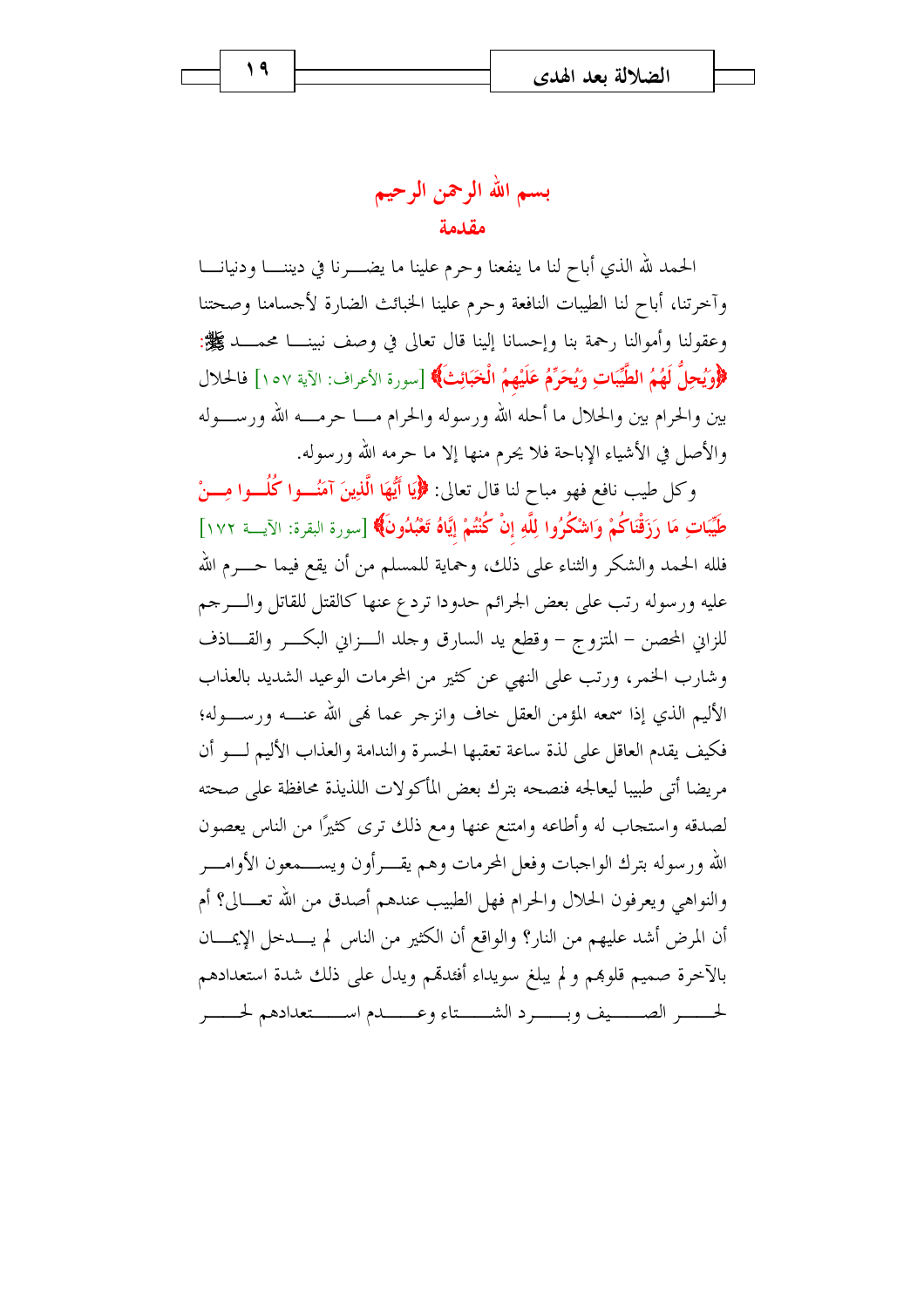بسم الله الرحمن الرحيم مقدمة

الحمد لله الذي أباح لنا ما ينفعنا وحرم علينا ما يضــــرنا في ديننــــا ودنيانــــا وآخرتنا، أباح لنا الطيبات النافعة وحرم علينا الخبائث الضارة لأجسامنا وصحتنا وعقولنا وأموالنا رحمة بنا وإحسانا إلينا قال تعالى في وصف نبينــــا محمــــد ﷺ: ﴿وَيُحِلُّ لَهُمُ الطَّيِّبَاتِ وَيُحَرِّمُ عَلَيْهِمُ الْخَبَائِتُ﴾ [سورة الأعراف: الآية ١٥٧] فالحلال بين والحرام بين والحلال ما أحله الله ورسوله والحرام مـــا حرمـــه الله ورســـوله والأصل في الأشياء الإباحة فلا يحرم منها إلا ما حرمه الله ورسوله.

وكل طيب نافع فهو مباح لنا قال تعالى: ﴿ يَا أَيُّهَا الَّذِينَ آمَنُـــوا كُلُـــوا مِـــنْ طَيِّبَاتِ مَا رَزَقْنَاكُمْ وَاشْكُرُوا لِلَّهِ إِنْ كُنْتُمْ إِيَّاهُ تَعْبُدُونَ﴾ [سورة البقرة: الآيسة ١٧٢] فلله الحمد والشكر والثناء على ذلك، وحماية للمسلم من أن يقع فيما حــــرم الله عليه ورسوله رتب على بعض الجرائم حدودا تردع عنها كالقتل للقاتل والسرجم للزايي المحصن – المتزوج – وقطع يد السارق وحلد الــزايي البكـــر والقـــاذف وشارب الخمر، ورتب على النهي عن كثير من المحرمات الوعيد الشديد بالعذاب الأليم الذي إذا سمعه المؤمن العقل حاف وانزجر عما فمي الله عنــــه ورســــوله؛ فكيف يقدم العاقل على لذة ساعة تعقبها الحسرة والندامة والعذاب الأليم لـــو أن مريضا أتى طبيبا ليعالجه فنصحه بترك بعض المأكولات اللذيذة محافظة على صحته لصدقه واستجاب له وأطاعه وامتنع عنها ومع ذلك ترى كثيرًا من الناس يعصون الله ورسوله بترك الواجبات وفعل المحرمات وهم يقـــرأون ويســــمعون الأوامــــر والنواهي ويعرفون الحلال والحرام فهل الطبيب عندهم أصدق من الله تعـــالي؟ أم أن المرض أشد عليهم من النار؟ والواقع أن الكثير من الناس لم يــــدخل الإيمــــان بالأخرة صميم قلوهم ولم يبلغ سويداء أفثدقم ويدل على ذلك شدة استعدادهم لحسسير الصهيبيف وبسسيرد الشهسستاء وعسسهام استستعدادهم لحسسير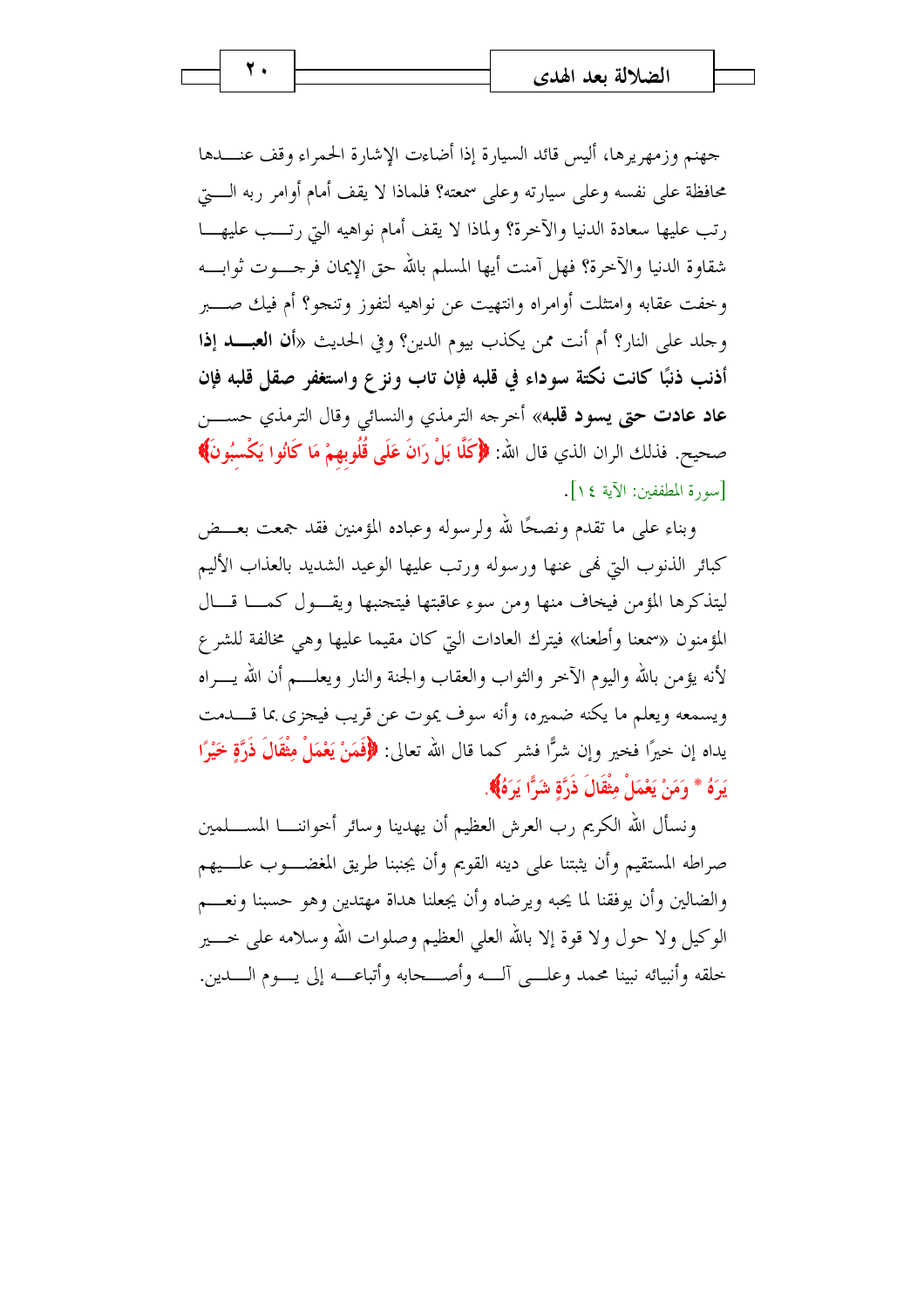|  | الضلالة بعد الهدي |  |
|--|-------------------|--|
|  |                   |  |

جهنم وزمهريرها، أليس قائد السيارة إذا أضاءت الإشارة الحمراء وقف عنـــدها محافظة على نفسه وعلى سيارته وعلى سمعته؟ فلماذا لا يقف أمام أوامر ربه الــــــيّ رتب عليها سعادة الدنيا والآخرة؟ ولماذا لا يقف أمام نواهيه التي رتـــب عليهــــا شقاوة الدنيا والآخرة؟ فهل آمنت أيها المسلم بالله حق الإيمان فرحــــوت ثوابـــــه وخفت عقابه وامتثلت أوامراه وانتهيت عن نواهيه لتفوز وتنجو؟ أم فيك صـــــــــر أذنب ذنبًا كانت نكتة سوداء في قلبه فإن تاب ونزع واستغفر صقل قلبه فإن عاد عادت حتى يسود قلبه» أحرجه الترمذي والنسائ<sub>ي</sub> وقال الترمذي حســــن صحيح. فذلك الران الذي قال الله: ﴿كَلَّا بَلْ رَانَ عَلَى قُلُوبِهِمْ مَا كَانُوا يَكْسبُونَ﴾ [سورة المطففين: الآية ١٤].

وبناء على ما تقدم ونصحًا لله ولرسوله وعباده المؤمنين فقد جمعت بعـــض كبائر الذنوب التي فمي عنها ورسوله ورتب عليها الوعيد الشديد بالعذاب الأليم ليتذكرها المؤمن فيخاف منها ومن سوء عاقبتها فيتجنبها ويقسول كمسا قسال المؤمنون «سمعنا وأطعنا» فيترك العادات التي كان مقيما عليها وهي مخالفة للشرع لأنه يؤمن بالله واليوم الآخر والثواب والعقاب والجنة والنار ويعلـــم أن الله يــــراه ويسمعه ويعلم ما يكنه ضميره، وأنه سوف يموت عن قريب فيجزى بما قــــدمت يداه إن حيرًا فخير وإن شرًّا فشر كما قال الله تعالى: ﴿فَمَنْ يَعْمَلْ مِثْقَالَ ذَرَّةٍ خَيْرًا يَرَهُ \* وَمَنْ يَعْمَلْ مِثْقَالَ ذَرَّةٍ شَرًّا يَرَهُ**﴾**.

ونسأل الله الكريم , ب العرش العظيم أن يهدينا وسائر أخواننـــا المســــلمين صراطه المستقيم وأن يثبتنا على دينه القويم وأن يجنبنا طريق المغضـــوب علـــيهم والضالين وأن يوفقنا لما يحبه ويرضاه وأن يجعلنا هداة مهتدين وهو حسبنا ونعسم الوكيل ولا حول ولا قوة إلا بالله العلي العظيم وصلوات الله وسلامه على حــــير خلقه وأنبيائه نبينا محمد وعليے آلسه وأصبحابه وأتباعسه إلى يسوم السدين.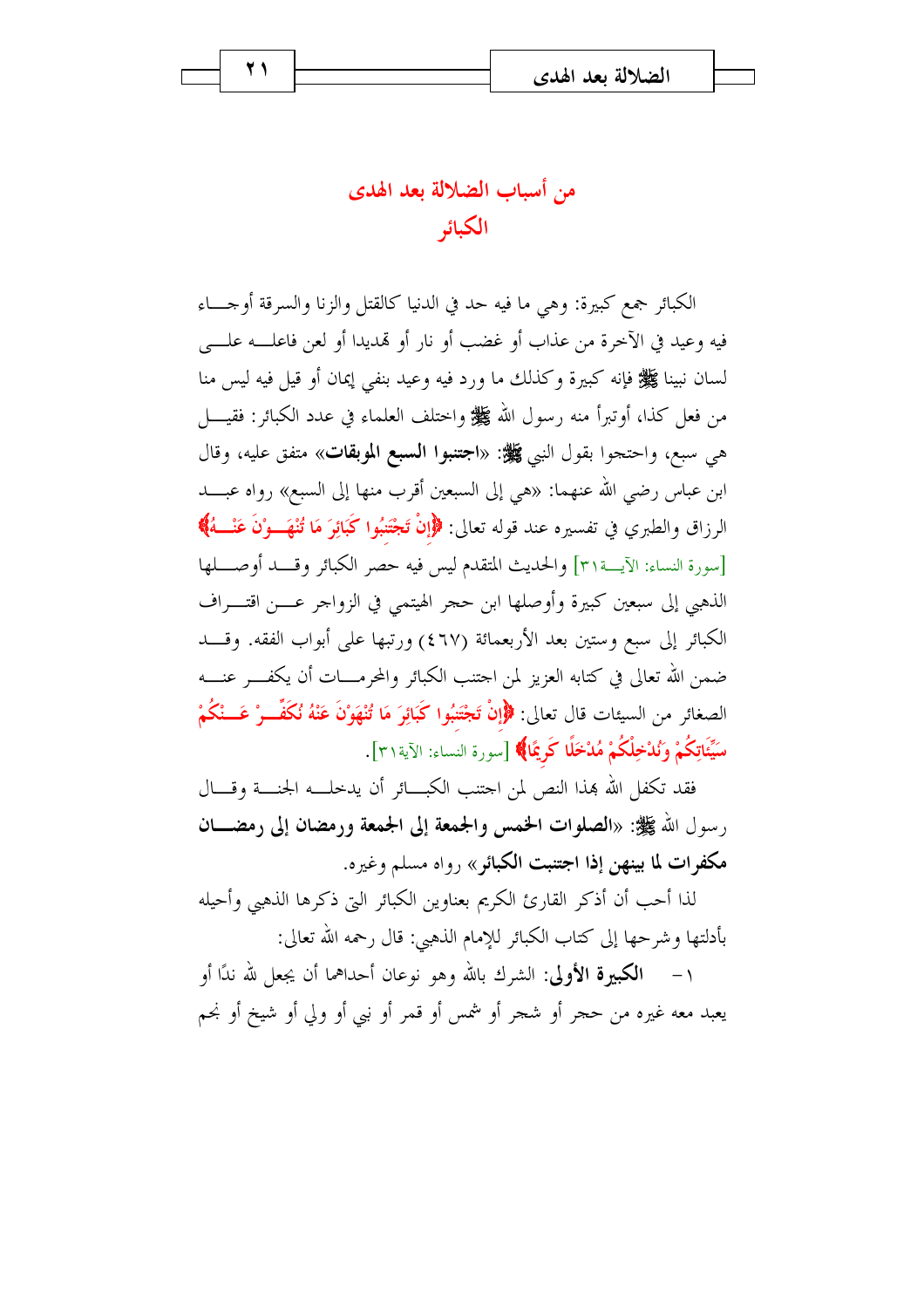الكبائر جمع كبيرة: وهي ما فيه حد في الدنيا كالقتل والزنا والسرقة أوجـــاء فيه وعيد في الآخرة من عذاب أو غضب أو نار أو هّديدا أو لعن فاعلــه علـــي لسان نبينا ﷺ فإنه كبيرة وكذلك ما ورد فيه وعيد بنفي إيمان أو قيل فيه ليس منا من فعل كذا، أو تيرأ منه , سول الله ﷺ واختلف العلماء في عدد الكبائر : فقيـــل هي سبع، واحتجوا بقول النبي ﷺ: «اجتنبوا السبع الموبقات» متفق عليه، وقال ابن عباس رضي الله عنهما: «هي إلى السبعين أقرب منها إلى السبع» رواه عبــــد الرزاق والطبري في تفسيره عند قوله تعالى: ﴿إِنْ تَجْتَنِبُوا كَبَائِرَ مَا تُنْهَــوْنَ عَنْـــهُ﴾ [سورة النساء: الآيــة٣١] والحديث المتقدم ليس فيه حصر الكبائر وقــد أوصـــلها الذهبي إلى سبعين كبيرة وأوصلها ابن حجر الهيتمي في الزواجر عـــن اقتـــراف الكبائر إلى سبع وستين بعد الأربعمائة (٤٦٧) ورتبها على أبواب الفقه. وقـــد ضمن الله تعالى في كتابه العزيز لمن احتنب الكبائر والمحرمــــات أن يكفــــر عنــــه الصغائر من السيئات قال تعالى: ﴿إِنْ تَجْتَنِبُوا كَبَائِرَ مَا تُنْهَوْنَ عَنْهُ نُكَفِّسِ ۚ عَسْنُكُمْ **سَيِّئَاتِكُمْ وَنُدْخِلْكُمْ مُدْخَلًا كَرِيمًا﴾** [سورة النساء: الآية٢١].

فقد تكفل الله بهذا النص لمن احتنب الكبسائر أن يدخلسه الجنسة وقسال رسول الله ﷺ: «الصلوات الخمس والجمعة إلى الجمعة ورمضان إلى رمضـــان مكفرات لما بينهن إذا اجتنبت الكبائر» رواه مسلم وغيره.

لذا أحب أن أذكر القارئ الكريم بعناوين الكبائر التي ذكرها الذهبي وأحيله بأدلتها وشرحها إلى كتاب الكبائر للإمام الذهبي: قال رحمه الله تعالى:

١ – الكبير ة الأولى: الشرك بالله وهو نوعان أحداهما أن يجعل لله ندًا أو يعبد معه غيره من حجر أو شجر أو شمس أو قمر أو نبي أو ولي أو شيخ أو نجم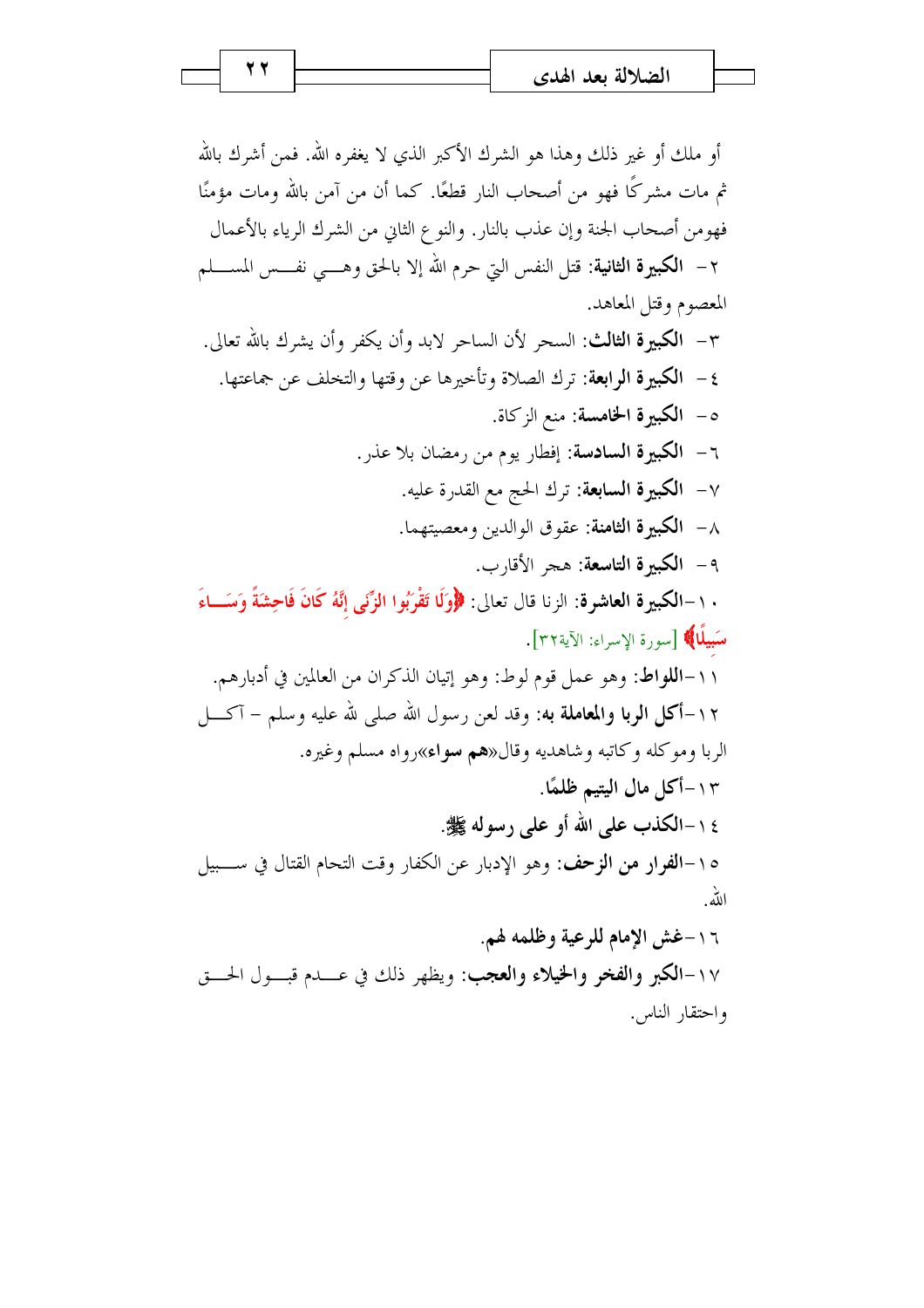|  | الضلاله بعد اهدى |  |
|--|------------------|--|
|  |                  |  |

أو ملك أو غير ذلك وهذا هو الشرك الأكبر الذي لا يغفره الله. فمن أشرك بالله ثم مات مشركًا فهو من أصحاب النار قطعًا. كما أن من آمن بالله ومات مؤمنًا فهومن أصحاب الجنة وإن عذب بالنار . والنوع الثاني من الشرك الرياء بالأعمال ٢ – ا**لكبيرة الثانية**: قتل النفس التي حرم الله إلا بالحق وهـــي نفــــس المســـــلم المعصوم وقتل المعاهد. ٣- الكبيرة الثالث: السحر لأن الساحر لابد وأن يكفر وأن يشرك بالله تعالى. ٤ – الكبير ة الوابعة: ترك الصلاة وتأحيرها عن وقتها والتخلف عن جماعتها. ٥- ا**لكبيرة الخامسة**: منع الزكاة. ٦- الكبيرة السادسة: إفطار يوم من رمضان بلا عذر . √− ا**لكبيرة السابعة**: ترك الحج مع القدرة عليه. ٨- الكبيرة الثامنة: عقوق الوالدين ومعصيتهما. ٩- الكبيرة التاسعة: هجر الأقارب. ١٠-الكبيرة العاشرة: الزنا قال تعالى: ﴿وَلَا تَقْرَبُوا الزَّنَبِي إِنَّهُ كَانَ فَاحِشَةً وَسَــاءَ مِسَبِيلًا﴾ [سورة الاسراء: الآية ٣٢]. ١١-اللواط: وهو عمل قوم لوط: وهو إتيان الذكران من العالمين في أدبارهم. ١٢-أكل الربا والمعاملة به: وقد لعن رسول الله صلى لله عليه وسلم – آكـــل الربا وموكله وكاتبه وشاهديه وقال«هم **سوا**ء»رواه مسلم وغيره. ١٣-أكل مال اليتيم ظلمًا. ١٤-الكذب على الله أو على رسوله ﷺ. ١٥-الفرار من الزحف: وهو الإدبار عن الكفار وقت التحام القتال في ســـبيل الله ١٦-غش الإمام للرعية وظلمه لهم. ١٧-الكبر والفخر والخيلاء والعجب: ويظهر ذلك في عسدم قبسول الحسق واحتقار الناس.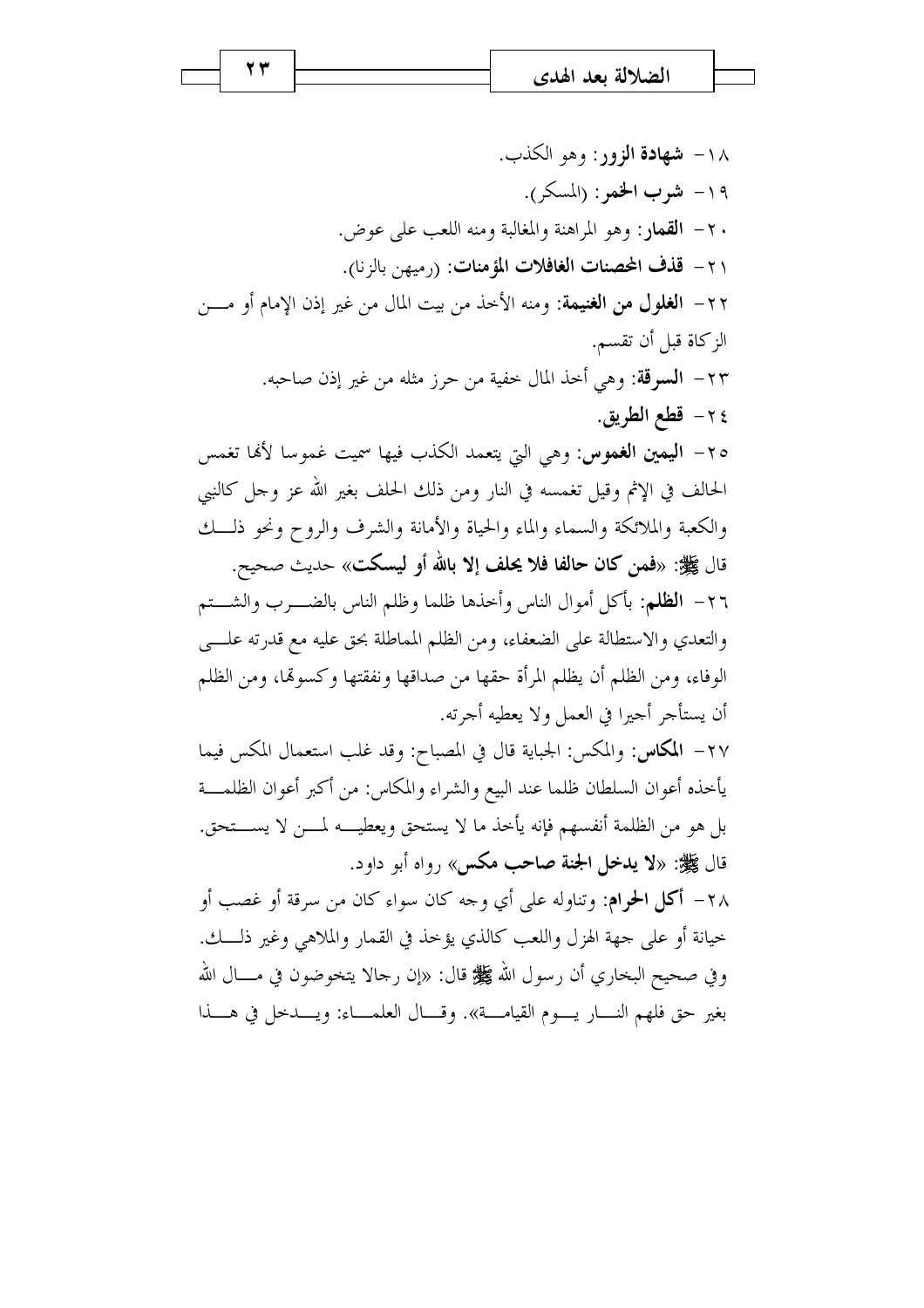$\tau$ 

١٨ - شهادة الزور: وهو الكذب. ١٩- شوب الخمو: (المسكر). ٢٠ - القمار: وهو المراهنة والمغالبة ومنه اللعب على عوض. ٢١ - قذف المحصنات الغافلات المؤمنات: (رميهن بالزنا). ٢٢– الغلول من الغنيمة: ومنه الأخذ من بيت المال من غير إذن الإمام أو مــــن الزكاة قبل أن تقسم. ٢٣– السوقة: وهي أخذ المال خفية من حرز مثله من غير إذن صاحبه. ٢٤ - قطع الطريق. ٢٥ – ا**ليمين الغموس**: وهي التي يتعمد الكذب فيها سميت غموسا لألها تغمس الحالف في الإثم وقيل تغمسه في النار ومن ذلك الحلف بغير الله عز وجل كالنبي والكعبة والملائكة والسماء والماء والحياة والأمانة والشرف والروح ونحو ذلسك قال ﷺ: «فمن كان حالفا فلا يحلف إلا بالله أو ليسكت» حديث صحيح. ٢٦ - **الظلم:** بأكل أموال الناس وأحذها ظلما وظلم الناس بالضـــرب والشـــتم والتعدي والاستطالة على الضعفاء، ومن الظلم المماطلة بحق عليه مع قدرته عليبي الوفاء، ومن الظلم أن يظلم المرأة حقها من صداقها ونفقتها وكسوتما، ومن الظلم أن يستأجر أجيرا في العمل ولا يعطيه أجرته. ٢٧– المكاس: والمكس: الجباية قال في المصباح: وقد غلب استعمال المكس فيما يأحذه أعوان السلطان ظلما عند البيع والشراء والمكاس: من أكبر أعوان الظلمــــة بل هو من الظلمة أنفسهم فإنه يأحذ ما لا يستحق ويعطيـــه لمـــن لا يســـتحق. قال ﷺ: «لا يدخل الجنة صاحب مكس» , واه أبو داود. ٢٨ – **أكل الحوام:** وتناوله على أي وجه كان سواءِ كان من سرقة أو غصب أو حيانة أو على جهة الهزل واللعب كالذي يؤخذ في القمار والملاهي وغير ذلـــك. وفي صحيح البخاري أن , سول الله ﷺ قال: «إن , حالا يتخوضون في مـــال الله بغير حق فلهم النــــار يــــوم القيامــــة». وقــــال العلمـــــاء: ويــــدخل في هــــذا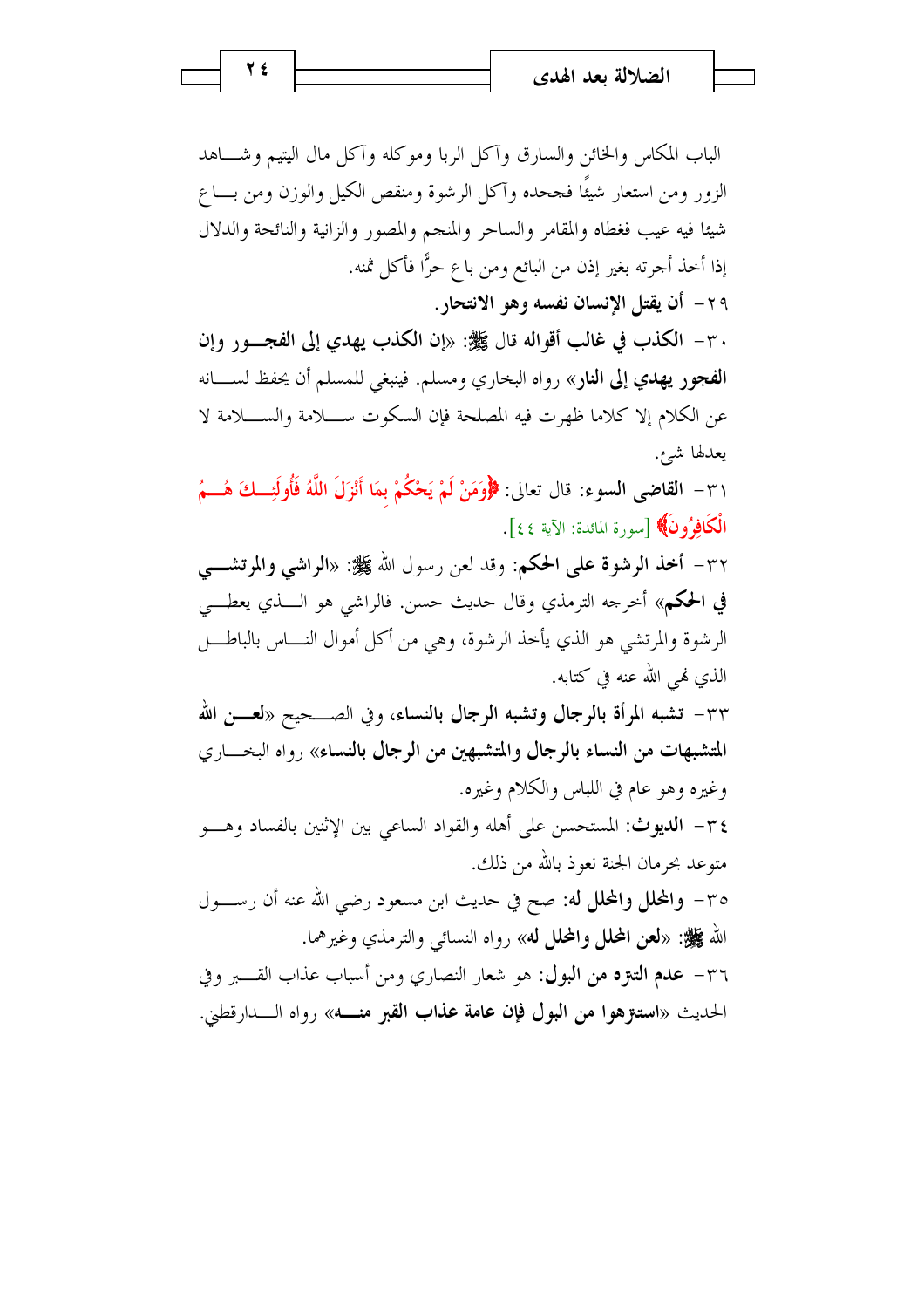الباب المكاس والخائن والسارق وآكل الربا وموكله وآكل مال اليتيم وشـــاهد الزور ومن استعار شيئًا فجحده وآكل الرشوة ومنقص الكيل والوزن ومن بساع شيئا فيه عيب فغطاه والمقامر والساحر والمنجم والمصور والزانية والنائحة والدلال إذا أحذ أجرته بغير إذن من البائع ومن باع حرًّا فأكل ثمنه. ٢٩ - أن يقتل الإنسان نفسه وهو الانتحار .

٣٠- الكذب في غالب أقواله قال ﷺ: «إن الكذب يهدي إلى الفجــور وإن ا**لفجور يهدي إلى النار**» رواه البخاري ومسلم. فينبغي للمسلم أن يحفظ لســــانه عن الكلام إلا كلاما ظهرت فيه المصلحة فإن السكوت ســــلامة والســــلامة لا

بعدلها شيء. ٣١ - القاضي السوء: قال تعالى: ﴿وَمَنْ لَمْ يَحْكُمْ بِمَا أَنْزَلَ اللَّهُ فَأُولَئِسِكَ هُسِمُ

**الْكَافِرُونَ﴾ [**سورة المائدة: الآية ٤٤].

٣٢- أخذ الرشوة على الحكم: وقد لعن رسول الله ﷺ: «الراشي والمرتشـــي في الحكم» أخرجه الترمذي وقال حديث حسن. فالراشي هو الــــذي يعطــــي الرشوة والمرتشى هو الذي يأخذ الرشوة، وهي من أكل أموال النـــاس بالباطــــل الذي لهي الله عنه في كتابه.

٣٣- تشبه المرأة بالرجال وتشبه الرجال بالنساء، وفي الصـــحيح «لعـــن الله المتشبهات من النساء بالرجال والمتشبهين من الرجال بالنساء» رواه البخـــاري وغيره وهو عام في اللباس والكلام وغيره.

٢٤ – الديوث: المستحسن على أهله والقواد الساعي بين الإثنين بالفساد وهــــو متوعد بحرمان الجنة نعوذ بالله من ذلك.

٣٥- والمحلل والمحلل له: صح في حديث ابن مسعود رضي الله عنه أن رســـول الله ﷺ: «لعن المحلل والمحلل له» رواه النسائي والترمذي وغيرهما. ٣٦- عدم التيَّزه من اليول: هو شعار النصاري ومن أسباب عذاب القسير وفي

الحديث «استنزهوا من البول فإن عامة عذاب القبر منـــه» رواه الـــدارقطني.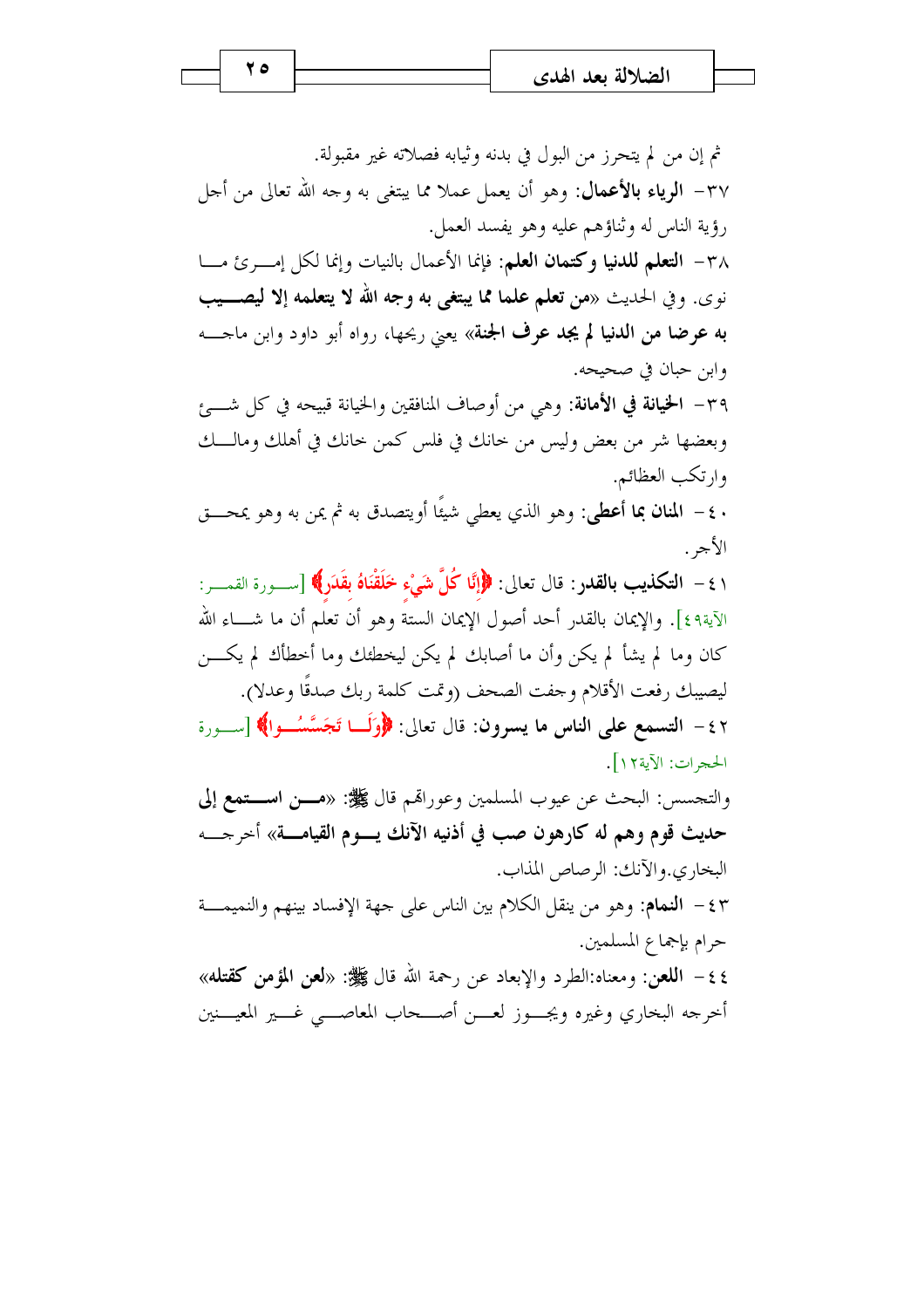|  | الضلالة بعد الهدي |  |
|--|-------------------|--|
|  |                   |  |

ثم إن من لم يتحرز من البول في بدنه وثيابه فصلاته غير مقبولة. ٣٧– ا**لرياء بالأعمال**: وهو أن يعمل عملاً مما يبتغي به وجه الله تعالى من أجل رؤية الناس له وثناؤهم عليه وهو يفسد العمل. ٣٨- التعلم للدنيا وكتمان العلم: فإنما الأعمال بالنيات وإنما لكل إمسرئ مسا نوي. وفي الحديث «من تعلُّم علمًا ممَّا يبتغي به وجه الله لا يتعلُّمه إلا ليصــــيب به عرضا من الدنيا لم يجد عرف الجنة» يعني ريحها، رواه أبو داود وابن ماجـــه وابن حبان في صحيحه. ٣٩ – الخيانة في الأمانة: وهي من أوصاف المنافقين والخيانة قبيحه في كل شــــيَّ وبعضها شر من بعض وليس من خانك في فلس كمن خانك في أهلك ومالــــك وارتكب العظائم. . ٤ – ا**لمنان بما أعطى**: وهو الذي يعطى شيئًا أويتصدق به ثم يمن به وهو يمحــــق الأجر . ١ ٤ – التكذيب بالقدر: قال تعالى: ﴿إِنَّا كُلَّ شَيْءٍ خَلَقْنَاهُ بِقَدَرٍ﴾ [ســورة القمـــر: الآية٤٩]. والإيمان بالقدر أحد أصول الإيمان الستة وهو أن تعلم أن ما شــــاء الله كان وما لم يشأ لم يكن وأن ما أصابك لم يكن ليخطئك وما أخطأك لم يكـــن ليصيبك , فعت الأقلام وجفت الصحف (وتمت كلمة , بك صدقًا وعدلا). ٤٢ - التسمع على الناس ما يسرون: قال تعالى: ﴿وَلَــا تَجَسَّسُــوا﴾ [ســورة الحجرات: الآبة١٢]. والتجسس: البحث عن عيوب المسلمين وعوراقمم قال ﷺ: «مـــن ا**ســـتمع** إلى حديث قوم وهم له كارهون صب في أذنيه الآنك يــــوم القيامــــة» أحرجــــه البخاري.والآنك: الرصاص المذاب. ٤٣ - النمام: وهو من ينقل الكلام بين الناس على حهة الإفساد بينهم والنميمـــة حرام بإجماع المسلمين. ٤٤ – اللعن: ومعناه:الطرد والإبعاد عن رحمة الله قال ﷺ: «لعن المؤمن كقتله» أخرجه البخاري وغيره ويجسوز لعسن أصححاب المعاصسي غسير المعيسنين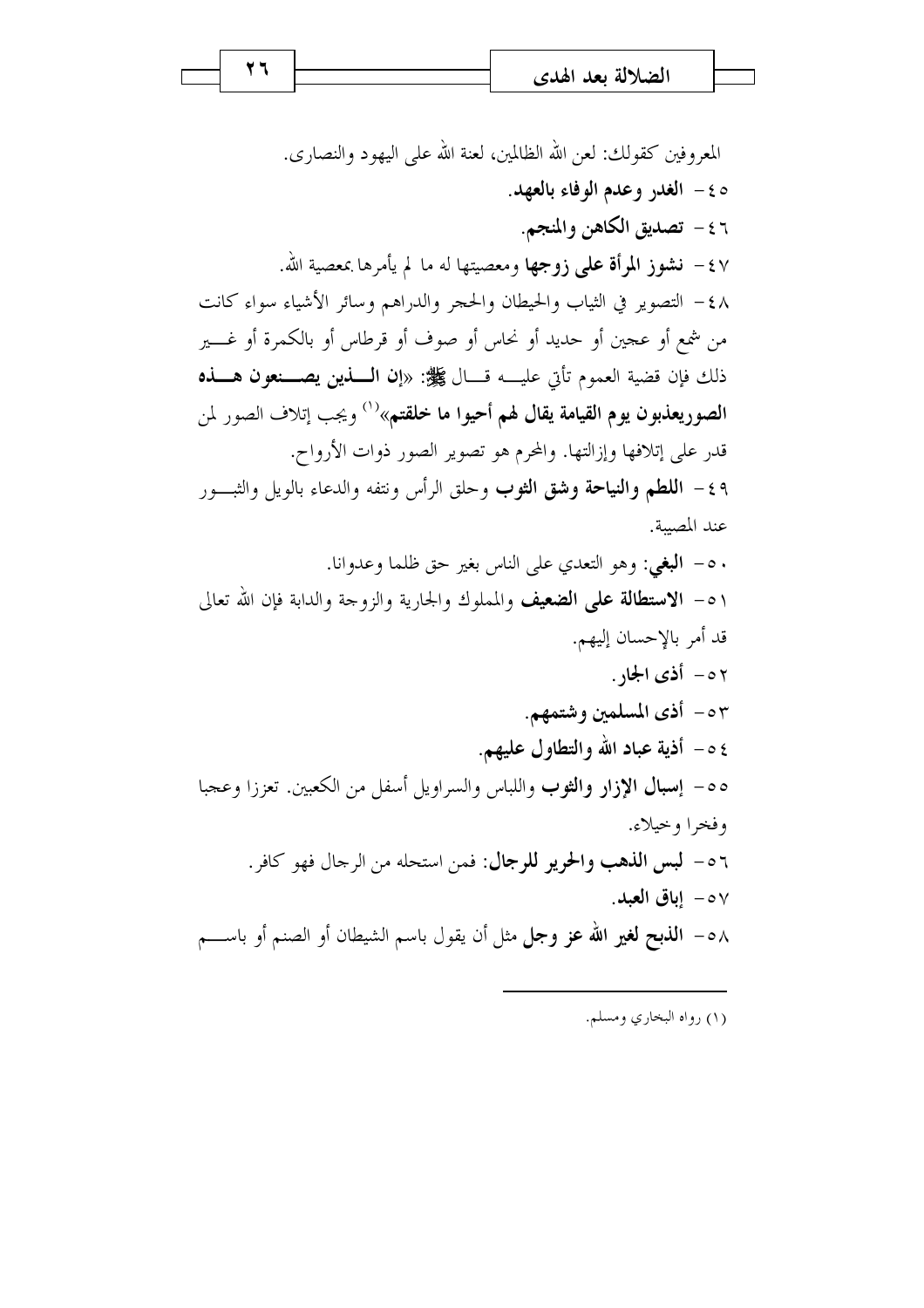المعروفين كقولك: لعن الله الظالمين، لعنة الله على اليهود والنصاري. ه ٤ - الغدر وعدم الوفاء بالعهد. ٤٦ - تصديق الكاهن والمنجم. ٤٧ – نشوز المرأة على زوجها ومعصيتها له ما لم يأمرها بمعصية الله. ٤٨ – التصوير في الثياب والحيطان والحجر والدراهم وسائر الأشياء سواء كانت من شمع أو عجين أو حديد أو نحاس أو صوف أو قرطاس أو بالكمرة أو غــــير ذلك فإن قضية العموم تأتي عليــــه قــــال ﷺ: «إن الـــــذين يصــــنعون هــــذه الصوريعذبون يوم القيامة يقال لهم أحيوا ما خلقتم»<sup>(١)</sup> ويجب إتلاف الصور لمن قدر على إتلافها وإزالتها. والمحرم هو تصوير الصور ذوات الأرواح. ٤٩ - اللطم والنياحة وشق الثوب وحلق الرأس ونتفه والدعاء بالويل والثبور عند المصيبة. 0۰ – **البغي**: وهو التعدي على الناس بغير حق ظلما وعدوانا. ٥١ – الاستطالة على الضعيف والمملوك والجارية والزوجة والدابة فإن الله تعالى قد أمر بالإحسان إليهم. ٥٢ - أذى الجار . ٥٣- أذى المسلمين وشتمهم. ٤ ٥ - أذية عباد الله والتطاول عليهم. ٥٥- إسبال الإزار والثوب واللباس والسراويل أسفل من الكعبين. تعززا وعجبا وفخرا وخيلاء. ٥٦ - لبس الذهب والحويو للوجال: فمن استحله من الرجال فهو كافر . ٥٧ - إباق العبد. 0٨ – **الذبح لغير الله عز وجل** مثل أن يقول باسم الشيطان أو الصنم أو باســــم

(١) رواه البخاري ومسلم.

27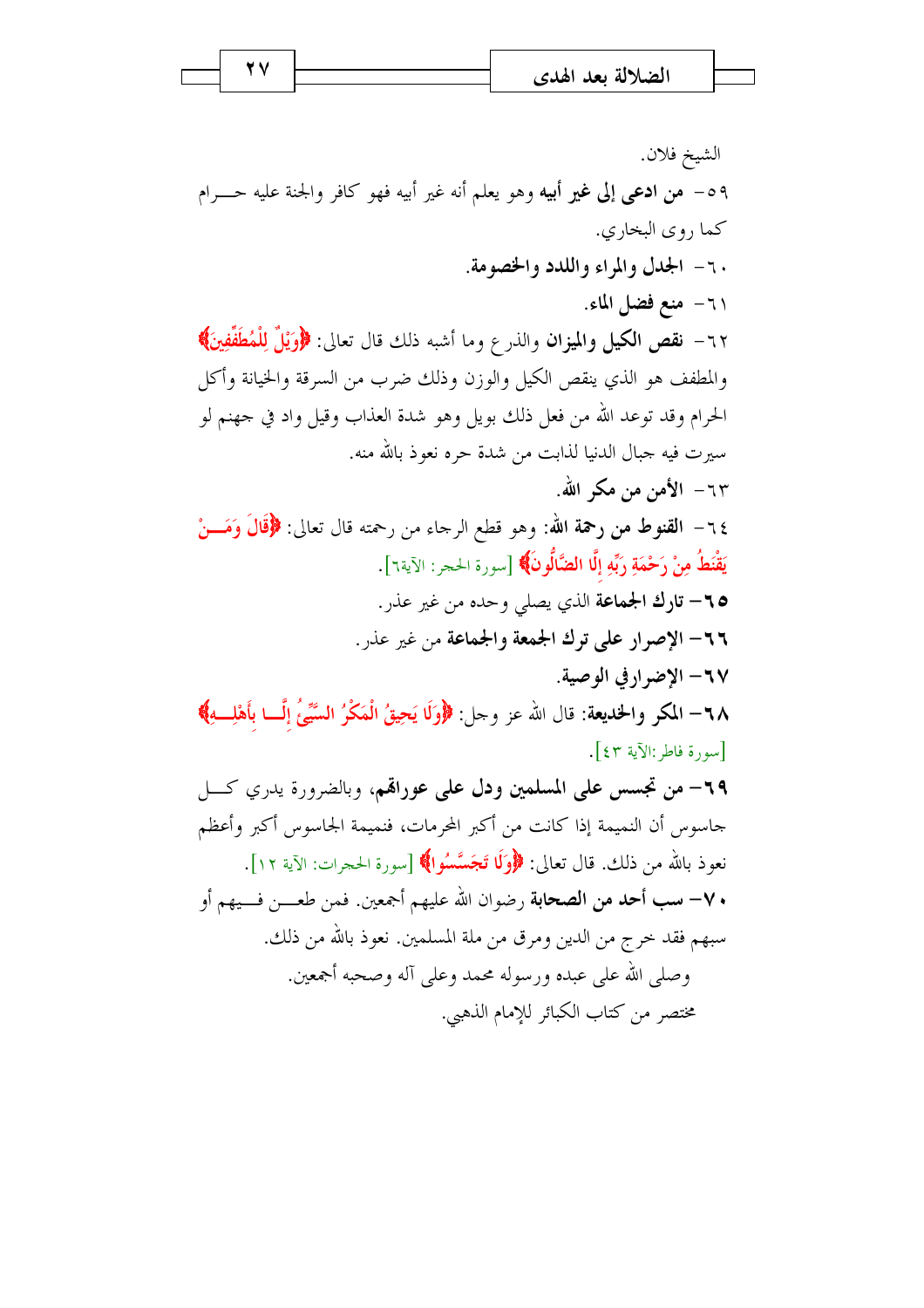|  | الضلالة بعد الهدى |  |
|--|-------------------|--|
|  |                   |  |

الشيخ فلان. ٥٩ – من ادعى إلى غير أبيه وهو يعلم أنه غير أبيه فهو كافر والجنة عليه حــــرام كما , وى البخاري. ٦٠ - الجدل والمراء واللدد والخصومة. ٦١– منع فضل الماء. ٦٢ – نقص الكيل والميزان والذر ع وما أشبه ذلك قال تعالى: ﴿وَيْلٌ لِلْمُطَفِّفِينَ﴾ والمطفف هو الذي ينقص الكيل والوزن وذلك ضرب من السرقة والخيانة وأكل الحرام وقد توعد الله من فعل ذلك بويل وهو شدة العذاب وقيل واد في جهنم لو سيرت فيه جبال الدنيا لذابت من شدة حره نعوذ بالله منه. ٦٣ – الأمن من مكم الله. ٦٤ – القنوط من رحمة الله: وهو قطع الرحاء من رحمته قال تعالى: ﴿قَالَ وَمَـــنْ يَقْنَطُ مِنْ رَحْمَةِ رَبِّهِ إِلَّا الضَّالُّونَ﴾ [سورة الحجر: الآية٦]. 10- تارك الجماعة الذي يصلى وحده من غير عذر . ٦٦- الإصرار على ترك الجمعة والجماعة من غير عذر . ٦٧- الإضرار في الوصية. ٦٨ – المكر والخديعة: قال الله عز وحل: ﴿وَلَا يَحِيقُ الْمَكْرُ السَّيِّئُ إِلَّــا بِأَهْلِـــهِ﴾ [سو, ة فاطر :الآية ٤٣]. ٦٩- من تجسس علي المسلمين ودل علي عوراقمه، وبالضرورة يدري كـــل جاسوس أن النميمة إذا كانت من أكبر المحرمات، فنميمة الجاسوس أكبر وأعظم نعوذ بالله من ذلك. قال تعالى: ﴿وَلَا تَجَسَّسُوا﴾ [سورة الحجرات: الآية ١٢]. • ٧- سب أحد من الصحابة رضوان الله عليهم أجمعين. فمن طعـــن فـــيهم أو سبهم فقد خرج من الدين ومرق من ملة المسلمين. نعوذ بالله من ذلك. وصلى الله على عبده ورسوله محمد وعلى آله وصحبه أجمعين. مختصر من كتاب الكبائر للإمام الذهبي.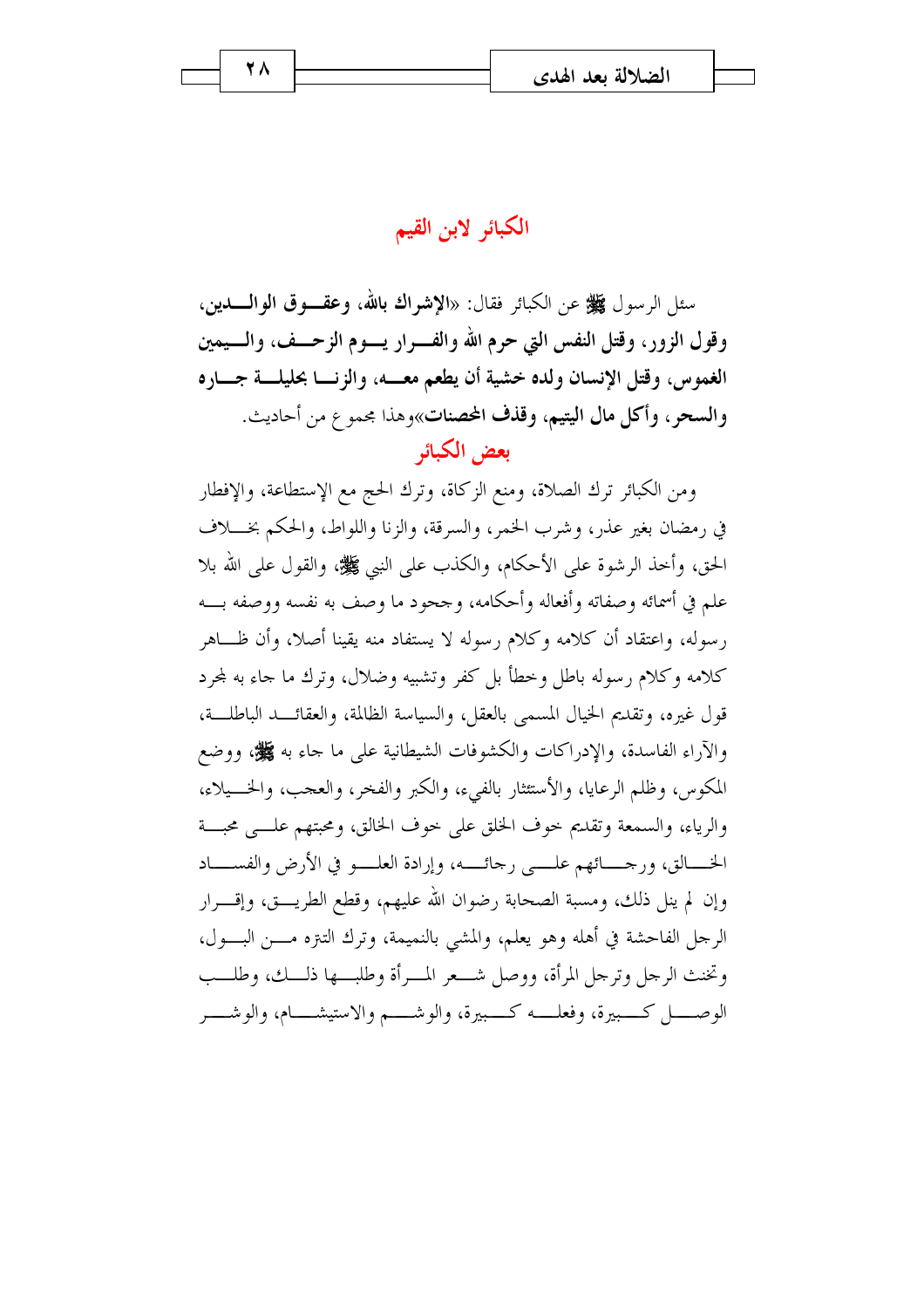## الكبائر لابن القيم

سئل الرسول ﷺ عن الكبائر فقال: «الإشراك بالله، وعقـــوق الوالـــــدين، وقول الزور ، وقتل النفس التي حرم الله والفسرار يسوم الزحسف، والسيمين الغموس، وقتل الإنسان ولده خشية أن يطعم معسه، والزنسا بحليلة جساره وا**لسحر ، وأكل مال اليتيم، وقذف المحصنات**»وهذا محموع من أحاديث.

### بعض الكبائه

ومن الكبائر ترك الصلاة، ومنع الزكاة، وترك الحج مع الإستطاعة، والإفطار في رمضان بغير عذر، وشرب الخمر، والسرقة، والزنا واللواط، والحكم بخــــلاف الحق، وأخذ الرشوة على الأحكام، والكذب على النبي ﷺ، والقول على الله بلا علم في أسمائه وصفاته وأفعاله وأحكامه، وجحود ما وصف به نفسه ووصفه بــه رسوله، واعتقاد أن كلامه وكلام رسوله لا يستفاد منه يقينا أصلا، وأن ظـــاهر كلامه وكلام رسوله باطل وخطأ بل كفر وتشبيه وضلال، وترك ما جاء به لمحرد قول غيره، وتقديم الخيال المسمى بالعقل، والسياسة الظالمة، والعقائـــد الباطلـــة، والآراء الفاسدة، والإدراكات والكشوفات الشيطانية على ما جاء به ﷺ، ووضع المكوس، وظلم الرعايا، والأستئثار بالفيء، والكبر والفخر، والعجب، والخسيلاء، والرياء، والسيعة وتقديم حوف الخلق على حوف الخالق، ومحبتهم عليے محبسة الخسالق، ورجسائهم علسي رجائسه، وإرادة العلسو في الأرض والفسساد وإن لم ينل ذلك، ومسبة الصحابة رضوان الله عليهم، وقطع الطريــــق، وإقــــرار الرجل الفاحشة في أهله وهو يعلم، والمشي بالنميمة، وترك التتره مــــن البــــول، وتخنث الرجل وترجل المرأة، ووصل شعر المسرأة وطلبها ذلبك، وطلب الوصط كسبيرة، وفعلــه كسبيرة، والوشـــه والاستيشـــام، والوشـــر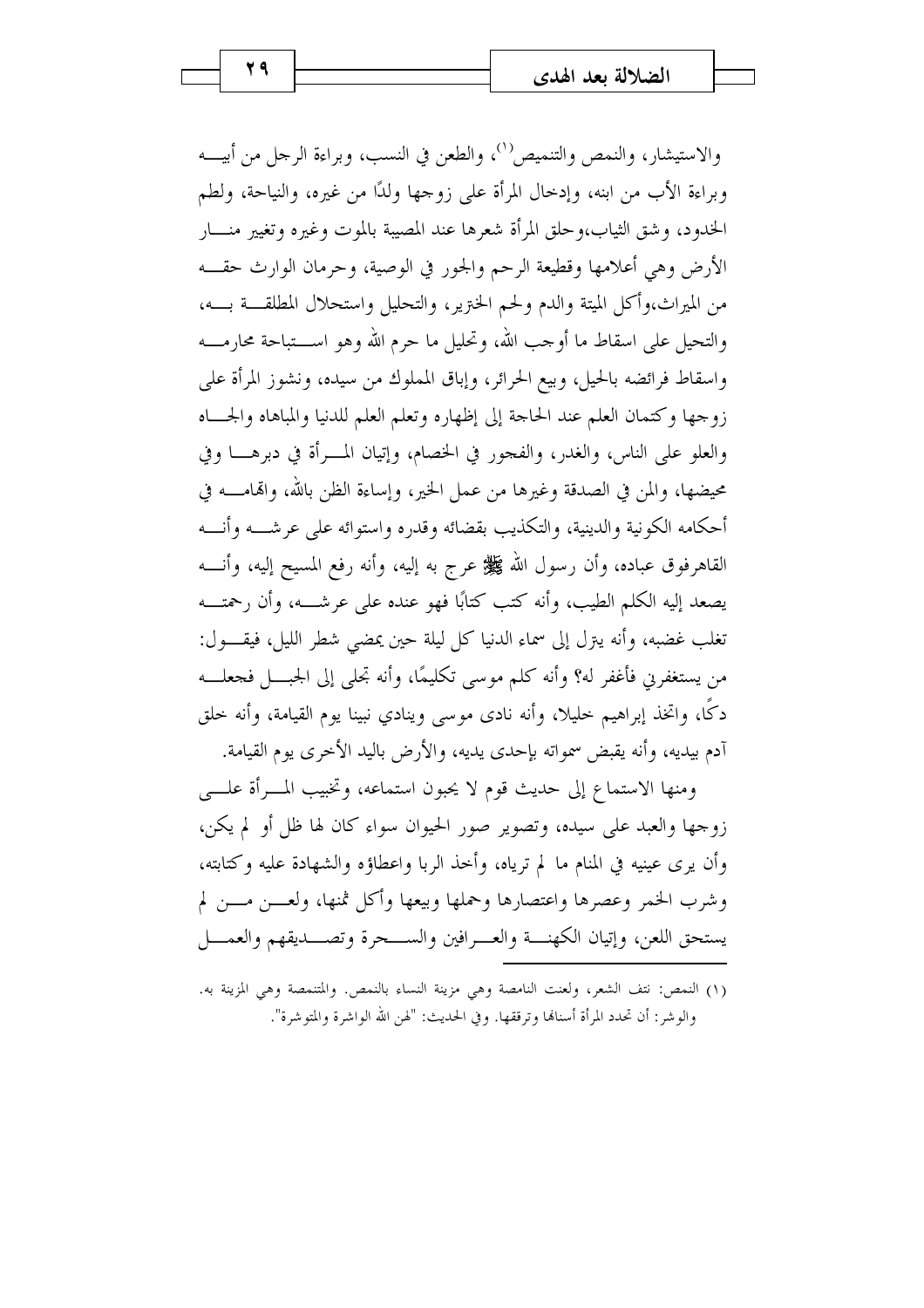|  | الضلاله بعد أهدى |  |
|--|------------------|--|
|  |                  |  |

والاستيشار ، والنمص والتنميص (``)، والطعن في النسب، وبراءة الرجل من أبيسه وبراءة الأب من ابنه، وإدخال المرأة على زوجها ولدًا من غيره، والنياحة، ولطم الخدود، وشق الثياب،وحلق المرأة شعرها عند المصيبة بالموت وغيره وتغيير منسار الأرض وهي أعلامها وقطيعة الرحم والجور في الوصية، وحرمان الوارث حقسه من الميراث،وأكل الميتة والدم ولحم الخنزير، والتحليل واستحلال المطلقـــة بـــه، والتحيل على اسقاط ما أوجب الله، وتحليل ما حرم الله وهو اســـتباحة محارمـــه واسقاط فرائضه بالحيل، وبيع الحرائر، وإباق المملوك من سيده، ونشوز المرأة على زوجها وكتمان العلم عند الحاجة إلى إظهاره وتعلم العلم للدنيا والمباهاه والجساه والعلو على الناس، والغدر، والفجور في الخصام، وإتيان المـــرأة في دبرهــــا وفي محيضها، والمن في الصدقة وغيرها من عمل الخير، وإساءة الظن بالله، واقمامـــه في أحكامه الكونية والدينية، والتكذيب بقضائه وقدره واستوائه على عرشــــه وأنــــه القاهرفوق عباده، وأن رسول الله ﷺ عرج به إليه، وأنه رفع المسيح إليه، وأنــــه يصعد إليه الكلم الطيب، وأنه كتب كتابًا فهو عنده على عرشـــه، وأن , حمتـــه تغلب غضبه، وأنه يتزل إلى سماء الدنيا كل ليلة حين يمضي شطر الليل، فيقــــول: من يستغفرني فأغفر له؟ وأنه كلم موسى تكليمًا، وأنه تحلي إلى الجبــــل فجعلــــه دكًا، واتخذ إبراهيم حليلا، وأنه نادي موسى وينادي نبينا يوم القيامة، وأنه خلق آدم بيديه، وأنه يقبض سمواته بإحدى يديه، والأرض باليد الأخرى يوم القيامة.

ومنها الاستماع إلى حديث قوم لا يحبون استماعه، وتخبيب المسرأة علسي زوجها والعبد على سيده، وتصوير صور الحيوان سواء كان لها ظل أو لم يكن، وأن يرى عينيه في المنام ما لم ترياه، وأحذ الربا واعطاؤه والشهادة عليه وكتابته، وشرب الخمر وعصرها واعتصارها وحملها وبيعها وأكل ثمنها، ولعسن مسن لم يستحق اللعن، وإتيان الكهنسة والعسرافين والســـحرة وتصـــديقهم والعمـــل

(١) النمص: نتف الشعر، ولعنت النامصة وهي مزينة النساء بالنمص. والمتنمصة وهي المزينة به. والوشر : أن تحدد المرأة أسنالها وترققها. وفي الحديث: "لهن الله الواشرة والمتوشرة".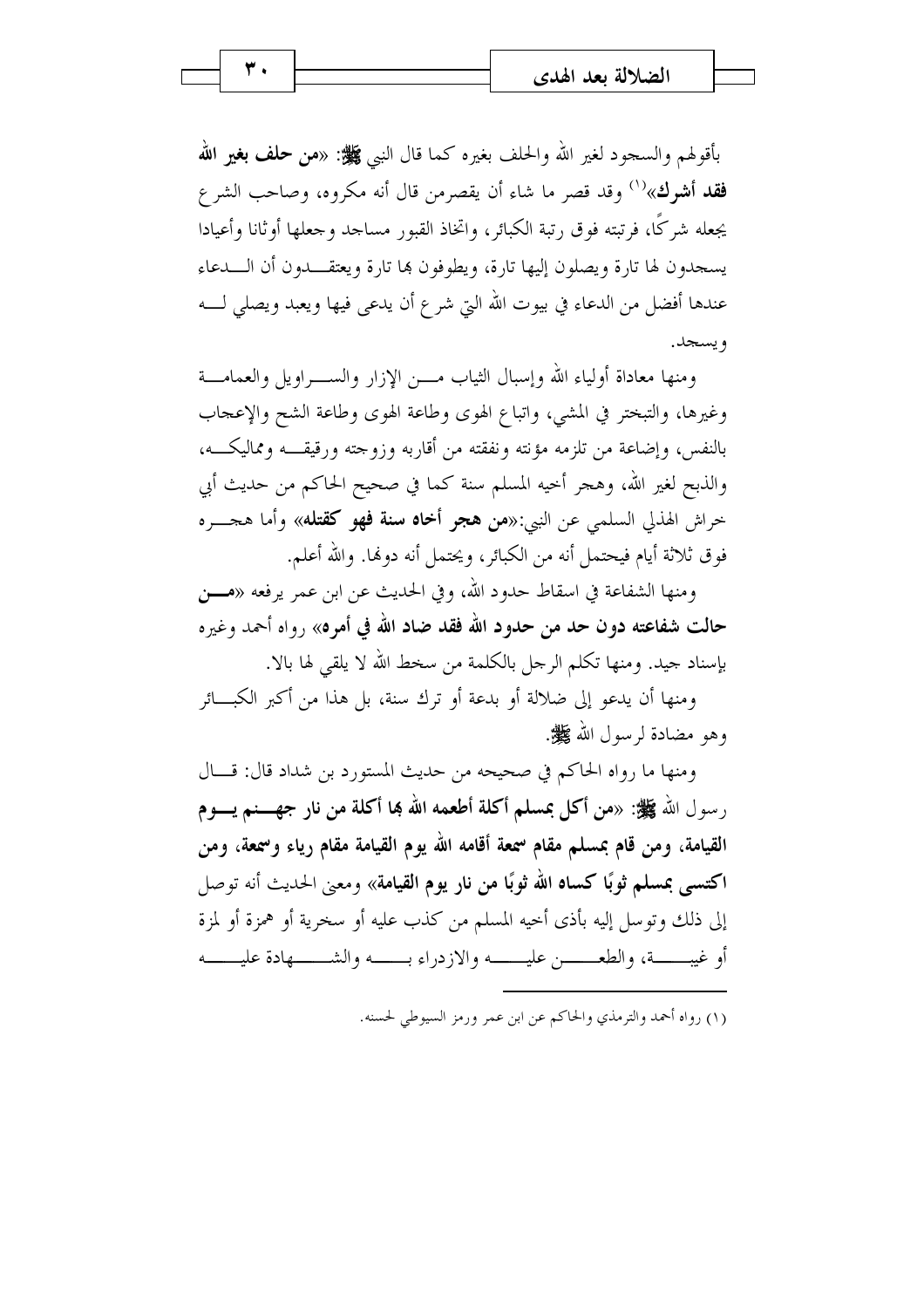|  | ∿^<br>الصلالة بعد اهدى |  |
|--|------------------------|--|
|  |                        |  |

بأقولهم والسحود لغير الله والحلف بغيره كما قال النبي ﷺ: «**من حلف بغير الله** فقد أشرك»<sup>(۱)</sup> وقد قصر ما شاء أن يقصرمن قال أنه مكروه، وصاحب الشر ع يجعله شركًا، فرتبته فوقٍ رتبة الكبائر، واتخاذ القبور مساجد وجعلها أوثانا وأعيادا يسجدون لها تارة ويصلون إليها تارة، ويطوفون ها تارة ويعتقـــدون أن الــــدعاء عندها أفضل من الدعاء في بيوت الله التي شر ع أن يدعى فيها ويعبد ويصلى لـــــه و يسجد.

ومنها معاداة أولياء الله وإسبال الثياب مـــن الإزار والســـراويل والعمامـــة وغيرها، والتبختر في المشي، واتباع الهوى وطاعة الهوى وطاعة الشح والإعجاب بالنفس، وإضاعة من تلزمه مؤنته ونفقته من أقاربه وزوجته ورقيقــه ومماليكــه، والذبح لغير الله، وهجر أحيه المسلم سنة كما في صحيح الحاكم من حديث أبي حراش الهذلي السلمي عن النبي:«من هجو أخاه سنة فهو كقتله» وأما هجـــره فوق ثلاثة أيام فيحتمل أنه من الكبائر ، ويحتمل أنه دولها. والله أعلم.

ومنها الشفاعة في اسقاط حدود الله، وفي الحديث عن ابن عمر يرفعه «مـــن حالت شفاعته دون حد من حدود الله فقد ضاد الله في أمره» رواه أحمد وغيره بإسناد جيد. ومنها تكلَّم الرَّجل بالكلَّمة من سخط الله لا يلقى لها بالا.

ومنها أن يدعو إلى ضلالة أو بدعة أو ترك سنة، بل هذا من أكبر الكبـــائر وهو مضادة لرسول الله ﷺ.

ومنها ما رواه الحاكم في صحيحه من حديث المستورد بن شداد قال: قــال رسول الله ﷺ: «من أكل بمسلم أكلة أطعمه الله بما أكلة من نار جهــــنم يــــوم القيامة، ومن قام بمسلم مقام سمعة أقامه الله يوم القيامة مقام رياء وسمعة، ومن اكتسمي بمسلم ثوبًا كساه الله ثوبًا من نار يوم القيامة» ومعنى الحديث أنه توصل إلى ذلك وتوسل إليه بأذى أخيه المسلم من كذب عليه أو سخرية أو همزة أو لمزة أو غيبــــــة، والطعــــــن عليــــــه والاز دراء بـــــه والشــــــهادة عليـــــه

(١) رواه أحمد والترمذي والحاكم عن ابن عمر ورمز السيوطي لحسنه.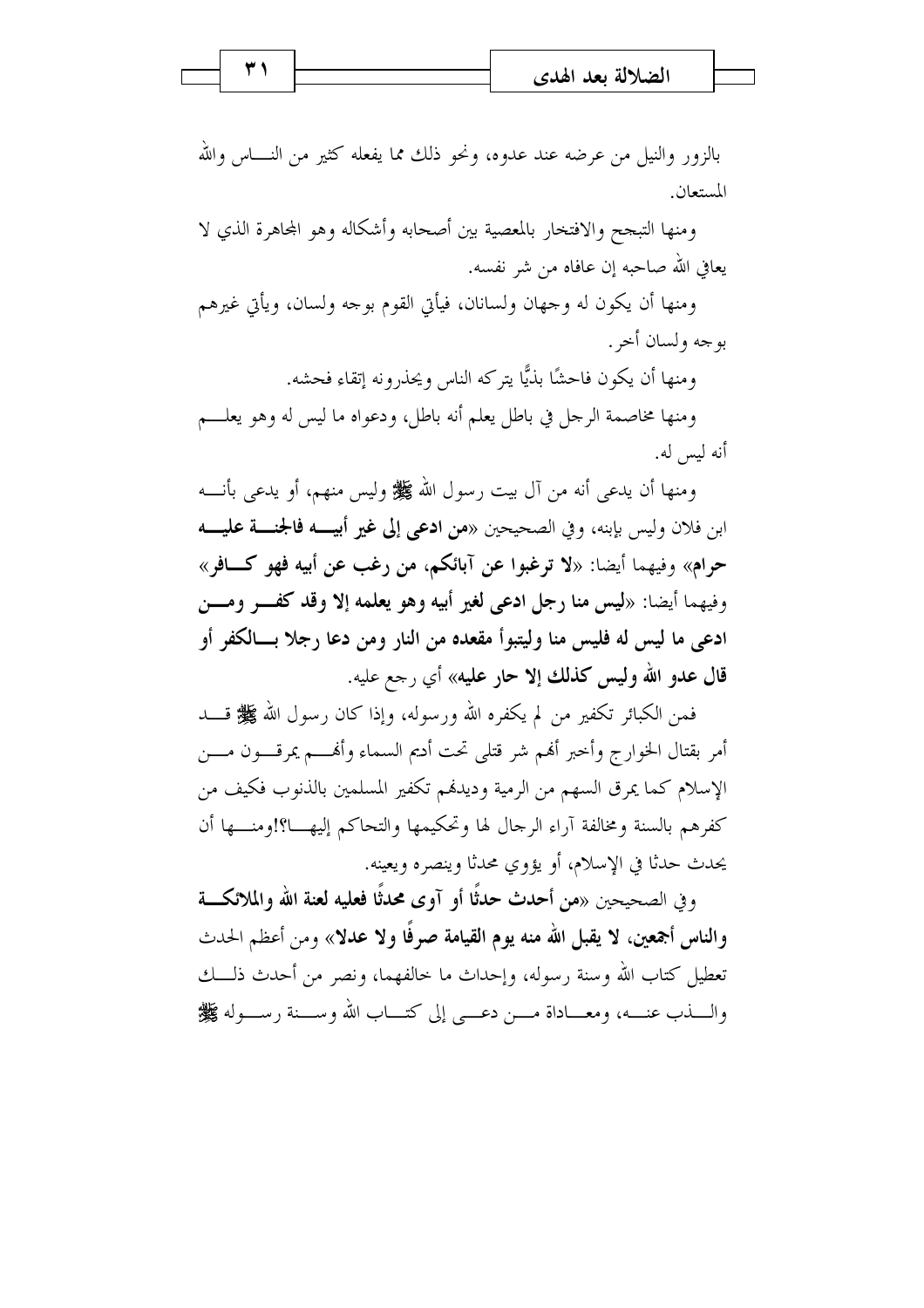|  | الضلاله بعد اهدى |  |
|--|------------------|--|
|  |                  |  |

بالزور والنيل من عرضه عند عدوه، ونحو ذلك مما يفعله كثير من النـــاس والله المستعان.

ومنها التبحح والافتخار بالمعصية بين أصحابه وأشكاله وهو المحاهرة الذى لا يعافي الله صاحبه إن عافاه من شر نفسه.

ومنها أن يكون له وجهان ولسانان، فيأتي القوم بوجه ولسان، ويأتي غيرهم بو جه ولسان أخر .

ومنها أن يكون فاحشًا بذيًّا يتركه الناس ويحذرونه إتقاء فحشه.

ومنها مخاصمة الرجل في باطل يعلم أنه باطل، ودعواه ما ليس له وهو يعلـــم أنه ليس له.

ومنها أن يدعى أنه من آل بيت رسول الله ﷺ وليس منهم، أو يدعى بأنـــه ابن فلان وليس بإبنه، وفي الصحيحين «من ادعى إلى غير أبيــــه فالجنــــة عليــــه حرام» وفيهما أيضا: «لا ترغبوا عن آبائكم، من رغب عن أبيه فهو كــافر» وفيهما أيضا: «ليس منا رجل ادعى لغير أبيه وهو يعلمه إلا وقد كفسر ومسن ادعي ما ليس له فليس منا وليتبوأ مقعده من النار ومن دعا رجلا بسالكفر أو قال عدو الله وليس كذلك إلا حار عليه» أي رحع عليه.

فمن الكبائر تكفير من لم يكفره الله ورسوله، وإذا كان رسول الله ﷺ قــــد أمر بقتال الخوارج وأخبر أفهم شر قتلي تحت أديم السماء وأفحسم يمرقسون مسن الإسلام كما يمرق السهم من الرمية وديدلهم تكفير المسلمين بالذنوب فكيف من كفرهم بالسنة ومخالفة آراء الرجال لها وتحكيمها والتحاكم إليهـــا؟!ومنــــها أن يحدث حدثًا في الإسلام، أو يؤوي محدثًا وينصره ويعينه.

و في الصحيحين «من أحدث حدثًا أو آوى محدثًا فعليه لعنة الله والملائكة والناس أجمعين، لا يقبل الله منه يوم القيامة صرفًا ولا عدلا» ومن أعظم الحدث تعطيل كتاب الله وسنة رسوله، وإحداث ما حالفهما، ونصر من أحدث ذلـــك والسذب عنسه، ومعساداة مسن دعسي إلى كتساب الله وسسنة , سبوله ﷺ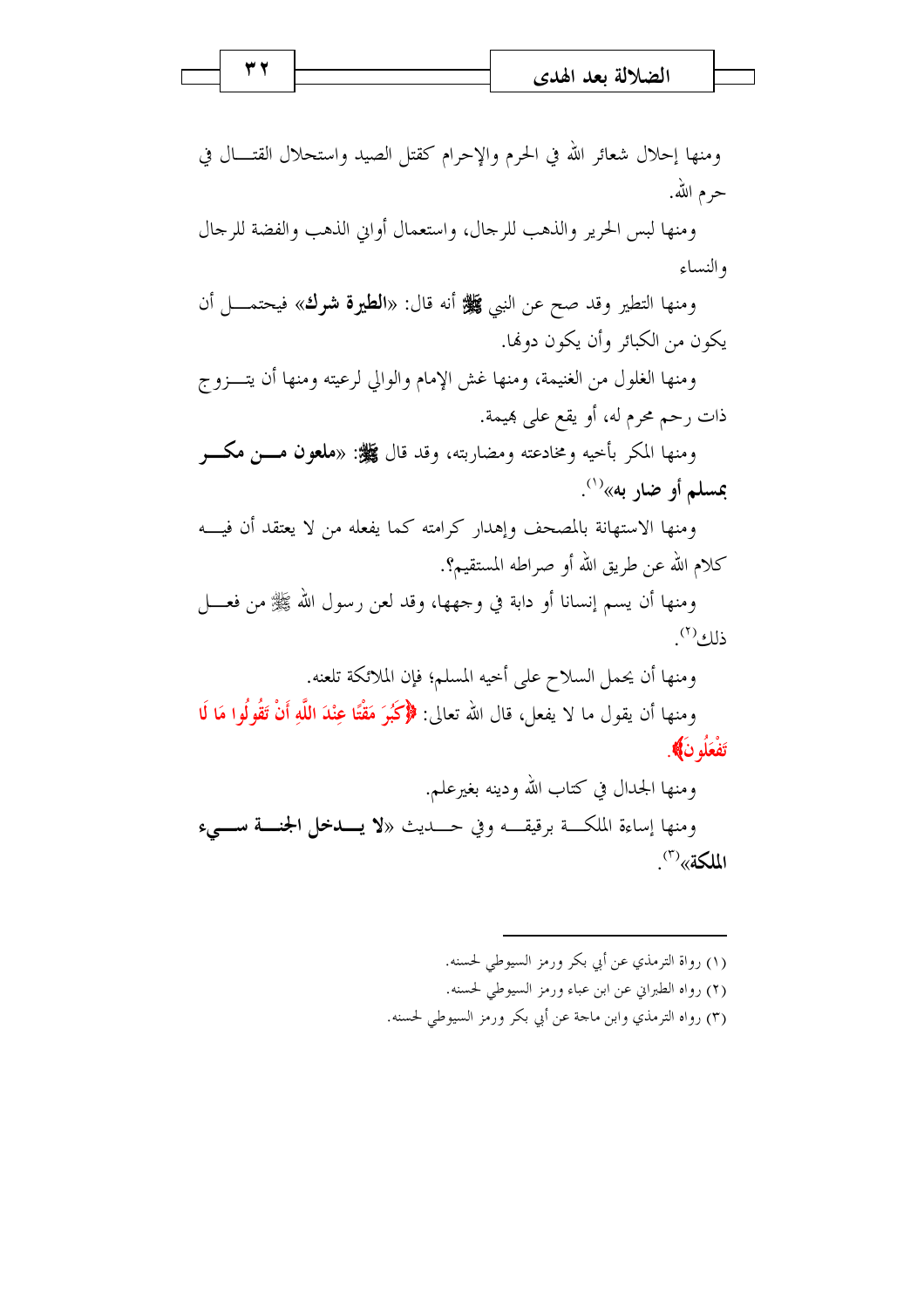|  | الضلاله بعد اهدى |  |
|--|------------------|--|
|  |                  |  |

ومنها إحلال شعائر الله في الحرم والإحرام كقتل الصيد واستحلال القتـــال في حرم الله. ومنها لبس الحرير والذهب للرحال، واستعمال أوابي الذهب والفضة للرجال والنساء ومنها التطير وقد صح عن النبي ﷺ أنه قال: «**الطيرة شرك**» فيحتمــــل أن يكون من الكبائر وأن يكون دولها. ومنها الغلول من الغنيمة، ومنها غش الإمام والوالي لرعيته ومنها أن يتـــزوج ذات رحم محرم له، أو يقع على بميمة. ومنها المكر بأخيه ومخادعته ومضاربته، وقد قال ﷺ: «**ملعون مـــــن مكـــــ**و بمسلم أو ضار به»<sup>(۱)</sup>. ومنها الاستهانة بالمصحف وإهدار كرامته كما يفعله من لا يعتقد أن فيسه كلام الله عن طريق الله أو صراطه المستقيم؟. ومنها أن يسم إنسانا أو دابة في وجهها، وقد لعن رسول الله ﷺ من فعــــل ذللئ<sup>(٢)</sup>. ومنها أن يحمل السلاح على أحيه المسلم؛ فإن الملائكة تلعنه. ومنها أن يقول ما لا يفعل، قال الله تعالى: ﴿كُبُرَ مَقْتًا عِنْدَ اللَّهِ أَنْ تَقُولُوا مَا لَا تَفْعَلُونَ﴾. ومنها الجدال في كتاب الله ودينه بغيرعلم.

ومنها إساءة الملكــة برقيقـــه وفي حـــديث «لا يــــدخل الجحنـــة مســــىء الملكة»<sup>(٣)</sup>.

> (١) رواة الترمذي عن أبي بكر ورمز السيوطى لحسنه. (٢) رواه الطبراني عن ابن عباء ورمز السيوطي لحسنه. (٣) رواه الترمذي وابن ماجة عن أبي بكر ورمز السيوطى لحسنه.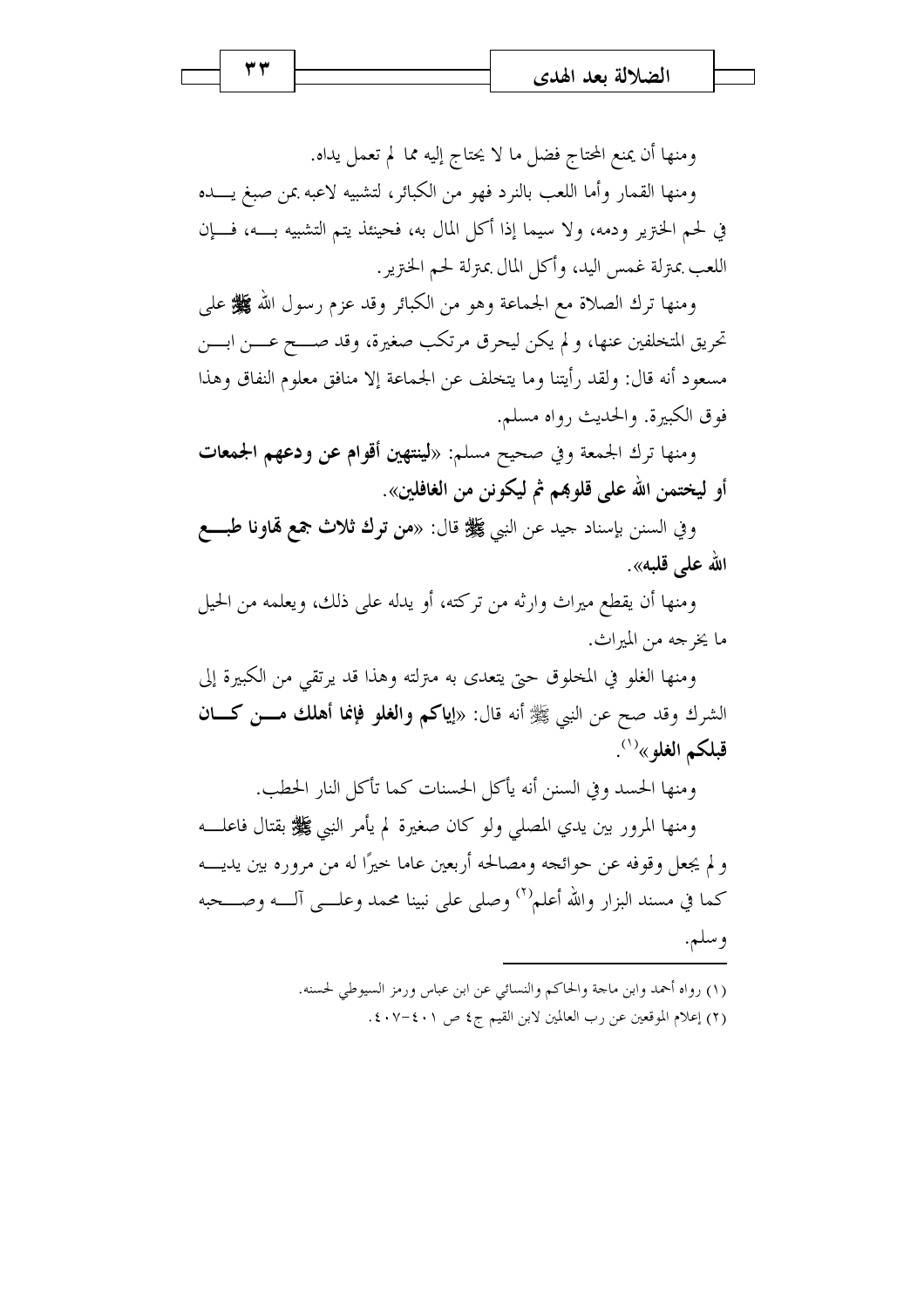|  | الضلاله بعد أهدي |  |
|--|------------------|--|
|  |                  |  |

ومنها أن يمنع المحتاج فضل ما لا يحتاج إليه مما لم تعمل يداه.

ومنها القمار وأما اللعب بالنرد فهو من الكبائر، لتشبيه لاعبه بمن صبغ يــــده في لحم الخترير ودمه، ولا سيما إذا أكل المال به، فحينئذ يتم التشبيه بـــه، فـــإن اللعب بمترلة غمس اليد، وأكل المال بمترلة لحم الخنزير .

ومنها ترك الصلاة مع الجماعة وهو من الكبائر وقد عزم رسول الله ﷺ على تحريق المتخلفين عنها، و لم يكن ليحرق مرتكب صغيرة، وقد صــــح عــــن ابــــن مسعود أنه قال: ولقد رأيتنا وما يتخلف عن الجماعة إلا منافق معلوم النفاق وهذا فوق الكبيرة. والحديث رواه مسلم.

ومنها ترك الجمعة وفي صحيح مسلم: «لينتهين أقوام عن ودعهم الجمعات أو ليختمن الله على قلوبمم ثم ليكونن من الغافلين».

وفي السنن بإسناد جيد عن النبي ﷺ قال: «من ترك ثلاث جمع لهاونا طبــــع الله على قلبه».

ومنها أن يقطع ميراث وارثه من تركته، أو يدله على ذلك، ويعلمه من الحيل ما يخرجه من الميراث.

ومنها الغلو في المخلوق حتى يتعدى به متزلته وهذا قد يرتقى من الكبيرة إلى الشرك وقد صح عن النبي ﷺ أنه قال: «**إياكم والغلو فإنما أهلك مــــن كـــــان** قبلكم الغلو»<sup>(١)</sup>.

ومنها الحسد وفي السنن أنه يأكل الحسنات كما تأكل النار الحطب.

ومنها المرور بين يدي المصلى ولو كان صغيرة لم يأمر النبي ﷺ بقتال فاعلـــه و لم يجعل وقوفه عن حوائجه ومصالحه أربعين عاما حيرًا له من مروره بين يديسه كما في مسند البزار والله أعلم'' وصلى على نبينا محمد وعلــي آلــه وصـــحبه وسلم.

> (١) رواه أحمد وابن ماحة والحاكم والنسائي عن ابن عباس ورمز السيوطي لحسنه. (٢) إعلام الموقعين عن رب العالمين لابن القيم ج٤ ص ٤٠١-٤٠٧.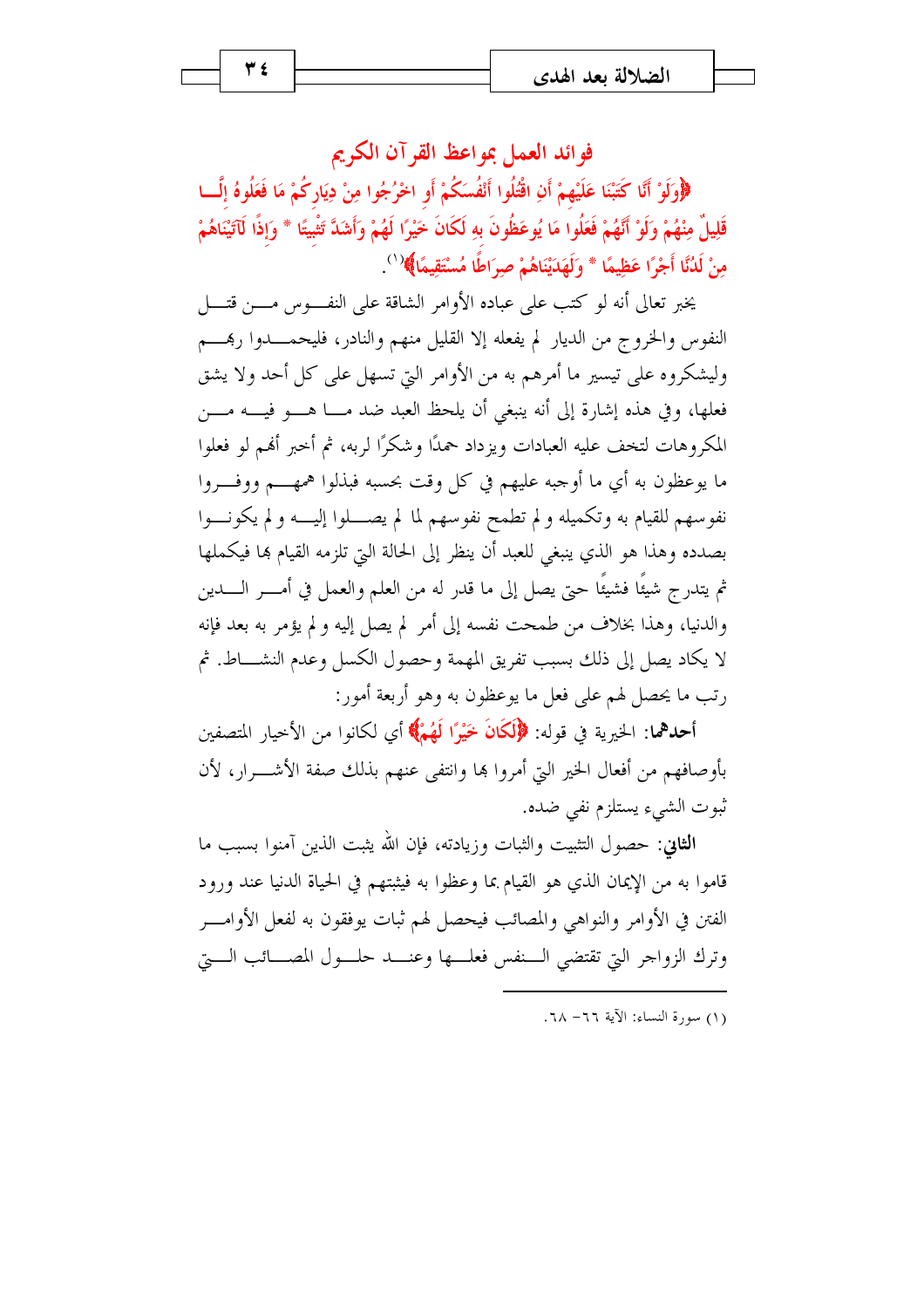| الضلالة بعد الهدى |  |
|-------------------|--|
|                   |  |

فوائد العمل بمواعظ القرآن الكريم

﴿وَلَوْ أَنَّا كَتَبْنَا عَلَيْهِمْ أَنِ اقْتُلُوا أَنْفُسَكُمْ أَو اخْرُجُوا مِنْ دِيَارِكُمْ مَا فَعَلُوهُ إلّــا قَلِيلٌ مِنْهُمْ وَلَوْ أَنَّهُمْ فَعَلُوا مَا يُوعَظُونَ بهِ لَكَانَ خَيْرًا لَهُمْ وَأَشَدَّ تَثْبيتًا \* وَإذًا لَآتَيْنَاهُمْ مِنْ لَدُنَّا أَجْرًا عَظِيمًا \* وَلَهَدَيْنَاهُمْ صِرَاطًا مُسْتَقِيمًا﴾(``.

يخبر تعالى أنه لو كتب على عباده الأوامر الشاقة على النفــوس مـــن قتــــل النفوس والخروج من الديار لم يفعله إلا القليل منهم والنادر، فليحمــــدوا ربِهــــم وليشكروه على تيسير ما أمرهم به من الأوامر التي تسهل على كل أحد ولا يشق فعلها، وفي هذه إشارة إلى أنه ينبغي أن يلحظ العبد ضد مـــا هــــو فيــــه مــــن المكروهات لتخف عليه العبادات ويزداد حمدًا وشكرًا لربه، ثم أحبر أفمم لو فعلوا ما يوعظون به أي ما أوجبه عليهم في كل وقت بحسبه فبذلوا همهــــم ووفــــروا نفوسهم للقيام به وتكميله و لم تطمح نفوسهم لما لم يصــــلوا إليــــه و لم يكونـــوا بصدده وهذا هو الذي ينبغي للعبد أن ينظر إلى الحالة التي تلزمه القيام ها فيكملها ثم يتدرج شيئًا فشيئًا حيّ يصل إلى ما قدر له من العلم والعمل في أمـــر الــــدين والدنيا، وهذا بخلاف من طمحت نفسه إلى أمر لم يصل إليه و لم يؤمر به بعد فإنه لا يكاد يصل إلى ذلك بسبب تفريق المهمة وحصول الكسل وعدم النشـــاط. ثم رتب ما يحصل لهم على فعل ما يوعظون به وهو أربعة أمور:

**أحدهما**: الخيرية في قوله: ﴿لَكَانَ خَيْرًا لَهُمْ﴾ أي لكانوا من الأخيار المتصفين بأوصافهم من أفعال الخير التي أمروا ها وانتفى عنهم بذلك صفة الأشـــرار، لأن ثبوت الشيء يستلزم نفي ضده.

**الثاني**: حصول التثبيت والثبات وزيادته، فإن الله يثبت الذين آمنوا بسبب ما قاموا به من الإيمان الذي هو القيام بما وعظوا به فيثبتهم في الحياة الدنيا عند ورود الفتن في الأوامر والنواهي والمصائب فيحصل لهم ثبات يوفقون به لفعل الأوامـــر وترك الزواجر التي تقتضي السنفس فعلسها وعنسد حلسول المصائب الستي

(١) سورة النساء: الآية ٦٦- ٦٨.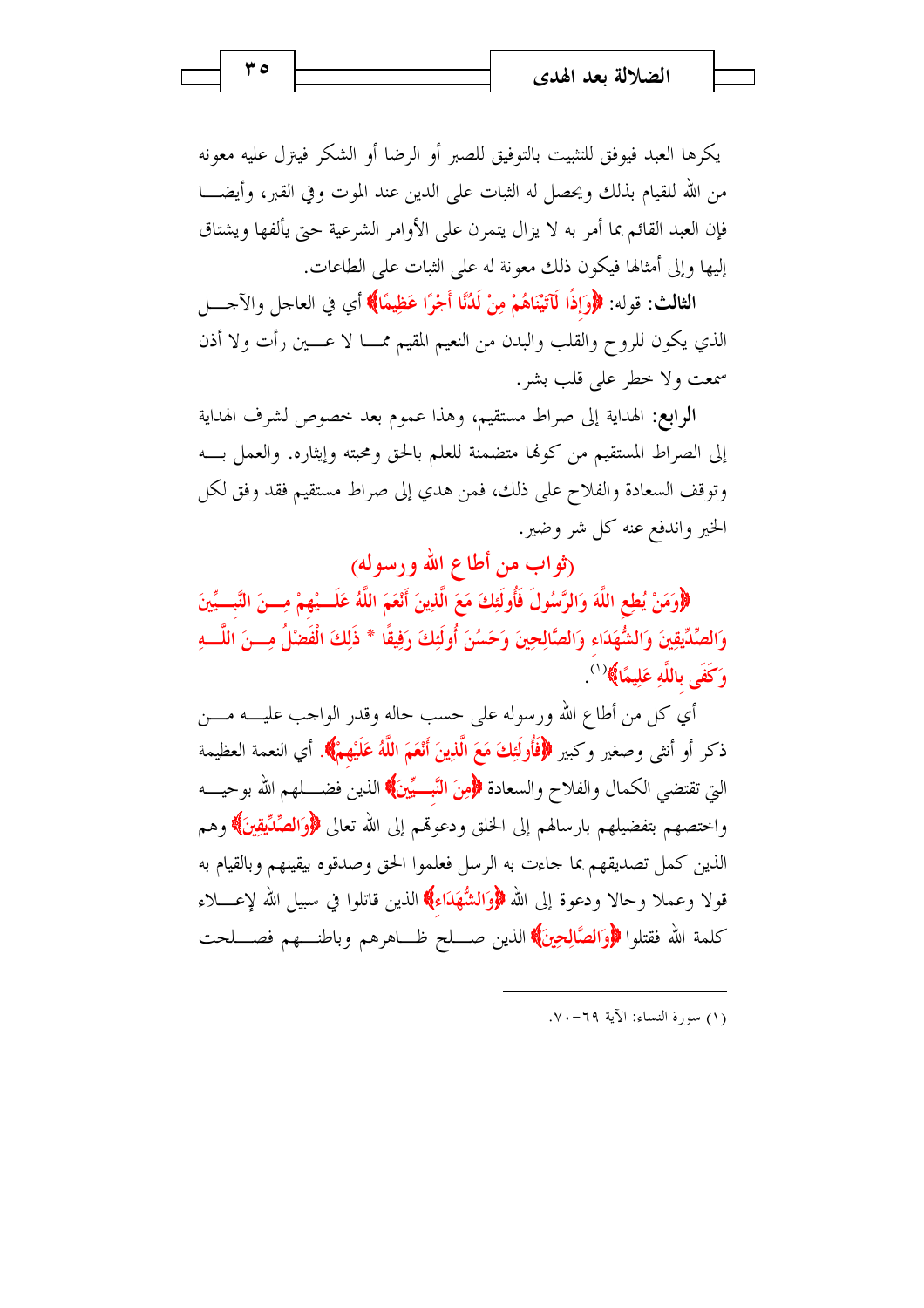|  | الضلاله بعد أهدى |  |
|--|------------------|--|
|  |                  |  |

يكرها العبد فيوفق للتثبيت بالتوفيق للصبر أو الرضا أو الشكر فيتزل عليه معونه من الله للقيام بذلك ويحصل له الثبات على الدين عند الموت وفي القبر، وأيضــــا فإن العبد القائم بما أمر به لا يزال يتمرن على الأوامر الشرعية حبٍّ يألفها ويشتاق إليها وإلى أمثالها فيكون ذلك معونة له على الثبات على الطاعات.

الثالث: قوله: ﴿وَإِذًا لَآتَيْنَاهُمْ مِنْ لَدُنَّا أَجْرًا عَظِيمًا﴾ أي في العاجل والآحــــل الذي يكون للروح والقلب والبدن من النعيم المقيم ممــــا لا عــــين رأت ولا أذن سمعت ولا خطر على قلب بشر.

**الرابع**: الهداية إلى صراط مستقيم، وهذا عموم بعد خصوص لشرف الهداية إلى الصراط المستقيم من كوفما متضمنة للعلم بالحق ومحبته وإيثاره. والعمل بسه وتوقف السعادة والفلاح على ذلك، فمن هدي إلى صراط مستقيم فقد وفق لكل الخير واندفع عنه كل شر وضير.

# (ثواب من أطاع الله ورسوله)

﴿وَمَنْ يُطِعِ اللَّهَ وَالرَّسُولَ فَأُولَئِكَ مَعَ الَّذِينَ أَنْعَمَ اللَّهُ عَلَــيْهِمْ مِـــنَ النَّبـــيّينَ وَالصِّدِّيقِينَ وَالشُّهَدَاء وَالصَّالِحِينَ وَحَسُنَ أُولَئِكَ رَفِيقًا \* ذَلِكَ الْفَضْلُ مِسنَ اللَّسهِ وَكَفَى بِاللَّهِ عَلِيمًا**﴾**(``

أي كل من أطاع الله ورسوله على حسب حاله وقدر الواحب عليــــه مــــن ذكر أو أنثى وصغير وكبير ﴿فَأُولَئِكَ مَعَ الَّذِينَ أَنْعَمَ اللَّهُ عَلَيْهِمْ﴾. أي النعمة العظيمة التي تقتضي الكمال والفلاح والسعادة ﴿وَمِنَ النَّبِسِّيِّينَ﴾ الذين فضــــلهم الله بوحيــــه واختصهم بتفضيلهم بارسالهم إلى الخلق ودعوقمم إلى الله تعالى ﴿وَالصَّدِّيقِينَ﴾ وهم الذين كمل تصديقهم بما حاءت به الرسل فعلموا الحق وصدقوه بيقينهم وبالقيام به قولا وعملا وحالا ودعوة إلى الله ﴿وَالشُّهَدَاءِ﴾ الذين قاتلوا في سبيل الله لإعسلاء كلمة الله فقتلوا ﴿وَالصَّالِحِينَ﴾ الذين صــــلح ظـــاهرهم وباطنــــهم فصــــلحت

<sup>(</sup>١) سورة النساء: الآية ٢٩-٧٠.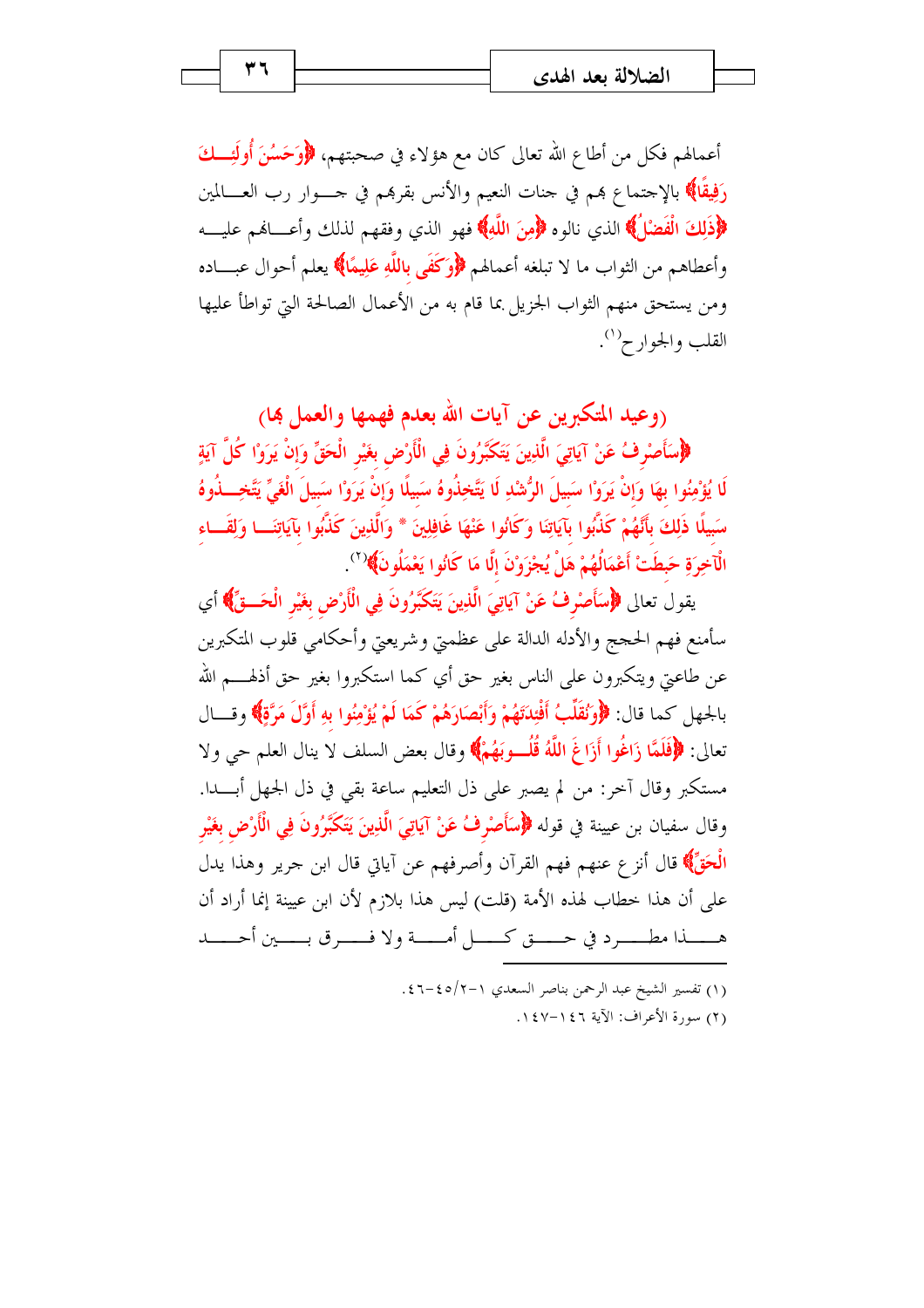| الضلالة بعد الهدى |  |
|-------------------|--|
|                   |  |

أعمالهم فكل من أطاع الله تعالى كان مع هؤلاء في صحبتهم، ﴿وَحَسُنَ أُولَئِسِكَ رَفِيقًا﴾ بالإحتماع بمم في جنات النعيم والأنس بقرهم في حــــوار رب العــــالمين ﴿ذَلِكَ الْفَضْلُ﴾ الذي نالوه ﴿وَمِنَ اللَّهِ﴾ فهو الذي وفقهم لذلك وأعـــالهم عليـــه وأعطاهم من الثواب ما لا تبلغه أعمالهم ﴿وَكَفَى بِاللَّهِ عَلِيمًا﴾ يعلم أحوال عبـــاده ومن يستحق منهم الثواب الجزيل بما قام به من الأعمال الصالحة التي تواطأ عليها القلب والجوار ح<sup>(۱)</sup>.

(وعيد المتكبرين عن آيات الله بعدم فهمها والعمل ها) ﴿سَأَصْرِفُ عَنْ آيَاتِيَ الَّذِينَ يَتَكَبَّرُونَ فِي الْأَرْضِ بِغَيْرِ الْحَقِّ وَإِنْ يَرَوْا كُلّ آيَةٍ لَا يُؤْمِنُوا بِهَا وَإِنْ يَرَوْا سَبِيلَ الرُّشْدِ لَا يَتَّخِذُوهُ سَبِيلًا وَإِنْ يَرَوْا سَبِيلَ الْغَيّ يَتَّخِــذُوهُ سَبيلًا ذَلِكَ بأَنَّهُمْ كَذَّبُوا بآيَاتِنَا وَكَانُوا عَنْهَا غَافِلِينَ \* وَالَّذِينَ كَذَّبُوا بآيَاتِنَــا وَلِقَــاء الْآخِرَةِ حَبطَتْ أَعْمَالُهُمْ هَلْ يُجْزَوْنَ إِلَّا مَا كَانُوا يَعْمَلُونَ﴾(``.

يقول تعالى ﴿سَأَصْرِفُ عَنْ آيَاتِيَ الَّذِينَ يَتَكَبَّرُونَ فِي الْأَرْضِ بِغَيْرِ الْحَــقِّ﴾ أي سأمنع فهم الحجج والأدله الدالة على عظمتي وشريعتي وأحكامي قلوب المتكبرين عن طاعتي ويتكبرون على الناس بغير حق أي كما استكبروا بغير حق أذلهــــم الله بالجهل كما قال: ﴿وَتُقَلِّبُ أَفْتِدَتَهُمْ وَأَبْصَارَهُمْ كَمَا لَمْ يُؤْمِنُوا بِهِ أَوَّلَ مَرَّقٍ﴾ وقـــال تعالى: ﴿فَلَمَّا زَاغُوا أَزَاغَ اللَّهُ قُلُسُوبَهُمْ﴾ وقال بعض السلف لا ينال العلم حي ولا مستكبر وقال آخر: من لم يصبر على ذل التعليم ساعة بقى في ذل الجهل أبـــدا. وقال سفيان بن عيينة في قوله ﴿سَأَصْرِفْ عَنْ آيَاتِيَ الَّذِينَ يَتَكَبَّرُونَ فِي الْأَرْضِ بِغَيْر الْحَقِّ﴾ قال أنزع عنهم فهم القرآن وأصرفهم عن آياتي قال ابن جرير وهذا يدل على أن هذا خطاب لهذه الأمة (قلت) ليس هذا بلازم لأن ابن عيينة إنما أراد أن هــــــــذا مطـــــــرد في حــــــــق كـــــــل أمـــــــة ولا فـــــــرق بـــــــين أحــــــــد

> (١) تفسير الشيخ عبد الرحمن بناصر السعدي ١-٢/٥٥-٤-٤٦. (٢) سورة الأعراف: الآية ١٤٦-١٤٧.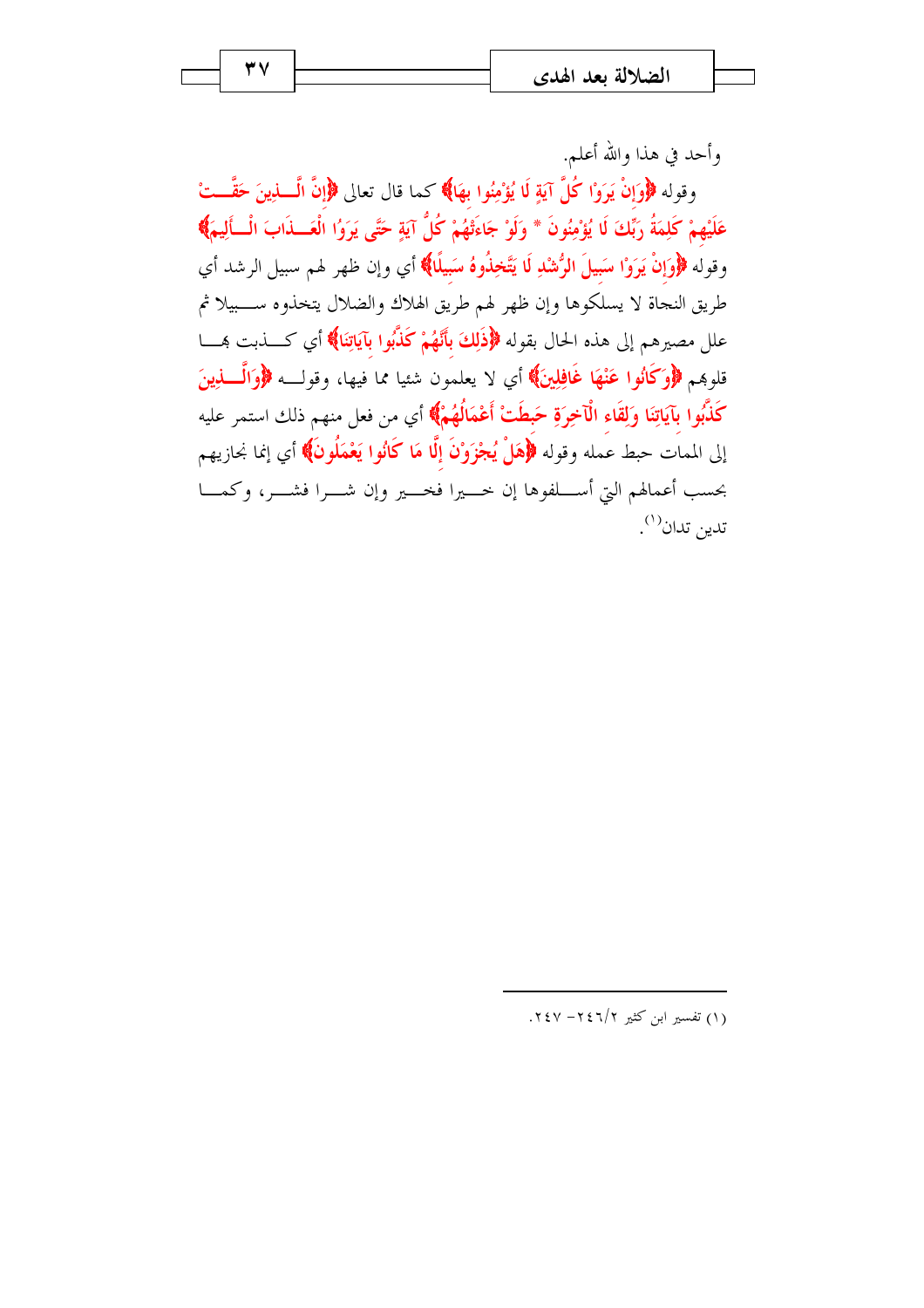وأحد في هذا والله أعلم.

وقوله ﴿وَإِنْ يَرَوْا كُلَّ آيَةٍ لَا يُؤْمِنُوا بِهَا﴾ كما قال تعالى ﴿إِنَّ الْــــٰذِينَ حَقَّـــتْ عَلَيْهِمْ كَلِمَةُ رَبِّكَ لَا يُؤْمِنُونَ \* وَلَوْ جَاءَتْهُمْ كُلُّ آيَةٍ حَتَّى يَرَوُا الْعَـــذَابَ الْـــألِيمَ﴾ وقوله ﴿وَإِنْ يَرَوْا سَبِيلَ الرُّشْدِ لَا يَتَّخِذُوهُ سَبِيلًا﴾ أي وإن ظهر لهم سبيل الرشد أي طريق النجاة لا يسلكوها وإن ظهر لهم طريق الهلاك والضلال يتخذوه ســـبيلا ثم علل مصبرهم إلى هذه الحال بقوله ﴿ذَلِكَ بِأَنَّهُمْ كَذَّبُوا بِآيَاتِنَا﴾ أي كــــذبت همـــا قلوهم ۞وكَانُوا عَنْهَا غَافِلِينَ﴾ أي لا يعلمون شئيا مما فيها، وقولـــه ۞وٱلـَّـــٰلِينَ كَذَّبُوا بِآيَاتِنَا وَلِقَاءِ الْآخِرَةِ حَبطَتْ أَعْمَالُهُمْ﴾ أي من فعل منهم ذلك استمر عليه إلى الممات حبط عُمله وقوله ﴿هَلْ يُجْزَوْنَ إِلَّا مَا كَانُوا يَعْمَلُونَ﴾ أي إنما نحازيهم بحسب أعمالهم التي أســـلفوها إن خــــيرا فخــــير وإن شــــرا فشــــر، وكمــــا تدي<sub>ن</sub> تدان<sup>(۱)</sup>.

(۱) تفسیر ابن کثیر ۲/۲٤٦/۲ ـ ۲٤٧.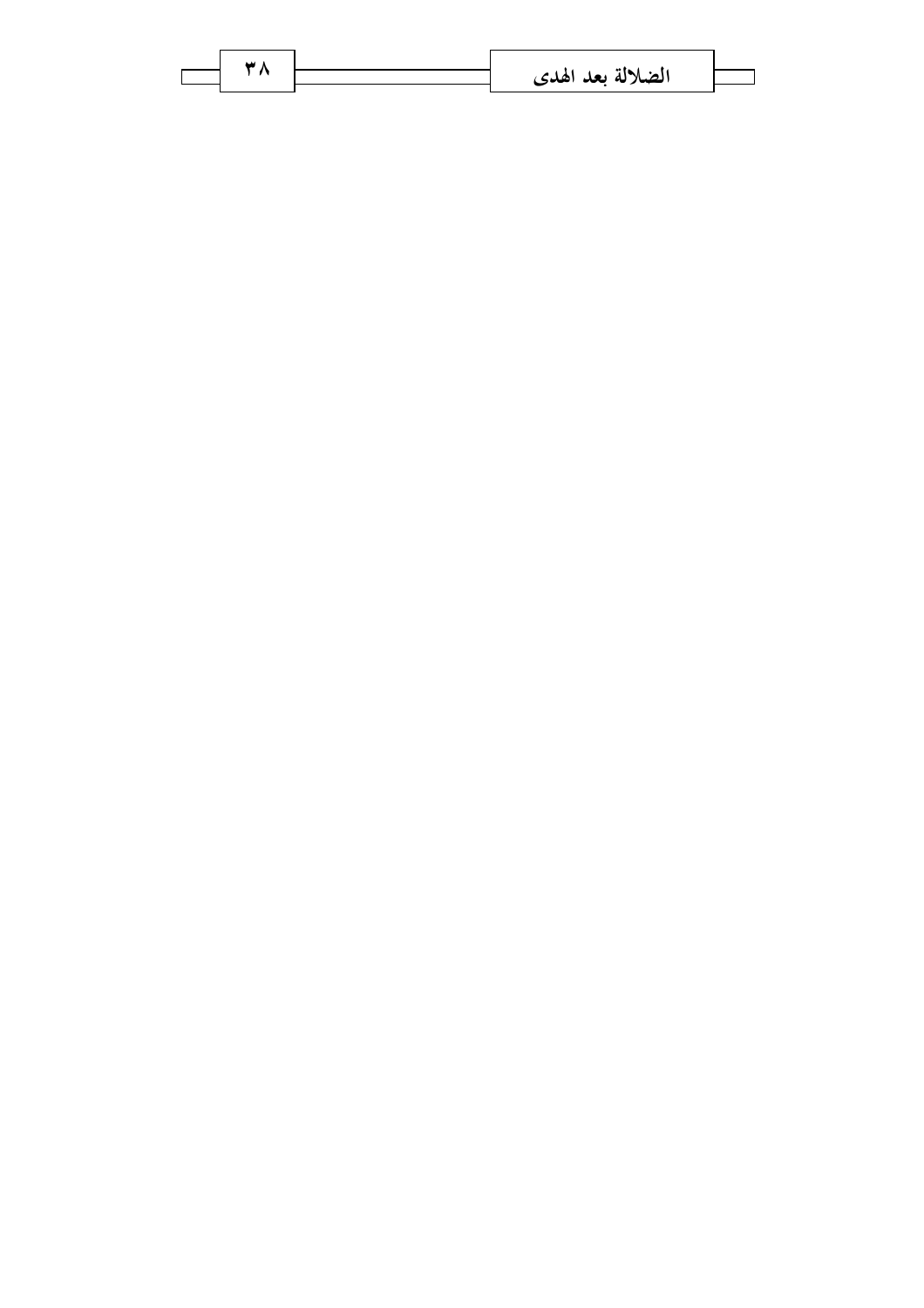|  | الضلاله بعد اهدى |  |
|--|------------------|--|
|  |                  |  |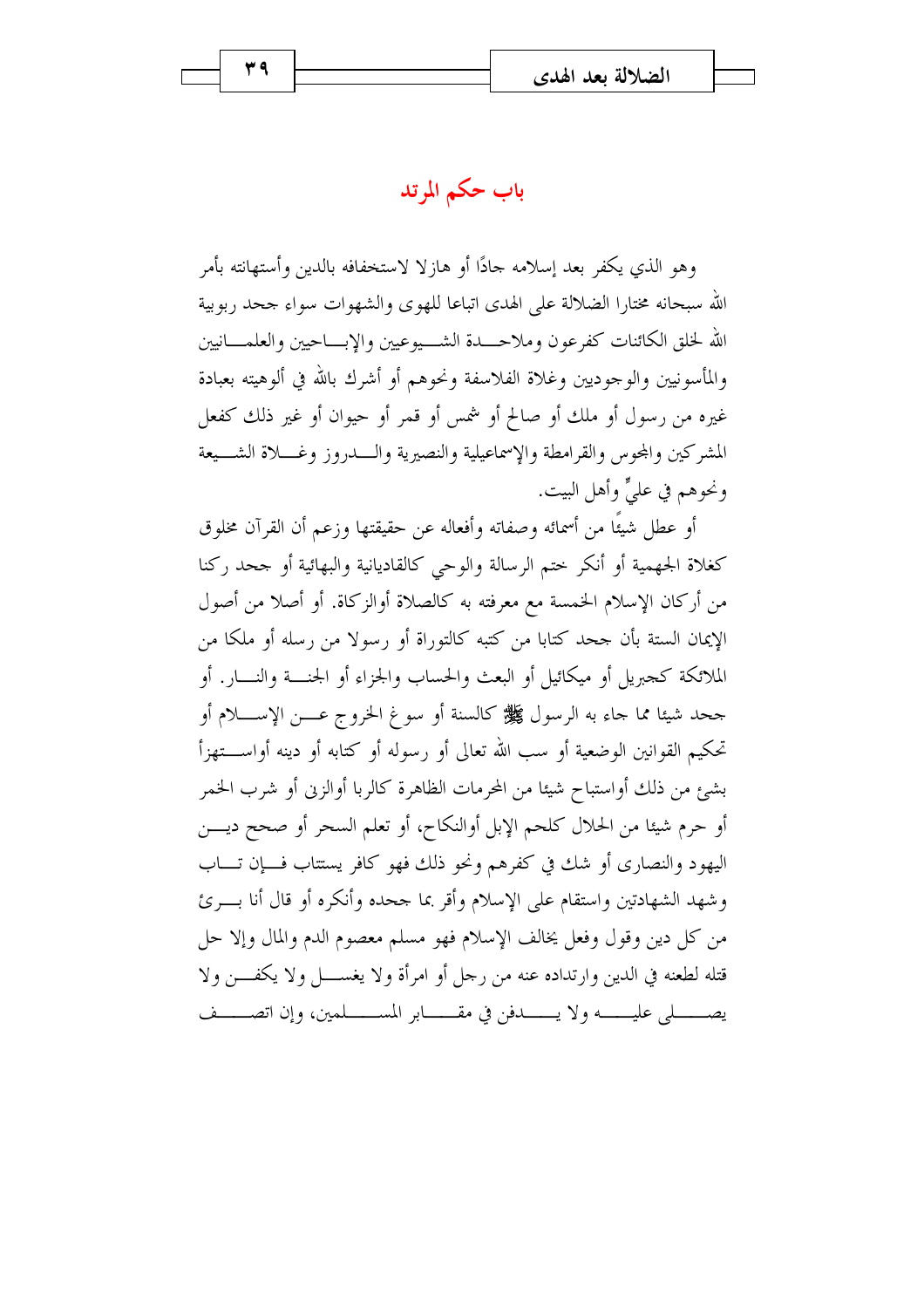۳٩

باب حکم المرتد

وهو الذي يكفر بعد إسلامه جادًا أو هازلا لاستخفافه بالدين وأستهانته بأمر الله سبحانه مختارا الضلالة على الهدى اتباعا للهوى والشهوات سواء ححد , بوبية الله لخلق الكائنات كفرعون وملاحـــدة الشـــيوعيين والإبـــاحيين والعلمــــانيين والمأسونيين والوجوديين وغلاة الفلاسفة ونحوهم أو أشرك بالله في ألوهيته بعبادة غيره من رسول أو ملك أو صالح أو شمس أو قمر أو حيوان أو غير ذلك كفعل المشركين والمحوس والقرامطة والإسماعيلية والنصيرية والسدروز وغسلاة الشسيعة ونحوهم في عليٌّ وأهل البيت.

أو عطل شيئًا من أسمائه وصفاته وأفعاله عن حقيقتها وزعم أن القرآن مخلوق كغلاة الجهمية أو أنكر ختم الرسالة والوحى كالقاديانية والبهائية أو ححد ركنا من أركان الإسلام الخمسة مع معرفته به كالصلاة أوالزكاة. أو أصلا من أصول الإيمان الستة بأن جحد كتابا من كتبه كالتوراة أو رسولا من رسله أو ملكا من الملائكة كجبريل أو ميكائيل أو البعث والحساب والجزاء أو الجنسة والنسار . أو جحد شيئا مما جاء به الرسول ﷺ كالسنة أو سوغ الخروج عــــن الإســـــلام أو تحكيم القوانين الوضعية أو سب الله تعالى أو رسوله أو كتابه أو دينه أواســــتهزأ بشئ من ذلك أواستباح شيئا من المحرمات الظاهرة كالربا أوالزبى أو شرب الخمر أو حرم شيئا من الحلال كلحم الإبل أوالنكاح، أو تعلم السحر أو صحح ديـــن اليهود والنصارى أو شك في كفرهم ونحو ذلك فهو كافر يستتاب فسإن تساب وشهد الشهادتين واستقام على الإسلام وأقر بما جحده وأنكره أو قال أنا بسرئ من كل دين وقول وفعل يخالف الإسلام فهو مسلم معصوم الدم والمال وإلا حل قتله لطعنه في الدين وارتداده عنه من رجل أو امرأة ولا يغســـل ولا يكفـــن ولا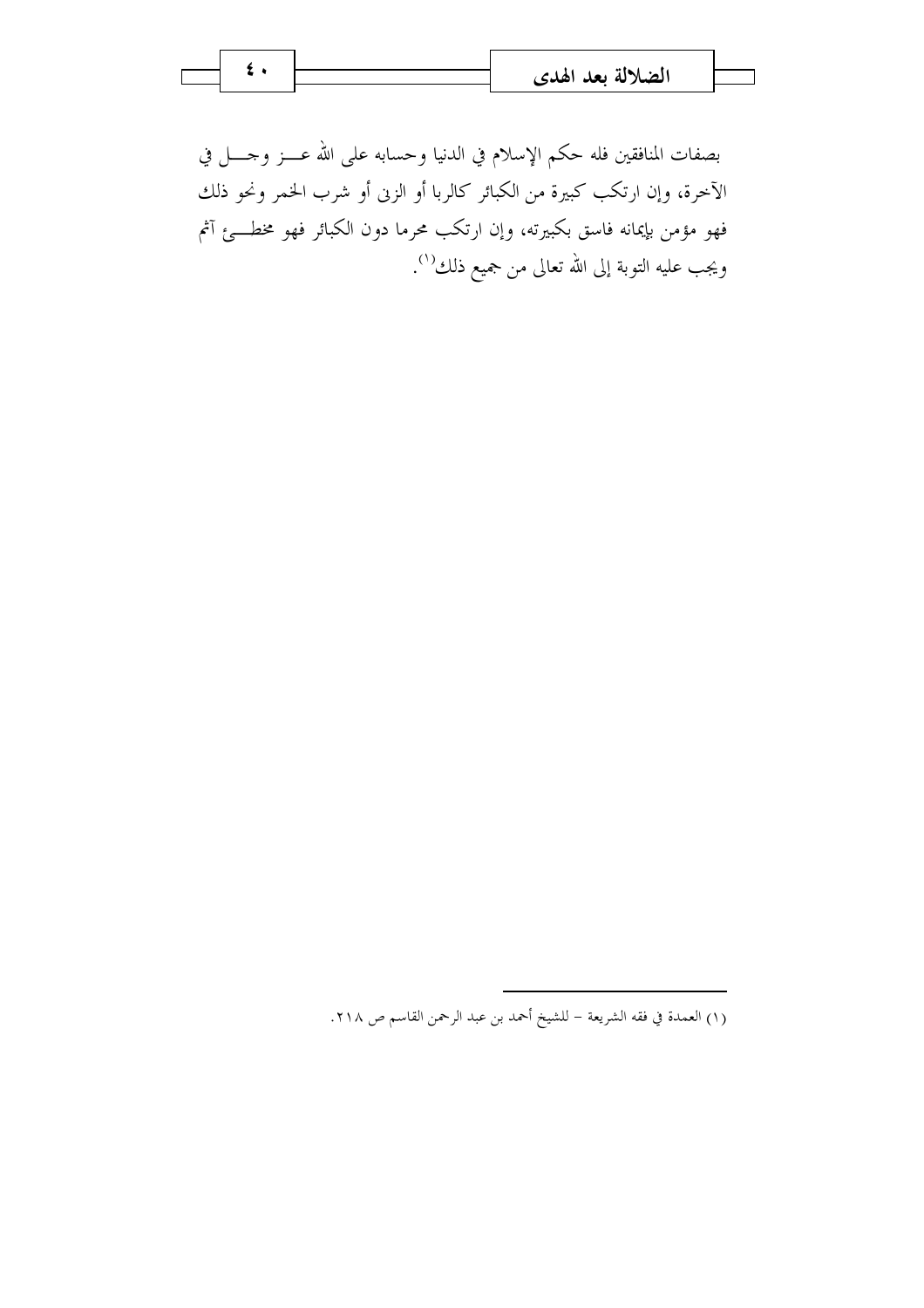|  | الضلاله بعد الهدي |  |
|--|-------------------|--|
|  |                   |  |

بصفات المنافقين فله حكم الإسلام في الدنيا وحسابه على الله عـــز وحـــل في الآخرة، وإن ارتكب كبيرة من الكبائر كالربا أو الزين أو شرب الخمر ونحو ذلك فهو مؤمن بإيمانه فاسق بكبيرته، وإن ارتكب محرما دون الكبائر فهو مخطـــئ آثم ويجب عليه التوبة إلى الله تعالى من جميع ذلك<sup>(١)</sup>.

(١) العمدة في فقه الشريعة – للشيخ أحمد بن عبد الرحمن القاسم ص ٢١٨.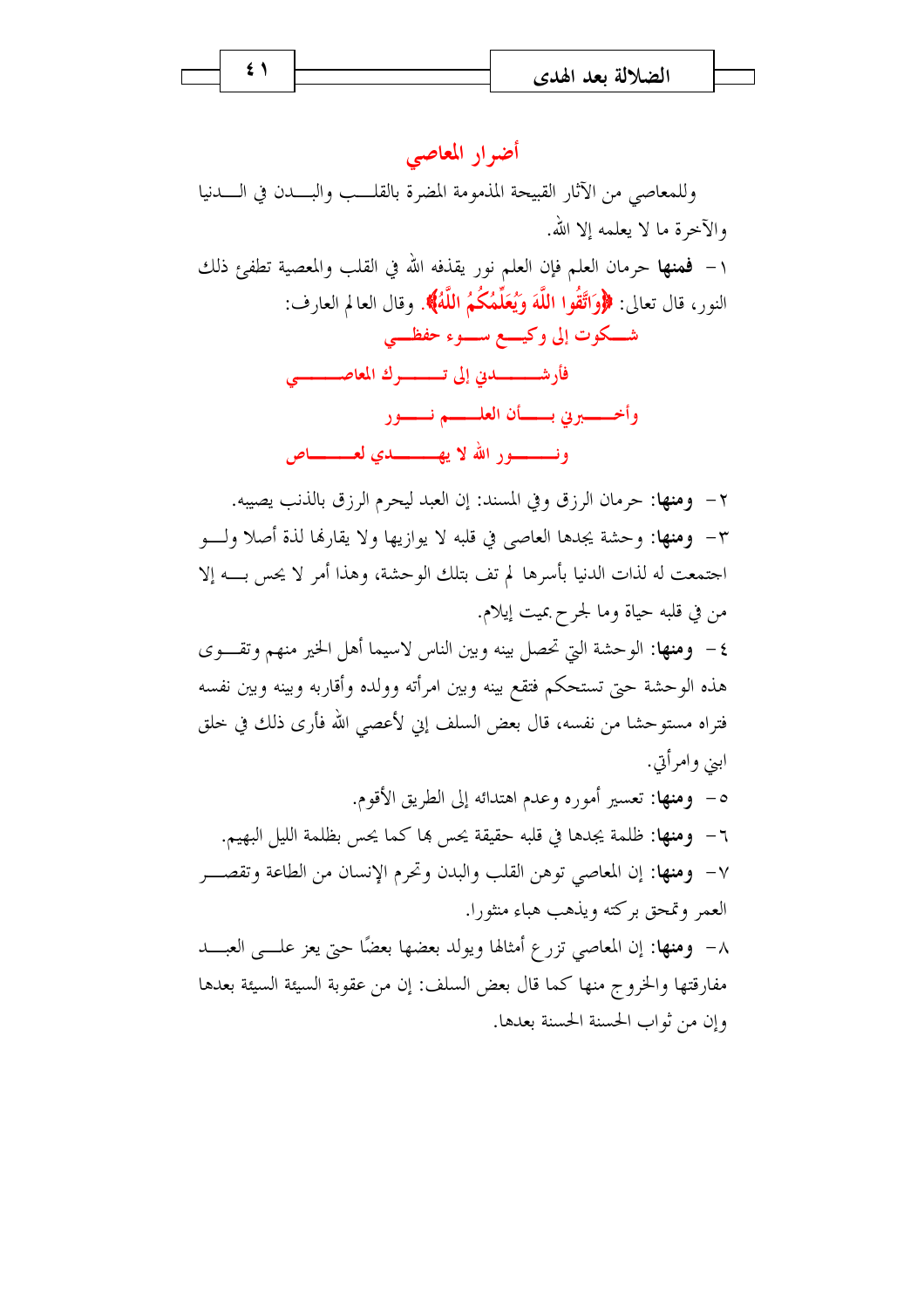أضواد المعاصبي

وللمعاصي من الآثار القبيحة المذمومة المضرة بالقلـــب والبــــدن في الــــدنيا والآخرة ما لا يعلمه إلا الله. ١– فمنها حرمان العلم فإن العلم نور يقذفه الله في القلب والمعصية تطفئ ذلك النور، قال تعالى: ﴿وَاتَّقُوا اللَّهَ وَيُعَلِّمُكُمُ اللَّهُ﴾. وقال العالم العارف: شـــکوت إلى وكيــــع ســـوء حفظــــى وأخسسيري بسسيأن العلسسيم نسسور

ونسسسود الله لا يهسسسدي لعسسساص

٢ - ومنها: حرمان الرزق وفي المسند: إن العبد ليحرم الرزق بالذنب يصيبه. ٣- ومنها: وحشة يجدها العاصي في قلبه لا يوازيها ولا يقارلها لذة أصلا ولـــو اجتمعت له لذات الدنيا بأسرها لم تف بتلك الوحشة، وهذا أمر لا يحس بــــه إلا من في قلبه حياة وما لجرح بميت إيلام. ٤– ومنها: الوحشة التي تحصل بينه وبين الناس لاسيما أهل الخير منهم وتقـــوى هذه الوحشة حبّ تستحكم فتقع بينه وبين امرأته وولده وأقاربه وبينه وبين نفسه فتراه مستوحشا من نفسه، قال بعض السلف إين لأعصبي الله فأرى ذلك في حلق ابني وامرأتي. ٥- ومنها: تعسير أموره وعدم اهتدائه إلى الطريق الأقوم. ٦– ومنها: ظلمة يجدها في قلبه حقيقة يحس بما كما يحس بظلمة الليل البهيم. ٧– ومنها: إن المعاصي توهن القلب والبدن وتحرم الإنسان من الطاعة وتقصـــر العمر وتمحق بركته ويذهب هباء منثورا. ٨- ومنها: إن المعاصي تزرع أمثالها ويولد بعضها بعضًا حتى يعز علـــي العبــــد مفارقتها والخروج منها كما قال بعض السلف: إن من عقوبة السيئة السيئة بعدها وإن من ثواب الحسنة الحسنة بعدها.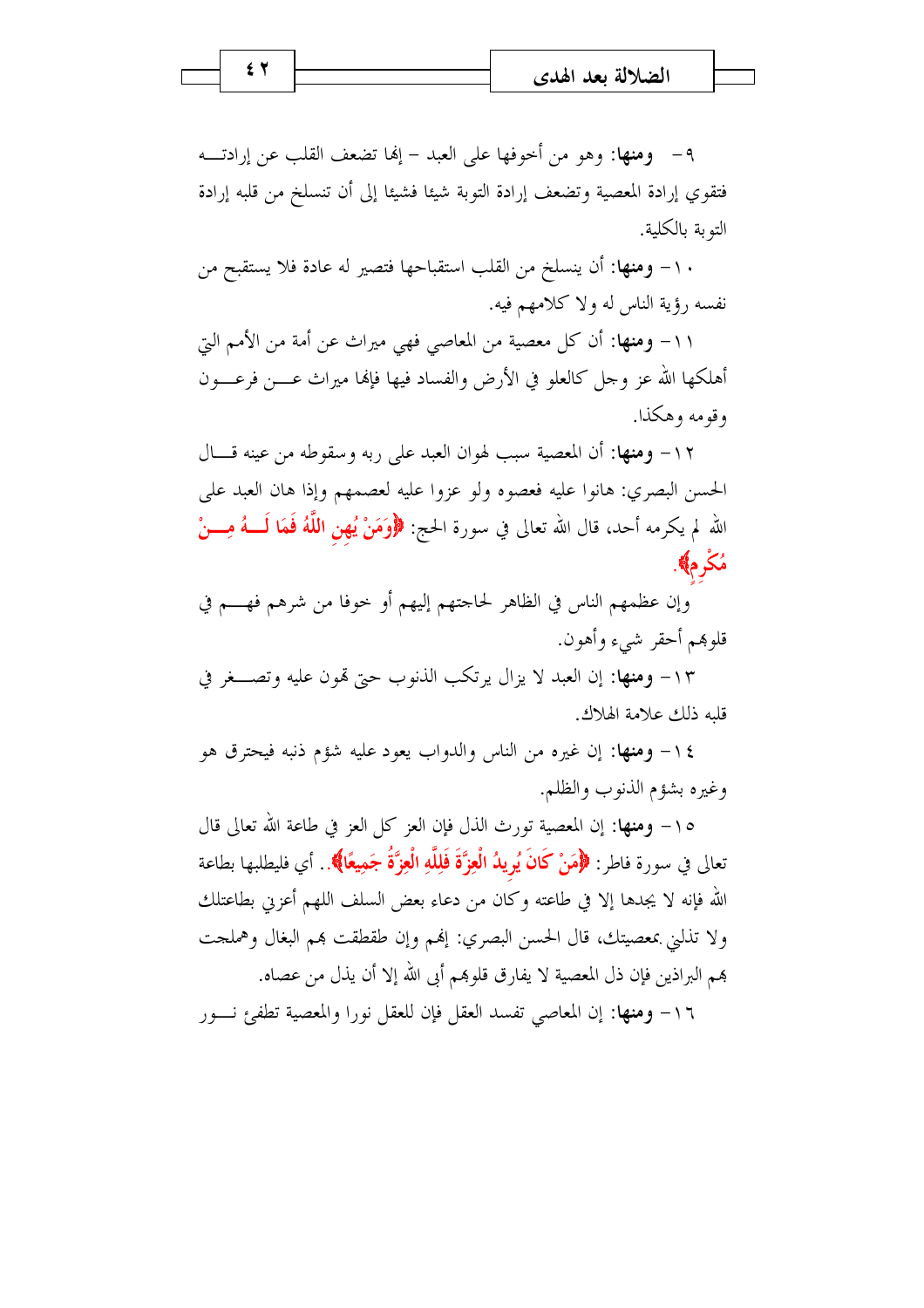|  | الضلاله بعد اهدى |  |
|--|------------------|--|
|  |                  |  |

٩ – ومنها: وهو من أحوفها على العبد – إلها تضعف القلب عن إرادتـــه فتقوي إرادة المعصية وتضعف إرادة التوبة شيئا فشيئا إلى أن تنسلخ من قلبه إرادة التوبة بالكلبة.

١٠- ومنها: أن ينسلخ من القلب استقباحها فتصير له عادة فلا يستقبح من نفسه رؤية الناس له ولا كلامهم فيه.

١١- ومنها: أن كل معصية من المعاصي فهي ميراث عن أمة من الأمم التي أهلكها الله عز وجل كالعلو في الأرض والفساد فيها فإنها ميراث عــــن فرعــــون وقومه وهكذا.

١٢ - ومنها: أن المعصية سبب لهوان العبد على , به وسقوطه من عينه قـــال الحسن البصري: هانوا عليه فعصوه ولو عزوا عليه لعصمهم وإذا هان العبد على الله لم يكرمه أحد، قال الله تعالى في سورة الحج: ﴿وَمَنْ يُهِنِ اللَّهُ فَمَا لَـــهُ مِــــنْ مُكْرِمِ﴾.

وإن عظمهم الناس في الظاهر لحاجتهم إليهم أو خوفا من شرهم فهــــم في قلوهِم أحقر شيء وأهون.

١٣- ومنها: إن العبد لا يزال يرتكب الذنوب حتى تمون عليه وتصفر في قلبه ذلك علامة الهلاك.

١٤- ومنها: إن غيره من الناس والدواب يعود عليه شؤم ذنبه فيحترق هو وغيره بشؤم الذنوب والظلم.

١٥– ومنها: إن المعصية تورث الذل فإن العز كل العز في طاعة الله تعالى قال تعالى في سورة فاطر: ﴿مَنْ كَانَ يُرِيدُ الْعِزَّةَ فَلِلَّهِ الْعِزَّةُ جَمِيعًا﴾. . أي فليطلبها بطاعة الله فإنه لا يجدها إلا في طاعته وكان من دعاء بعض السلف اللهم أعزني بطاعتلك ولا تذليي بمعصيتك، قال الحسن البصري: إلهم وإن طقطقت هم البغال وهملجت هِم البراذين فإن ذل المعصية لا يفارق قلوهِم أبي الله إلا أن يذل من عصاه.

١٦- ومنها: إن المعاصي تفسد العقل فإن للعقل نورًا والمعصية تطفئ نــور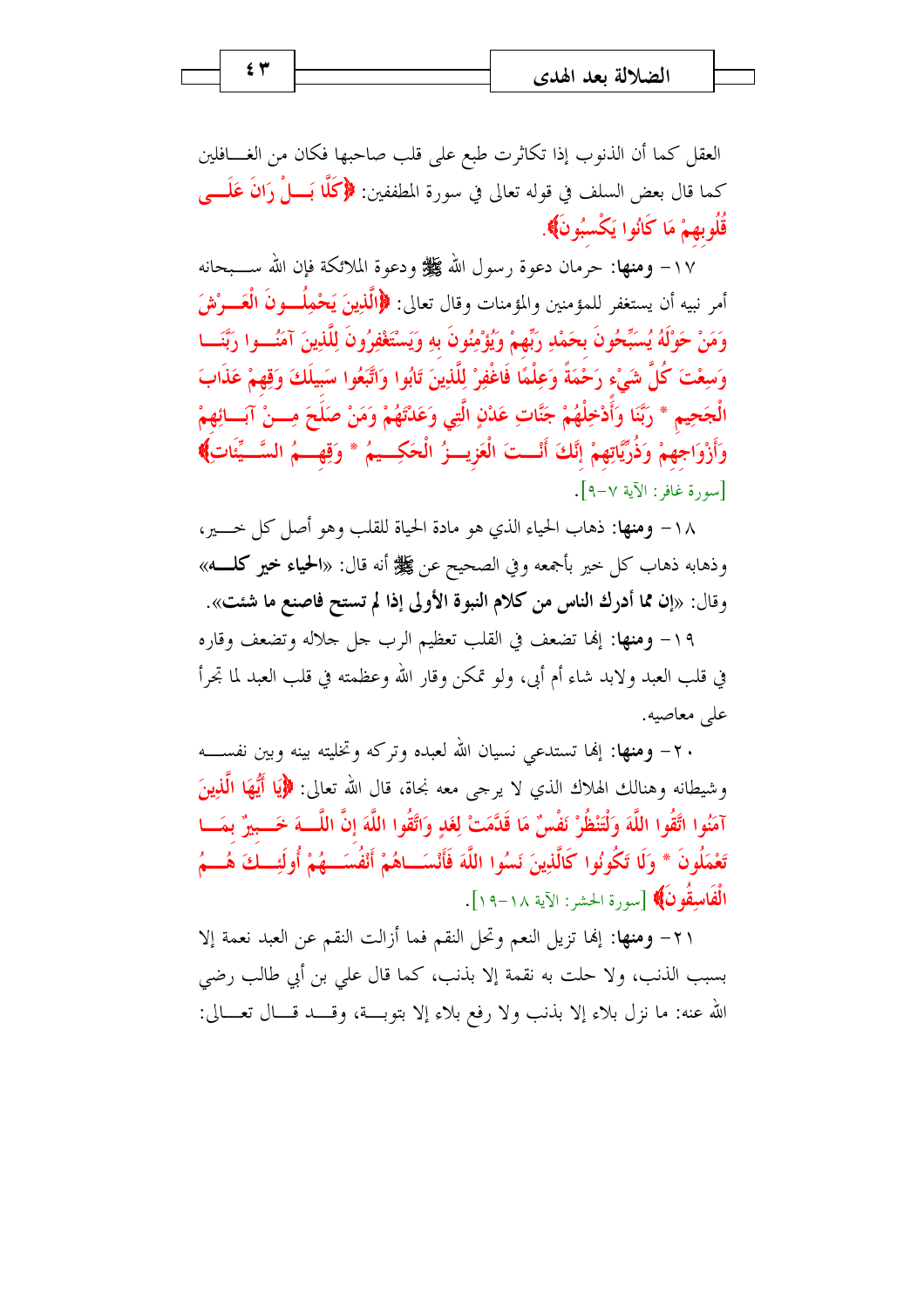|  | الضلاله بعد اهدى |  |
|--|------------------|--|
|  |                  |  |

العقل كما أن الذنوب إذا تكاثرت طبع على قلب صاحبها فكان من الغـــافلين كما قال بعض السلف في قوله تعالى في سورة المطففين: ﴿كَلَّا بَـــلْ رَانَ عَلَــــى قُلُوبِهِمْ مَا كَانُوا يَكْسِبُونَ﴾.

١٧– ومنها: حرمان دعوة رسول الله ﷺ ودعوة الملائكة فإن الله ســـبحانه أمر نبيه أن يستغفر للمؤمنين والمؤمنات وقال تعالى: ﴿الَّذِينَ يَحْمِلُـــو نَ الْعَـــوْشَ وَمَنْ حَوْلَهُ يُسَبِّحُونَ بِحَمْدِ رَبِّهِمْ وَيُؤْمِنُونَ بِهِ وَيَسْتَغْفِرُونَ لِلَّذِينَ آمَنُــــوا رَبَّنَـــا وَسِعْتَ كُلَّ شَيْءٍ رَحْمَةً وَعِلْمًا فَاغْفِرْ لِلَّذِينَ تَابُوا وَاتَّبَعُوا سَبِيلَكَ وَقِهِمْ عَذَابَ الْجَحِيمِ \* رَبَّنَا وَأَدْخِلْهُمْ جَنَّاتِ عَدْنٍ الَّتِي وَعَدْتَهُمْ وَمَنْ صَلَحَ مِسنْ آبَسَائِهِمْ وَأَزْوَاجِهِمْ وَذُرِّيَّاتِهِمْ إِنَّكَ أَنْــتَ الْعَزِيـــزُ الْحَكِـــيمُ \* وَقِهِـــمُ السَّــيِّنَاتِ﴾ [سو, ة غافر : الآية ٩-٧].

١٨– ومنها: ذهاب الحياء الذي هو مادة الحياة للقلب وهو أصل كل خــــير، وذهابه ذهاب كل خير بأجمعه وفي الصحيح عن ﷺ أنه قال: «ا**لحياء خير كلــــه**» وقال: «إن ممَّا أدرك الناس من كلام النبوة الأولى إذا لم تستح فاصنع ما شئت».

١٩- ومنها: إلها تضعف في القلب تعظيم الرب حل حلاله وتضعف وقاره في قلب العبد ولابد شاء أم أبي، ولو تمكن وقار الله وعظمته في قلب العبد لما تجرأ على معاصيه.

٢٠– ومنها: إلها تستدعى نسيان الله لعبده وتركه وتخليته بينه وبين نفســــه وشيطانه وهنالك الهلاك الذي لا يرجى معه نجاة، قال الله تعالى: ﴿يَا أَيُّهَا الَّذِينَ آمَنُوا اتَّقُوا اللَّهَ وَلْتَنْظُرْ نَفْسٌ مَا قَدَّمَتْ لِغَدِ وَاتَّقُوا اللَّهَ إِنَّ اللَّـــهَ خَـــبِيرٌ بمَـــا تَعْمَلُونَ \* وَلَا تَكُونُوا كَالَّذِينَ نَسُوا اللَّهَ فَأَنْسَــاهُمْ أَنْفُسَـــهُمْ أُولَئِـــكَ هُـــمُ الْفَاسِقُونَ﴾ [سورة الحشر: الآية ١٨-١٩].

٢١- ومنها: إلها تزيل النعم وتحل النقم فما أزالت النقم عن العبد نعمة إلا بسبب الذنب، ولا حلت به نقمة إلا بذنب، كما قال على بن أبي طالب رضي الله عنه: ما نزل بلاء إلا بذنب ولا رفع بلاء إلا بتوبسة، وقسـد قـــال تعـــالي: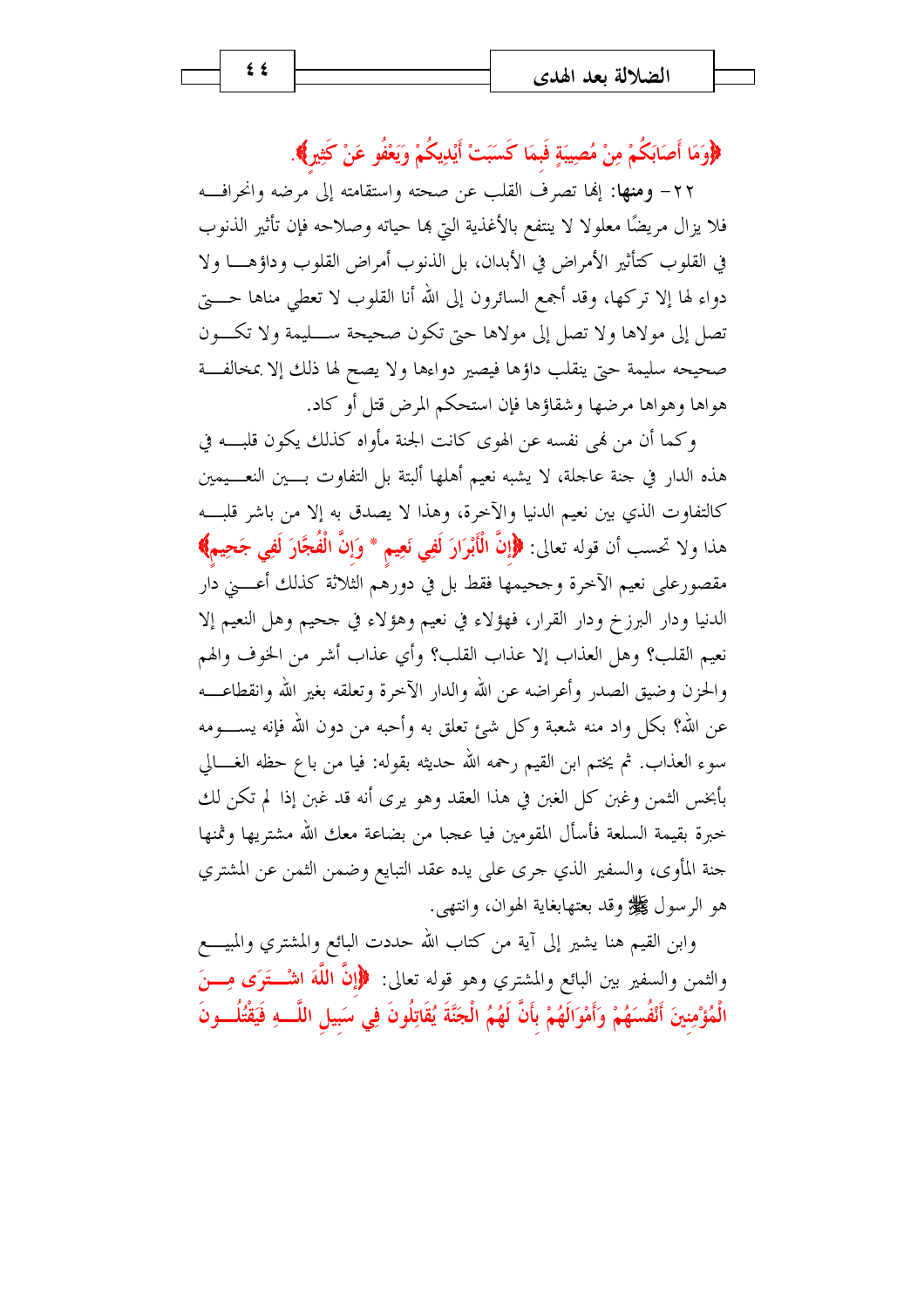﴿وَمَا أَصَابَكُمْ مِنْ مُصِيبَةٍ فَبِمَا كَسَبَتْ أَيْدِيكُمْ وَيَعْفُو عَنْ كَثِيرٍ﴾.

٢٢- ومنها: إلها تصرف القلب عن صحته واستقامته إلى مرضه وانحرافـــه فلا يزال مريضًا معلولا لا ينتفع بالأغذية التي بما حياته وصلاحه فإن تأثير الذنوب في القلوب كتأثير الأمراض في الأبدان، بل الذنوب أمراض القلوب وداؤهـــا ولا دواء لها إلا تركها، وقد أجمع السائرون إلى الله أنا القلوب لا تعطي مناها حـــــتي تصل إلى مولاها ولا تصل إلى مولاها حتى تكون صحيحة ســـليمة ولا تكـــون صحيحه سليمة حتى ينقلب داؤها فيصير دواءها ولا يصح لها ذلك إلا بمخالفة هواها وهواها مرضها وشقاؤها فإن استحكم المرض قتل أو كاد.

وكما أن من نمي نفسه عن الهوى كانت الجنة مأواه كذلك يكون قلبـــه في هذه الدار في جنة عاجلة، لا يشبه نعيم أهلها ألبتة بل التفاوت بــــين النعــــيمين كالتفاوت الذي بين نعيم الدنيا والآخرة، وهذا لا يصدق به إلا من باشر قلبـــه هذا ولا تحسب أن قوله تعالى: ﴿إِنَّ الْأَبْرَارَ لَفِي نَعِيمٍ \* وَإِنَّ الْفُجَّارَ لَفِي جَحِيمٍ﴾ مقصورعلي نعيم الآخرة وجحيمها فقط بل في دورهم الثلاثة كذلك أعــــي دار الدنيا ودار البرزخ ودار القرار، فهؤلاء في نعيم وهؤلاء في ححيم وهل النعيم إلا نعيم القلب؟ وهل العذاب إلا عذاب القلب؟ وأى عذاب أشر من الخوف والهم والحزن وضيق الصدر وأعراضه عن الله والدار الآحرة وتعلقه بغير الله وانقطاعــه عن الله؟ بكل واد منه شعبة وكل شئ تعلق به وأحبه من دون الله فإنه يســــومه سوء العذاب. ثم يختم ابن القيم رحمه الله حديثه بقوله: فيا من با ع حظه الغــــالي بأبخس الثمن وغبن كل الغبن في هذا العقد وهو يرى أنه قد غبن إذا لم تكن لك خبرة بقيمة السلعة فأسأل المقومين فيا عجبا من بضاعة معك الله مشتريها وثمنها جنة المأوى، والسفير الذي جرى على يده عقد التبايع وضمن الثمن عن المشتري هو الرسول ﷺ وقد بعتهابغاية الهوان، وانتهى.

وابن القيم هنا يشير إلى آية من كتاب الله حددت البائع والمشتري والمبيــــع والثمن والسفير بين البائع والمشتري وهو قوله تعالى: ﴿إِنَّ اللَّهَ الشَّــتَوَى مِـــنَ الْمُؤْمِنِينَ أَنْفُسَهُمْ وَأَمْوَالَهُمْ بِأَنَّ لَهُمُ الْجَنَّةَ يُقَاتِلُونَ فِي سَبِيلِ اللَّـــهِ فَيَقْتُلُـــونَ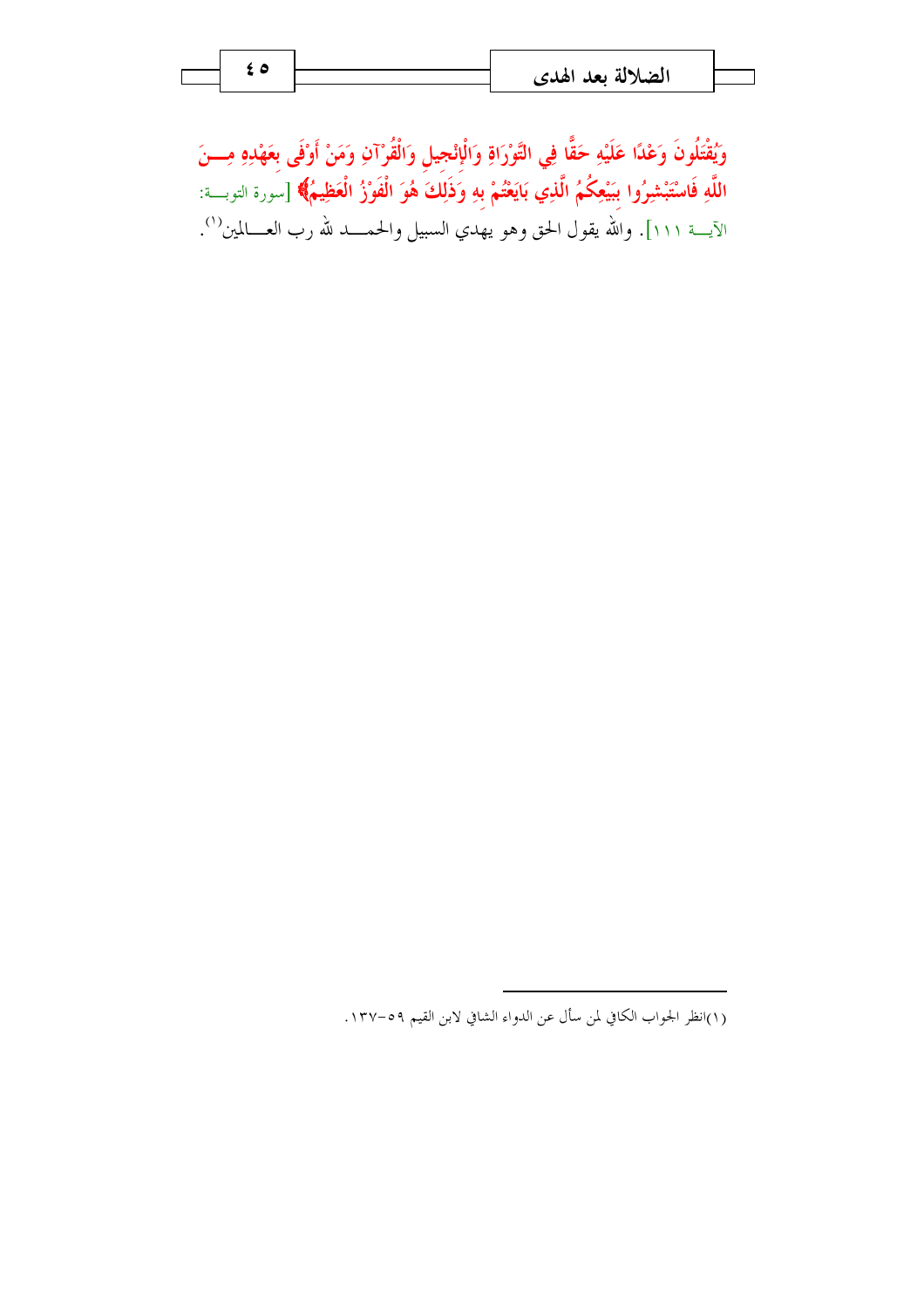وَيُقْتَلُونَ وَعْدًا عَلَيْهِ حَقًّا فِي التَّوْرَاةِ وَالْإِنْجِيلِ وَالْقُرْآنِ وَمَنْ أَوْفَى بعَهْدِهِ مِسنَ اللَّهِ فَاسْتَبْشِرُوا بِبَيْعِكُمُ الَّذِي بَايَعْتُمْ بِهِ وَذَلِكَ هُوَ الْفَوْزُ الْعَظِيمُ﴾ [سورة التوبـــة: الآيــــة ١١١]. والله يقول الحق وهو يهدي السبيل والحمـــــد لله رب العــــالمين'').

(١)انظر الجواب الكافي لمن سأل عن الدواء الشافي لابن القيم ٥٩–١٣٧.

 $60$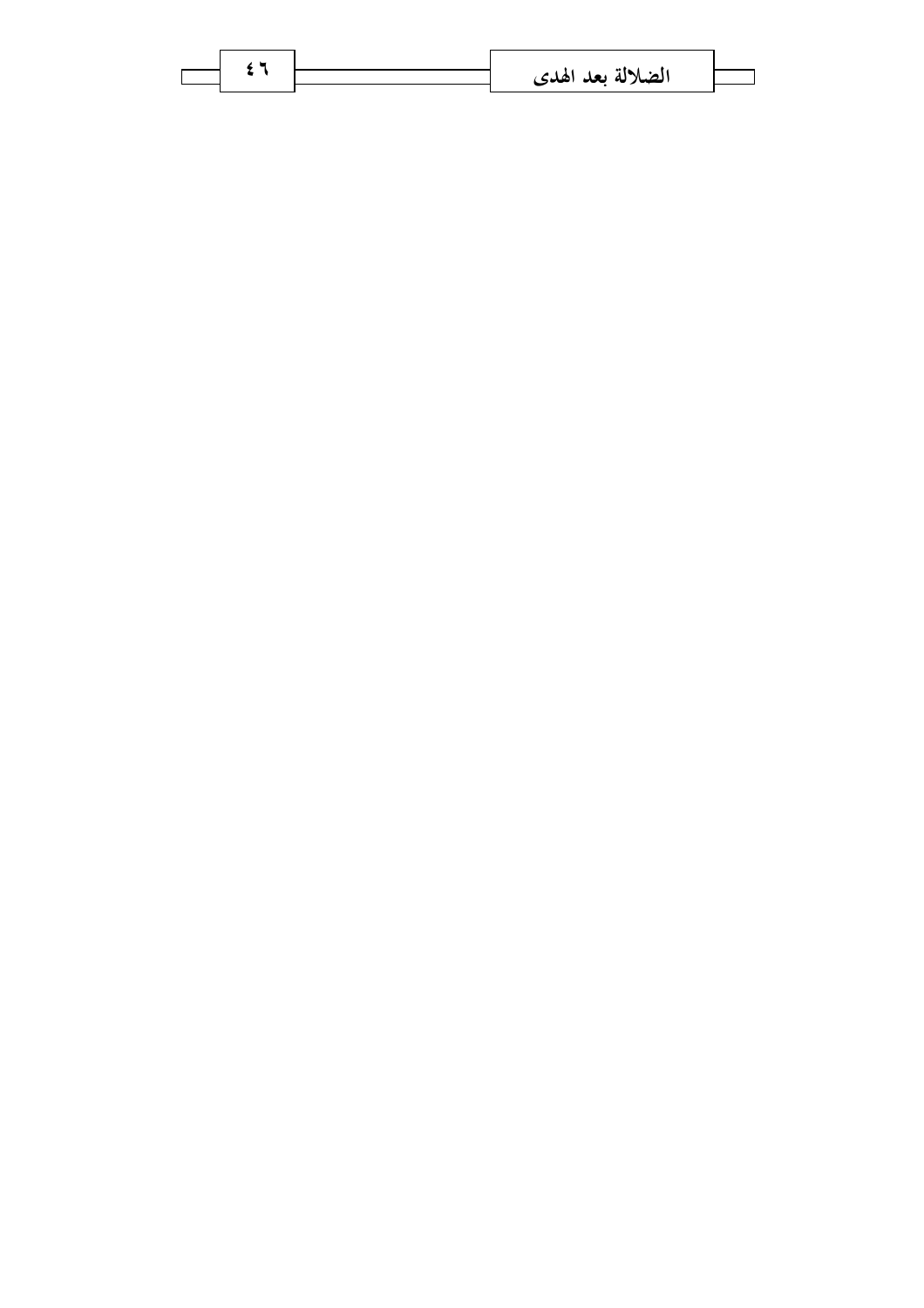|  | الضلالة بعد الهدي |  |
|--|-------------------|--|
|  |                   |  |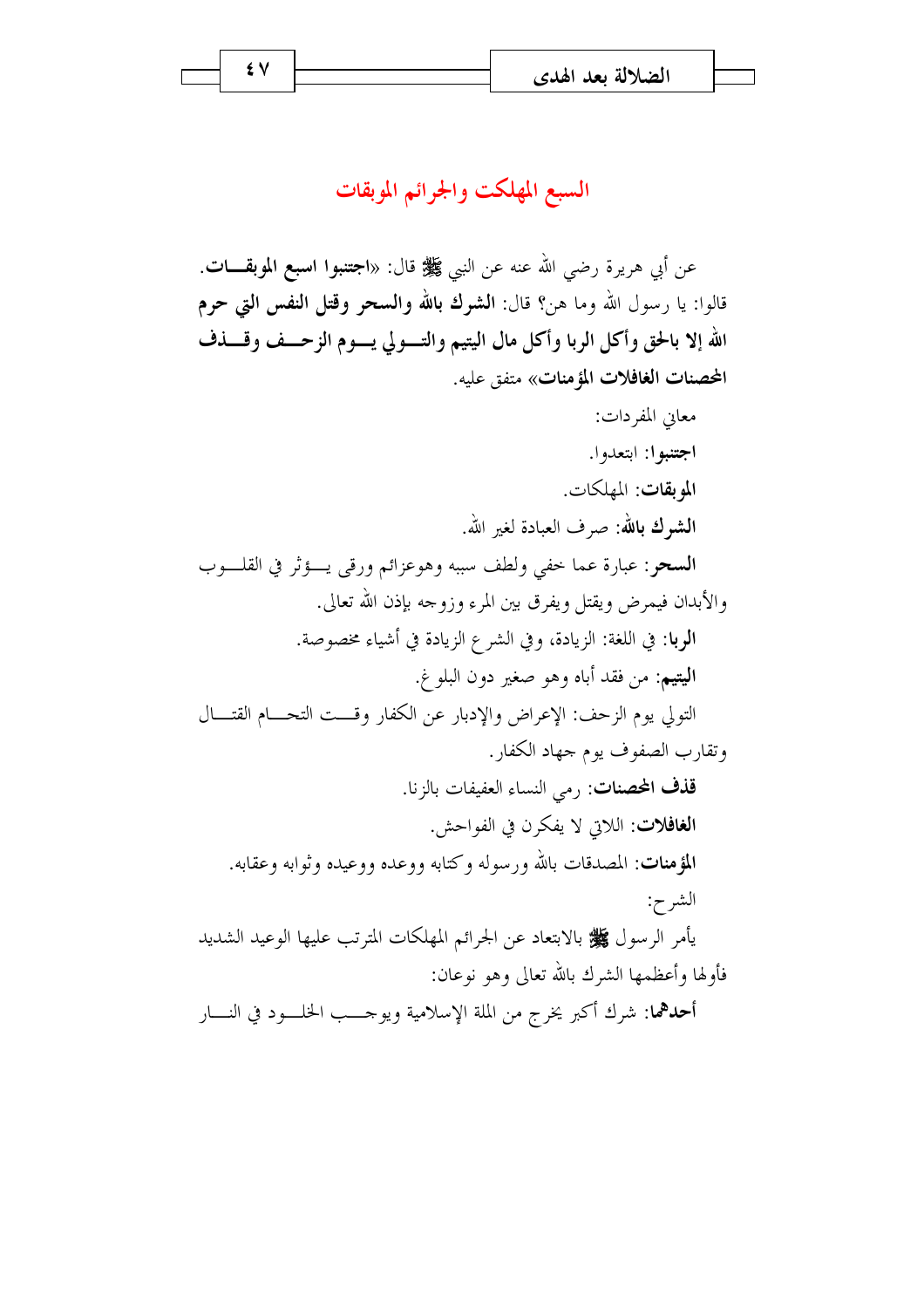السبع المهلكت والجرائم الموبقات

عن أبي هريرة رضي الله عنه عن النبي ﷺ قال: «ا**جتنبوا اسبع الموبقــــات**. قالوا: يا رسول الله وما هن؟ قال: الشرك بالله والسحر وقتل النفس التي حرم الله إلا بالحق وأكل الربا وأكل مال اليتيم والتــــولى يــــوم الزحـــف وقــــذف المحصنات الغافلات المؤمنات» متفق عليه.

معاني المفردات: ا**جتنبوا**: ابتعدوا. الموبقات: المهلكات. **الشه ك بالله:** صرف العبادة لغير الله. **السحر**: عبارة عما خفى ولطف سببه وهوعزائم ورقى يـــؤثر في القلـــوب والأبدان فيمرض ويقتل ويفرق بين المرء وزوجه بإذن الله تعالى. **الربا:** في اللغة: الزيادة، وفي الشرع الزيادة في أشياء مخصوصة. **اليتيم:** من فقد أباه وهو صغير دون البلوغ. التولى يوم الزحف: الإعراض والإدبار عن الكفار وقست التحـــام القتـــال وتقارب الصفوف يوم جهاد الكفار. قذف المحصنات: , مي النساء العفيفات بالزنا. **الغافلات:** اللاتي لا يفكرن في الفواحش. **المؤمنات**: المصدقات بالله ورسوله وكتابه ووعده ووعيده وثوابه وعقابه. الشرح: يأمر الرسول ﷺ بالابتعاد عن الجرائم المهلكات المترتب عليها الوعيد الشديد فأولها وأعظمها الشرك بالله تعالى وهو نوعان: أحدهما: شرك أكبر يخرج من الملة الإسلامية ويوجـــب الخلـــود في النــــار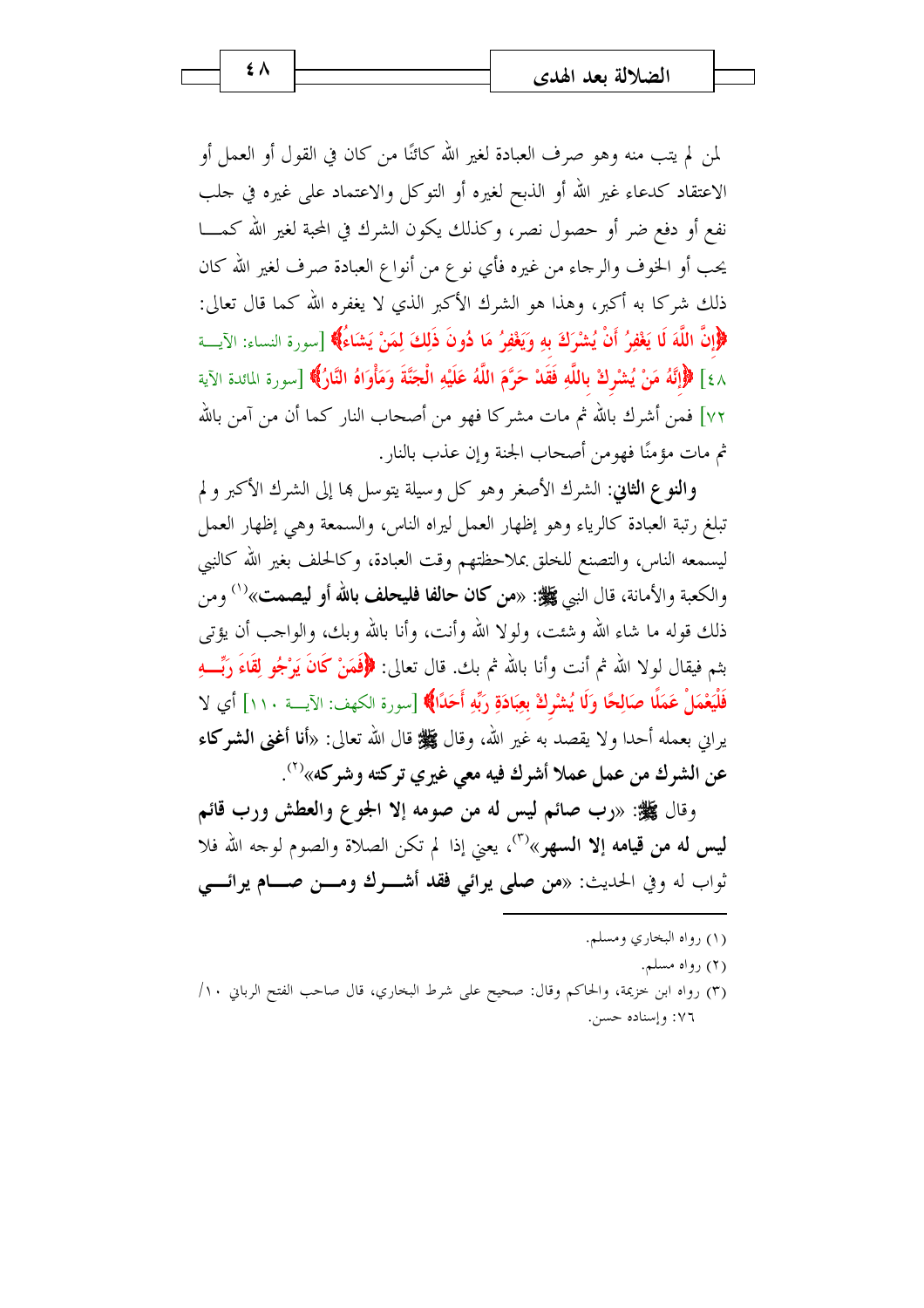|  | الضلالة بعد الهدي |  |
|--|-------------------|--|
|  |                   |  |

لمن لم يتب منه وهو صرف العبادة لغير الله كائنًا من كان في القول أو العمل أو الاعتقاد كدعاء غير الله أو الذبح لغيره أو التوكل والاعتماد على غيره في جلب نفع أو دفع ضر أو حصول نصر، وكذلك يكون الشرك في المحبة لغير الله كمــــا يحب أو الخوف والرجاء من غيره فأي نو ع من أنواع العبادة صرف لغير الله كان ذلك شركا به أكبر، وهذا هو الشرك الأكبر الذي لا يغفره الله كما قال تعالى: ﴿إِنَّ اللَّهَ لَا يَغْفِرُ أَنْ يُشْرَكَ بِهِ وَيَغْفِرُ مَا دُونَ ذَلِكَ لِمَنْ يَشَاءُ﴾ [سورة النساء: الآيسة ٤٨] ﴿إِنَّهُ مَنْ يُشْرِكْ بِاللَّهِ فَقَدْ حَرَّمَ اللَّهُ عَلَيْهِ الْجَنَّةَ وَمَأْوَاهُ النَّارُ﴾ [سورة المائدة الآية ٧٢] فمن أشرك بالله ثم مات مشركا فهو من أصحاب النار كما أن من آمن بالله ثم مات مؤمنًا فهومن أصحاب الجنة وإن عذب بالنار .

والنوع الثاني: الشرك الأصغر وهو كل وسيلة يتوسل ها إلى الشرك الأكبر ولم تبلغ رتبة العبادة كالرياء وهو إظهار العمل ليراه الناس، والسمعة وهي إظهار العمل ليسمعه الناس، والتصنع للخلق بملاحظتهم وقت العبادة، وكالحلف بغير الله كالنبي والكعبة والأمانة، قال النبي ﷺ: «**من كان حالفا فليحلف بالله أو ليصمت**»<sup>(١)</sup> ومن ذلك قوله ما شاء الله وشئت، ولولا الله وأنت، وأنا بالله وبك، والواحب أن يؤتى بثم فيقال لولا الله ثم أنت وأنا بالله ثم بك. قال تعالى: ﴿فَمَنْ كَانَ يَرْجُو لِقَاءَ رَبِّسُهِ فَلْيَعْمَلْ عَمَلًا صَالِحًا وَلَا يُشْرِكْ بِعِبَادَةِ رَبِّهِ أَحَدًا﴾ [سورة الكهف: الآيـــة ١١٠] أي لا يراني بعمله أحدا ولا يقصد به غير الله، وقال ﷺ قال الله تعالى: «أ**نا أغنى الشركاء** عن الشرك من عمل عملا أشرك فيه معي غيري تركته وشركه»<sup>(٢)</sup>.

وقال ﷺ: «رب صائم ليس له من صومه إلا الجوع والعطش ورب قائم ليس له من قيامه إلا السهر»<sup>(٣)</sup>، يعني إذا لم تكن الصلاة والصوم لوجه الله فلا ثواب له وفي الحديث: «من صلى يرائي فقد أشـــرك ومـــن صـــام يرائـــي

- (١) رواه البخاري ومسلم.
	- (٢) رواه مسلم.
- (٣) رواه ابن خزيمة، والحاكم وقال: صحيح على شرط البخاري، قال صاحب الفتح الرباني ١٠/ ٧٦: وإسناده حسن.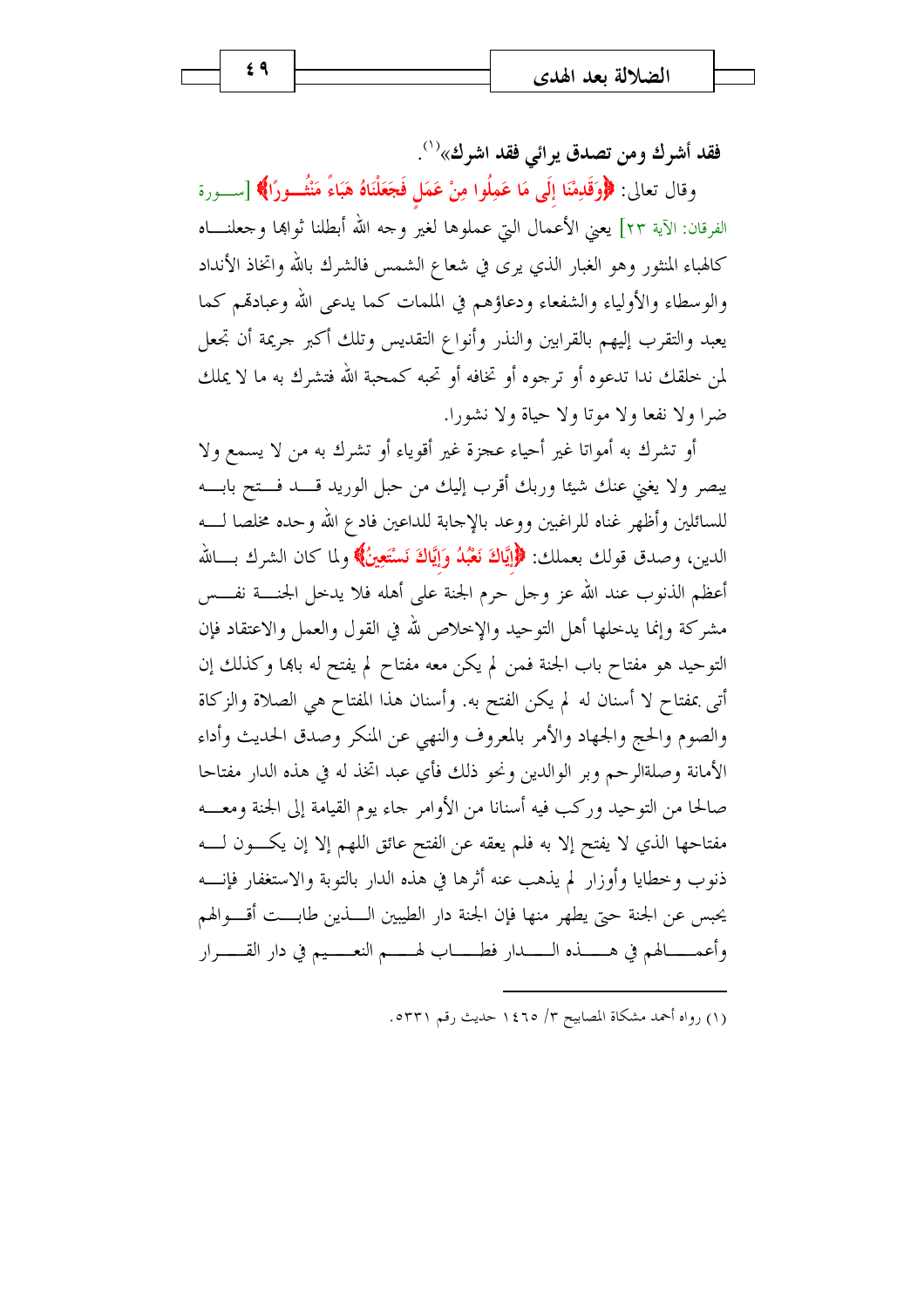فقد أشرك ومن تصدق يو ائي فقد اشرك»<sup>(۱)</sup>.

وقال تعالى: ﴿وَقَلِمْنَا إِلَى مَا عَمِلُوا مِنْ عَمَلٍ فَجَعَلْنَاهُ هَبَاءً مَنْثُــورًا﴾ [ســـورة الفرقان: الآية ٢٣] يعني الأعمال التي عملوها لغير وحه الله أبطلنا ثوابها وحعلنــــاه كالهباء المنثور وهو الغبار الذي يرى في شعاع الشمس فالشرك بالله واتخاذ الأنداد والوسطاء والأولياء والشفعاء ودعاؤهم في الملمات كما يدعى الله وعبادقمم كما يعبد والتقرب إليهم بالقرابين والنذر وأنواع التقديس وتلك أكبر حريمة أن تجعل لمن خلقك ندا تدعوه أو ترجوه أو تخافه أو تحبه كمحبة الله فتشرك به ما لا يملك ضرا ولا نفعا ولا موتا ولا حياة ولا نشورا.

أو تشرك به أمواتا غير أحياء عجزة غير أقوياء أو تشرك به من لا يسمع ولا يبصر ولا يغني عنك شيئا وربك أقرب إليك من حبل الوريد قـــد فـــتح بابــــه للسائلين وأظهر غناه للراغبين ووعد بالإحابة للداعين فادع الله وحده مخلصا لسه الدين، وصدق قولك بعملك: ﴿إِيَّاكَ نَعْبُدُ وَإِيَّاكَ نَسْتَعِينُ﴾ ولما كان الشرك بـــالله أعظم الذنوب عند الله عز وجل حرم الجنة على أهله فلا يدحل الجنسة نفسس مشركة وإنما يدحلها أهل التوحيد والإخلاص لله في القول والعمل والاعتقاد فإن التوحيد هو مفتاح باب الجنة فمن لم يكن معه مفتاح لم يفتح له باهما وكذلك إن أتبي بمفتاح لا أسنان له لم يكن الفتح به. وأسنان هذا المفتاح هي الصلاة والزكاة والصوم والحج والجهاد والأمر بالمعروف والنهي عن المنكر وصدق الحديث وأداء الأمانة وصلةالرحم وبر الوالدين ونحو ذلك فأي عبد اتخذ له في هذه الدار مفتاحا صالحا من التوحيد وركب فيه أسنانا من الأوامر جاء يوم القيامة إلى الجنة ومعـــه مفتاحها الذي لا يفتح إلا به فلم يعقه عن الفتح عائق اللهم إلا إن يكـــون لــــه ذنوب وخطايا وأوزار لم يذهب عنه أثرها في هذه الدار بالتوبة والاستغفار فإنــــه يحبس عن الجنة حبيّ يطهر منها فإن الجنة دار الطيبين الـــــذين طابــــت أقـــــوالهم وأعمـــــــالهم في هــــــــذه الـــــــــدار فطـــــــاب لهــــــــم النعــــــــيم في دار القــــــــرار

<sup>(</sup>١) رواه أحمد مشكاة المصابيح ٣/ ١٤٦٥ حديث رقم ٥٣٣١.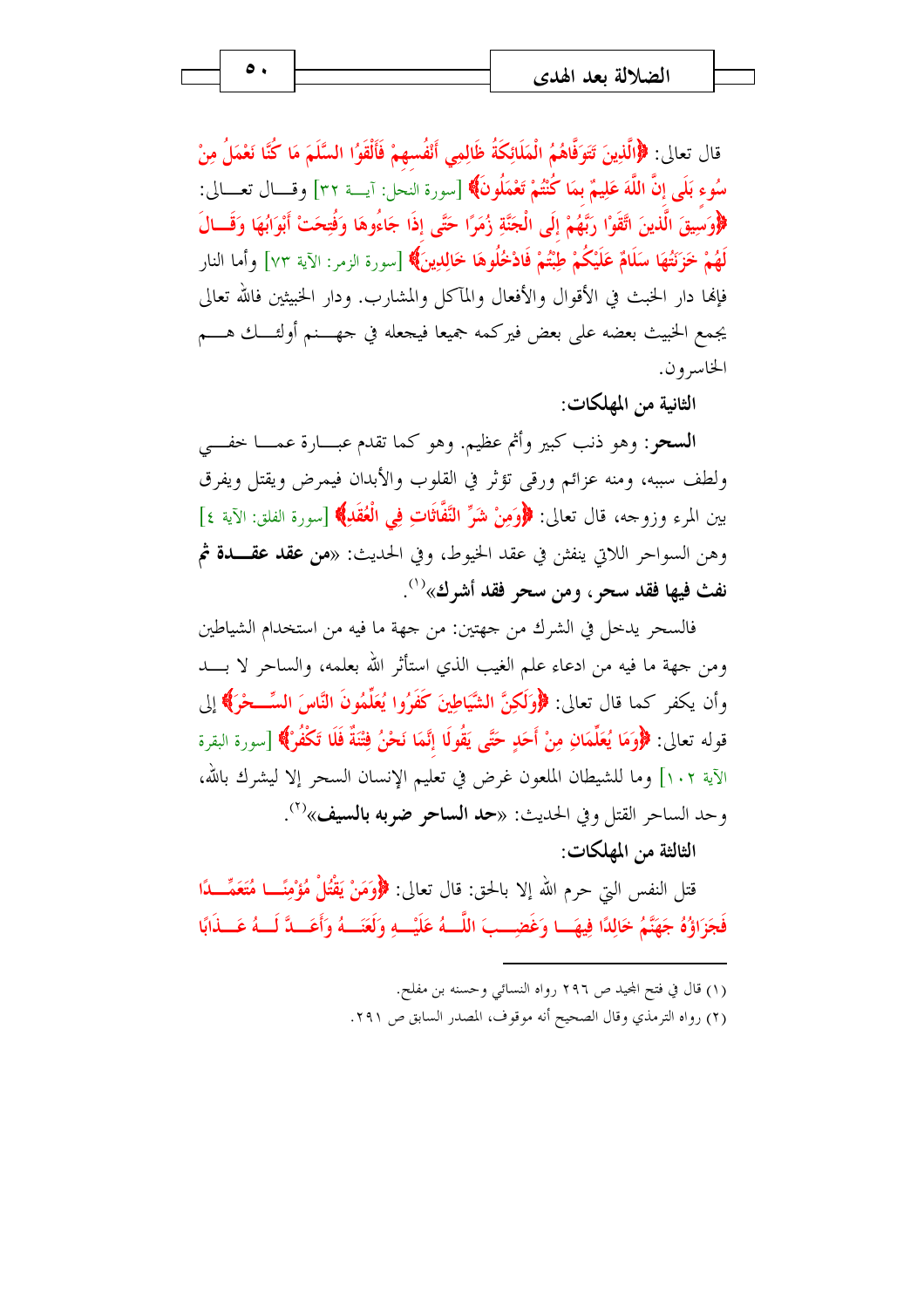| الضلالة بعد الهدى |  |
|-------------------|--|
|-------------------|--|

قال تعالى: ﴿الَّذِينَ تَتَوَفَّاهُمُ الْمَلَائِكَةُ ظَالِمِي أَنْفُسهمْ فَأَلْقَوُا السَّلَمَ مَا كُنَّا نَعْمَلُ مِنْ سُوءِ بَلَى إنَّ اللَّهَ عَلِيمٌ بِمَا كُنْتُمْ تَعْمَلُونَ﴾ [سورة النحل: آيـــة ٣٢] وقـــال تعــــالى: ﴿وَسِيقَ الَّذِينَ اتَّقَوْا رَبَّهُمْ إِلَى الْجَنَّةِ زُمَرًا حَتَّى إِذَا جَاءُوهَا وَفُتِحَتْ أَبْوَابُهَا وَقَــالَ لَهُمْ خَزَنَتُهَا سَلَامٌ عَلَيْكُمْ طِبْتُمْ فَادْخُلُوهَا خَالِدِينَ﴾ [سورة الزمر: الآية ٧٣] وأما النار فإلها دار الخبث في الأقوال والأفعال والمآكل والمشارب. ودار الخبيثين فالله تعالى يجمع الخبيث بعضه على بعض فيركمه جميعا فيجعله في جهسنم أولئسك هسم الخاسرون.

الثانية من المهلكات:

**السحر**: وهو ذنب كبير وأثم عظيم. وهو كما تقدم عبـــارة عمــــا خفــــى ولطف سببه، ومنه عزائم ورقى تؤثر في القلوب والأبدان فيمرض ويقتل ويفرق بين المرء وزوجه، قال تعالى: ﴿وَمِنْ شَرِّ النَّفَّاثَاتِ فِي الْعُقَدِ﴾ [سورة الفلق: الآية ٤] وهن السواحر اللاتي ينفثن في عقد الخيوط، وفي الحديث: «**من عقد عقـــدة ثم** نفث فيها فقد سحر، ومن سحر فقد أشرك»<sup>(١)</sup>.

فالسحر يدخل في الشرك من جهتين: من جهة ما فيه من استخدام الشياطين ومن جهة ما فيه من ادعاء علم الغيب الذي استأثر الله بعلمه، والساحر لا بــــد وأن يكفر كما قال تعالى: ﴿وَلَكِنَّ الشَّيَاطِينَ كَفَرُوا يُعَلِّمُونَ النَّاسَ السِّــحْرَ﴾ إلى قوله تعالى: ﴿وَمَا يُعَلِّمَانِ مِنْ أَحَدٍ حَتَّى يَقُولَا إِنَّمَا نَحْنُ فِتْنَةٌ فَلَا تَكْفُرْ﴾ [سورة البقرة الآية ١٠٢] وما للشيطان الملعون غرض في تعليم الإنسان السحر إلا ليشرك بالله، وحد الساحر القتل وفي الحديث: «حد الساحر ضربه بالسيف»<sup>(٢)</sup>.

الثالثة من المهلكات:

قتل النفس التي حرم الله إلا بالحق: قال تعالى: ﴿وَمَنْ يَقْتُلْ مُؤْمِنًــا مُتَعَمِّـــاًا فَجَزَاؤُهُ جَهَنَّمُ خَالِدًا فِيهَـــا وَغَضِـــبَ اللَّـــهُ عَلَيْـــهِ وَلَعَنَـــهُ وَأَعَـــدَّ لَـــهُ عَـــذَابًا

- (١) قال في فتح المحيد ص ٢٩٦ رواه النسائي وحسنه بن مفلح.
- (٢) رواه الترمذي وقال الصحيح أنه موقوف، المصدر السابق ص ٢٩١.

 $\bullet$ .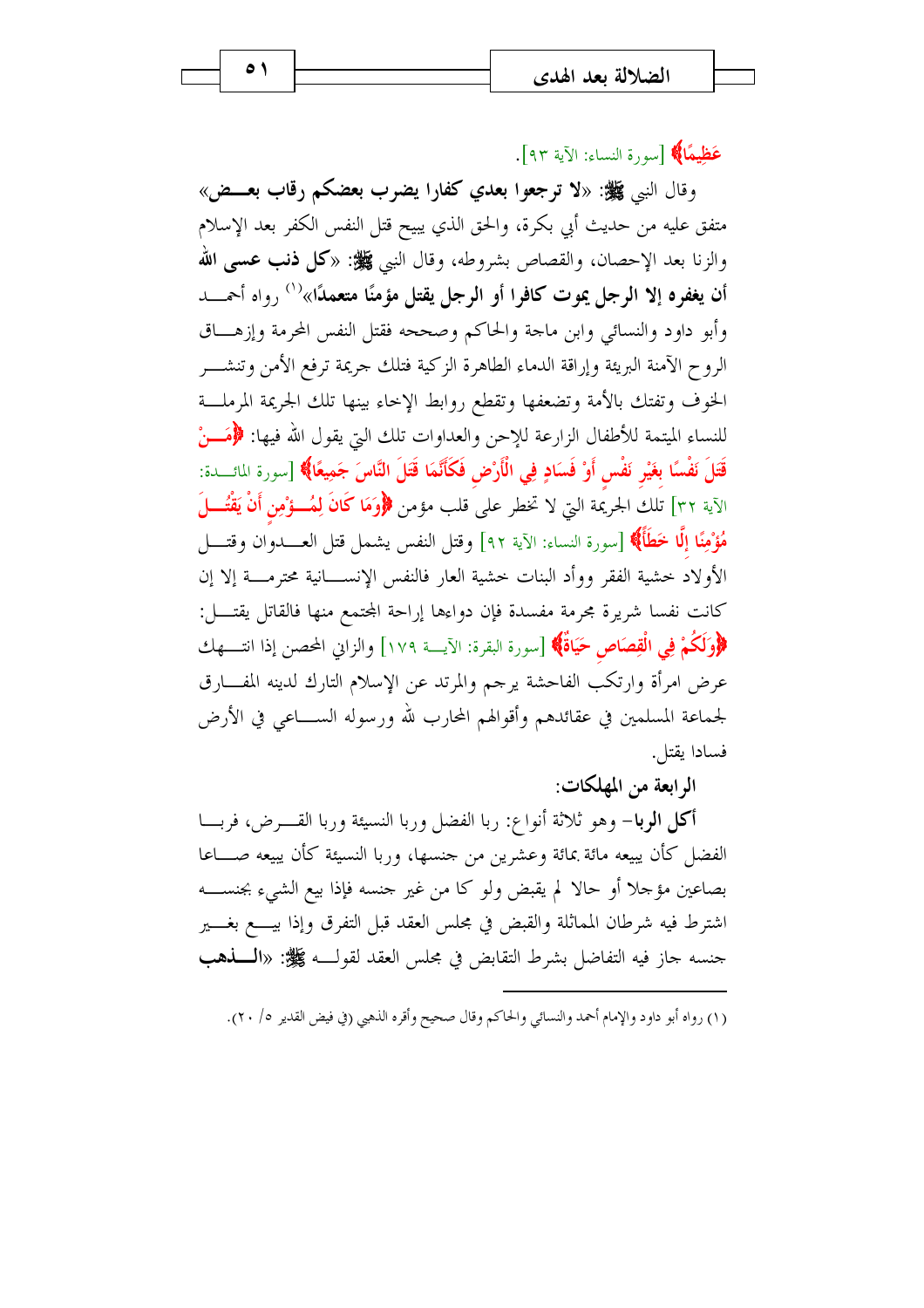$\circ$ 

عَظِيمًا﴾ [سورة النساء: الآية ٩٣].

وقال النبي ﷺ: «لا ترجعوا بعدي كفارا يضرب بعضكم رقاب بعـــض» متفق عليه من حديث أبي بكرة، والحق الذي يبيح قتل النفس الكفر بعد الإسلام والزنا بعد الإحصان، والقصاص بشروطه، وقال النبي ﷺ: «كل **ذنب عسى الله** أن يغفره إلا الرجل يموت كافرا أو الرجل يقتل مؤمنًا متعمدًا»<sup>(١)</sup> رواه أحمسد وأبو داود والنسائي وابن ماجة والحاكم وصححه فقتل النفس المحرمة وإزهــاق الروح الآمنة البريئة وإراقة الدماء الطاهرة الزكية فتلك جريمة ترفع الأمن وتنشـــر الخوف وتفتك بالأمة وتضعفها وتقطع روابط الإخاء بينها تلك الجريمة المرملسة للنساء الميتمة للأطفال الزارعة للإحن والعداوات تلك التي يقول الله فيها: ﴿مَـــنْ **قَتَلَ نَفْسًا بغَيْرِ نَفْسٍ أَوْ فَسَادٍ فِي الْأَرْضِ فَكَأَنَّمَا قَتَلَ النَّاسَ جَمِيعًا﴾ [**سورة المائــــدة: الآية ٣٢] تلك الحريمة التي لا تخطر على قلب مؤمن ﴿وَمَا كَانَ لِمُسؤْمِنٍ أَنْ يَقْتُسِلَ مُؤْمِنًا إلَّا خَطَأَ﴾ [سورة النساء: الآية ٩٢] وقتل النفس يشمل قتل العــــدوان وقتــــل الأولاد خشية الفقر ووأد البنات خشية العار فالنفس الإنســـانية محترمــــة إلا إن كانت نفسا شريرة مجرمة مفسدة فإن دواءها إراحة المحتمع منها فالقاتل يقتــــل: ﴿وَلَكُمْ فِي الْقِصَاصِ حَيَاةٌ﴾ [سورة البقرة: الآيـــة ١٧٩] والزاني المحصن إذا انتــــهك عرض امرأة وارتكب الفاحشة يرجم والمرتد عن الإسلام التارك لدينه المفسارق لجماعة المسلمين في عقائدهم وأقوالهم المحارب لله ورسوله الســــاعي في الأرض فسادا يقتل.

الرابعة من المهلكات:

أكل الربا– وهو ثلاثة أنواع: ربا الفضل وربا النسيئة وربا القسرض، فربسا الفضل كأن يبيعه مائة بمائة وعشرين من جنسها، وربا النسيئة كأن يبيعه صـــاعا بصاعين مؤجلا أو حالا لم يقبض ولو كا من غير جنسه فإذا بيع الشيء بجنســــه اشترط فيه شرطان المماثلة والقبض في مجلس العقد قبل التفرق وإذا بيــــع بغــــير جنسه جاز فيه التفاضل بشرط التقابض في مجلس العقد لقوله ﷺ: «المسلمب

(١) رواه أبو داود والإمام أحمد والنسائي والحاكم وقال صحيح وأقره الذهبي (في فيض القدير ٢٠ ٢٠).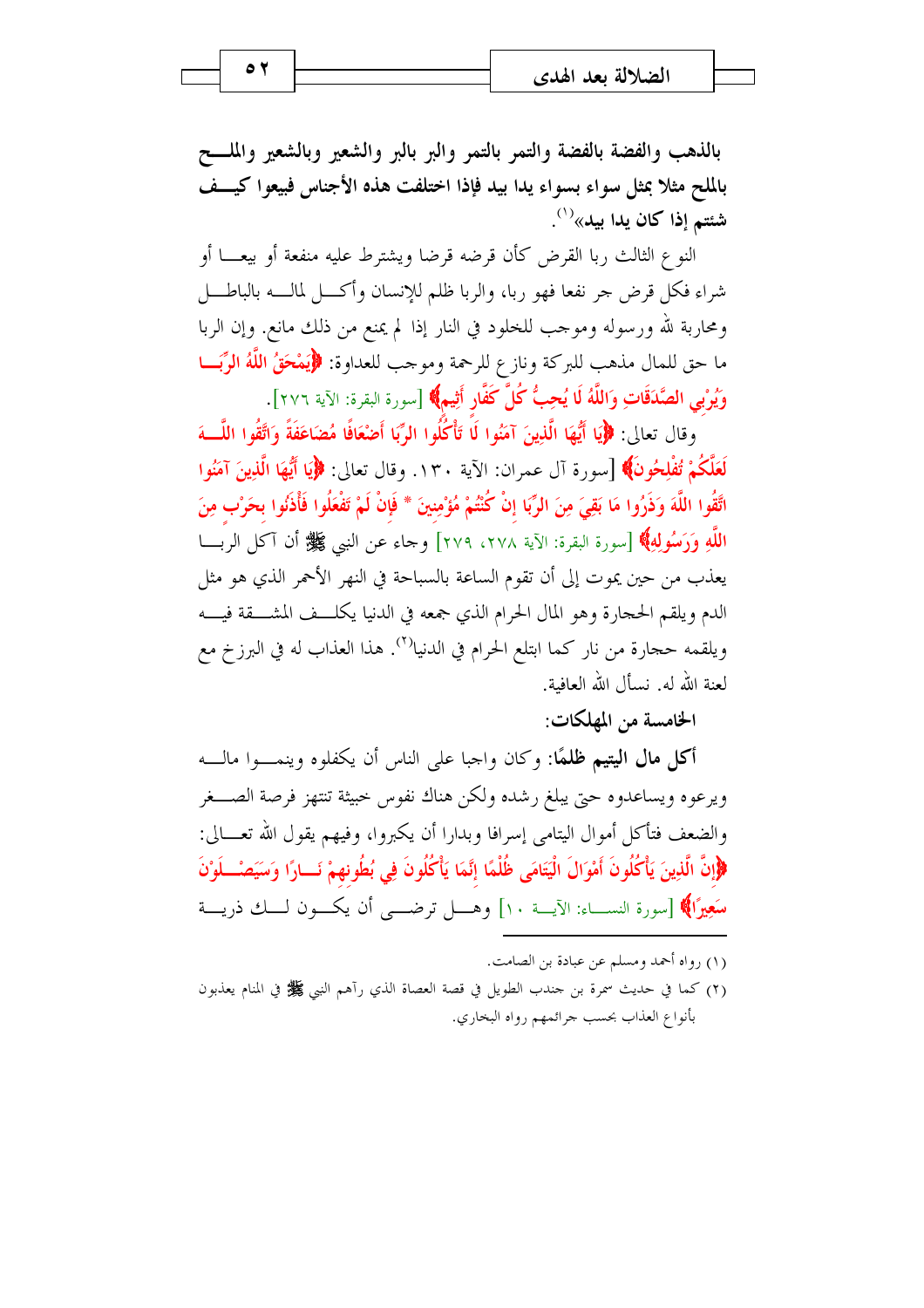| الضلالة بعد الهدى |  |
|-------------------|--|
|                   |  |

بالذهب والفضة بالفضة والتمر بالتمر والبر بالبر والشعير وبالشعير والملسح بالملح مثلاً بمثل سواء بسواء يدا بيد فإذا اختلفت هذه الأجناس فبيعوا كيف شئتم إذا كان يدا بيد»<sup>(۱)</sup>.

النوع الثالث ربا القرض كأن قرضه قرضا ويشترط عليه منفعة أو بيعــــا أو شراء فكل قرض حر نفعا فهو ربا، والربا ظلم للإنسان وأكـــل لمالــــه بالباطــــل ومحاربة لله ورسوله وموجب للخلود في النار إذا لم يمنع من ذلك مانع. وإن الربا ما حق للمال مذهب للبركة ونازع للرحمة وموحب للعداوة: ﴿يَمْحَقُ اللَّهُ الرَّبَـــا وَيُرْبِي الصَّدَقَاتِ وَاللَّهُ لَا يُحِبُّ كُلَّ كَفَّارٍ أَثِيمٍ﴾ [سورة البقرة: الآية ٢٧٦].

وقال تعالى: ﴿إِيَّا أَيُّهَا الَّذِينَ آمَنُوا لَا تَأْكُلُوا الرِّبَا أَضْعَافًا مُضَاعَفَةً وَاتَّقُوا اللَّــهَ لَعَلَّكُمْ تُفْلِحُونَ﴾ [سورة آل عمران: الآية ١٣٠. وقال تعالى: ﴿يَا أَيُّهَا الَّذِينَ آمَنُوا اتَّقُوا اللَّهَ وَذَرُوا مَا بَقِيَ مِنَ الرَّبَا إنْ كُنْتُمْ مُؤْمِنِينَ \* فَإِنْ لَمْ تَفْعَلُوا فَأْذَنُوا بحَرْب مِنَ اللَّهِ وَرَسُولِهِ﴾ [سورة البقرة: الآية ٢٧٨، ٢٧٩] وجاء عن النبي ﷺ أن آكل الربـــا يعذب من حين يموت إلى أن تقوم الساعة بالسباحة في النهر الأحمر الذي هو مثل الدم ويلقم الحجارة وهو المال الحرام الذي جمعه في الدنيا يكلــف المشـــقة فيــــه ويلقمه حجارة من نار كما ابتلع الحرام في الدنيا<sup>(٢)</sup>. هذا العذاب له في البرز خ مع لعنة الله له. نسأل الله العافية.

الخامسة من المهلكات:

أكل مال اليتيم ظلمًا: وكان واجبا على الناس أن يكفلوه وينمسوا مالـــه ويرعوه ويساعدوه حتى يبلغ رشده ولكن هناك نفوس خبيثة تنتهز فرصة الصـــغر والضعف فتأكل أموال اليتامي إسرافا وبدارا أن يكبروا، وفيهم يقول الله تعـــالى: ﴿إِنَّ الَّذِينَ يَأْكُلُونَ أَمْوَالَ الْيَتَامَى ظُلْمًا إِنَّمَا يَأْكُلُونَ فِي بُطُونهمْ نَسارًا وَسَيَصْسلَوْنَ **سَعِيرًا﴾ [**سورة النســـاء: الآيــــة ١٠] وهــــل ترضـــــى أن يكــــون لــــك ذريــــة

- (١) رواه أحمد ومسلم عن عبادة بن الصامت.
- (٢) كما في حديث سمرة بن حندب الطويل في قصة العصاة الذي رأهم النبي ﷺ في المنام يعذبون بأنواع العذاب بحسب جرائمهم رواه البخاري.

 $\circ$   $\check{\mathsf{r}}$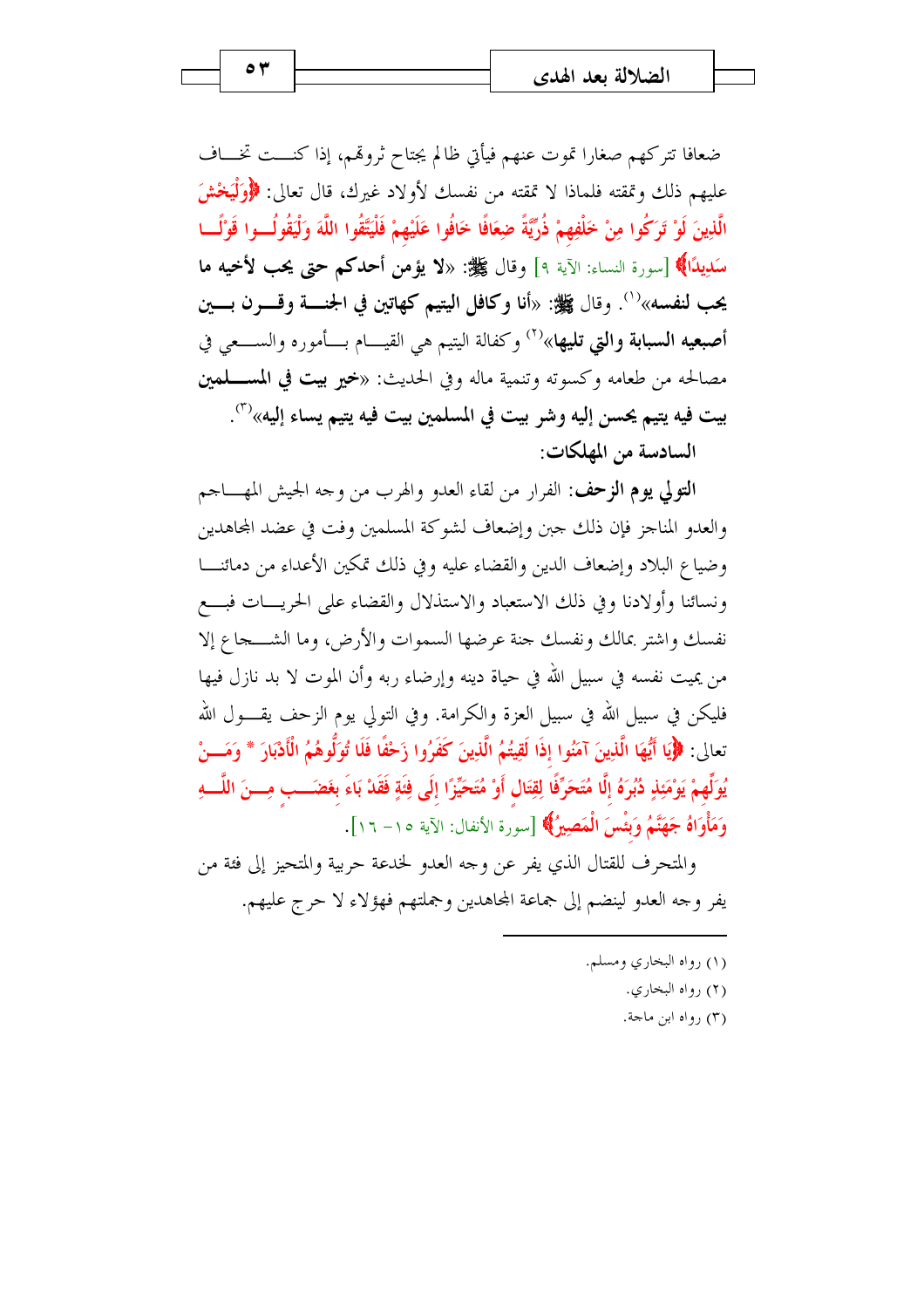|  | الضلاله بعد اهدى |  |
|--|------------------|--|
|  |                  |  |

ضعافا تتركهم صغارا تموت عنهم فيأتي ظالم يجتاح ثروقمم، إذا كنـــت تخـــاف عليهم ذلك وتمقته فلماذا لا تمقته من نفسك لأولاد غيرك، قال تعالى: ﴿وَلْيَخْشَ الَّذِينَ لَوْ تَرَكُوا مِنْ خَلْفِهِمْ ذُرِّيَّةً ضِعَافًا خَافُوا عَلَيْهِمْ فَلْيَتَّقُوا اللَّهَ وَلْيَقُولُـــوا قَوْلًـــا سَلِيلاًا﴾ [سورة النساء: الآية ٩] وقال ﷺ: «لا يؤمن أحمدكم حتى يحب لأخيه ما يحب لنفسه»<sup>(١)</sup>. وقال ﷺ: «أنا وكافل اليتيم كهاتين في الجنسـة وقـــــرن بـــــين أ**صبعيه السبابة والتي تليها**»<sup>(٢)</sup> وكفالة اليتيم هي القيــــام بــــأموره والســــعي في مصالحه من طعامه وكسوته وتنمية ماله وفي الحديث: «خير بيت في المســـلمين بيت فيه يتيم يحسن إليه وشر بيت في المسلمين بيت فيه يتيم يساء إليه»<sup>(٣)</sup>. السادسة من المهلكات:

**التولى يوم الزحف**: الفرار من لقاء العدو والهرب من وحه الجيش المهــــاحم والعدو المناجز فإن ذلك جبن وإضعاف لشوكة المسلمين وفت في عضد المحاهدين وضياع البلاد وإضعاف الدين والقضاء عليه وفي ذلك تمكين الأعداء من دمائنــا ونسائنا وأولادنا وفى ذلك الاستعباد والاستذلال والقضاء على الحريسات فبسع نفسك واشتر بمالك ونفسك جنة عرضها السموات والأرض، وما الشـــجاع إلا من يميت نفسه في سبيل الله في حياة دينه وإرضاء ربه وأن الموت لا بد نازل فيها فليكن في سبيل الله في سبيل العزة والكرامة. وفي التولى يوم الزحف يقــــول الله تعالى: ﴿إِيَا أَيُّهَا الَّذِينَ آمَنُوا إِذَا لَقِيتُمُ الَّذِينَ كَفَرُوا زَحْفًا فَلَا تُوَلُّوهُمُ الْأَدْبَارَ \* وَمَسنْ يُوَلِّهِمْ يَوْمَئِذٍ دُبُرَهُ إلَّا مُتَحَرِّفًا لِقِتَالٍ أَوْ مُتَحَيِّزًا إلَى فِتَةٍ فَقَدْ بَاءَ بغَضَــب مِـــنَ اللَّـــهِ وَمَأْوَاهُ جَهَنَّمُ وَبِئْسَ الْمَصِيرُ﴾ [سورة الأنفال: الآية ١٥– ١٦].

والمتحرف للقتال الذي يفر عن وجه العدو لخدعة حربية والمتحيز إلى فئة من يفر وجه العدو لينضم إلى جماعة المحاهدين وجملتهم فهؤلاء لا حرج عليهم.

- (۱) رواه البخاري ومسلم.
	- (۲) رواه البخاري.
	- (٣) رواه ابن ماجة.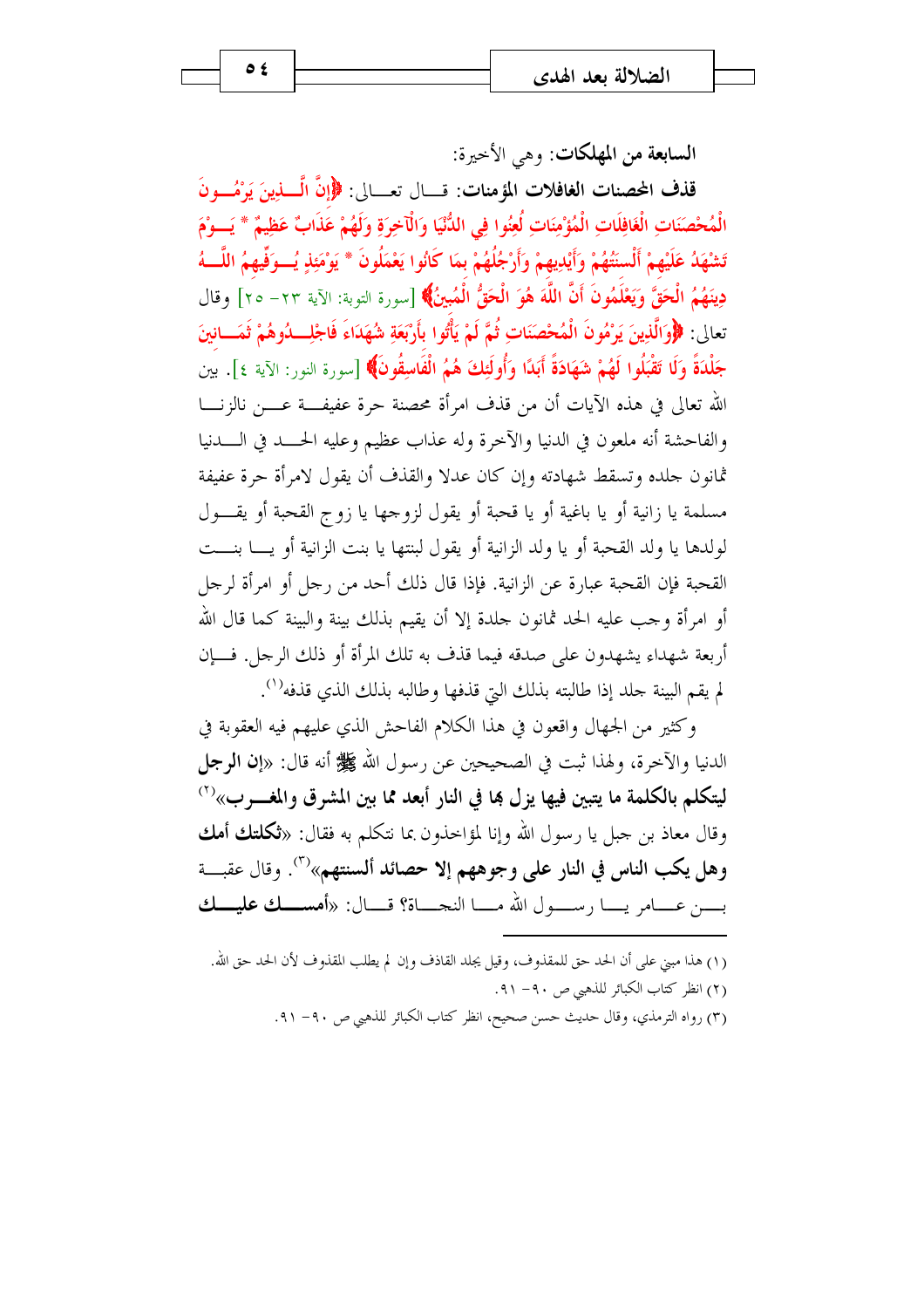السابعة من المهلكات: وهي الأخيرة:

قذف المحصنات الغافلات المؤمنات: قـــال تعـــالى: ﴿إِنَّ الَّـــٰذِينَ يَرْمُـــونَ الْمُحْصَنَاتِ الْغَافِلَاتِ الْمُؤْمِنَاتِ لُعِنُوا فِي الدُّنْيَا وَالْآخِرَةِ وَلَهُمْ عَذَابٌ عَظِيمٌ \* يَسوْمَ تَشْهَدُ عَلَيْهِمْ أَلْسِنَتُهُمْ وَأَيْدِيهِمْ وَأَرْجُلُهُمْ بِمَا كَانُوا يَعْمَلُونَ \* يَوْمَئِذِ يُسوَفِّيهِمُ اللَّسَهُ دِينَهُمُ الْحَقَّ وَيَعْلَمُونَ أَنَّ اللَّهَ هُوَ الْحَقُّ الْمُبِينُ﴾ [سورة التوبة: الآية ٢٣ – ٢٥] وقال تعالى: ﴿وَالَّذِينَ يَرْمُونَ الْمُحْصَنَاتِ ثُمَّ لَمْ يَأْتُوا بِأَرْبَعَةِ شُهَدَاءَ فَاجْلِـــدُوهُمْ ثَمَـــانينَ جَلْدَةً وَلَا تَقْبَلُوا لَهُمْ شَهَادَةً أَبَدًا وَأُولَئِكَ هُمُ الْفَاسِقُونَ﴾ [سورة النور: الآية ٤]. بين الله تعالى في هذه الآيات أن من قذف امرأة محصنة حرة عفيفـــة عــــن نالزنــــا والفاحشة أنه ملعون في الدنيا والآخرة وله عذاب عظيم وعليه الحـــد في الــــدنيا ثمانون حلده وتسقط شهادته وإن كان عدلا والقذف أن يقول لامرأة حرة عفيفة مسلمة يا زانية أو يا باغية أو يا قحبة أو يقول لزوجها يا زوج القحبة أو يقـــول لولدها يا ولد القحبة أو يا ولد الزانية أو يقول لبنتها يا بنت الزانية أو يــــا بنــــت القحبة فإن القحبة عبارة عن الزانية. فإذا قال ذلك أحد من رجل أو امرأة لرجل أو امرأة وحب عليه الحد ثمانون حلدة إلا أن يقيم بذلك بينة والبينة كما قال الله أربعة شهداء يشهدون على صدقه فيما قذف به تلك المرأة أو ذلك الرجل. فـــإن لم يقم البينة حلد إذا طالبته بذلك التي قذفها وطالبه بذلك الذي قذفه<sup>(١)</sup>.

وكثير من الجهال واقعون في هذا الكلام الفاحش الذي عليهم فيه العقوبة في الدنيا والآخرة، ولهذا ثبت في الصحيحين عن رسول الله ﷺ أنه قال: «إن الرجل ليتكلم بالكلمة ما يتبين فيها يزل بما في النار أبعد مما بين المشرق والمغــــــرب»<sup>(٢)</sup> وقال معاذ بن جبل يا رسول الله وإنا لمؤاخذون بما نتكلم به فقال: «ث**كلتك أمك** وهل يكب الناس في النار على وجوههم إلا حصائد ألسنتهم»<sup>(٣)</sup>. وقال عقبـــة بـــــن عـــــامر يـــــا رســـــول الله مـــــا النجــــاة؟ قــــال: «أمســــك عليــــك

(١) هذا مبين على أن الحد حق للمقذوف، وقيل يجلد القاذف وإن لم يطلب المقذوف لأن الحد حق الله. (٢) انظر كتاب الكبائر للذهبي ص ٩٠- ٩١. (٣) رواه الترمذي، وقال حديث حسن صحيح، انظر كتاب الكبائر للذهبي ص ٩٠- ٩١.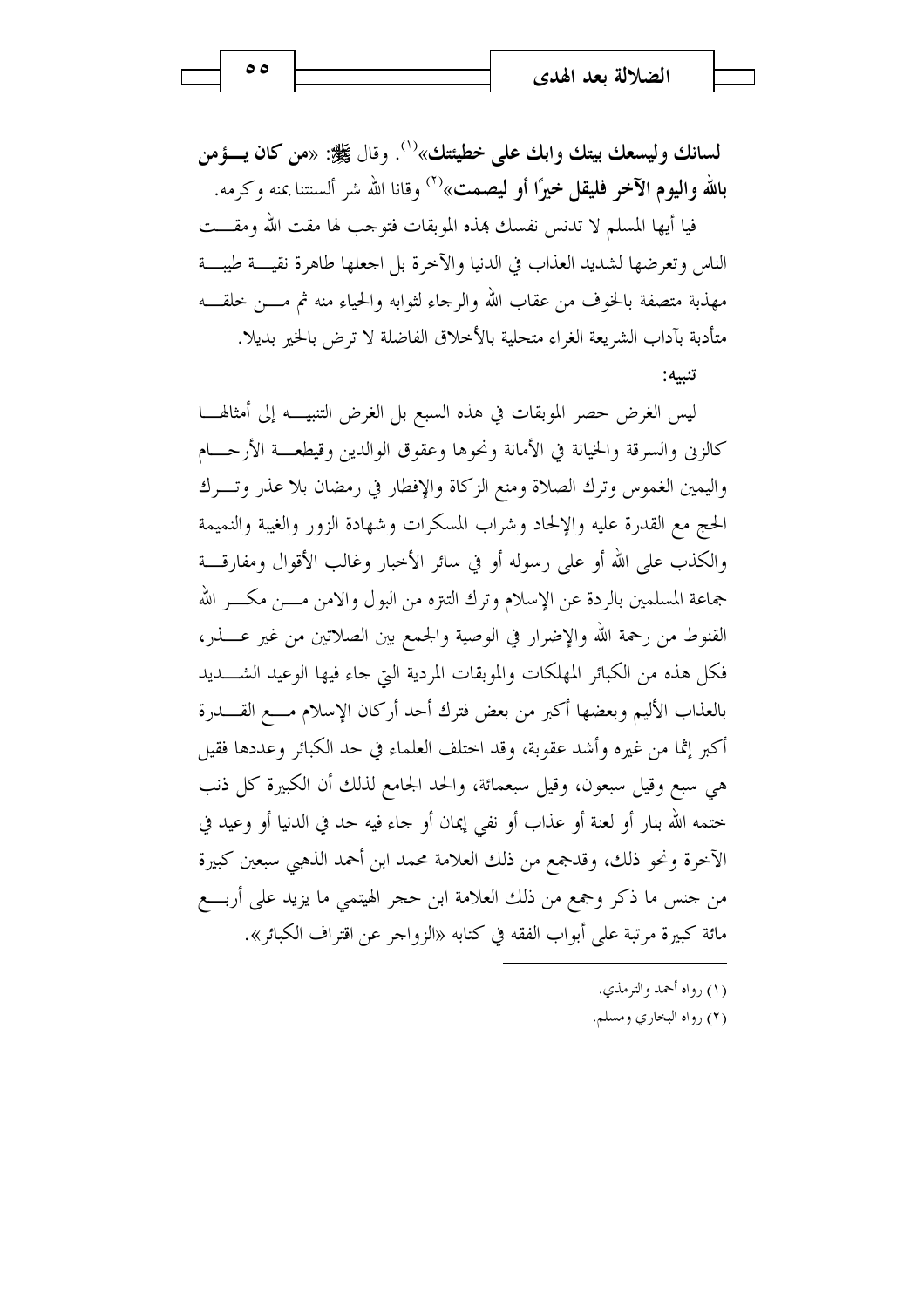| ه ه |  | الضلاله بعد اهدى |  |
|-----|--|------------------|--|
|-----|--|------------------|--|

لسانك وليسعك بيتك وابك على خطيئتك»<sup>(١)</sup>. وقال ﷺ: «من كان يسؤمن بالله واليوم الآخر فليقل خيرًا أو ليصمت»<sup>(٢)</sup> وقانا الله شر ألسنتنا بمنه وكرمه.

فيا أيها المسلم لا تدنس نفسك هذه الموبقات فتوحب لها مقت الله ومقـــت الناس وتعرضها لشديد العذاب في الدنيا والآخرة بل اجعلها طاهرة نقيسة طيبة مهذبة متصفة بالخوف من عقاب الله والرجاء لثوابه والحياء منه ثم مسن حلقسه متأدبة بآداب الشريعة الغراء متحلية بالأخلاق الفاضلة لا ترض بالخير بديلا.

تنسه:

ليس الغرض حصر الموبقات في هذه السبع بل الغرض التنبيـــه إلى أمثالهــــا كالزين والسرقة والخيانة في الأمانة ونحوها وعقوق الوالدين وقيطعسة الأرحسام واليمين الغموس وترك الصلاة ومنع الزكاة والإفطار في رمضان بلا عذر وتسرك الحج مع القدرة عليه والإلحاد وشراب المسكرات وشهادة الزور والغيبة والنميمة والكذب على الله أو على رسوله أو في سائر الأحبار وغالب الأقوال ومفارقـــة جماعة المسلمين بالردة عن الإسلام وترك التنزه من البول والامن مــــن مكــــر الله القنوط من رحمة الله والإضرار في الوصية والجمع بين الصلاتين من غير عــــذر، فكل هذه من الكبائر المهلكات والموبقات المردية التي جاء فيها الوعيد الشــــديد بالعذاب الأليم وبعضها أكبر من بعض فترك أحد أركان الإسلام مسع القسدرة أكبر إثما من غيره وأشد عقوبة، وقد اختلف العلماء في حد الكبائر وعددها فقيل هي سبع وقيل سبعون، وقيل سبعمائة، والحد الجامع لذلك أن الكبيرة كل ذنب ختمه الله بنارٍ أو لعنة أو عذاب أو نفي إيمان أو جاء فيه حد في الدنيا أو وعيد في الآخرة ونحو ذلك، وقدجمع من ذلك العلامة محمد ابن أحمد الذهبي سبعين كبيرة من جنس ما ذكر وجمع من ذلك العلامة ابن حجر الهيتمي ما يزيد على أربــــع مائة كبيرة مرتبة على أبواب الفقه في كتابه «الزواجر عن اقتراف الكبائر».

- (۱) رواه أحمد والترمذي.
- (٢) رواه البخاري ومسلم.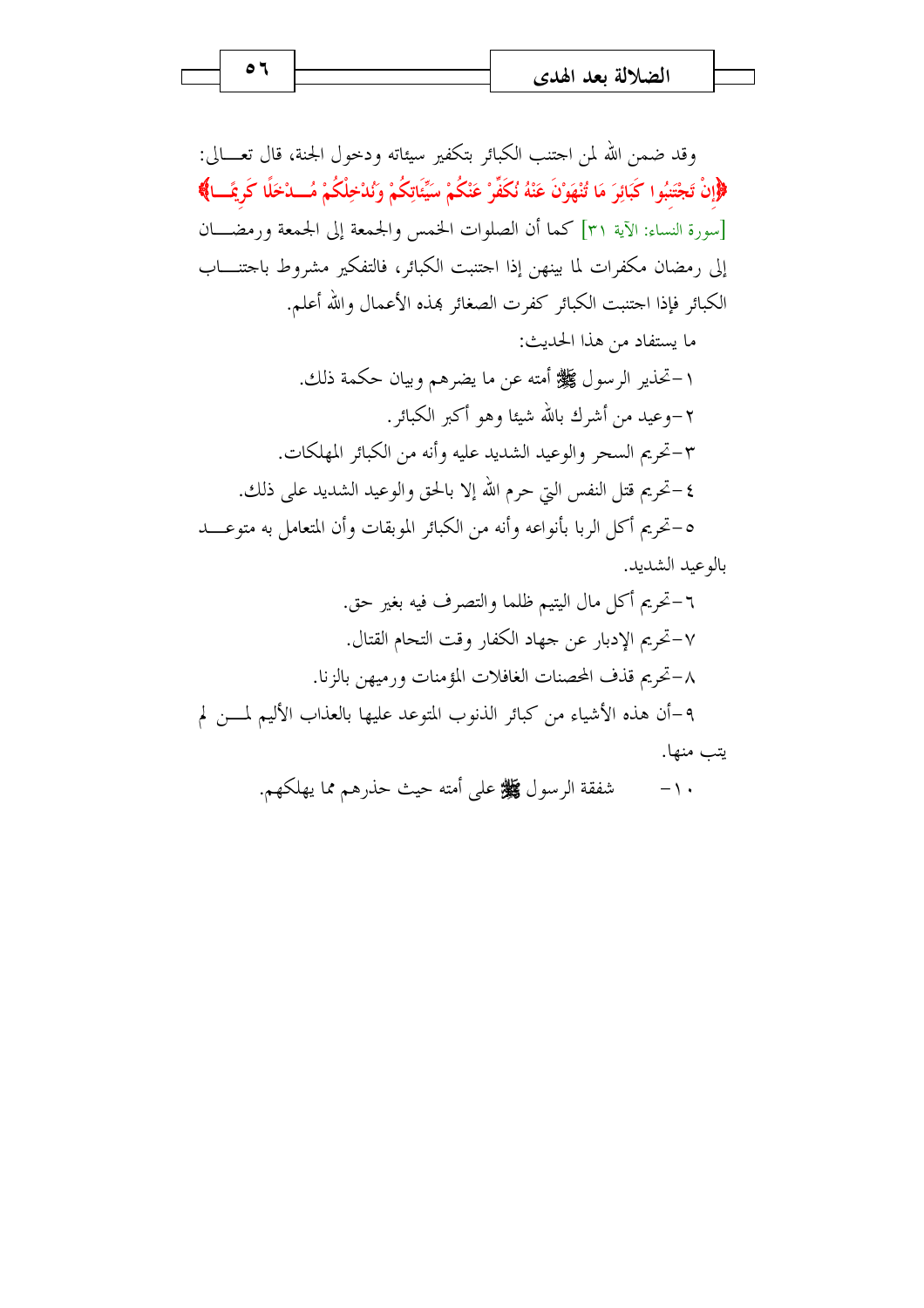|  | الضلاله بعد اهدى |  |
|--|------------------|--|
|  |                  |  |

وقد ضمن الله لمن احتنب الكبائر بتكفير سيئاته ودحول الجنة، قال تعـــالى: ﴿إِنْ تَجْتَنِبُوا كَبَائِرَ مَا تُنْهَوْنَ عَنْهُ نُكَفِّرْ عَنْكُمْ سَيِّئَاتِكُمْ وَنُدْخِلْكُمْ مُسدْخَلًا كَرِيمَسا﴾ [سورة النساء: الآية ٣١] كما أن الصلوات الخمس والجمعة إلى الجمعة ورمضــان إلى رمضان مكفرات لما بينهن إذا احتنبت الكبائر، فالتفكير مشروط باحتنــــاب الكبائر فإذا احتنبت الكبائر كفرت الصغائر بمذه الأعمال والله أعلم. ما يستفاد من هذا الحديث: ١–تحذير الرسول ﷺ أمته عن ما يضرهم وبيان حكمة ذلك. ٢–وعيد من أشرك بالله شيئا وهو أكبر الكبائر. ٣-تحريم السحر والوعيد الشديد عليه وأنه من الكبائر المهلكات. ٤–تحريم قتل النفس التي حرم الله إلا بالحق والوعيد الشديد على ذلك. ٥–تحريم أكل الربا بأنواعه وأنه من الكبائر الموبقات وأن المتعامل به متوعــــد بالوعيد الشديد.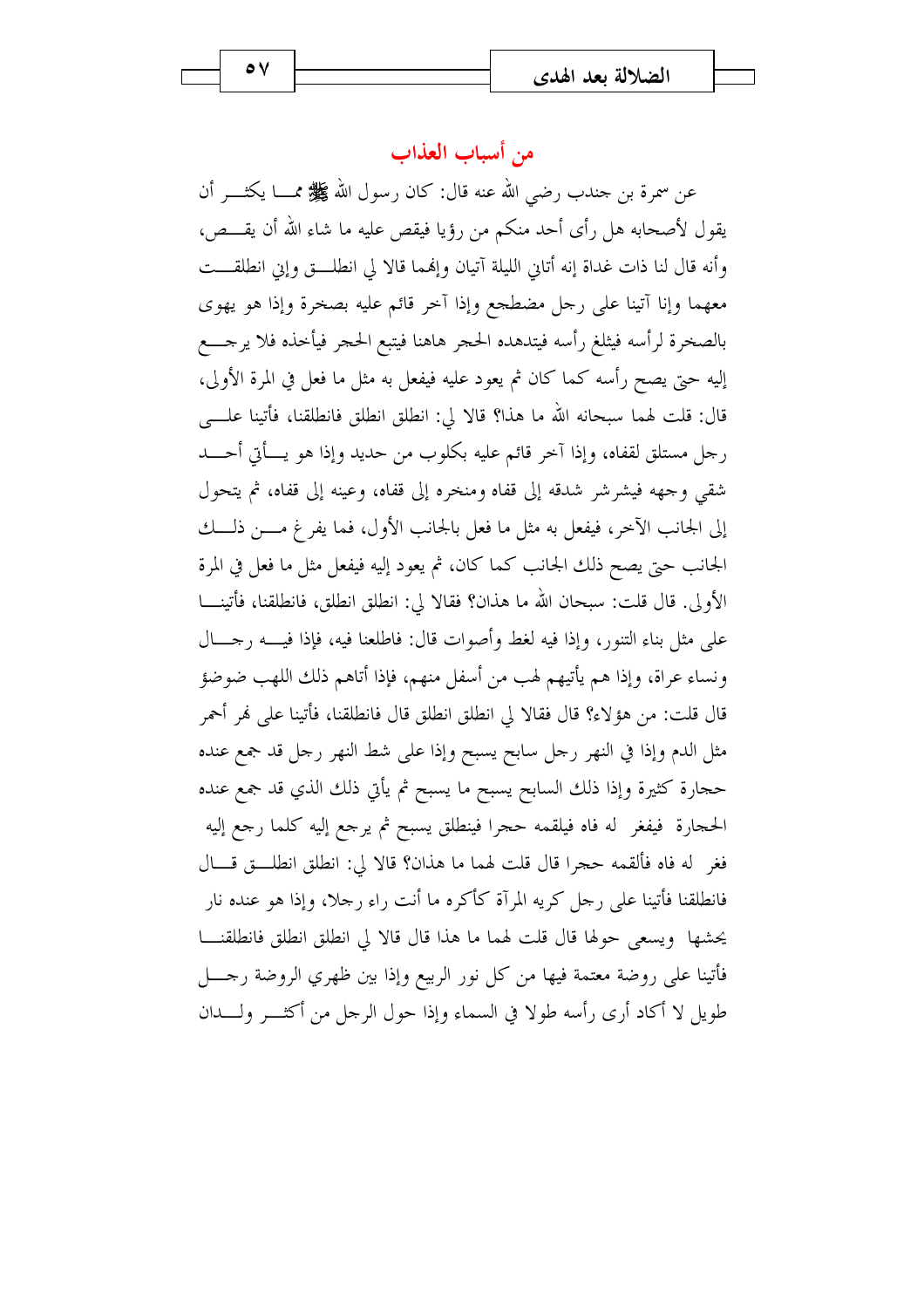من أسباب العذاب

عن سمرة بن حندب رضي الله عنه قال: كان رسول الله ﷺ ممـــا يكثــــر أن يقول لأصحابه هل رأى أحد منكم من رؤيا فيقص عليه ما شاء الله أن يقـــص، وأنه قال لنا ذات غداة إنه أتاين الليلة آتيان وإنهما قالا لي انطلـــق وإين انطلقـــت معهما وإنا آتينا على رحل مضطجع وإذا آخر قائم عليه بصخرة وإذا هو يهوى بالصخرة لرأسه فيثلغ رأسه فيتدهده الحجر هاهنا فيتبع الحجر فيأخذه فلا يرجسع إليه حتى يصح رأسه كما كان ثم يعود عليه فيفعل به مثل ما فعل في المرة الأولى، قال: قلت لهما سبحانه الله ما هذا؟ قالا لي: انطلق انطلق فانطلقنا، فأتينا علــــى رجل مستلق لقفاه، وإذا آخر قائم عليه بكلوب من حديد وإذا هو يسأتي أحسد شقى وجهه فيشرشر شدقه إلى قفاه ومنخره إلى قفاه، وعينه إلى قفاه، ثم يتحول إلى الجانب الآخر، فيفعل به مثل ما فعل بالجانب الأول، فما يفرغ مــــن ذلــــك الجانب حتى يصح ذلك الجانب كما كان، ثم يعود إليه فيفعل مثل ما فعل في المرة الأو لي. قال قلت: سبحان الله ما هذان؟ فقالا لي: انطلق انطلق، فانطلقنا، فأتينــــا علَّى مثل بناء التنور، وإذا فيه لغط وأصوات قال: فاطلعنا فيه، فإذا فيـــه رجـــال ونساء عراة، وإذا هم يأتيهم لهب من أسفل منهم، فإذا أتاهم ذلك اللهب ضوضؤ قال قلت: من هؤ لاء؟ قال فقالا لي انطلق انطلق قال فانطلقنا، فأتينا على نُمر أحمر مثل الدم وإذا في النهر رحل سابح يسبح وإذا على شط النهر رحل قد جمع عنده ححارة كثيرة وإذا ذلك السابح يسبح ما يسبح ثم يأتي ذلك الذي قد جمع عنده الحجارة فيفغر له فاه فيلقمه حجرا فينطلق يسبح ثم يرجع إليه كلما رجع إليه فغر له فاه فألقمه حجرًا قال قلت لهما ما هذان؟ قالا لي: انطلق انطلـــق قــــال فانطلقنا فأتينا على رجل كريه المرآة كأكره ما أنت راء رجلا، وإذا هو عنده نار يحشها ويسعى حولها قال قلت لهما ما هذا قال قالا لي انطلق انطلق فانطلقنــا فأتينا على روضة معتمة فيها من كل نور الربيع وإذا بين ظهري الروضة رجـــل طويل لا أكاد أرى رأسه طولا في السماء وإذا حول الرجل من أكثـــر ولــــدان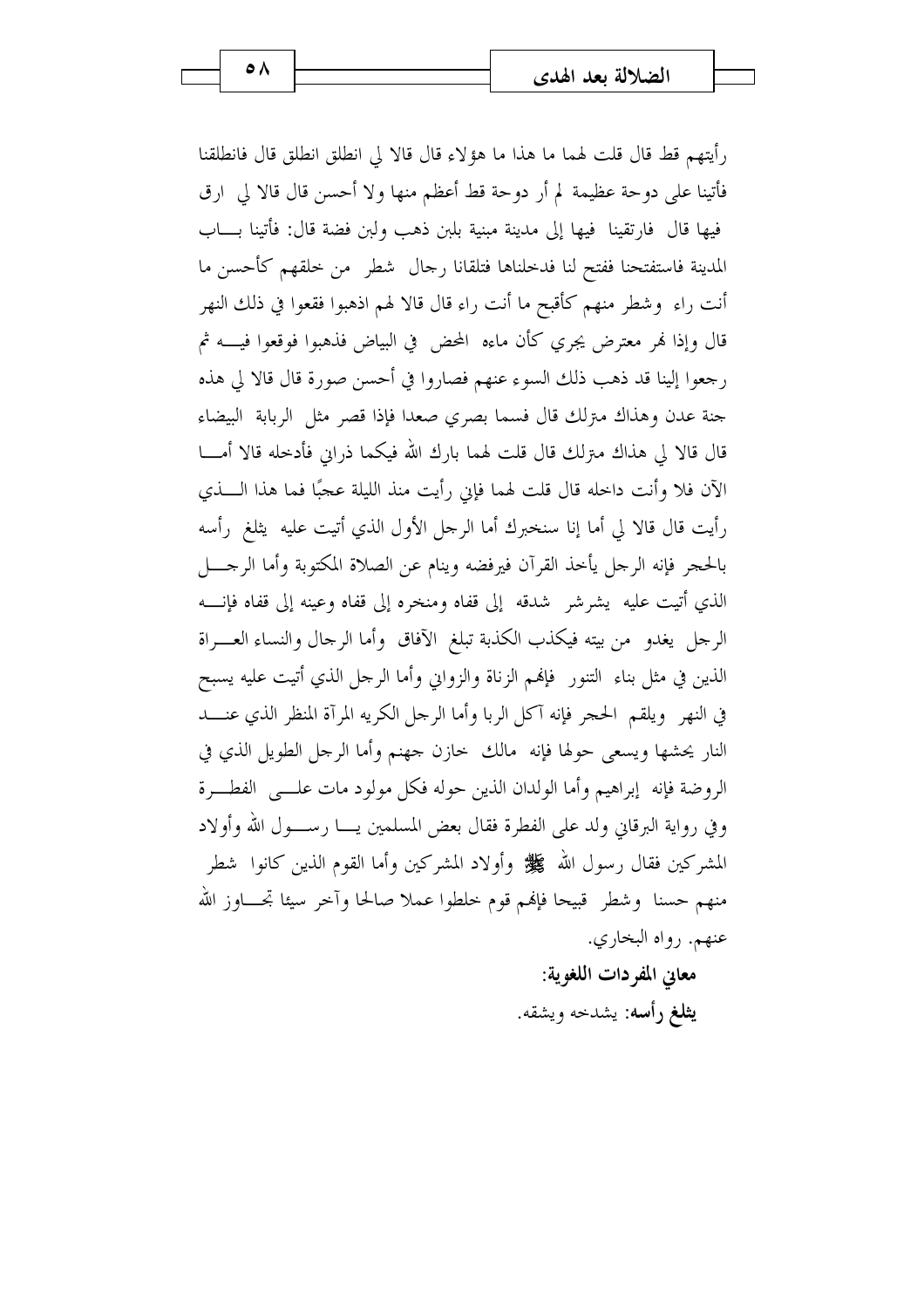رأيتهم قط قال قلت لهما ما هذا ما هؤلاء قال قالا لي انطلق انطلق قال فانطلقنا فأتينا على دوحة عظيمة لم أر دوحة قط أعظم منها ولا أحسن قال قالا لي ارق فيها قال فارتقينا فيها إلى مدينة مبنية بلبن ذهب ولبن فضة قال: فأتينا بساب المدينة فاستفتحنا ففتح لنا فدخلناها فتلقانا رجال شطر من خلقهم كأحسن ما أنت راء ۖ وشطر منهم كأقبح ما أنت راء قال قالا لهم اذهبوا فقعوا في ذلك النهر قال وإذا لهر معترض يجري كأن ماءه المحض في البياض فذهبوا فوقعوا فيــــه ثم رجعوا إلينا قد ذهب ذلك السوء عنهم فصاروا في أحسن صورة قال قالا لي هذه جنة عدن وهذاك متزلك قال فسما بصرى صعدا فإذا قصر مثل الربابة البيضاء قال قالا لي هذاك مترلك قال قلت لهما بارك الله فيكما ذرابي فأدحله قالا أمــــا الآن فلا وأنت داخله قال قلت لهما فإيي رأيت منذ الليلة عجبًا فما هذا الــــذي رأيت قال قالا لي أما إنا سنخبرك أما الرحل الأول الذي أتيت عليه يثلغ رأسه بالحجر فإنه الرحل يأخذ القرآن فيرفضه وينام عن الصلاة المكتوبة وأما الرحــــل الذي أتيت عليه يشرشر شدقه إلى قفاه ومنخره إلى قفاه وعينه إلى قفاه فإنــــه الرجل يغدو ً من بيته فيكذب الكذبة تبلغ الآفاق ۖ وأما الرجال والنساء العــــراة الذين في مثل بناء التنور ًفإلهم الزناة والزواني وأما الرحل الذي أتيت عليه يسبح في النهر ۖ ويلقم ۖ الحجر فإنه آكل الربا وأما الرجل الكريه المرآة المنظر الذي عنــــد النار يحشها ويسعى حولها فإنه ًمالك خازن جهنم وأما الرجل الطويل الذي في الروضة فإنه إبراهيم وأما الولدان الذين حوله فكل مولود مات علـــى الفطـــرة وفي رواية البرقايي ولد على الفطرة فقال بعض المسلمين يــــا رســــول الله وأولاد المشركين فقال رسول الله ﷺ وأولاد المشركين وأما القوم الذين كانوا ًشطر منهم حسنا وشطر قبيحا فإنهم قوم حلطوا عملا صالحا وآخر سيئا تجساوز الله عنهم. رواه البخاري.

> معاني المفردات اللغوية: **يثلغ رأسه:** يشدحه ويشقه.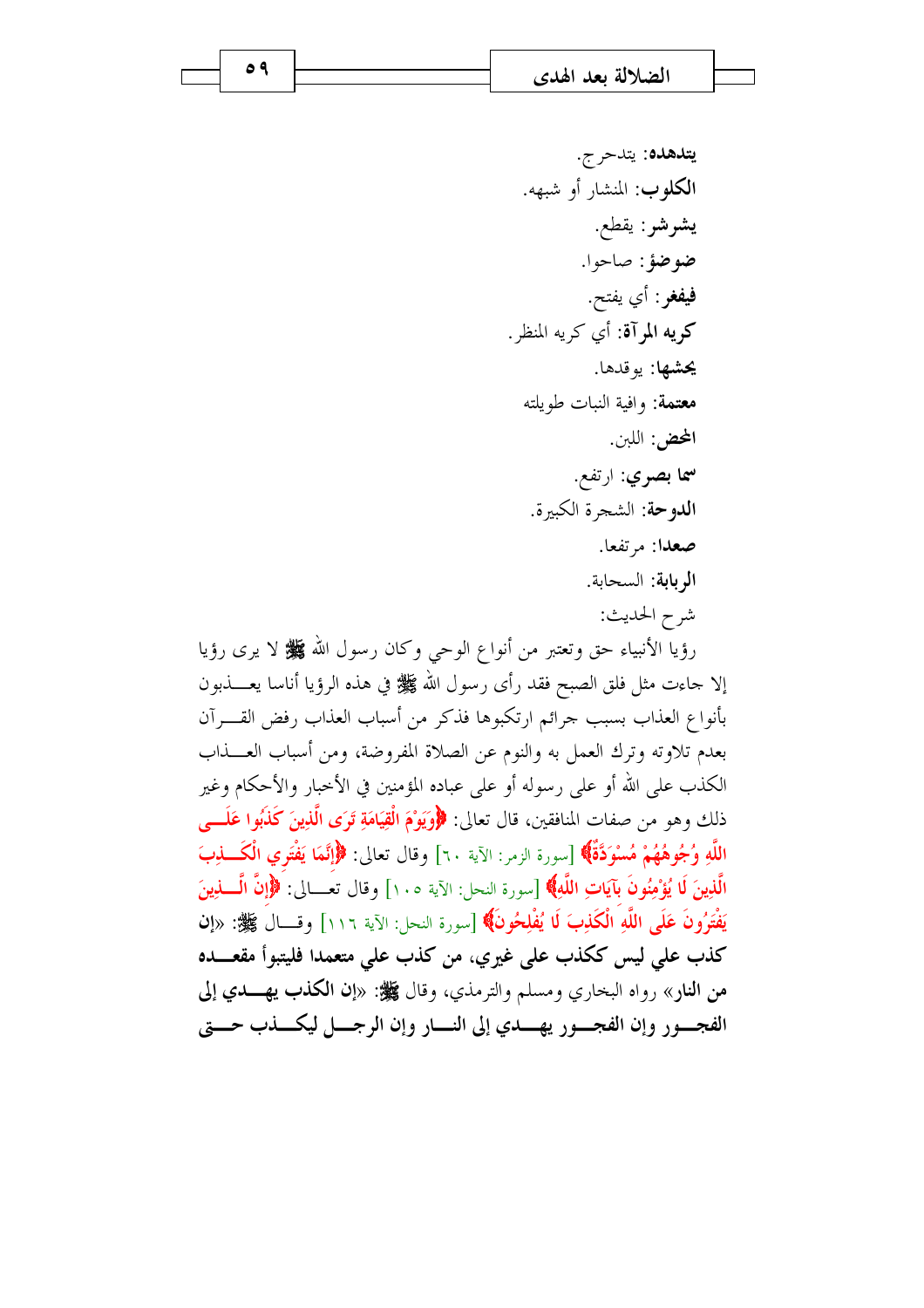يتدهده: يتدحرج. ا**لكلوب**: المنشار أو شبهه. يشرشر: يقطع. ضوضؤ: صاحوا. **فيفغر**: أي يفتح. كويه الموآة: أي كريه المنظر . يحشها: يوقدها. **معتمة**: وافية النبات طويلته المحض: اللبن. سما بصري: ارتفع. **الدوحة**: الشجرة الكبيرة. صعدا: مرتفعا. ا**لر بابة**: السحابة. شرح الحديث:

رؤيا الأنبياء حق وتعتبر من أنواع الوحي وكان رسول الله ﷺ لا يرى رؤيا إلا جاءت مثل فلق الصبح فقد رأى رسول الله ﷺ في هذه الرؤيا أناسا يعــــذبون بأنواع العذاب بسبب جرائم ارتكبوها فذكر من أسباب العذاب رفض القــــرآن بعدم تلاوته وترك العمل به والنوم عن الصلاة المفروضة، ومن أسباب العـــذاب الكذب على الله أو على رسوله أو على عباده المؤمنين في الأخبار والأحكام وغير ذلك وهو من صفات المنافقين، قال تعالى: ﴿وَيَوْمَ الْقِيَامَةِ تَرَى الَّذِينَ كَذَبُوا عَلَـــى اللَّهِ وُجُوهُهُمْ مُسْوَدَّةٌ﴾ [سورة الزمر: الآية ٢٠] وقال تعالى: ﴿إِنَّمَا يَفْتَرِي الْكَـــٰذِبَ الَّذِينَ لَا يُؤْمِنُونَ بِآيَاتِ اللَّهِ﴾ [سورة النحل: الآية ١٠٥] وقال تعَـــالى: ﴿إِنَّ الْــــٰذِينَ يَفْتَوُونَ عَلَى اللَّهِ الْكَلِبَ لَا يُفْلِحُونَ﴾ [سورة النحل: الآية ١١٦] وقــالَ ﷺ: «إن كذب على ليس ككذب على غيري، من كذب على متعمدا فليتبوأ مقعــده من النار» رواه البخاري ومسلم والترمذي، وقال ﷺ: «إن الكذب يهـــدي إلى الفجـــور وإن الفجـــور يهـــدي إلى النـــار وإن الرجـــل ليكـــذب حـــق

 $\circ$  ٩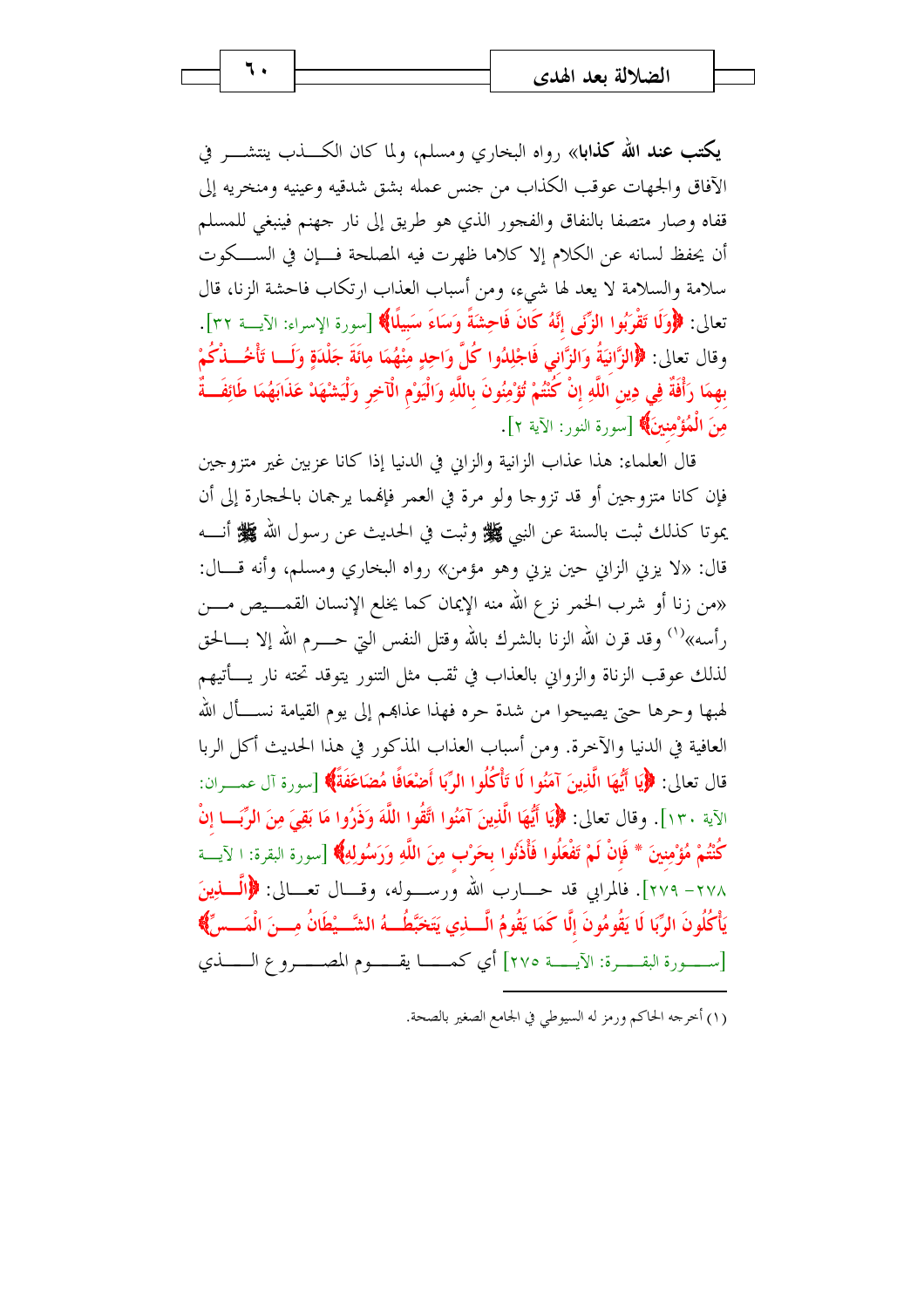|  | الضلاله بعد اهدى |  |
|--|------------------|--|
|  |                  |  |

**يكتب عند الله كذابا**» رواه البخاري ومسلم، ولما كان الكــــذب ينتشــــر في الآفاق والجهات عوقب الكذاب من جنس عمله بشق شدقيه وعينيه ومنخريه إلى قفاه وصار متصفا بالنفاق والفجور الذي هو طريق إلى نار جهنم فينبغي للمسلم أن يحفظ لسانه عن الكلام إلا كلاما ظهرت فيه المصلحة فـــإن في الســـكوت سلامة والسلامة لا يعد لها شيء، ومن أسباب العذاب ارتكاب فاحشة الزنا، قال تعالى: ﴿وَلَا تَقْرَبُوا الزَّنِي إِنَّهُ كَانَ فَاحِشَةً وَسَاءَ سَبِيلًا﴾ [سورة الإسراء: الآيـــة ٣٢]. وقال تعالى: ﴿الزَّانِيَةُ وَالزَّانِي فَاجْلِدُوا كُلَّ وَاحِدٍ مِنْهُمَا مِائَةَ جَلْدَةٍ وَلَــا تَأْخُـــذْكُمْ بهمَا رَأَفَةٌ فِي دِينِ اللَّهِ إنْ كُنْتُمْ تُؤْمِنُونَ باللَّهِ وَالْيَوْمِ الْآخِرِ وَلْيَشْهَدْ عَذَابَهُمَا طَائِفَتَّ مِنَ الْمُؤْمِنينَ﴾ [سورة النور: الآية ٢].

قال العلماء: هذا عذاب الزانية والزاني في الدنيا إذا كانا عزبين غير متزوجين فإن كانا متزوجين أو قد تزوجا ولو مرة في العمر فإنهما يرجمان بالحجارة إلى أن يموتا كذلك ثبت بالسنة عن النبي ﷺ وثبت في الحديث عن رسول الله ﷺ أنــــه قال: «لا يزين الزاين حين يزين وهو مؤمن» رواه البخاري ومسلم، وأنه قـــال: «من زنا أو شرب الخمر نزع الله منه الإيمان كما يخلع الإنسان القمـــيص مــــن رأسه»<sup>(١)</sup> وقد قرن الله الزنا بالشرك بالله وقتل النفس التي حــــرم الله إلا بــــالحق لذلك عوقب الزناة والزواين بالعذاب في ثقب مثل التنور يتوقد تحته نار يسأتيهم لهبها وحرها حتى يصيحوا من شدة حره فهذا عذابهم إلى يوم القيامة نســـأل الله العافية في الدنيا والآخرة. ومن أسباب العذاب المذكور في هذا الحديث أكل الربا قال تعالى: ﴿إِيَا أَيُّهَا الَّذِينَ آمَنُوا لَا تَأْكُلُوا الرِّبَا أَصْعَافًا مُضَاعَفَنَّ﴾ [سورة آل عمسران: الآية ١٣٠]. وقال تعالى: ﴿إِيَا أَيُّهَا الَّذِينَ آمَنُوا اتَّقُوا اللَّهَ وَذَرُوا مَا بَقِيَ مِنَ الرَّبَـــا إنْ كُنْتُمْ مُؤْمِنينَ \* فَإِنْ لَمْ تَفْعَلُوا فَأْذَنُوا بِحَرْبٍ مِنَ اللَّهِ وَرَسُولِهِ﴾ [سورة البقرة: ا لآيسة ٢٧٨ - ٢٧٩]. فالمرابي قد حــــارب الله وَرســــوله، وقـــال تعـــالي: ﴿الْـــــــــوِينَ يَأْكُلُو نَ الرِّبَا لَا يَقُومُو نَ إِلَّا كَمَا يَقُومُ الَّـــنِي يَتَخَبَّطُــهُ الشَّـــيْطَانُ مِـــنَ الْمَـــسِّ﴾ [ســــورة البقـــــرة: الآيـــــة ٢٧٥] أي كمــــــا يقــــــوم المصـــــروع الــــــذي

(١) أخرجه الحاكم ورمز له السيوطي في الجامع الصغير بالصحة.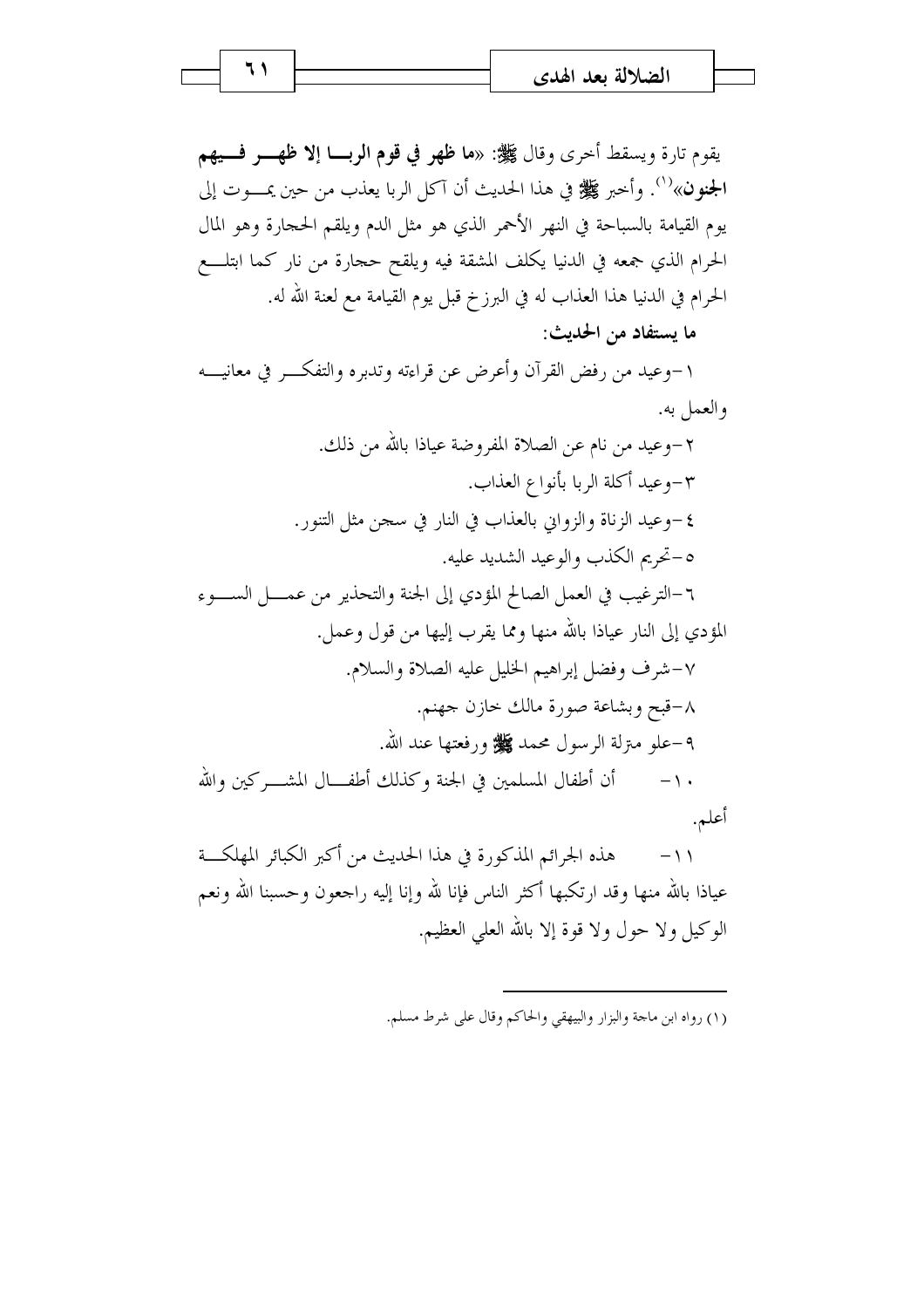|  | الضلاله بعد اهدى |  |
|--|------------------|--|
|  |                  |  |

يقوم تارة ويسقط أحرى وقال ﷺ: «ما ظهر في قوم الرببا إلا ظهـــر فسيهم الجنون»<sup>(١)</sup>. وأحبر ﷺ في هذا الحديث أن آكل الربا يعذب من حين يمـــوت إلى يوم القيامة بالسباحة في النهر الأحمر الذي هو مثل الدم ويلقم الحجارة وهو المال الحرام الذي جمعه في الدنيا يكلف المشقة فيه ويلقح حجارة من نار كما ابتلـــع الحرام في الدنيا هذا العذاب له في البرزخ قبل يوم القيامة مع لعنة الله له. ما يستفاد من الحديث:

١–وعيد من رفض القرآن وأعرض عن قراءته وتدبره والتفكـــر في معانيــــه والعمل به.

> ٢-وعيد من نام عن الصلاة المفروضة عياذا بالله من ذلك. ٣-وعيد أكلة الربا بأنواع العذاب. ٤–وعيد الزناة والزوايي بالعذاب في النار في سجن مثل التنور. ٥-تحريم الكذب والوعيد الشديد عليه.

٦-الترغيب في العمل الصالح المؤدى إلى الجنة والتحذير من عمسل السسوء المؤدي إلى النار عياذا بالله منها ومما يقرب إليها من قول وعمل.

٧–شرف وفضل إبراهيم الخليل عليه الصلاة والسلام.

٨–قبح وبشاعة صورة مالك خازن جهنم. ٩–علو مترلة الرسول محمد ﷺ ورفعتها عند الله.

أن أطفال المسلمين في الجنة وكذلك أطفـــال المشــــركين والله  $-1$ أعلم.

هذه الجرائم المذكورة في هذا الحديث من أكبر الكبائر المهلكـــة  $-11$ عياذا بالله منها وقد ارتكبها أكثر الناس فإنا لله وإنا إليه راجعون وحسبنا الله ونعم الوكيل ولا حول ولا قوة إلا بالله العلى العظيم.

(١) رواه ابن ماحة والبزار والبيهقي والحاكم وقال على شرط مسلم.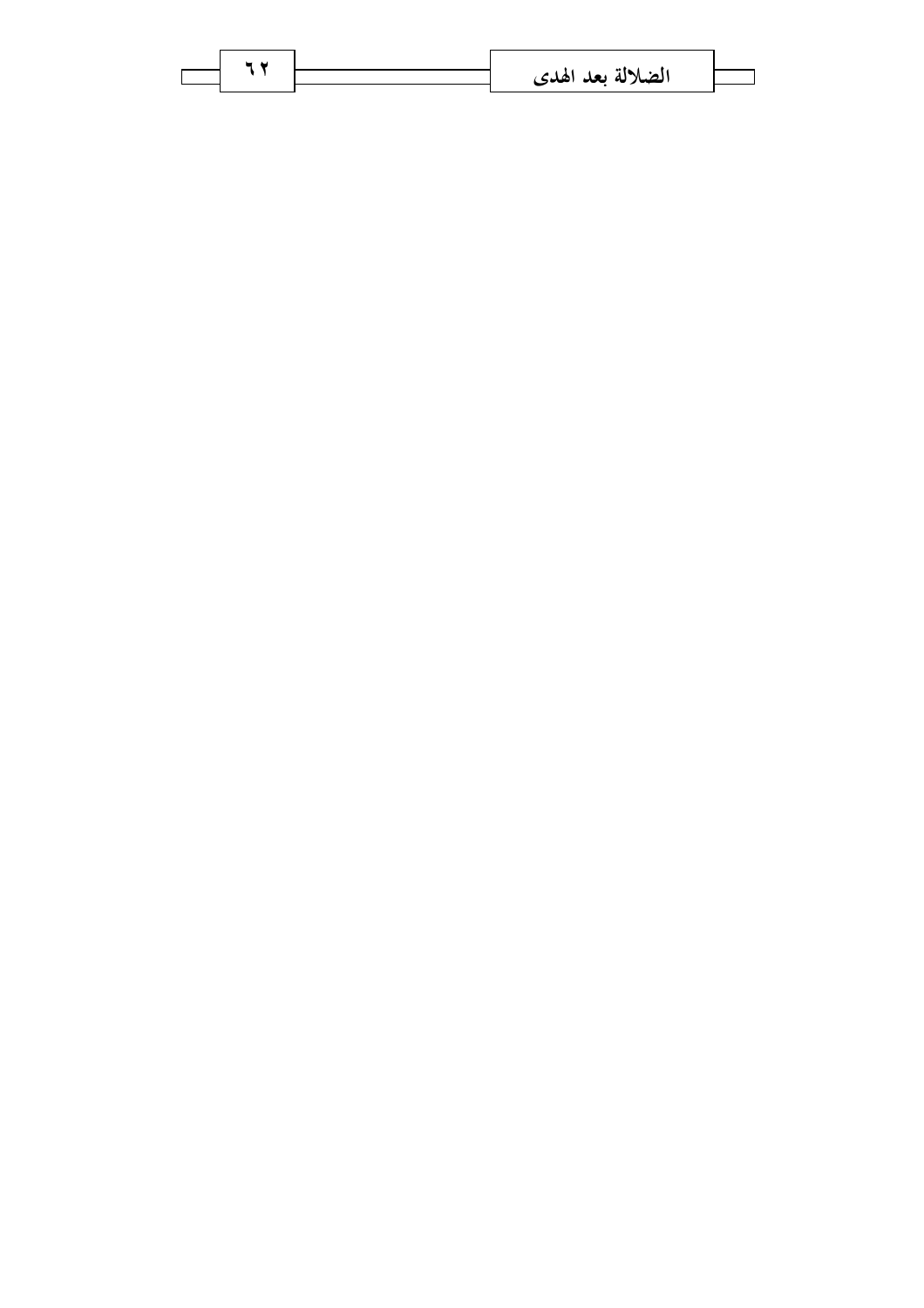|  | الضلالة بعد الهدي |  |
|--|-------------------|--|
|  |                   |  |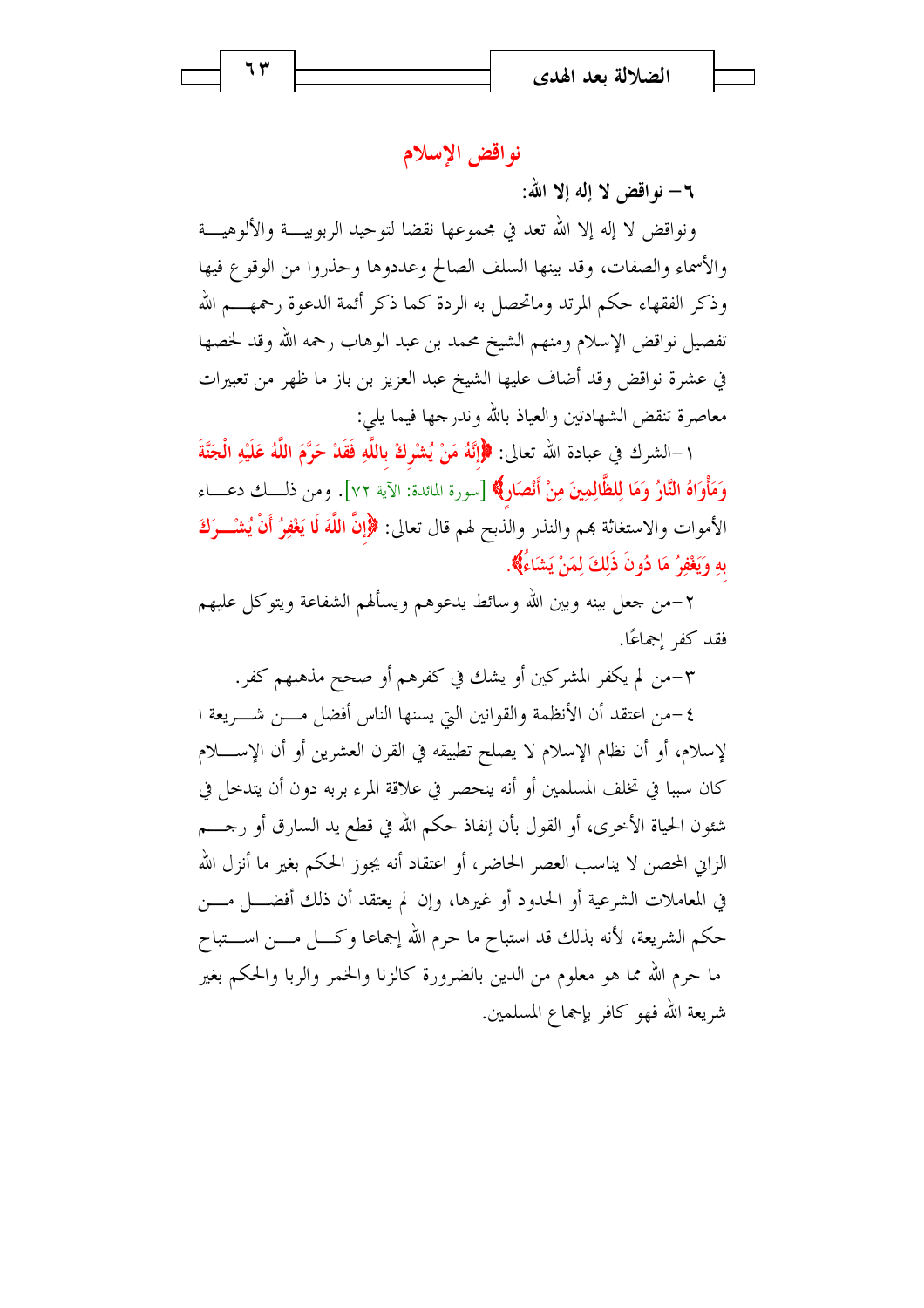## نو اقض الإسلام

٦ – نو اقض لا إله الا الله:

ونواقض لا إله إلا الله تعد في مجموعها نقضا لتوحيد الربوبيــــة والألوهيــــة والأسماء والصفات، وقد بينها السلف الصالح وعددوها وحذروا من الوقوع فيها وذكر الفقهاء حكم المرتد وماتحصل به الردة كما ذكر أئمة الدعوة رحمهــــم الله تفصيل نواقض الإسلام ومنهم الشيخ محمد بن عبد الوهاب رحمه الله وقد لخصها في عشرة نواقض وقد أضاف عليها الشيخ عبد العزيز بن باز ما ظهر من تعبيرات معاصرة تنقض الشهادتين والعياذ بالله وندرجها فيما يلي:

١ –الشرك في عبادة الله تعالى: ﴿إِنَّهُ مَنْ يُشْرِكْ بِاللَّهِ فَقَدْ حَرَّمَ اللَّهُ عَلَيْهِ الْجَنَّةَ وَمَأْوَاهُ النَّارُ وَمَا لِلظَّالِمِينَ مِنْ أَنْصَارٍ﴾ [سورة المائدة: الآية ٧٢]. ومن ذلــــك دعــــاء الأموات والاستغاثة بمم والنذر والذبح لهم قال تعالى: ﴿إِنَّ اللَّهَ لَا يَغْفِرُ أَنْ يُشْـــرَكَ بهِ وَيَغْفِرُ مَا دُونَ ذَلِكَ لِمَنْ يَشَاءُ﴾.

٢–من جعل بينه وبين الله وسائط يدعوهم ويسألهم الشفاعة ويتوكل عليهم فقد كفر إجماعًا.

٣-من لم يكفر المشركين أو يشك في كفرهم أو صحح مذهبهم كفر.

٤–من اعتقد أن الأنظمة والقوانين التي يسنها الناس أفضل مــــن شــــريعة ا لإسلام، أو أن نظام الإسلام لا يصلح تطبيقه في القرن العشرين أو أن الإســـــلام كان سببا في تخلف المسلمين أو أنه ينحصر في علاقة المرء بربه دون أن يتدخل في شئون الحياة الأخرى، أو القول بأن إنفاذ حكم الله في قطع يد السارق أو رجــــم الزاني المحصن لا يناسب العصر الحاضر، أو اعتقاد أنه يجوز الحكم بغير ما أنزل الله في المعاملات الشرعية أو الحدود أو غيرها، وإن لم يعتقد أن ذلك أفضـــــل مـــــن حكم الشريعة، لأنه بذلك قد استباح ما حرم الله إجماعا وكـــل مـــن اســـتباح ما حرم الله مما هو معلوم من الدين بالضرورة كالزنا والخمر والربا والحكم بغير شريعة الله فهو كافر بإجماع المسلمين.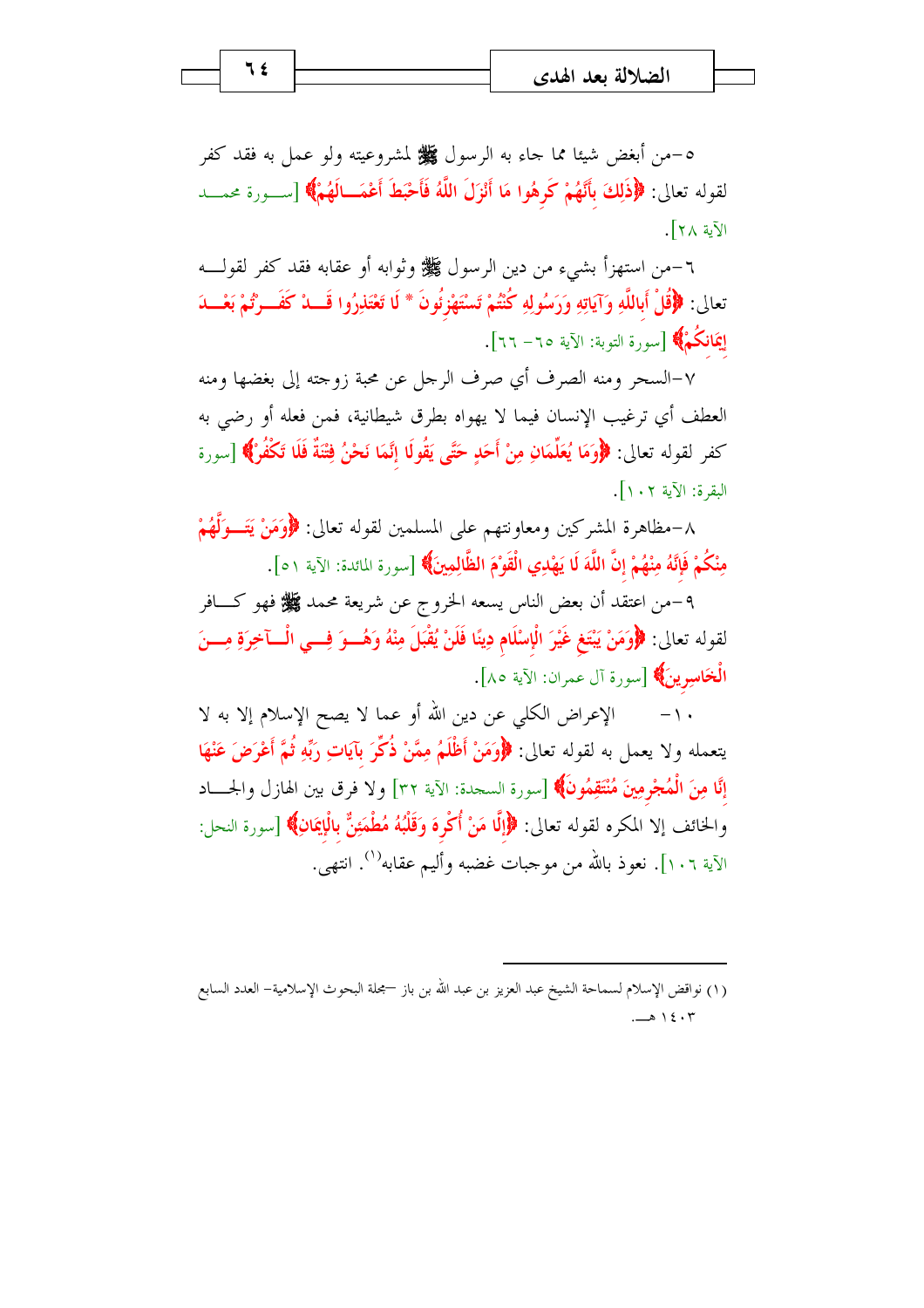|  | الضلاله بعد اهدى |  |
|--|------------------|--|
|  |                  |  |

٥–من أبغض شيئا مما جاء به الرسول ﷺ لمشروعيته ولو عمل به فقد كفر لقوله تعالى: ﴿ذَلِكَ بِأَنَّهُمْ كَرِهُوا مَا أَنْزَلَ اللَّهُ فَأَحْبَطَ أَعْمَــالَهُمْ﴾ [ســـورة محمـــد الآية ٢٨].

٦–من استهزأ بشيء من دين الرسول ﷺ وثوابه أو عقابه فقد كفر لقولـــه تعالى: ﴿قُلْ أَبِاللَّهِ وَآيَاتِهِ وَرَسُولِهِ كُنْتُمْ تَسْتَهْزِئُونَ \* لَا تَعْتَذِرُوا قَـــدْ كَفَـــرْتُمْ بَعْـــدَ **إِيمَانِكُمْ} [**سورة التوبة: الآية ٦٥– ٦٦].

٧-السحر ومنه الصرف أي صرف الرحل عن محبة زوجته إلى بغضها ومنه العطف أي ترغيب الإنسان فيما لا يهواه بطرق شيطانية، فمن فعله أو رضي به كفر لقوله تعالى: ﴿وَمَا يُعَلِّمَانِ مِنْ أَحَدٍ حَتَّى يَقُولَا إِنَّمَا نَحْنُ فِتْنَةٌ فَلَا تَكْفُنُ﴾ [سورة البقرة: الآية ١٠٢].

٨–مظاهرة المشركين ومعاونتهم على المسلمين لقوله تعالى: ﴿وَمَنْ يَتَــوَلَّهُمْ هِنْكُمْ فَإِنَّهُ مِنْهُمْ إِنَّ اللَّهَ لَا يَهْدِي الْقَوْمَ الظَّالِمِينَ﴾ [سورة المائدة: الآية ٥١].

٩–من اعتقد أن بعض الناس يسعه الخروج عن شريعة محمد ﷺ فهو كـــافر لقوله تعالى: ﴿وَمَنْ يَبْتَغِ غَيْرَ الْإِسْلَامِ دِينًا فَلَنْ يُقْبَلَ مِنْهُ وَهُـــوَ فِـــى الْـــآخِرَةِ مِـــنَ الْخَاسِرِينَ﴾ [سورة آل عمران: الآية ٨٥].

١٠- الإعراض الكلي عن دين الله أو عما لا يصح الإسلام إلا به لا يتعمله ولا يعمل به لقوله تعالى: ﴿وَمَنْ أَظْلَمُ مِمَّنْ ذُكِّرَ بِآيَاتِ رَبِّهِ ثُمَّ أَعْرَضَ عَنْهَا إِنَّا مِنَ الْمُجْرِمِينَ مُنْتَقِمُونَ﴾ [سورة السحدة: الآية ٣٢] ولا فرق بين الهازل والجــــاد والخائف إلا المكره لقوله تعالى: ﴿إِلَّا مَنْ أُكْرِهَ وَقَلْبُهُ مُطْمَئِنٌّ بِالْإِيمَانِ﴾ [سورة النحل: الآية ١٠٦]. نعوذ بالله من موجبات غضبه وأليم عقابه<sup>(١)</sup>. انتهى.

(١) نواقض الإسلام لسماحة الشيخ عبد العزيز بن عبد الله بن باز —مجلة البحوث الإسلامية– العدد السابع  $\rightarrow$   $\cdot$   $\cdot$   $\tau$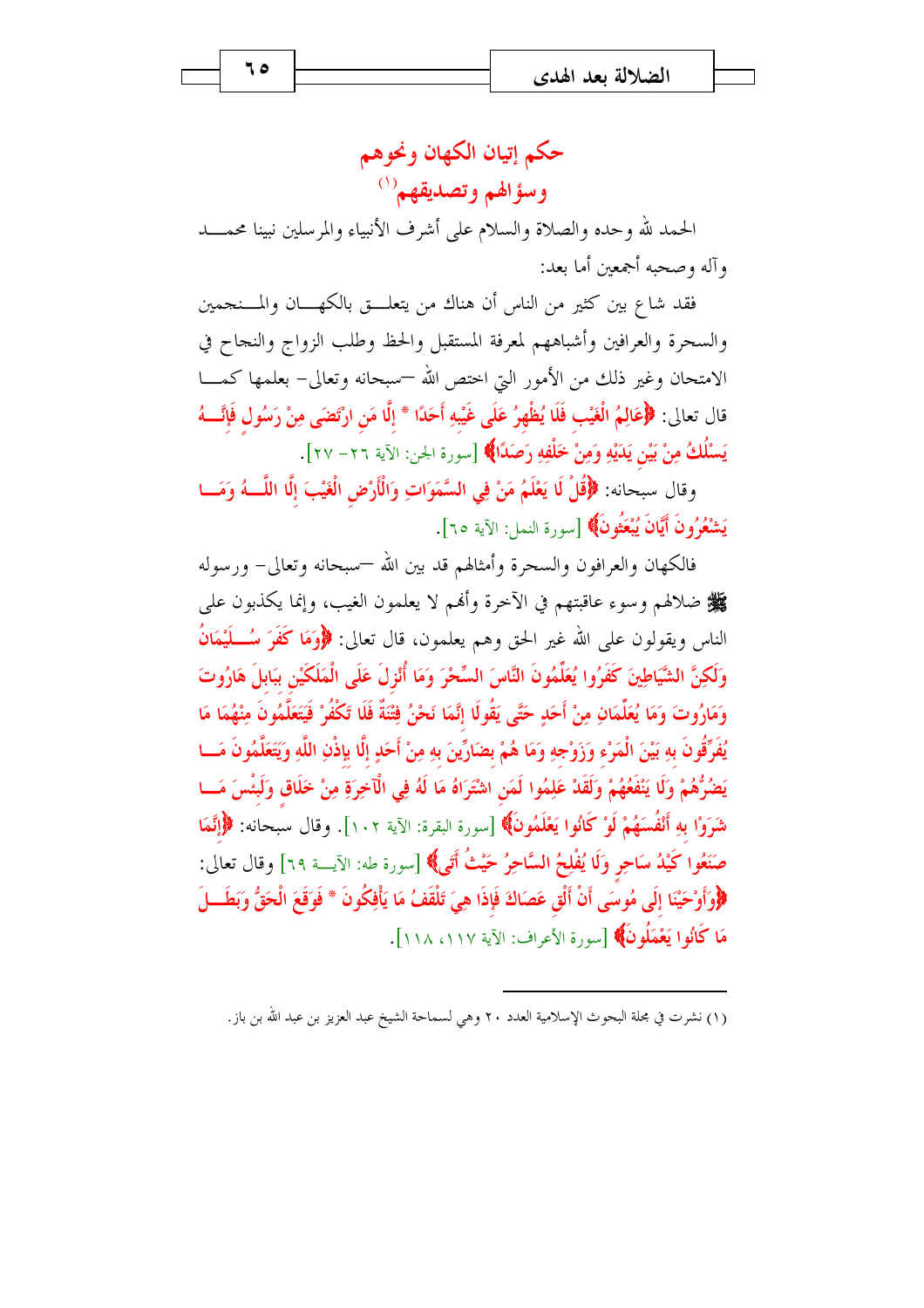حكم إتيان الكهان ونحوهم وسؤالهم وتصديقهم ( ا

الحمد لله وحده والصلاة والسلام علمي أشرف الأنبياء والمرسلين نبينا محمـــد وآله وصحبه أجمعين أما بعد:

فقد شاع بين كثيرٍ من الناس أن هناك من يتعلـــق بالكهــــان والمـــنجمين والسحرة والعرافين وأشباههم لمعرفة المستقبل والحظ وطلب الزواج والنجاح في الامتحان وغير ذلك من الأمور التي اختص الله —سبحانه وتعالى– بعلمها كمــــا قال تعالى: ﴿عَالِمُ الْغَيْبِ فَلَا يُظْهِرُ عَلَى غَيْبِهِ أَحَدًا \* إِلَّا مَنِ ارْتَضَى مِنْ رَسُول فَإِنَّـــهُ يَسْلُكُ مِنْ بَيْنِ يَدَيْهِ وَمِنْ خَلْفِهِ رَصَدًا﴾ [سورة الحن: الآية ٢٦– ٢٧].

وقال سبحانه: ﴿قُلْ لَا يَعْلَمُ مَنْ فِي السَّمَوَاتِ وَالْأَرْضِ الْغَيْبَ إِلَّا اللَّــهُ وَمَــا يَ**شْعُرُونَ أَيَّانَ يُبْعَثُونَ﴾** [سورة النمل: الآية ٦٥].

فالكهان والعرافون والسحرة وأمثالهم قد بين الله —سبحانه وتعالى– ورسوله ﷺ ضلالهم وسوء عاقبتهم في الآخرة وأفمم لا يعلمون الغيب، وإنما يكذبون على الناس ويقولون على الله غير الحق وهم يعلمون، قال تعالى: ﴿وَمَا كَفَرَ سُـــلَيْمَانُ وَلَكِنَّ الشَّيَاطِينَ كَفَرُوا يُعَلِّمُونَ النَّاسَ السِّحْرَ وَمَا أُنْزِلَ عَلَى الْمَلَكَيْنِ ببَابلَ هَارُوتَ وَمَارُوتَ وَمَا يُعَلِّمَانِ مِنْ أَحَدٍ حَتَّى يَقُولَا إِنَّمَا نَحْنُ فِتْنَةٌ فَلَا تَكْفُرْ فَيَتَعَلَّمُونَ مِنْهُمَا مَا يُفَرِّقُونَ بهِ بَيْنَ الْمَرْء وَزَوْجِهِ وَمَا هُمْ بِضَارِّينَ بهِ مِنْ أَحَدٍ إلَّا بإذْنِ اللَّهِ وَيَتَعَلَّمُونَ مَـــا يَضُرُّهُمْ وَلَا يَنْفَعُهُمْ وَلَقَدْ عَلِمُوا لَمَنِ اشْتَرَاهُ مَا لَهُ فِي الْآخِرَةِ مِنْ خَلَاق وَلَبتْسَ مَسا شَوَوْا بِهِ أَنْفُسَهُمْ لَوْ كَانُوا يَعْلَمُونَ﴾ [سورة البقرة: الآية ١٠٢]. وقال سبحانه: ﴿إِنَّمَا صَنَعُوا كَيْدُ سَاحِرٍ وَلَا يُفْلِحُ السَّاحِرُ حَيْثُ أَتَى﴾ [سورة طه: الآيـــة ٦٩] وقال تعالى: ﴿وَأَوْحَيْنَا إِلَى مُوسَى أَنْ أَلْقِ عَصَاكَ فَإِذَا هِيَ تَلْقَفُ مَا يَأْفِكُونَ \* فَوَقَعَ الْحَقُّ وَبَطَــلَ هَ**ا كَانُوا يَعْمَلُونَ﴾** [سورة الأعراف: الآية ١١٧، ١١٨].

<sup>(</sup>١) نشرت في مجلة البحوث الإسلامية العدد ٢٠ وهي لسماحة الشيخ عبد العزيز بن عبد الله بن باز .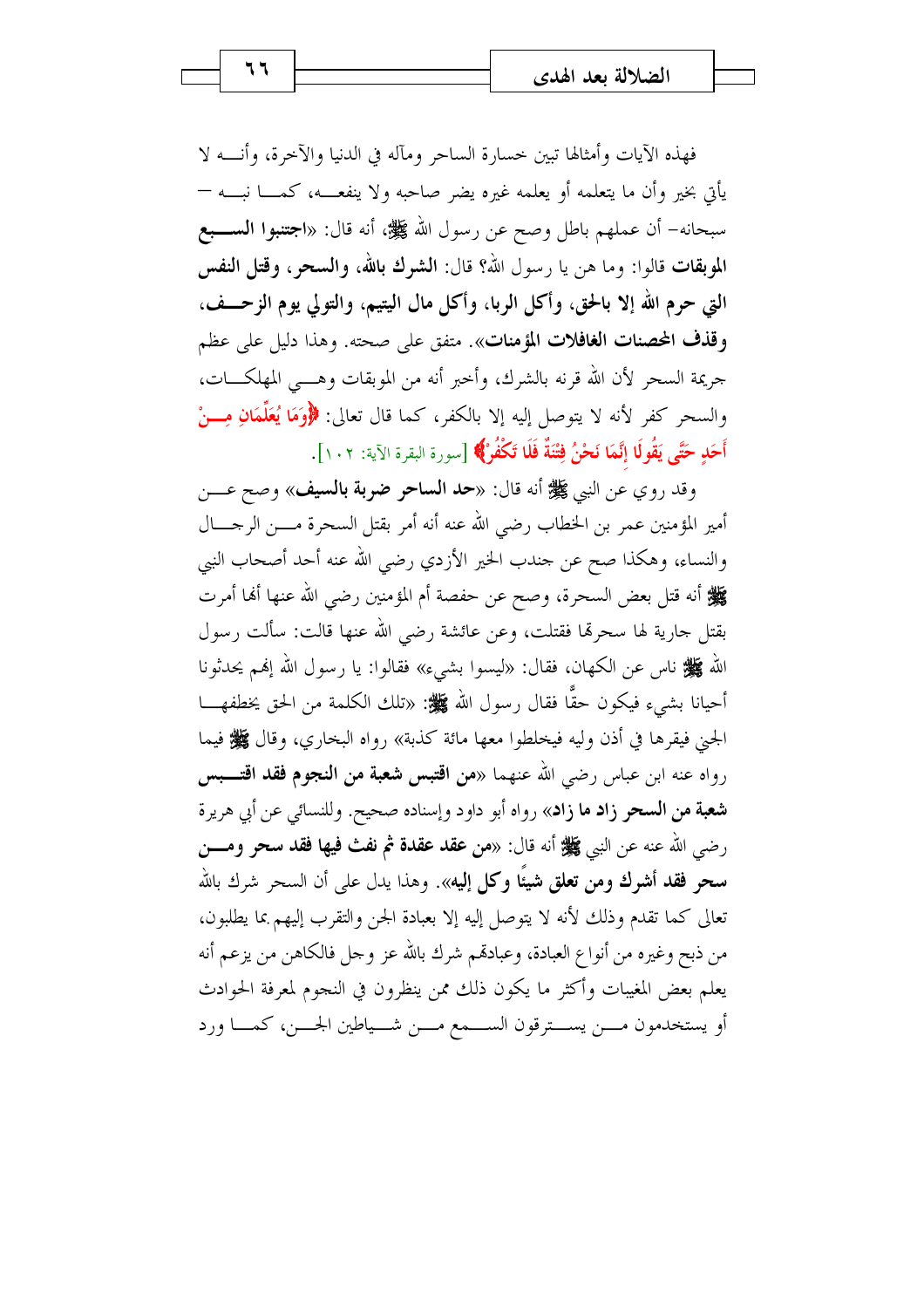فهذه الآيات وأمثالها تبين خسارة الساحر ومآله في الدنيا والآخرة، وأنــــه لا يأتي بخير وأن ما يتعلمه أو يعلمه غيره يضر صاحبه ولا ينفعـــه، كمــــا نبــــه — سبحانه- أن عملهم باطل وصح عن رسول الله صلى الله على: «اجتنبوا الســـبع الموبقات قالوا: وما هن يا رسول الله؟ قال: الشرك بالله، والسحر، وقتل النفس التي حرم الله إلا بالحق، وأكل الربا، وأكل مال اليتيم، والتولي يوم الزحــف، وقذف المحصنات الغافلات المؤمنات». متفق على صحته. وهذا دليل على عظم جريمة السحر لأن الله قرنه بالشرك، وأحبر أنه من الموبقات وهـــي المهلكــــات، والسَّحْرِ كفر لأنه لا يتوصل إليه إلا بالكفر، كما قال تعالى: ﴿وَمَا يُعَلِّمَانِ مِسْنُ أَحَلِ حَتَّى يَقُولًا إِنَّمَا نَحْنُ فِتْنَةٌ فَلَا تَكْفُرْ﴾ [سورة البقرة الآية: ١٠٢].

وقد روي عن النبي ﷺ أنه قال: «حد الساحر ضربة بالسيف» وصح عـــن أمير المؤمنين عمر بن الخطاب رضي الله عنه أنه أمر بقتل السحرة مــــن الرجــــال والنساء، وهكذا صح عن جندب الخير الأزدي رضي الله عنه أحد أصحاب النبي ﷺ أنه قتل بعض السحرة، وصح عن حفصة أم المؤمنين رضي الله عنها ألها أمرت بقتل جارية لها سحرقما فقتلت، وعن عائشة رضي الله عنها قالت: سألت رسول الله ﷺ ناس عن الكهان، فقال: «ليسوا بشيء» فقالوا: يا رسول الله إنهم يحدثونا أحيانا بشيء فيكون حقًّا فقال رسول الله ﷺ: «تلك الكلمة من الحق يخطفهــــا الجني فيقرها في أذن وليه فيخلطوا معها مائة كذبة» رواه البخاري، وقال ﷺ فيما رواه عنه ابن عباس رضي الله عنهما «من اقتبس شعبة من ا**لنجوم فقد اقتـــبس شعبة من السحر زاد ما زاد**» رواه أبو داود وإسناده صحيح. وللنسائي عن أبي هريرة رضي الله عنه عن النبي ﷺ أنه قال: «من عقد عقدة ثم نفث فيها فقد سحر ومـــن **سحر فقد أشرك ومن تعلق شيئًا وكل إليه**». وهذا يدل على أن السحر شرك بالله تعالى كما تقدم وذلك لأنه لا يتوصل إليه إلا بعبادة الجن والتقرب إليهم بما يطلبون، من ذبح وغيره من أنواع العبادة، وعبادقم شرك بالله عز وجل فالكاهن من يزعم أنه يعلم بعض المغيبات وأكثر ما يكون ذلك ممن ينظرون في النجوم لمعرفة الحوادث أو يستخدمون مــــن يســــترقون الســــمع مــــن شــــياطين الجــــن، كمــــا ورد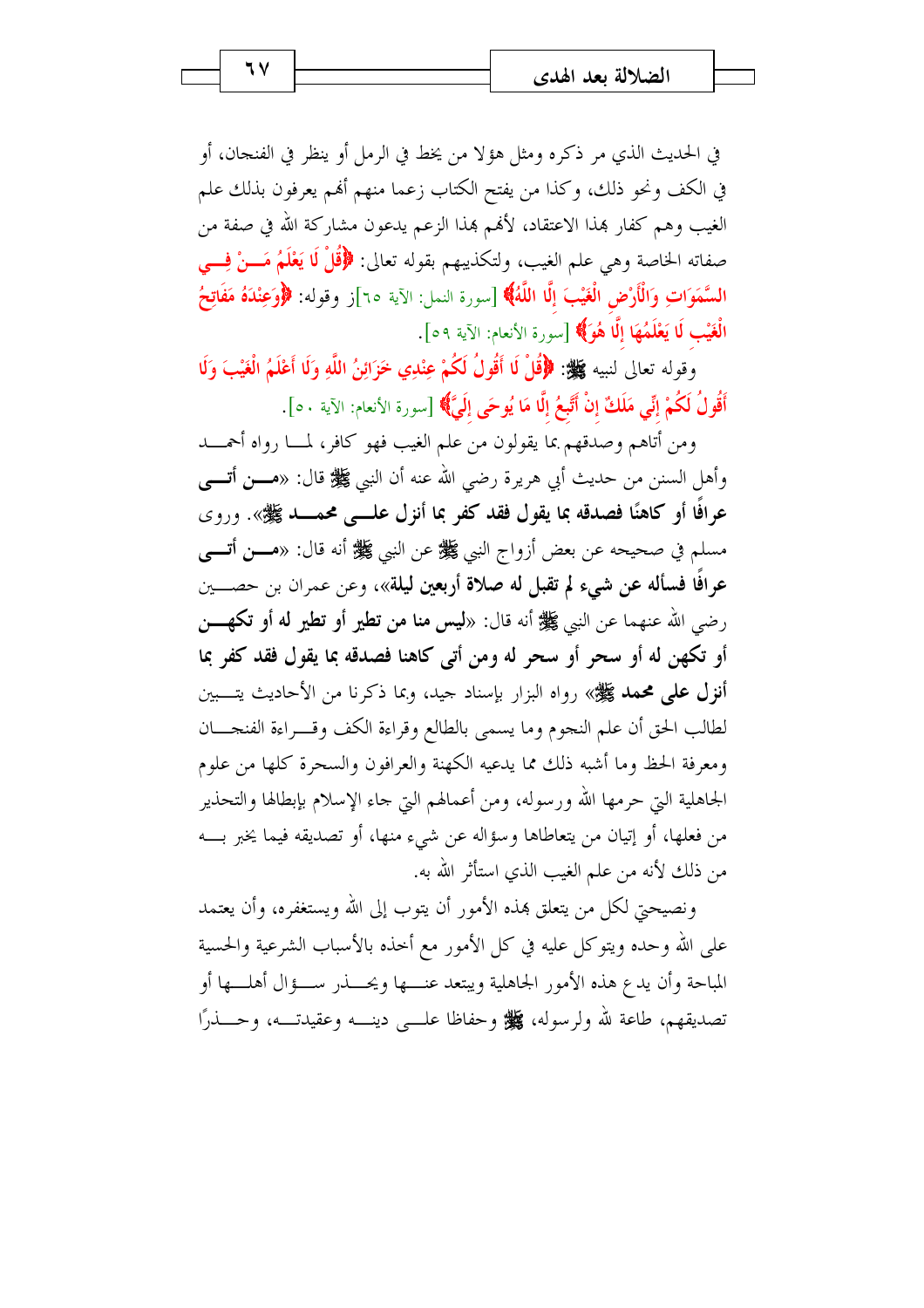|  | الضلاله بعد اهدى |  |
|--|------------------|--|
|  |                  |  |

في الحديث الذي مر ذكره ومثل هؤلا من يخط في الرمل أو ينظر في الفنجان، أو في الكف ونحو ذلك، وكذا من يفتح الكتاب زعما منهم ألهم يعرفون بذلك علم الغيب وهم كفار بمذا الاعتقاد، لألهم بمذا الزعم يدعون مشاركة الله في صفة من صفاته الخاصة وهي علم الغيب، ولتكذيبهم بقوله تعالى: ﴿قُلْ لَا يَعْلَمُ مَـــنْ فِـــى السَّمَوَاتِ وَالْأَرْضِ الْغَيْبَ إِلَّا اللَّهُ﴾ [سورة النمل: الآية ٢٥]ز وقوله: ﴿وَعِنْدَهُ مَفَاتِحُ الْغَيْبِ لَمَا يَعْلَمُهَا إِلَّا هُوَ﴾ [سورة الأنعام: الآية ٥٩].

وقوله تعالى لنبيه ﷺ: ﴿قُلْ لَا أَقُولُ لَكُمْ عِنْدِي خَزَائِنُ اللَّهِ وَلَا أَعْلَمُ الْغَيْبَ وَلَا أَقُولُ لَكُمْ إِنِّي مَلَكٌ إِنْ أَتَّبِعُ إِلَّا مَا يُوحَى إِلَيَّ﴾ [سورة الأنعام: الآية ٥٠].

ومن أتاهم وصدقهم بما يقولون من علم الغيب فهو كافر، لمـــا رواه أحمـــد وأهل السنن من حديث أبي هريرة رضي الله عنه أن النبي ﷺ قال: «مــــن أتــــى عرافًا أو كاهنًا فصدقه بما يقول فقد كفر بما أنزل علـــي محمــــد ﷺ». وروى مسلم في صحيحه عن بعض أزواج النبي ﷺ عن النبي ﷺ أنه قال: «مــــن أتــــي عوافًا فسأله عن شيء لم تقبل له صلاة أربعين ليلة»، وعن عمران بن حصــــين رضي الله عنهما عن النبي ﷺ أنه قال: «ليس منا من **تط**ير أو **تطير له أو تكهــــن** أو تكهن له أو سحرٍ أو سحرٍ له ومن أتبي كاهنا فصدقه بما يقول فقد كفر بما أنول على محمد ﷺ» رواه البزار بإسناد حيد، وبما ذكرنا من الأحاديث يتـــبين لطالب الحق أن علم النجوم وما يسمى بالطالع وقراءة الكف وقسراءة الفنجسان ومعرفة الحظ وما أشبه ذلك مما يدعيه الكهنة والعرافون والسحرة كلها من علوم الجاهلية التي حرمها الله ورسوله، ومن أعمالهم التي حاء الإسلام بإبطالها والتحذير من فعلها، أو إتيان من يتعاطاها وسؤاله عن شيء منها، أو تصديقه فيما يخبر بــــه من ذلك لأنه من علم الغيب الذي استأثر الله به.

ونصيحتي لكل من يتعلق هذه الأمور أن يتوب إلى الله ويستغفره، وأن يعتمد على الله وحده ويتوكل عليه في كل الأمور مع أحذه بالأسباب الشرعية والحسية المباحة وأن يدع هذه الأمور الجاهلية ويبتعد عنـــها ويحـــذر ســـؤال أهلـــها أو تصديقهم، طاعة لله ولرسوله، ﷺ وحفاظا علـــى دينــــه وعقيدتــــه، وحــــذرًا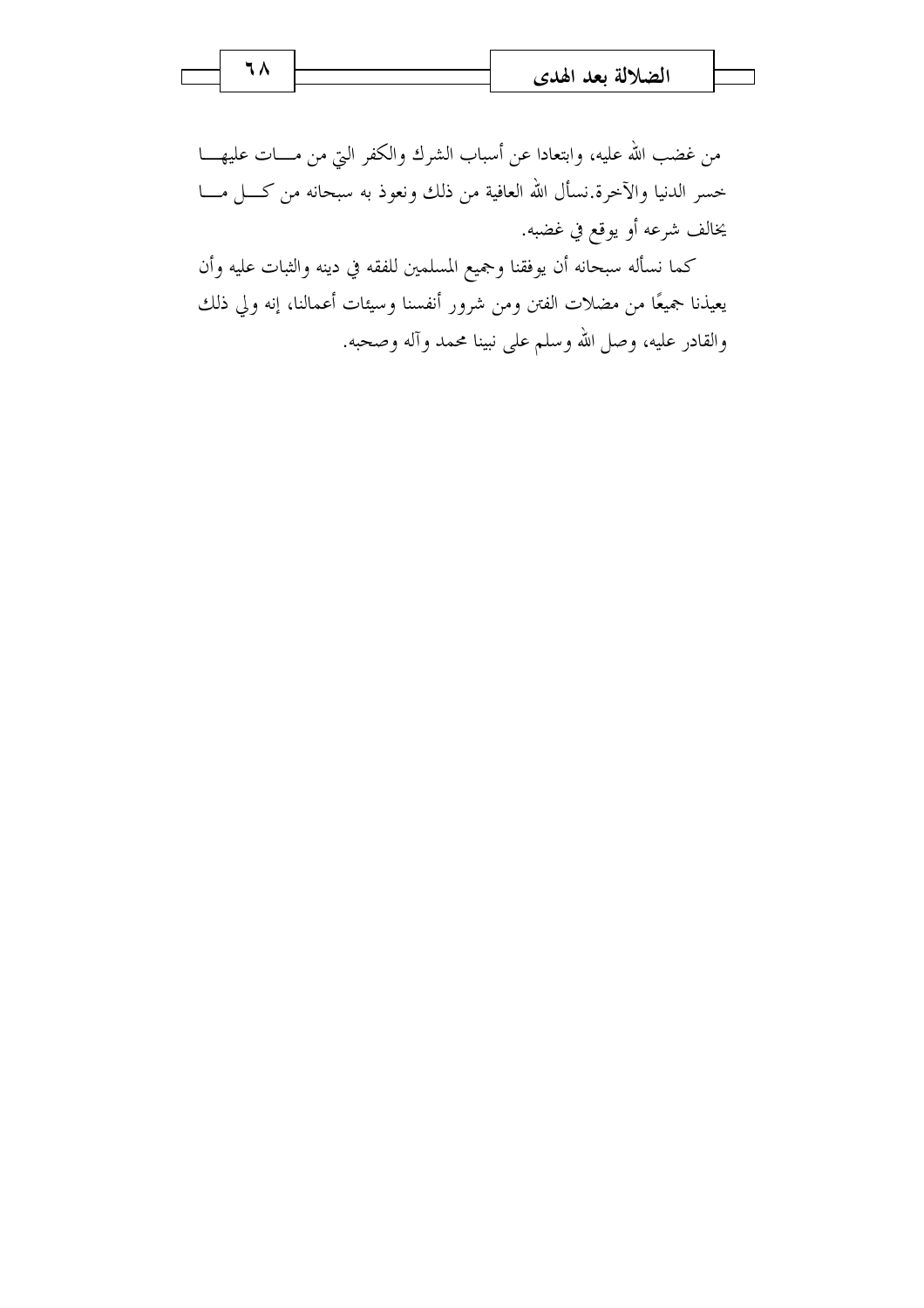|  | الضلاله بعد اهدى |  |
|--|------------------|--|
|  |                  |  |

من غضب الله عليه، وابتعادا عن أسباب الشرك والكفر التي من مــــات عليهــــا خسر الدنيا والآخرة.نسأل الله العافية من ذلك ونعوذ به سبحانه من كــــل مــــا يخالف شرعه أو يوقع في غضبه.

كما نسأله سبحانه أن يوفقنا وجميع المسلمين للفقه في دينه والثبات عليه وأن يعيذنا جميعًا من مضلات الفتن ومن شرور أنفسنا وسيئات أعمالنا، إنه ولي ذلك والقادر عليه، وصل الله وسلم على نبينا محمد وآله وصحبه.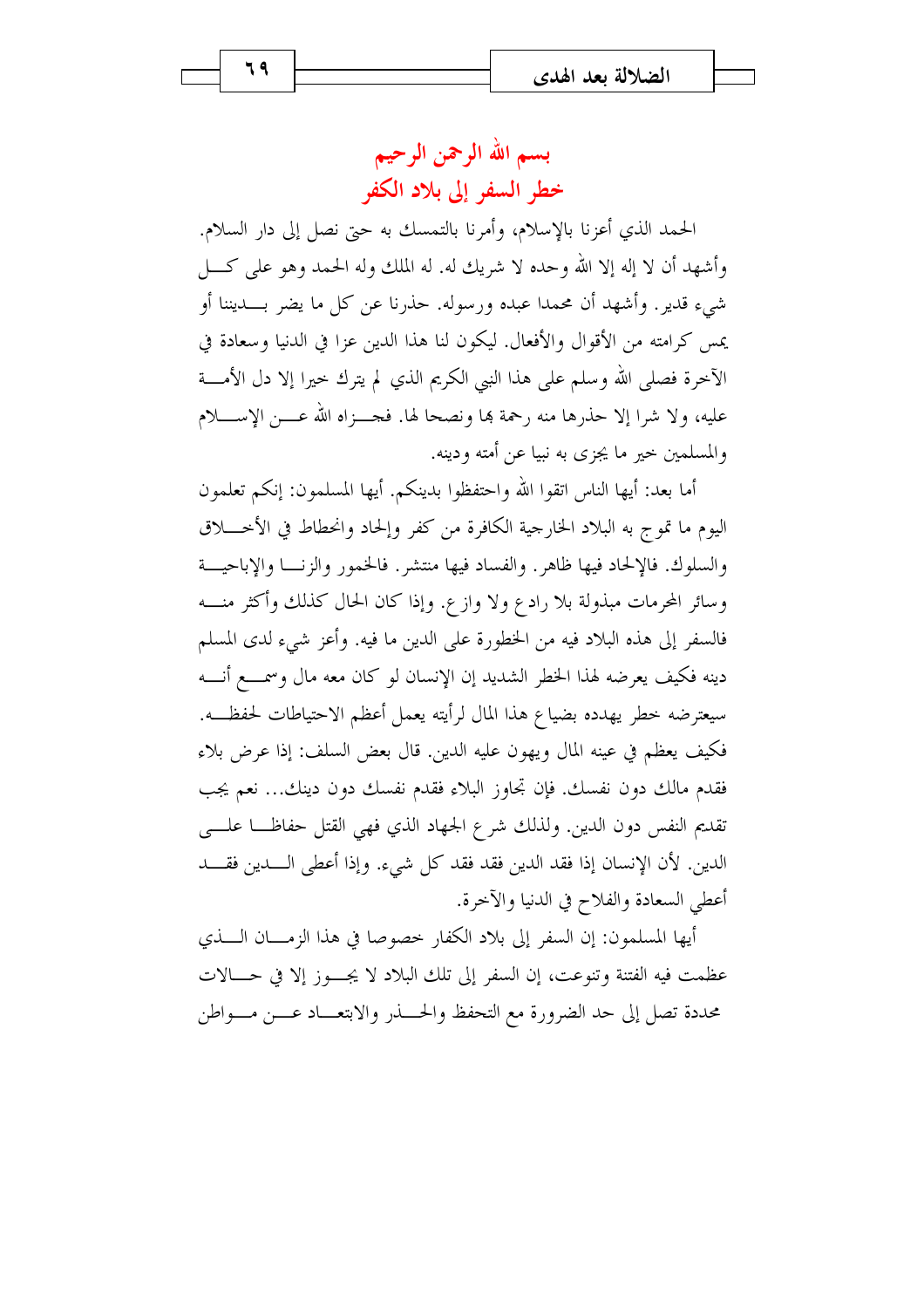بسم الله الرحمن الرحيم خطر السفر إلى بلاد الكفر

الحمد الذي أعزنا بالإسلام، وأمرنا بالتمسك به حتى نصل إلى دار السلام. وأشهد أن لا إله إلا الله وحده لا شريك له. له الملك وله الحمد وهو على كــــل شيء قدير. وأشهد أن محمدا عبده ورسوله. حذرنا عن كل ما يضر بـــديننا أو يمس كرامته من الأقوال والأفعال. ليكون لنا هذا الدين عزا في الدنيا وسعادة في الآخرة فصلي الله وسلم على هذا النبي الكريم الذي لم يترك خيرا إلا دل الأمــــة عليه، ولا شرا إلا حذرها منه رحمة بما ونصحا لها. فجـــزاه الله عـــن الإســــلام والمسلمين حير ما يجزي به نبيا عن أمته ودينه.

أما بعد: أيها الناس اتقوا الله واحتفظوا بدينكم. أيها المسلمون: إنكم تعلمون اليوم ما تموج به البلاد الخارجية الكافرة من كفر وإلحاد وانحطاط في الأخــــلاق والسلوك. فالإلحاد فيها ظاهر. والفساد فيها منتشر. فالخمور والزنسا والإباحيـــة وسائر المحرمات مبذولة بلا رادع ولا وازع. وإذا كان الحال كذلك وأكثر منــــه فالسفر إلى هذه البلاد فيه من الخطورة على الدين ما فيه. وأعز شيء لدى المسلم دينه فكيف يعرضه لهذا الخطر الشديد إن الإنسان لو كان معه مال وسمــــع أنــــه سيعترضه خطر يهدده بضياع هذا المال لرأيته يعمل أعظم الاحتياطات لحفظـــه. فكيف يعظم في عينه المال ويهون عليه الدين. قال بعض السلف: إذا عرض بلاء فقدم مالك دون نفسك. فإن تجاوز البلاء فقدم نفسك دون دينك... نعم يجب تقديم النفس دون الدين. ولذلك شرع الجهاد الذي فهي القتل حفاظـــا علــــى الدين. لأن الإنسان إذا فقد الدين فقد فقد كل شيء. وإذا أعطى الـــدين فقـــد أعطى السعادة والفلاح في الدنيا والآخرة.

أيها المسلمون: إن السفر إلى بلاد الكفار خصوصا في هذا الزمـــان الــــذي عظمت فيه الفتنة وتنوعت، إن السفر إلى تلك البلاد لا يجــوز إلا في حـــالات محددة تصل إلى حد الضرورة مع التحفظ والحسذر والابتعساد عسن مسواطن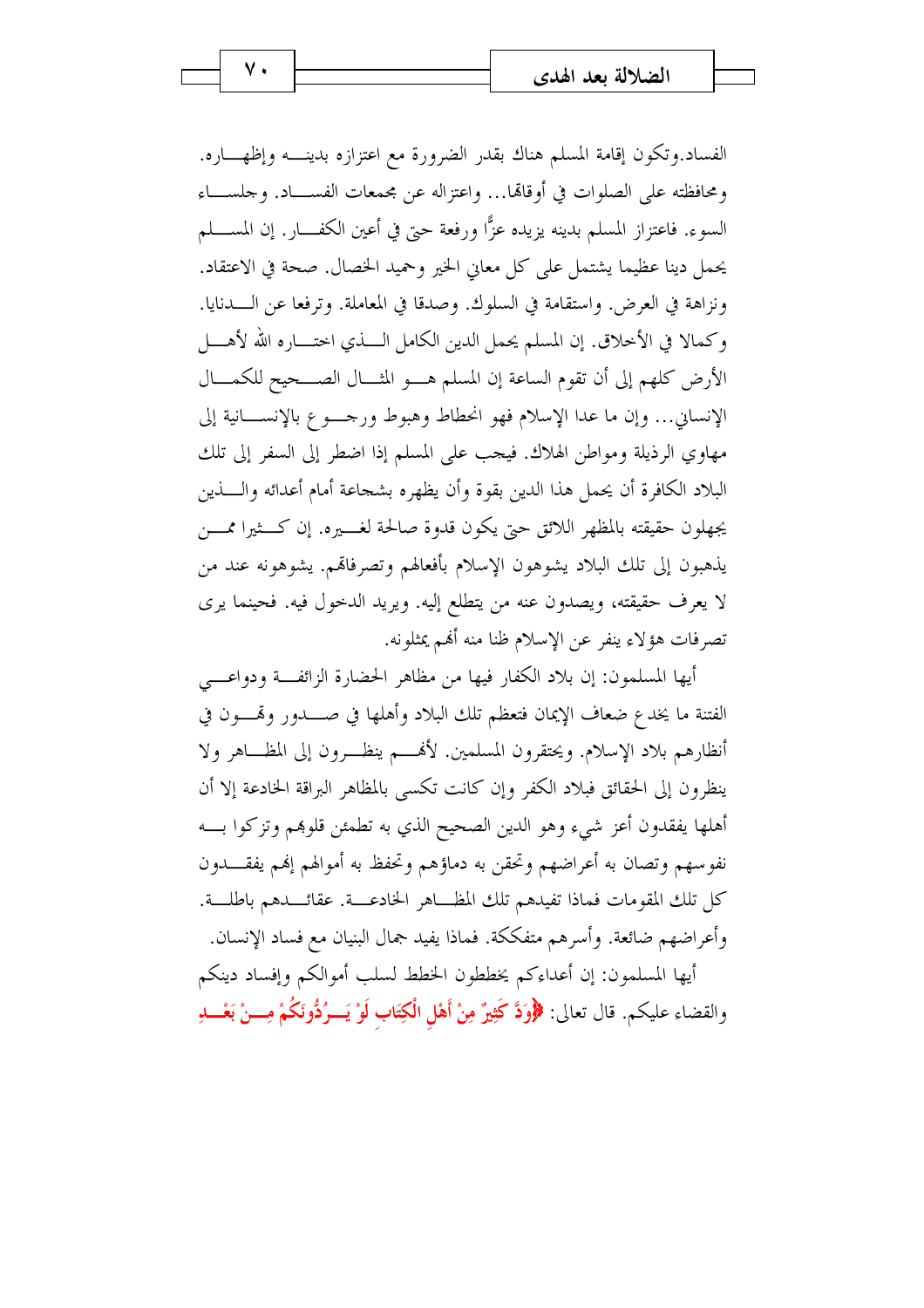|  | الضلالة بعد الهدي |  |
|--|-------------------|--|
|  |                   |  |

الفساد.وتكون إقامة المسلم هناك بقدر الضرورة مع اعتزازه بدينــــه وإظهــــاره. ومحافظته على الصلوات في أوقالها... واعتزاله عن مجمعات الفســـاد. وجلســـاء السوءِ. فاعتزاز المسلم بدينه يزيده عزًّا ورفعة حتى في أعين الكفـــار . إن المســــلم يحمل دينا عظيما يشتمل على كل معاني الخير وحميد الخصال. صحة في الاعتقاد. ونزاهة في العرض. واستقامة في السلوك. وصدقا في المعاملة. وترفعا عن الـــدنايا. وكمالا في الأخلاق. إن المسلم يحمل الدين الكامل الــــذي اختــــاره الله لأهـــــل الأرض كلهم إلى أن تقوم الساعة إن المسلم هـــو المثـــال الصــــحيح للكمــــال الإنساني... وإن ما عدا الإسلام فهو انحطاط وهبوط ورجسوع بالإنســـانية إلى مهاوى الرذيلة ومواطن الهلاك. فيجب على المسلم إذا اضطر إلى السفر إلى تلك البلاد الكافرة أن يحمل هذا الدين بقوة وأن يظهره بشجاعة أمام أعدائه والــــذين يجهلون حقيقته بالمظهر اللائق حتى يكون قدوة صالحة لغسيره. إن كشيرا ممسن يذهبون إلى تلك البلاد يشوهون الإسلام بأفعالهم وتصرفاقمم. يشوهونه عند من لا يعرف حقيقته، ويصدون عنه من يتطلع إليه. ويريد الدخول فيه. فحينما يرى تصرفات هؤ لاءِ ينفر عن الإسلام ظنا منه أُلهم يمثلونه.

أيها المسلمون: إن بلاد الكفار فيها من مظاهر الحضارة الزائفـــة ودواعــــي الفتنة ما يخدع ضعاف الإيمان فتعظم تلك البلاد وأهلها في صــــــدور وقمــــون في أنظارهم بلاد الإسلام. ويحتقرون المسلمين. لأفمـــم ينظـــرون إلى المظـــاهر ولا ينظرون إلى الحقائق فبلاد الكفر وإن كانت تكسى بالمظاهر البراقة الخادعة إلا أن أهلها يفقدون أعز شيء وهو الدين الصحيح الذي به تطمئن قلوهم وتزكوا بسه نفوسهم وتصان به أعراضهم وتحقن به دماؤهم وتحفظ به أموالهم إفمم يفقـــدون كل تلك المقومات فماذا تفيدهم تلك المظـــاهر الخادعـــة. عقائــــدهم باطلـــة. وأعراضهم ضائعة. وأسرهم متفككة. فماذا يفيد جمال البنيان مع فساد الإنسان.

أيها المسلمون: إن أعداءكم يخططون الخطط لسلب أموالكم وإفساد دينكم والقضاء عليكم. قال تعالى: ﴿وَدَّ كَثِيرٌ مِنْ أَهْلِ الْكِتَابِ لَوْ يَسِرُدُّونَكُمْ مِسْنْ بَعْسْدِ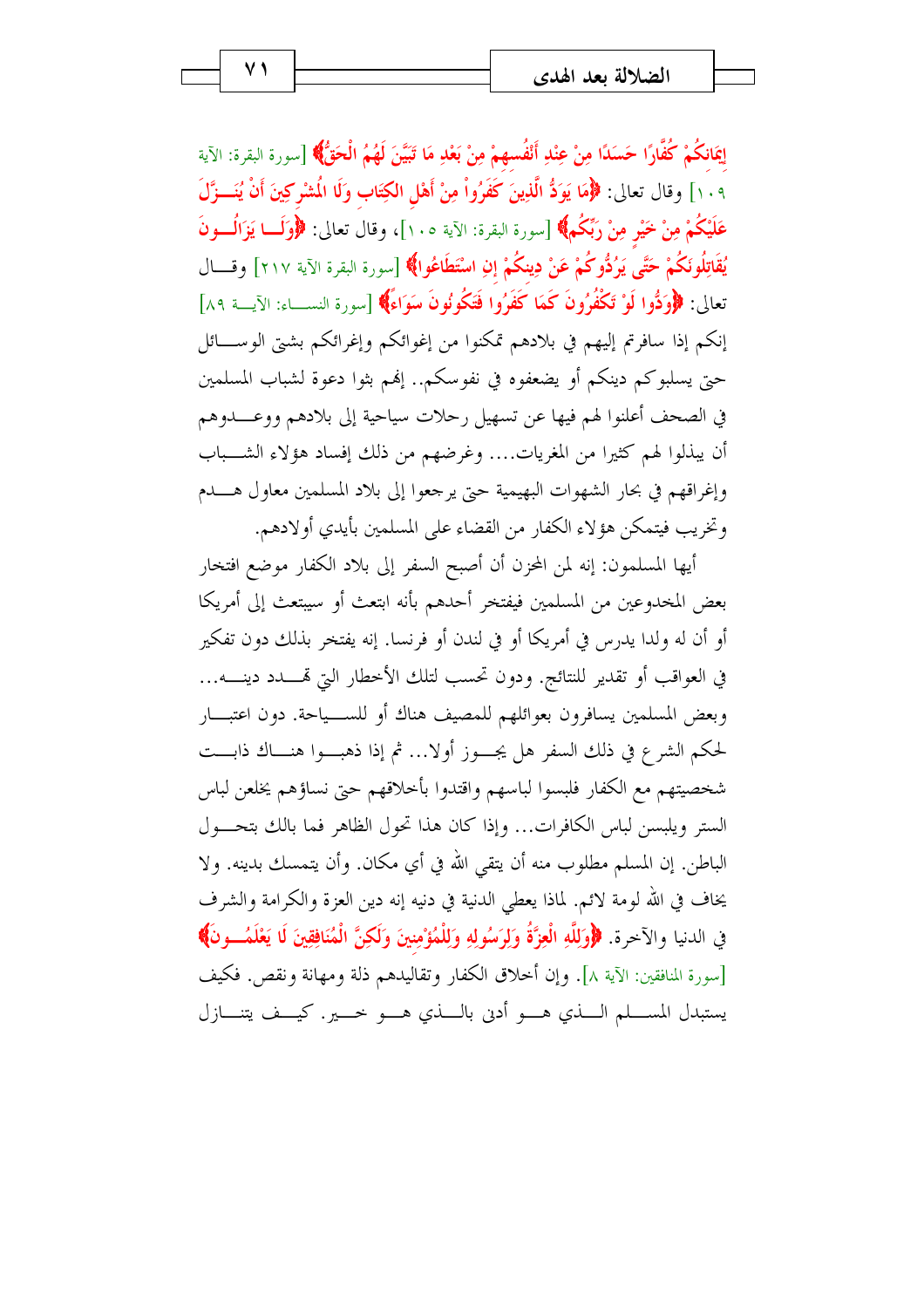|  | الضلالة بعد الهدى |
|--|-------------------|
|  |                   |

**إيمَانكُمْ كُفَّارًا حَسَلَاا مِنْ عِنْدِ أَنْفُسهمْ مِنْ بَعْدِ مَا تَبَيَّنَ لَهُمُ الْحَقُّ﴾ [**سورة البقرة: الآية ١٠٩] وقال تعالى: ﴿مَا يَوَدُّ الَّذِينَ كَفَرُواْ مِنْ أَهْلِ الكِتَابِ وَلَا الْمَشْرِكِينَ أَنْ يُنَــزَّلَ عَلَيْكُمْ مِنْ خَيْرٍ مِنْ رَبِّكُمْ﴾ [سورة البقرة: الآية ١٠٥]، وقال تعالى: ﴿وَلَــا يَزَالُـــونَ يُقَاتِلُونَكُمْ حَتَّى يَرُدُّوكُمْ عَنْ دِينكُمْ إنِ اسْتَطَاعُوا﴾ [سورة البقرة الآية ٢١٧] وقـــال تعالى: ﴿وَدُّوا لَوْ تَكْفُرُونَ كَمَا كَفَرُوا فَتَكُونُونَ سَوَاءً﴾ [سورة النســاء: الآيـــة ٨٩] إنكم إذا سافرتم إليهم في بلادهم تمكنوا من إغوائكم وإغرائكم بشتى الوســـائل حتى يسلبوكم دينكم أو يضعفوه في نفوسكم.. إنهم بثوا دعوة لشباب المسلمين في الصحف أعلنوا لهم فيها عن تسهيل رحلات سياحية إلى بلادهم ووعـــدوهم أن يبذلوا لهم كثيرا من المغريات.... وغرضهم من ذلك إفساد هؤلاء الشـــباب وإغراقهم في بحار الشهوات البهيمية حتى يرجعوا إلى بلاد المسلمين معاول هــــدم وتخريب فيتمكن هؤلاء الكفار من القضاء على المسلمين بأيدي أولادهم.

أيها المسلمون: إنه لمن المحزن أن أصبح السفر إلى بلاد الكفار موضع افتخار بعض المخدوعين من المسلمين فيفتخر أحدهم بأنه ابتعث أو سيبتعث إلى أمريكا أو أن له ولدا يدرس في أمريكا أو في لندن أو فرنسا. إنه يفتخر بذلك دون تفكير في العواقب أو تقدير للنتائج. ودون تحسب لتلك الأخطار التي تمــــدد دينــــه... وبعض المسلمين يسافرون بعوائلهم للمصيف هناك أو للســـياحة. دون اعتبـــار لحكم الشرع في ذلك السفر هل يجـــوز أولا… ثم إذا ذهبـــوا هنـــاك ذابـــت شخصيتهم مع الكفار فلبسوا لباسهم واقتدوا بأحلاقهم حتى نساؤهم يخلعن لباس الستر ويلبسن لباس الكافرات... وإذا كان هذا تحول الظاهر فما بالك بتحــول الباطن. إن المسلم مطلوب منه أن يتقى الله في أي مكان. وأن يتمسك بدينه. ولا يخاف في الله لومة لائم. لماذا يعطي الدنية في دنيه إنه دين العزة والكرامة والشرف فِي الدنيا والآخرة. ﴿وَلِلَّهِ الْعِزَّةُ وَلِرَسُولِهِ وَلِلْمُؤْمِنِينَ وَلَكِنَّ الْمُنَافِقِينَ لَا يَعْلَمُـــونَ﴾ [سورة المنافقين: الآية ٨]. وإن أخلاق الكفار وتقاليدهم ذلة ومهانة ونقص. فكيف يستبدل المســــلم الــــذي هــــو أدنى بالــــذي هــــو خـــــير . كيـــف يتنــــازل

 $\vee$  )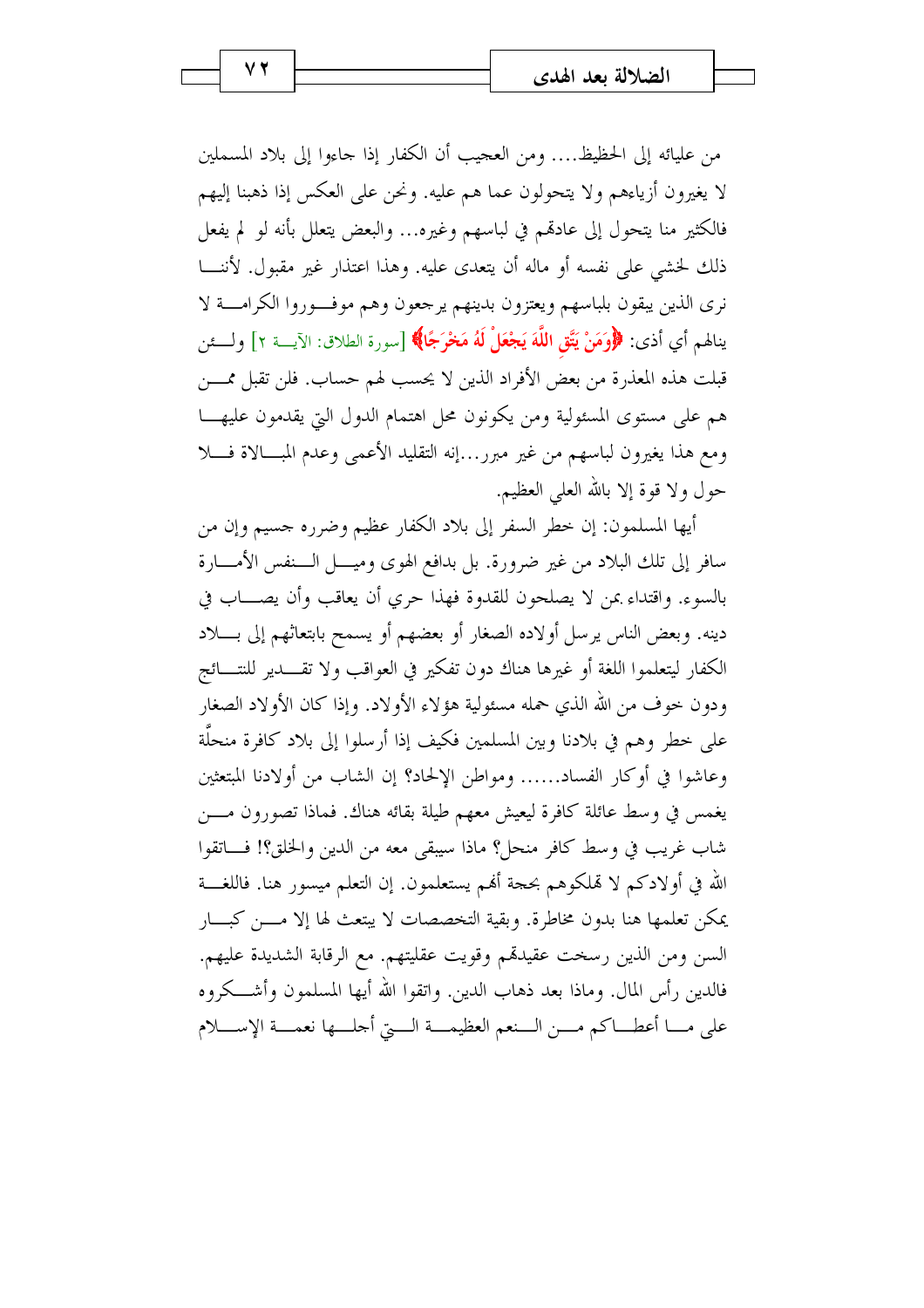|  | الضلاله بعد اهدى |  |
|--|------------------|--|
|  |                  |  |

من عليائه إلى الحظيظ.... ومن العجيب أن الكفار إذا جاءوا إلى بلاد المسملين لا يغيرون أزياءهم ولا يتحولون عما هم عليه. ونحن على العكس إذا ذهبنا إليهم فالكثير منا يتحول إلى عادقمم في لباسهم وغيره... والبعض يتعلل بأنه لو لم يفعل ذلك لخشى على نفسه أو ماله أن يتعدى عليه. وهذا اعتذار غير مقبول. لأننـــا نرى الذين يبقون بلباسهم ويعتزون بدينهم يرجعون وهم موفـوروا الكرامـــة لا ينالهم أي أذى: ﴿وَمَنْ يَتَّقِ اللَّهَ يَجْعَلْ لَهُ مَخْرَجًا﴾ [سورة الطلاق: الآيــــة ٢] ولــــئن قبلت هذه المعذرة من بعض الأفراد الذين لا يحسب لهم حساب. فلن تقبل ممــــن هم على مستوى المسئولية ومن يكونون محل اهتمام الدول التي يقدمون عليهــا ومع هذا يغيرون لباسهم من غير مبرر…إنه التقليد الأعمى وعدم المبالاة فــلا حول ولا قوة إلا بالله العلى العظيم.

أيها المسلمون: إن خطر السفر إلى بلاد الكفار عظيم وضرره حسيم وإن من سافر إلى تلك البلاد من غير ضرورة. بل بدافع الهوى وميــــل الـــنفس الأمــــارة بالسوءِ. واقتداءِ بمن لا يصلحون للقدوة فهذا حري أن يعاقب وأن يصــــاب في دينه. وبعض الناس يرسل أولاده الصغار أو بعضهم أو يسمح بابتعاثهم إلى بــــلاد الكفار ليتعلموا اللغة أو غيرها هناك دون تفكير في العواقب ولا تقــــدير للنتــــائج ودون حوف من الله الذي حمله مسئولية هؤلاء الأولاد. وإذا كان الأولاد الصغار على خطر وهم في بلادنا وبين المسلمين فكيف إذا أرسلوا إلى بلاد كافرة منحلَّة وعاشوا في أوكار الفساد...... ومواطن الإلحاد؟ إن الشاب من أولادنا المبتعثين يغمس في وسط عائلة كافرة ليعيش معهم طيلة بقائه هناك. فماذا تصورون مــــن شاب غريب في وسط كافر منحل؟ ماذا سيبقى معه من الدين والخلق؟! فــاتقوا الله في أولادكم لا تملكوهم بحجة أنهم يستعلمون. إن التعلم ميسور هنا. فاللغـــة يمكن تعلمها هنا بدون مخاطرة. وبقية التخصصات لا يبتعث لها إلا مـــن كبـــار السن ومن الذين رسخت عقيدتهم وقويت عقليتهم. مع الرقابة الشديدة عليهم. فالدين رأس المال. وماذا بعد ذهاب الدين. واتقوا الله أيها المسلمون وأشــــكروه على مـــا أعطـــاكم مــــن الـــنعم العظيمـــة الــــج أحلـــها نعمـــة الإســــلام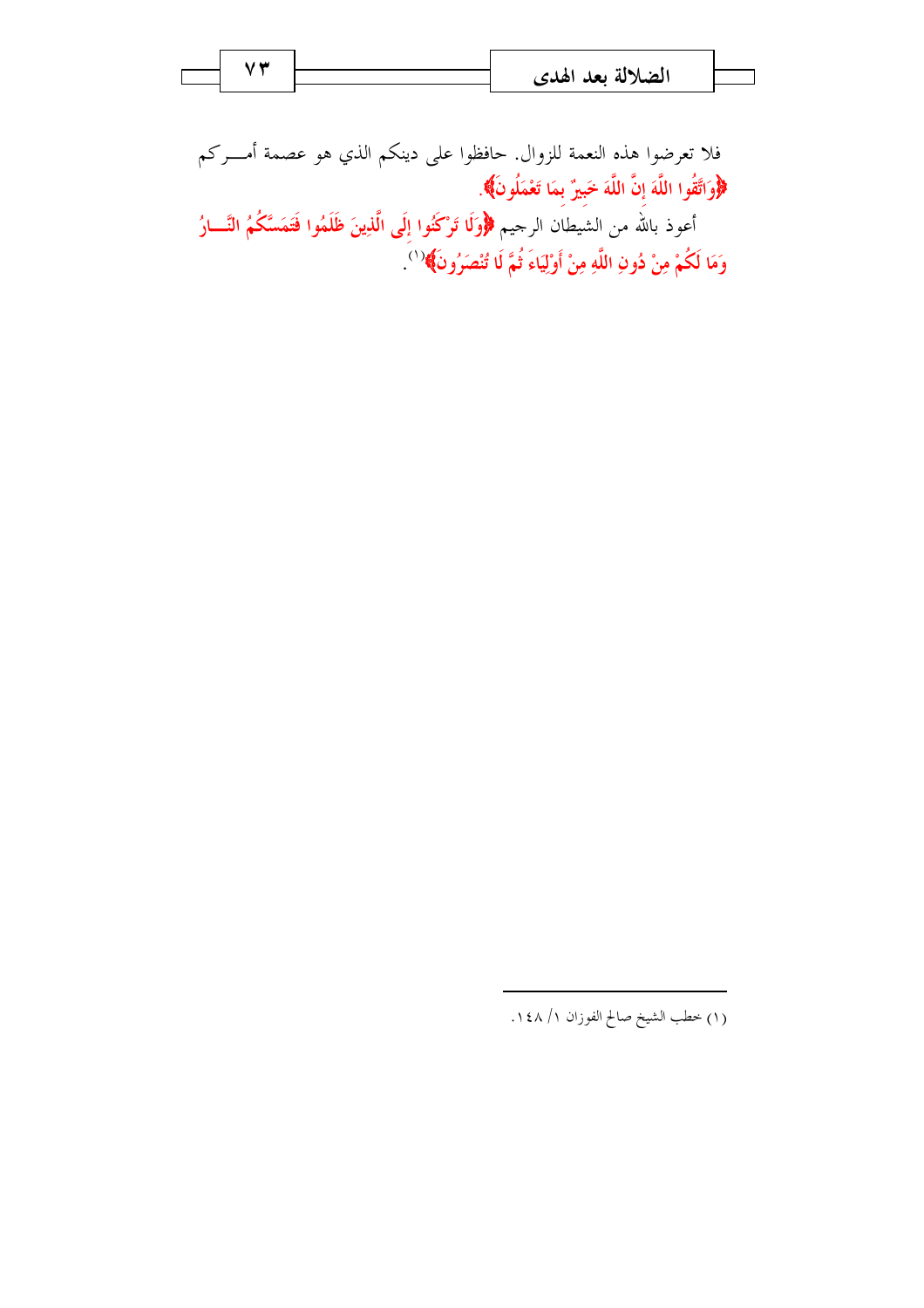|  | الضلاله بعد اهدى |  |
|--|------------------|--|
|  |                  |  |

فلا تعرضوا هذه النعمة للزوال. حافظوا على دينكم الذي هو عصمة أمـــركم ﴿وَاتَّقُوا اللَّهَ إِنَّ اللَّهَ خَبِيرٌ بِمَا تَعْمَلُونَ﴾. أعوذ بالله من الشّيطان الرحيم ﴿وَلَا تَرْكُنُوا إِلَى الَّذِينَ ظَلَمُوا فَتَمَسَّكُمُ النَّـــارُ وَمَا لَكُمْ مِنْ دُونِ اللَّهِ مِنْ أَوْلِيَاءَ ثُمَّ لَا تُنْصَرُونَ﴾(`).

(١) خطب الشيخ صالح الفوزان ١/ ١٤٨.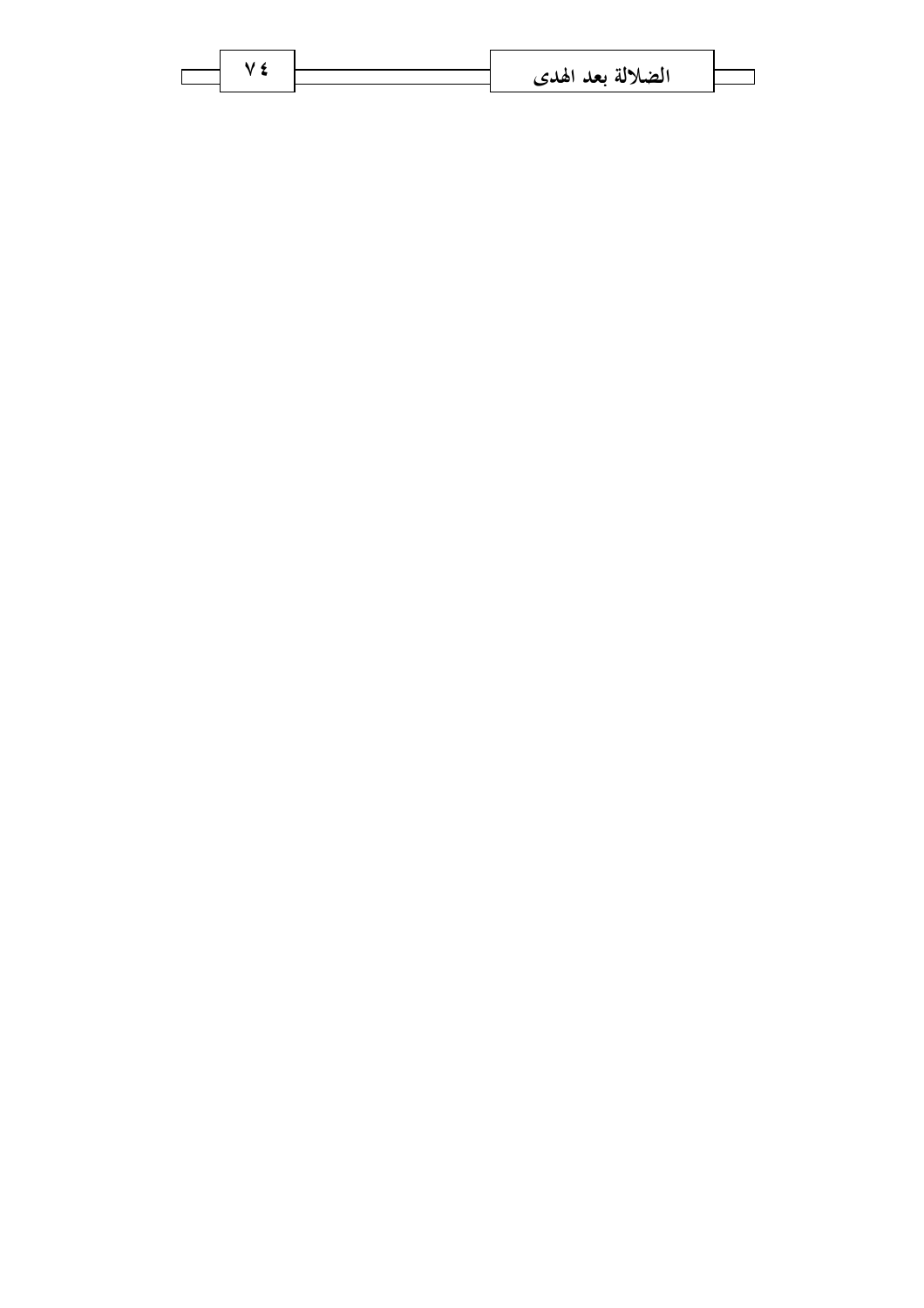|  | الضلالة بعد الهدي |  |
|--|-------------------|--|
|  |                   |  |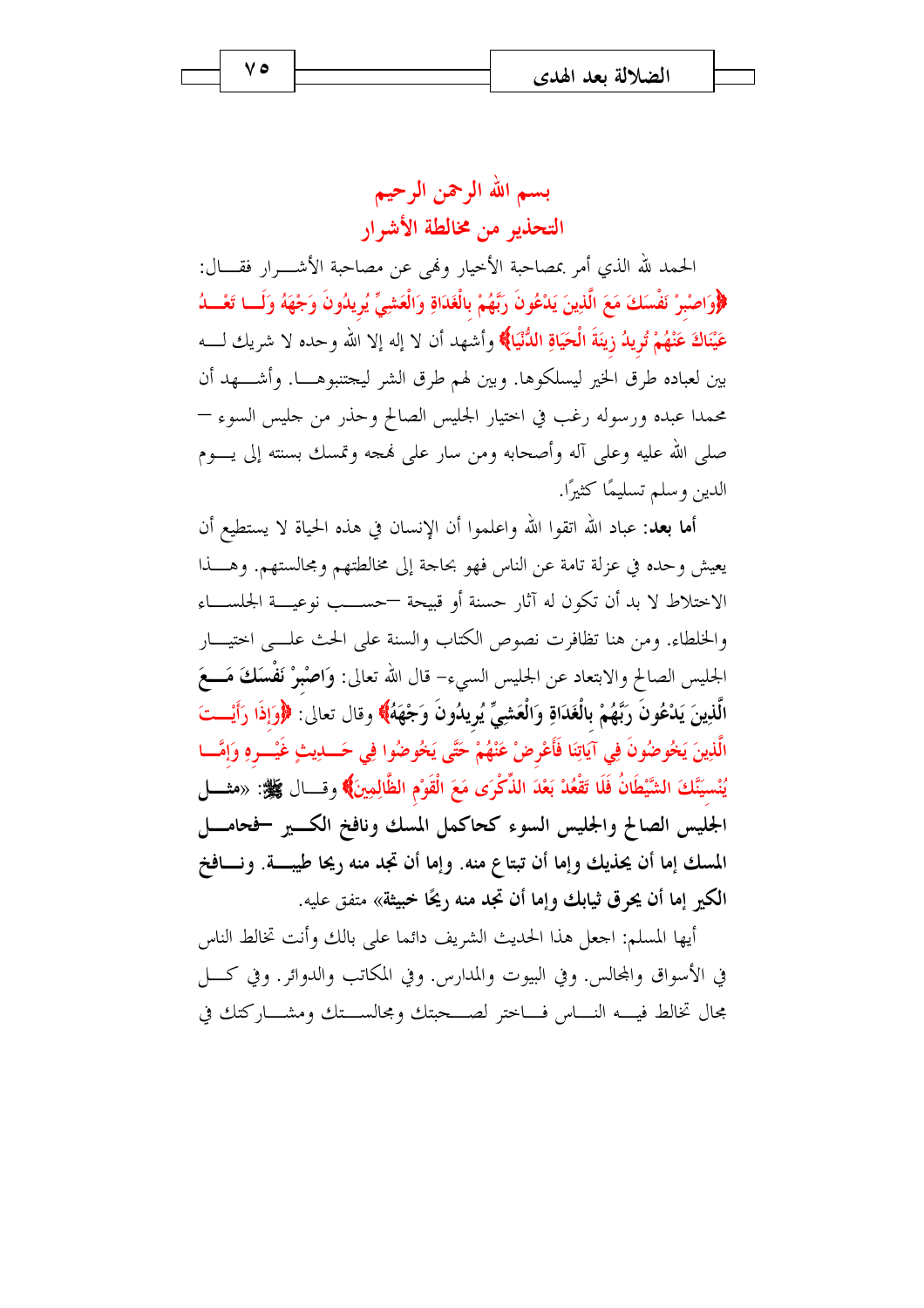بسم الله الرحمن الرحيم التحذير من مخالطة الأشرار

الحمد لله الذي أمر بمصاحبة الأخيار وفمي عن مصاحبة الأشــــرار فقــــال: ﴿وَاصْبِرْ نَفْسَكَ مَعَ الَّذِينَ يَدْعُونَ رَبَّهُمْ بِالْغَدَاةِ وَالْعَشِيِّ يُرِيدُونَ وَجْهَهُ وَلَــا تَعْــدُ عَيْنَاكَ عَنْهُمْ تُرِيدُ زِينَةَ الْحَيَاةِ الدُّنْيَا﴾ وأشهد أن لا إله إلا الله وحده لا شريك لــــه بين لعباده طرق الخير ليسلكوها. وبين لهم طرق الشر ليحتنبوهـــا. وأشــــهد أن محمدًا عبده ورسوله رغب في اختيار الجليس الصالح وحذر من جليس السوء — صلى الله عليه وعلى آله وأصحابه ومن سار على فمجه وتمسك بسنته إلى يـــوم الدين وسلم تسليمًا كثيرًا.

**أما بعد**: عباد الله اتقوا الله واعلموا أن الإنسان في هذه الحياة لا يستطيع أن يعيش وحده في عزلة تامة عن الناس فهو بحاجة إلى مخالطتهم ومجالستهم. وهـــذا الاختلاط لا بد أن تكون له آثار حسنة أو قبيحة —حســب نوعيـــة الجلســـاء والخلطاء. ومن هنا تظافرت نصوص الكتاب والسنة على الحث علي اختيسار الجليس الصالح والابتعاد عن الجليس السيء- قال الله تعالى: وَاصْبُوْ نَفْسَكَ مَـــعَ الَّذِينَ يَدْعُونَ رَبَّهُمْ بِالْغَدَاةِ وَالْعَشِيِّ يُرِيدُونَ وَجْهَهُ، وقال تعالى: ﴿وَإِذَا رَأَيْــتَ الَّذِينَ يَخُوضُونَ فِي آيَاتِنَا فَأَعْرِضْ عَنْهُمْ حَتَّى يَخُوضُوا فِي حَسكِيثٍ غَيْسروِ وَإِمَّسا يُنْسيَنَّكَ الشَّيْطَانُ فَلَا تَقْعُدْ بَعْدَ الذِّكْرَى مَعَ الْقَوْمِ الظَّالِمِينَ﴾ وقـــال ﷺ: «مثــــل الجليس الصالح والجليس السوء كحاكمل المسك ونافخ الكسير لححامسل المسك إما أن يحذيك وإما أن تبتاع منه. وإما أن تجد منه ريحا طيبة. ونــافخ الكير إما أن يحرق ثيابك وإما أن تجد منه ريمًا خبيثة» متفق عليه.

أيها المسلم: اجعل هذا الحديث الشريف دائما على بالك وأنت تخالط الناس في الأسواق والمحاليس. وفي البيوت والمدارس. وفي المكاتب والدوائر. وفي كـــل مجال تخالط فيسه النساس فساحتر لصسحبتك ومجالسستك ومشساركتك في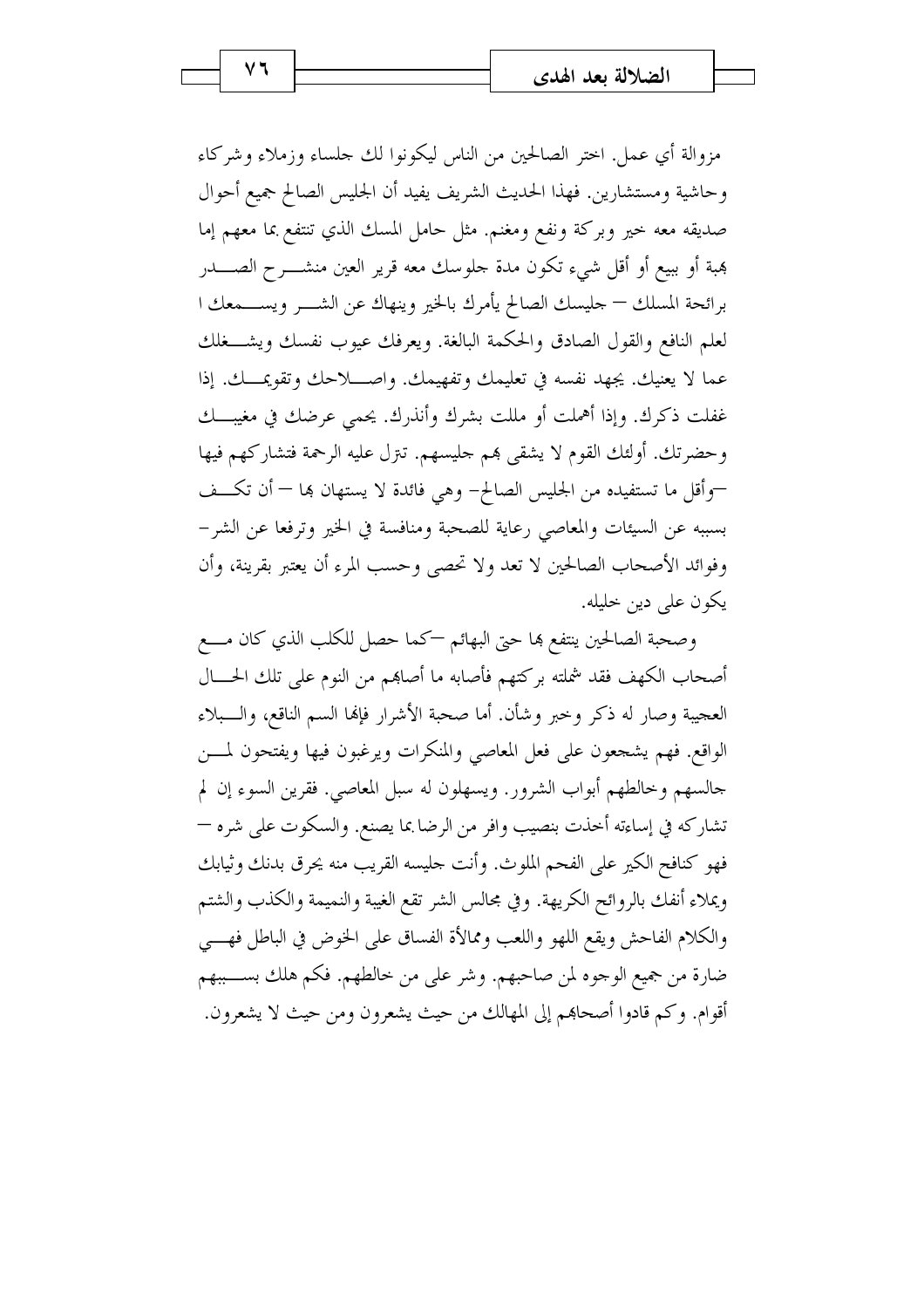|  | الضلاله بعد الهدي |  |
|--|-------------------|--|
|  |                   |  |

مزوالة أي عمل. احتر الصالحين من الناس ليكونوا لك جلساء وزملاء وشركاء وحاشية ومستشارين. فهذا الحديث الشريف يفيد أن الجليس الصالح جميع أحوال صديقه معه حير وبركة ونفع ومغنم. مثل حامل المسك الذي تنتفع بما معهم إما هبة أو ببيع أو أقل شيء تكون مدة حلوسك معه قرير العين منشــــرح الصــــــدر برائحة المسلك — جليسك الصالح يأمرك بالخير وينهاك عن الشـــر ويســـمعك ا لعلم النافع والقول الصادق والحكمة البالغة. ويعرفك عيوب نفسك ويشـــغلك عما لا يعنيك. يجهد نفسه في تعليمك وتفهيمك. واصــــلاحك وتقويمــــك. إذا غفلت ذكرك. وإذا أهملت أو مللت بشرك وأنذرك. يحمى عرضك في مغيبــك وحضرتك. أولئك القوم لا يشقى بمم حليسهم. تترل عليه الرحمة فتشاركهم فيها –وأقل ما تستفيده من الجليس الصالح– وهي فائدة لا يستهان بما — أن تكــف بسببه عن السيئات والمعاصي رعاية للصحبة ومنافسة في الخير وترفعا عن الشر – وفوائد الأصحاب الصالحين لا تعد ولا تحصى وحسب المرء أن يعتبر بقرينة، وأن يكون على دين حليله.

وصحبة الصالحين ينتفع هما حيّ البهائم كما حصل للكلب الذي كان مسع أصحاب الكهف فقد شملته بركتهم فأصابه ما أصابهم من النوم على تلك الحــــال العجيبة وصار له ذكر وخبر وشأن. أما صحبة الأشرار فإنها السم الناقع، والـــبلاء الواقع. فهم يشجعون على فعل المعاصي والمنكرات ويرغبون فيها ويفتحون لمسن جالسهم وخالطهم أبواب الشرور . ويسهلون له سبل المعاصي. فقرين السوء إن لم تشاركه في إساءته أحذت بنصيب وافر من الرضا بما يصنع. والسكوت على شره — فهو كنافح الكير على الفحم الملوث. وأنت جليسه القريب منه يحرق بدنك وثيابك ويملاء أنفك بالروائح الكريهة. وفي مجالس الشر تقع الغيبة والنميمة والكذب والشتم والكلام الفاحش ويقع اللهو واللعب وممالأة الفساق على الخوض في الباطل فهــــى ضارة من جميع الوجوه لمن صاحبهم. وشر على من خالطهم. فكم هلك بســــببهم أقوام. وكم قادوا أصحابهم إلى المهالك من حيث يشعرون ومن حيث لا يشعرون.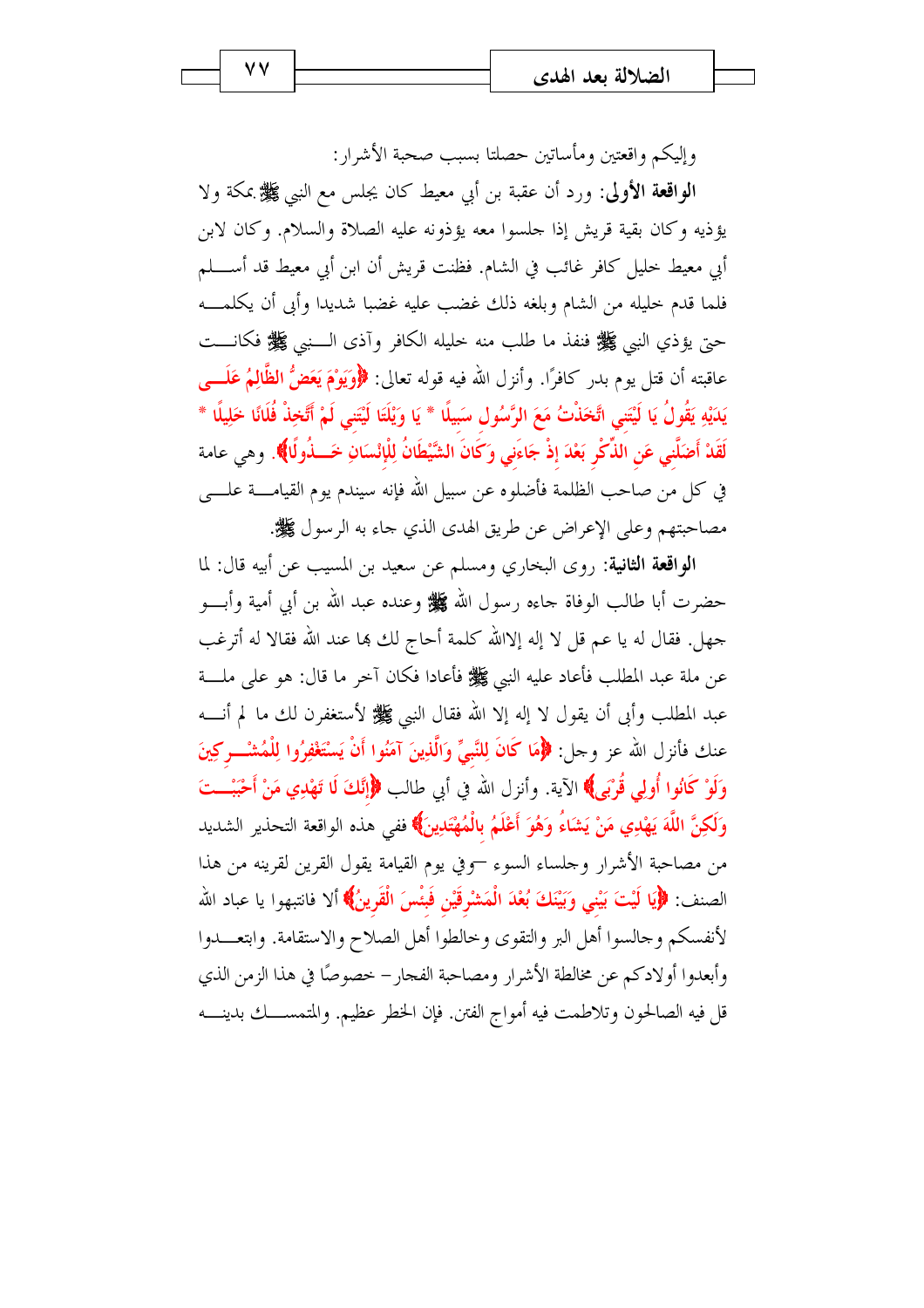| v |                  |  |
|---|------------------|--|
|   | الضلالة بعد اهدى |  |
|   |                  |  |

وإليكم واقعتين ومأساتين حصلتا بسبب صحبة الأشرار :

الواقعة الأولى: ورد أن عقبة بن أبي معيط كان يجلس مع النبي ﷺ بمكة ولا يؤذيه وكان بقية قريش إذا حلسوا معه يؤذونه عليه الصلاة والسلام. وكان لابن أبي معيط خليل كافر غائب في الشام. فظنت قريش أن ابن أبي معيط قد أســــلم فلما قدم خليله من الشام وبلغه ذلك غضب عليه غضبا شديدا وأبي أن يكلمــــه حتى يؤذي النبي ﷺ فنفذ ما طلب منه خليله الكافر وآذى الـــنبي ﷺ فكانـــت عاقبته أن قتل يوم بدر كافرًا. وأنزل الله فيه قوله تعالى: ﴿وَيَوْمَ يَعَضُّ الظَّالِمُ عَلَـــى يَدَيْهِ يَقُولُ يَا لَيْتَنِي اتَّخَذْتُ مَعَ الرَّسُولِ سَبِيلًا \* يَا وَيْلَتَا لَيْتَنِي لَمْ أَتَّخِذْ فُلَانًا خَلِيلًا \* لَقَدْ أَضَلَّني عَنِ الذِّكْرِ بَعْدَ إذْ جَاءَني وَكَانَ الشَّيْطَانُ لِلْإِنْسَانِ خَـــذُولًا﴾. وهي عامة في كل من صاحب الظلمة فأضلوه عن سبيل الله فإنه سيندم يوم القيامــــة علــــي مصاحبتهم وعلى الإعراض عن طريق الهدي الذي جاء به الرسول ﷺ.

ا**لواقعة الثانية**: روى البخاري ومسلم عن سعيد بن المسيب عن أبيه قال: لما حضرت أبا طالب الوفاة جاءه رسول الله گیلی وعنده عبد الله بن أبي أمية وأبــــو جهل. فقال له يا عـم قل لا إله إلاالله كلمة أحاج لك بما عند الله فقالا له أترغب عن ملة عبد المطلب فأعاد عليه النبي ﷺ فأعادا فكان آخر ما قال: هو على ملــــة عبد المطلب وأبي أن يقول لا إله إلا الله فقال النبي ﷺ لأستغفرن لك ما لم أنــــه عنك فأنزل الله عز وحل: ﴿مَا كَانَ لِلنَّبِيِّ وَالَّذِينَ آمَنُوا أَنْ يَسْتَغْفِرُوا لِلْمُشْــرِكِينَ وَلَوْ كَانُوا أُولِي قُرْبَى﴾ الآية. وأنزل الله في أبي طالب ﴿إِنَّكَ لَا تَهْدِي مَنْ أَحْبَبْــتَ وَلَكِنَّ اللَّهَ يَهْدِي مَنْ يَشَاءُ وَهُوَ أَعْلَمُ بِالْمُهْتَدِينَ﴾ ففي هذه الواقعة التحذير الشديد من مصاحبة الأشرار وحلساء السوء —وفي يوم القيامة يقول القرين لقرينه من هذا الصنف: ﴿إِيَا لَيْتَ بَيْنِي وَبَيْنَكَ بُعْدَ الْمَشْرِقَيْنِ فَبِئْسَ الْقَرِينُ﴾ ألا فانتبهوا يا عباد الله لأنفسكم وحالسوا أهل البر والتقوى وحالطوا أهل الصلاح والاستقامة. وابتعـــدوا وأبعدوا أولادكم عن مخالطة الأشرار ومصاحبة الفجار – خصوصًا في هذا الزمن الذي قل فيه الصالحون وتلاطمت فيه أمواج الفتن. فإن الخطر عظيم. والمتمســـك بدينــــه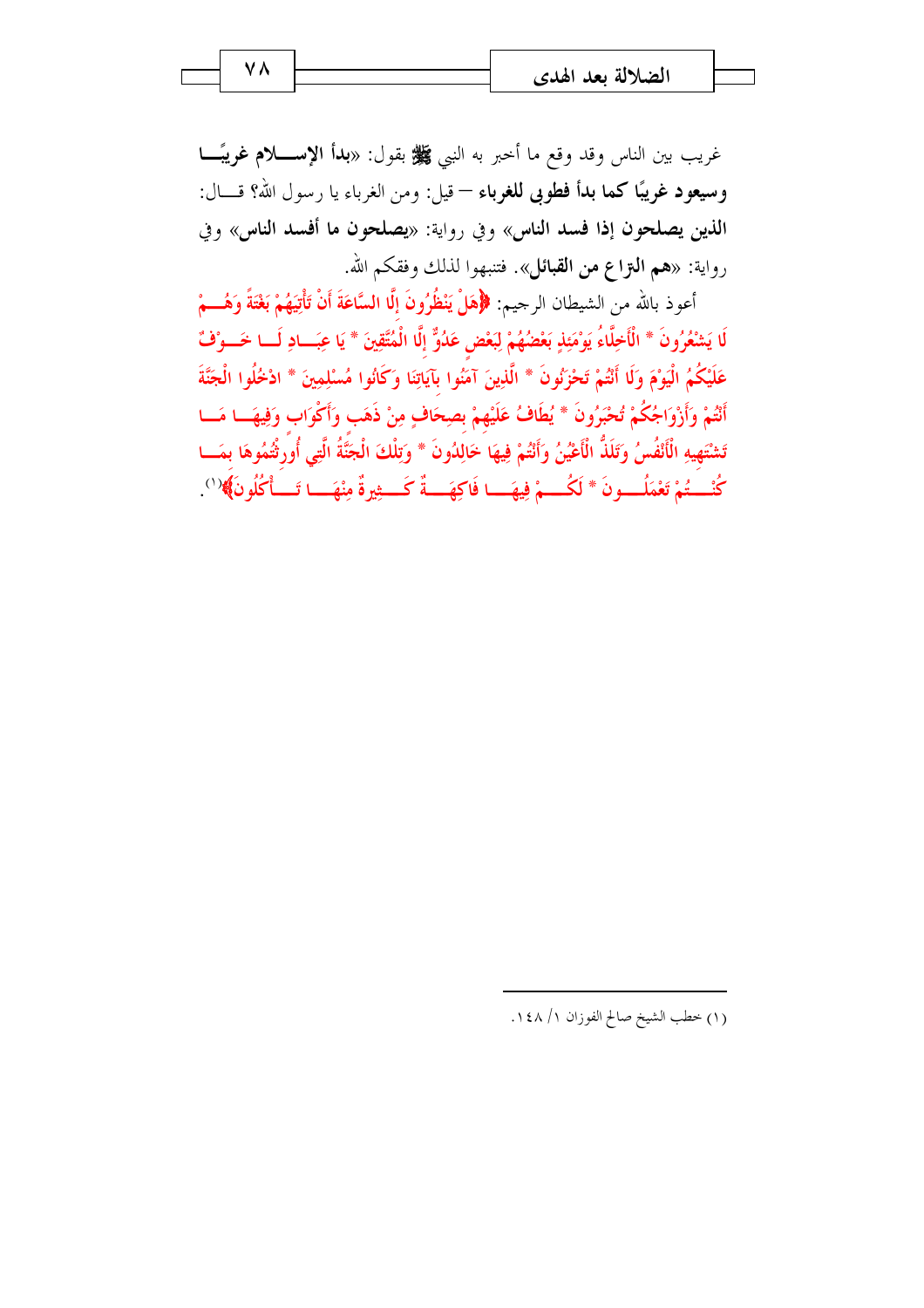غريب بين الناس وقد وقع ما أخبر به النبي ﷺ بقول: «بدأ الإســــلام غريبًــــا وسيعود غريبًا كما بدأ فطوبي للغرباء — قيل: ومن الغرباء يا رسول الله؟ قـــال: الذين يصلحون إذا فسد الناس» وفي رواية: «يصلحون ما أفسد الناس» وفي رواية: «هم التزاع من القبائل». فتنبهوا لذلك وفقكم الله.

أعوذ بالله من الشيطان الرحيم: ﴿هَلْ يَنْظُرُونَ إِلَّا السَّاعَةَ أَنْ تَأْتِيَهُمْ بَغْتَةً وَهُـــمْ لَا يَشْعُرُونَ \* الْأَخِلَّاءُ يَوْمَئِذٍ بَعْضُهُمْ لِبَعْضِ عَدُوٌّ إلَّا الْمُتَّقِينَ \* يَا عِبَـــادِ لَـــا خَـــوْفٌ عَلَيْكُمُ الْيَوْمَ وَلَا أَنْتُمْ تَحْزَنُونَ \* الَّذِينَ آمَنُوا بآيَاتِنَا وَكَانُوا مُسْلِمِينَ \* ادْخُلُوا الْجَنَّةَ أَنْتُمْ وَأَزْوَاجُكُمْ تُحْبَرُونَ \* يُطَافُ عَلَيْهِمْ بصِحَافٍ مِنْ ذَهَبٍ وَأَكْوَابٍ وَفِيهَــا مَــا تَشْتَهِيهِ الْأَنْفُسُ وَتَلَذُّ الْأَعْيُنُ وَأَنْتُمْ فِيهَا خَالِدُونَ \* وَتِلْكَ الْجَنَّةُ الَّتِي أُورشُمُوهَا بمَـــا كُنْـــَتُمْ تَعْمَلُـــونَ \* لَكُـــمْ فِيهَـــا فَاكِهَـــةٌ كَـــثِيرةٌ مِنْهَـــا تَـــأْكُلُونَ﴾(``

(١) خطب الشيخ صالح الفوزان ١ / ١٤٨.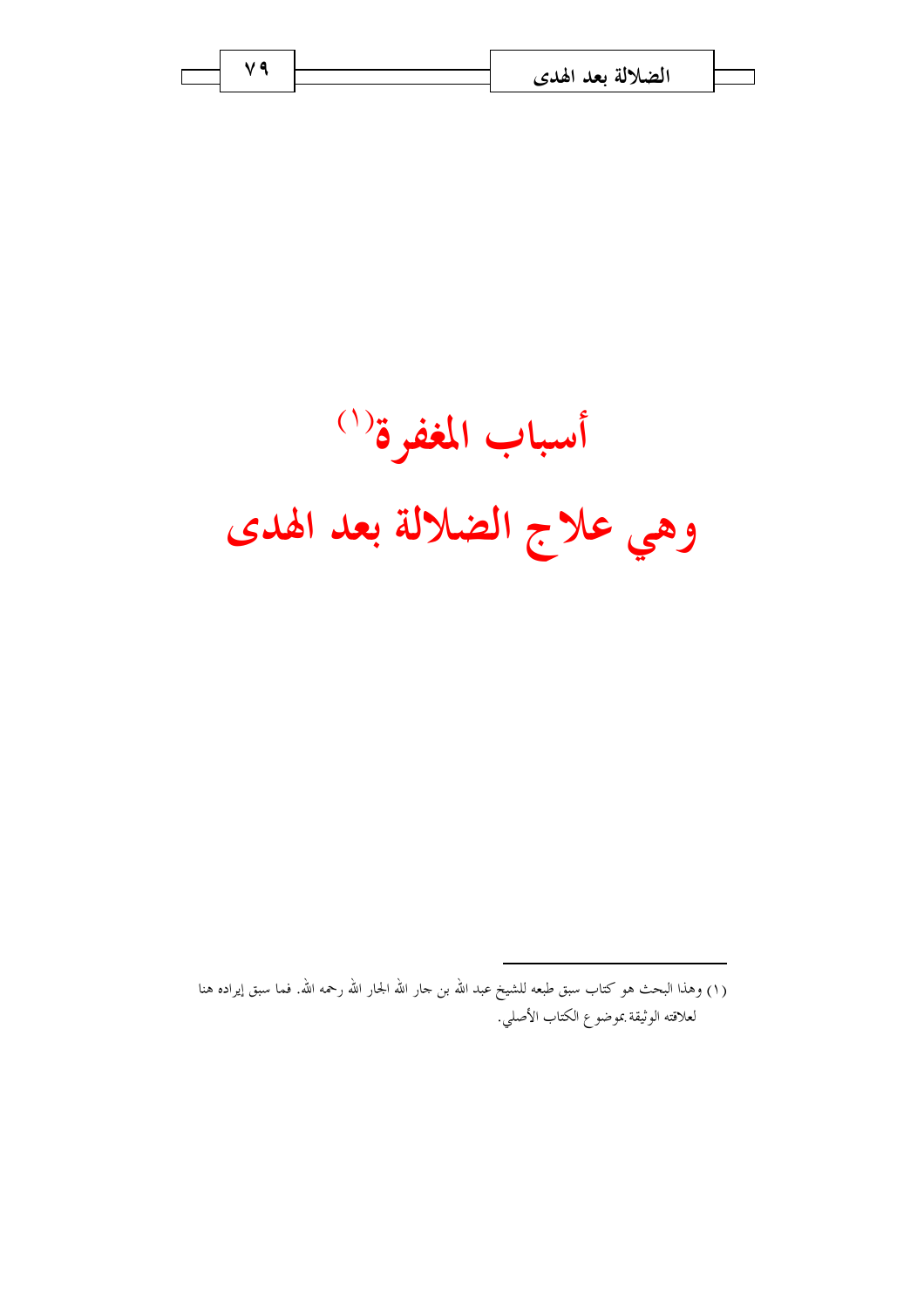|  | الضلاله بعد الهدي |  |
|--|-------------------|--|
|  |                   |  |

## أسباب المغفرة(١) وهي علاج الضلالة بعد الهدى

(١) وهذا البحث هو كتاب سبق طبعه للشيخ عبد الله بن حار الله الحار الله رحمه الله. فما سبق إيراده هنا لعلاقته الوثيقة بموضوع الكتاب الأصلي.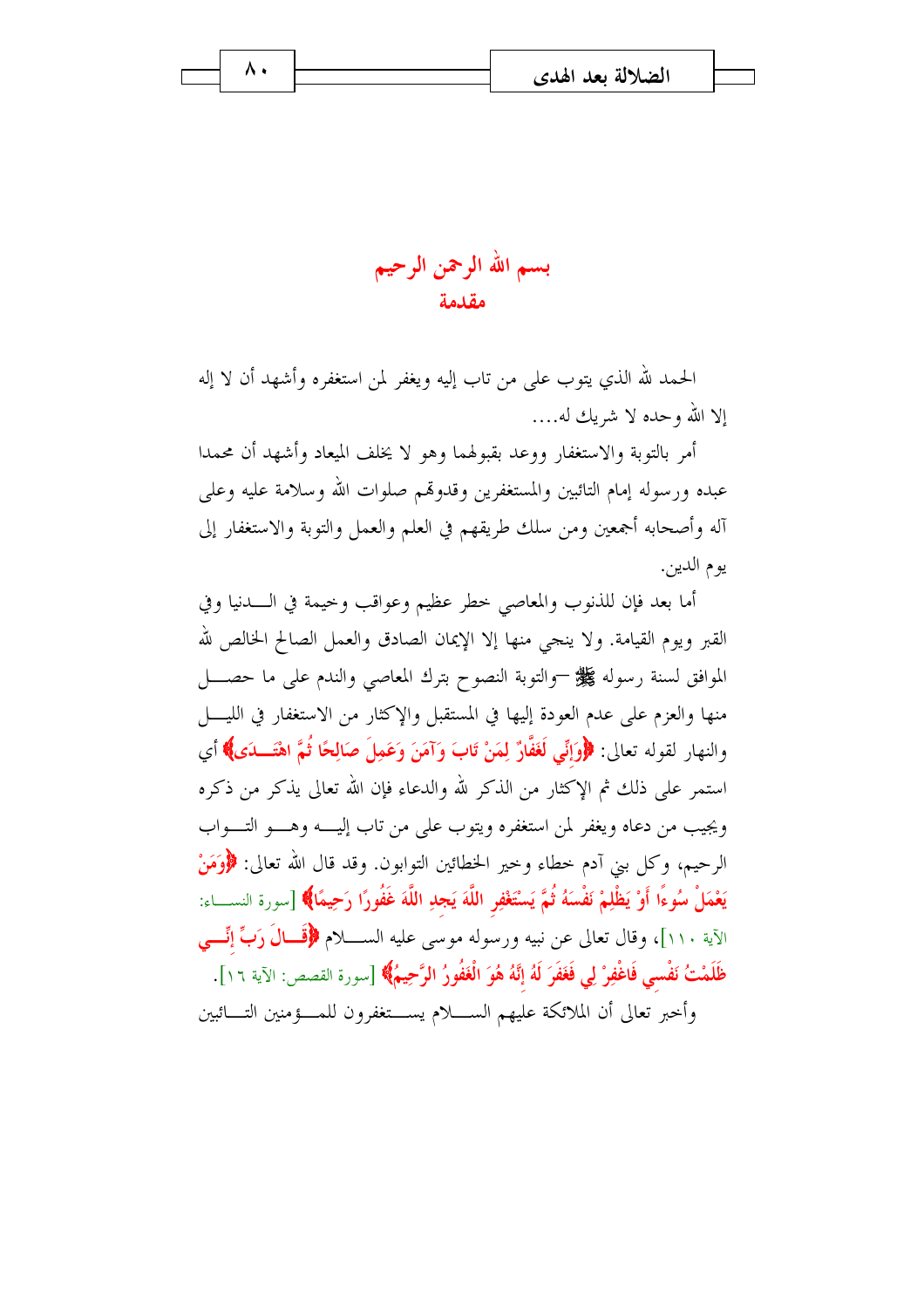| الضلالة بعد الهدى |
|-------------------|
|                   |

بسم الله الرحمن الرحيم مقدمة

۸.

الحمد لله الذي يتوب على من تاب إليه ويغفر لمن استغفره وأشهد أن لا إله إلا الله وحده لا شريك له....

أمر بالتوبة والاستغفار ووعد بقبولهما وهو لا يخلف الميعاد وأشهد أن محمدا عبده ورسوله إمام التائبين والمستغفرين وقدوقمم صلوات الله وسلامة عليه وعلى آله وأصحابه أجمعين ومن سلك طريقهم في العلم والعمل والتوبة والاستغفار إلى يوم الدين.

أما بعد فإن للذنوب والمعاصي خطر عظيم وعواقب وخيمة في الــــدنيا وفي القبر ويوم القيامة. ولا ينجى منها إلا الإيمان الصادق والعمل الصالح الخالص لله الموافق لسنة رسوله ﷺ –والتوبة النصوح بترك المعاصي والندم على ما حصــــل منها والعزم على عدم العودة إليها في المستقبل والإكثار من الاستغفار في الليـــــل والنهار لقوله تعالى: ﴿وَإِنِّي لَغَفَّارٌ لِمَنْ تَابَ وَآمَنَ وَعَمِلَ صَالِحًا ثُمَّ اهْتَـــدَى﴾ أي استمر على ذلك ثم الإكثار من الذكر لله والدعاء فإن الله تعالى يذكر من ذكره ويجيب من دعاه ويغفر لمن استغفره ويتوب على من تاب إليسه وهسو التسواب الرحيم، وكل بني آدم خطاء وحير الخطائين التوابون. وقد قال الله تعالى: ﴿وَمَنْ يَعْمَلْ سُوءًا أَوْ يَظْلِمْ نَفْسَهُ ثُمَّ يَسْتَغْفِرِ اللَّهَ يَجِدِ اللَّهَ غَفُورًا رَحِيمًا﴾ [سورة النســاء: الآية ١١٠]، وقال تعالى عن نبيه ورسوله موسى عليه الســــلام ﴿قَــَـالَ رَبِّ إِنَّــــى ظَلَمْتُ نَفْسي فَاغْفِرْ لِي فَعَفَرَ لَهُ إِنَّهُ هُوَ الْعَفُورُ الرَّحِيمُ﴾ [سورة القصص: الآية ١٦]. وأحبر تعالى أن الملائكة عليهم الســــلام يســـتغفرون للمــــؤمنين التــــائبين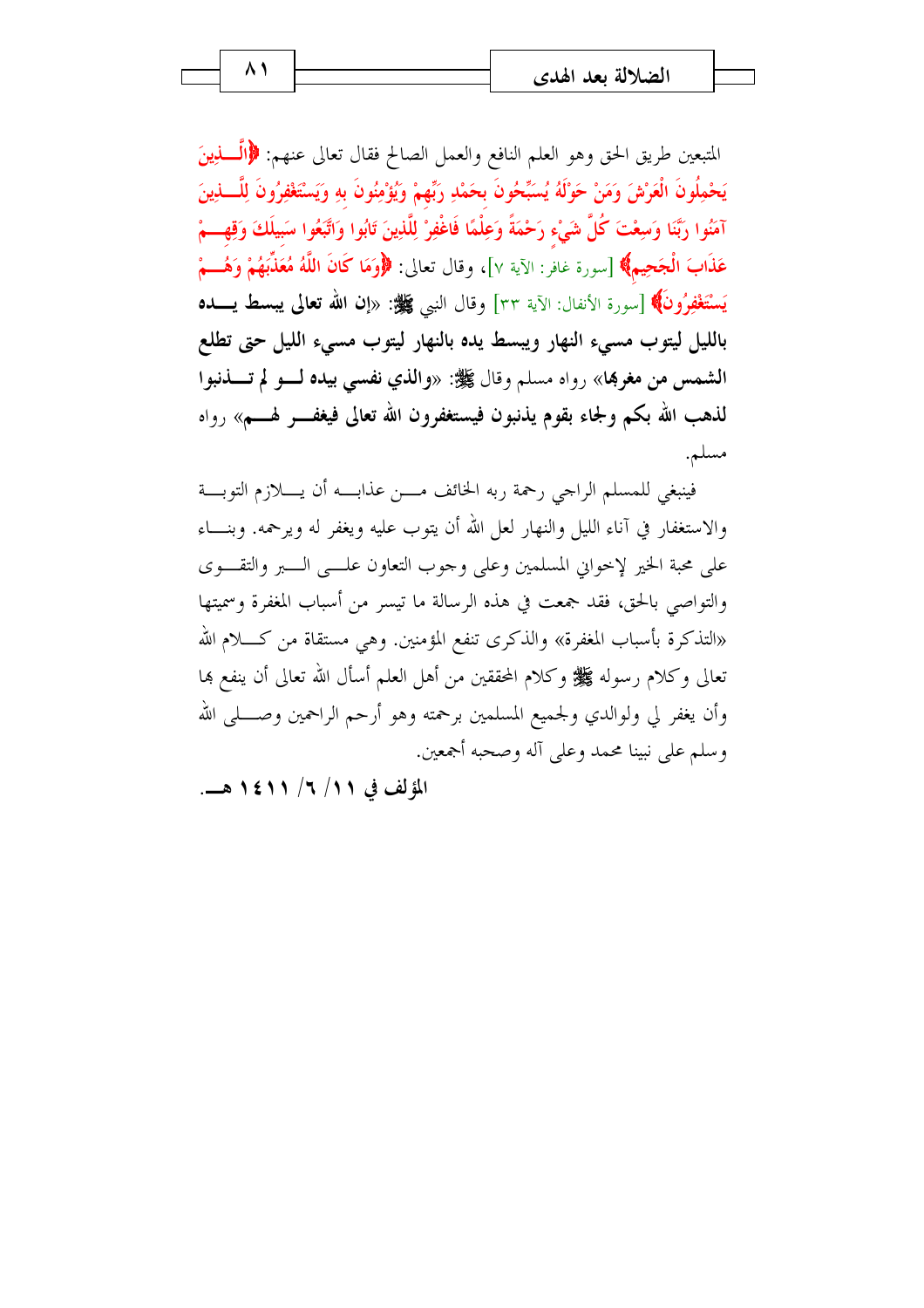|  | الضلاله بعد اهدى |  |
|--|------------------|--|
|  |                  |  |

المتبعين طريق الحق وهو العلم النافع والعمل الصالح فقال تعالى عنهم: ﴿الَّـــٰذِينَ يَحْمِلُونَ الْعَرْشَ وَمَنْ حَوْلَهُ يُسَبِّحُونَ بحَمْدِ رَبِّهِمْ وَيُؤْمِنُونَ بهِ وَيَسْتَغْفِرُونَ لِلْــــذِينَ آمَنُوا رَبَّنَا وَسِعْتَ كُلَّ شَيْءٍ رَحْمَةً وَعِلْمًا فَاغْفِرْ لِلَّذِينَ تَابُوا وَاتَّبَعُوا سَبيلَكَ وَقِهِـــمْ عَذَابَ الْجَحِيمِ﴾ [سورة غافر: الآية ٧]، وقال تعالى: ﴿وَمَا كَانَ اللَّهُ مُعَذِّبَهُمْ وَهُـــمْ يَسْتَغْفِرُونَ﴾ [سورة الأنفال: الآية ٣٣] وقال النبي ﷺ: «إن الله تعالى يبسط يــــده بالليل ليتوب مسيء النهار ويبسط يده بالنهار ليتوب مسيء الليل حتى تطلع الشمس من مغربها» رواه مسلم وقال ﷺ: «والذي نفسي بيده لـو لم تــــذنبوا لذهب الله بكم ولجاء بقوم يذنبون فيستغفرون الله تعالى فيغفــــر لهــــم» رواه مسلم.

فينبغي للمسلم الراجي رحمة ربه الخائف مسن عذابسه أن يسلازم التوبسة والاستغفار في آناء الليل والنهار لعل الله أن يتوب عليه ويغفر له ويرحمه. وبنـــاء على محبة الخير لإخواني المسلمين وعلى وجوب التعاون علـــي الــــبر والتقــــوى والتواصي بالحق، فقد جمعت في هذه الرسالة ما تيسر من أسباب المغفرة وسميتها «التذكرة بأسباب المغفرة» والذكرى تنفع المؤمنين. وهي مستقاة من كــــلام الله تعالى وكلام رسوله ﷺ وكلام المحققين من أهل العلم أسأل الله تعالى أن ينفع ها وأن يغفر لي ولوالدي ولجميع المسلمين برحمته وهو أرحم الراحمين وصــــلى الله وسلم على نبينا محمد وعلى آله وصحبه أجمعين.

المؤلف في ١١/ ١/ ١٤١١ هـ.

 $\Box$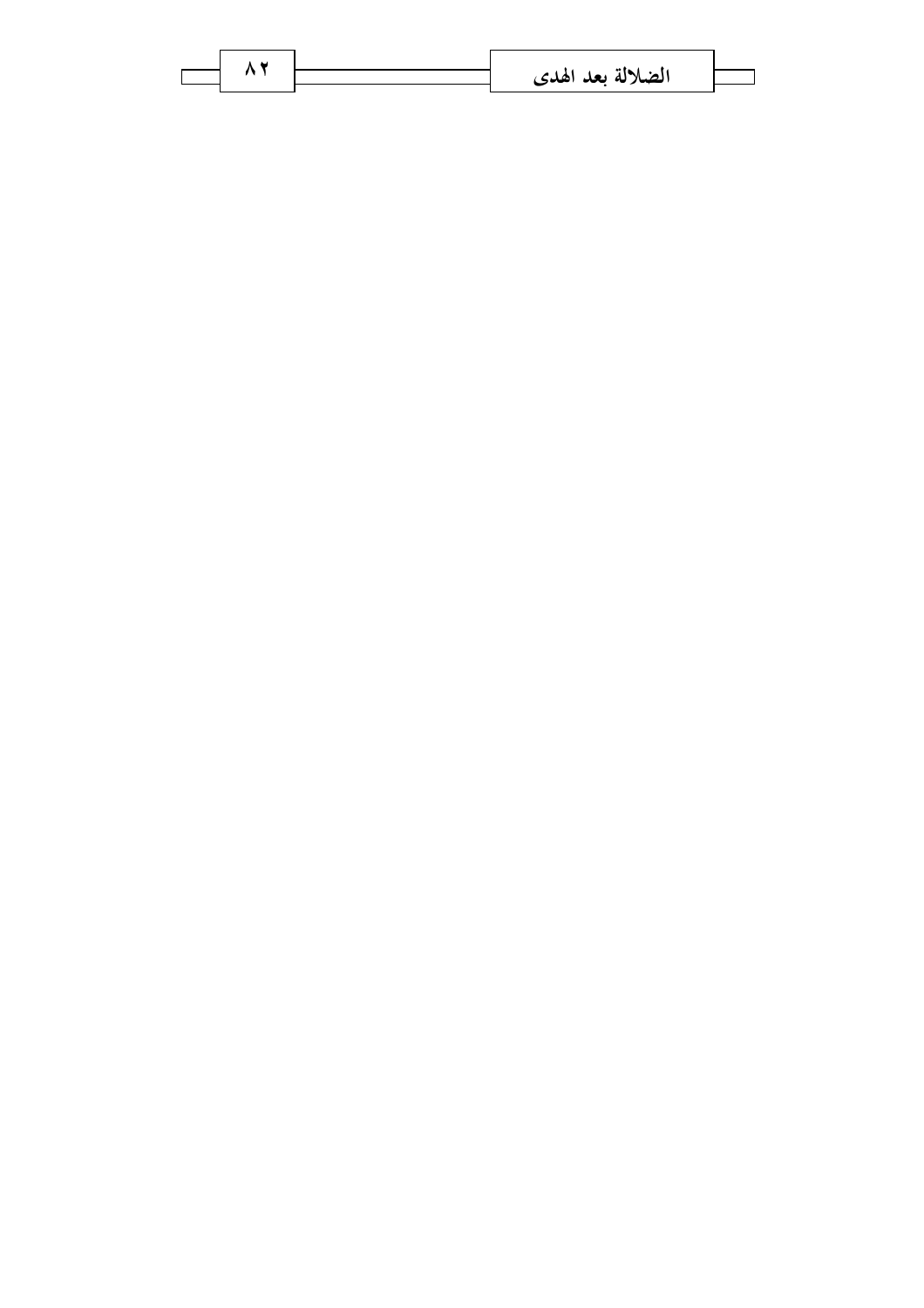|  | الضلالة بعد الهدي |  |
|--|-------------------|--|
|  |                   |  |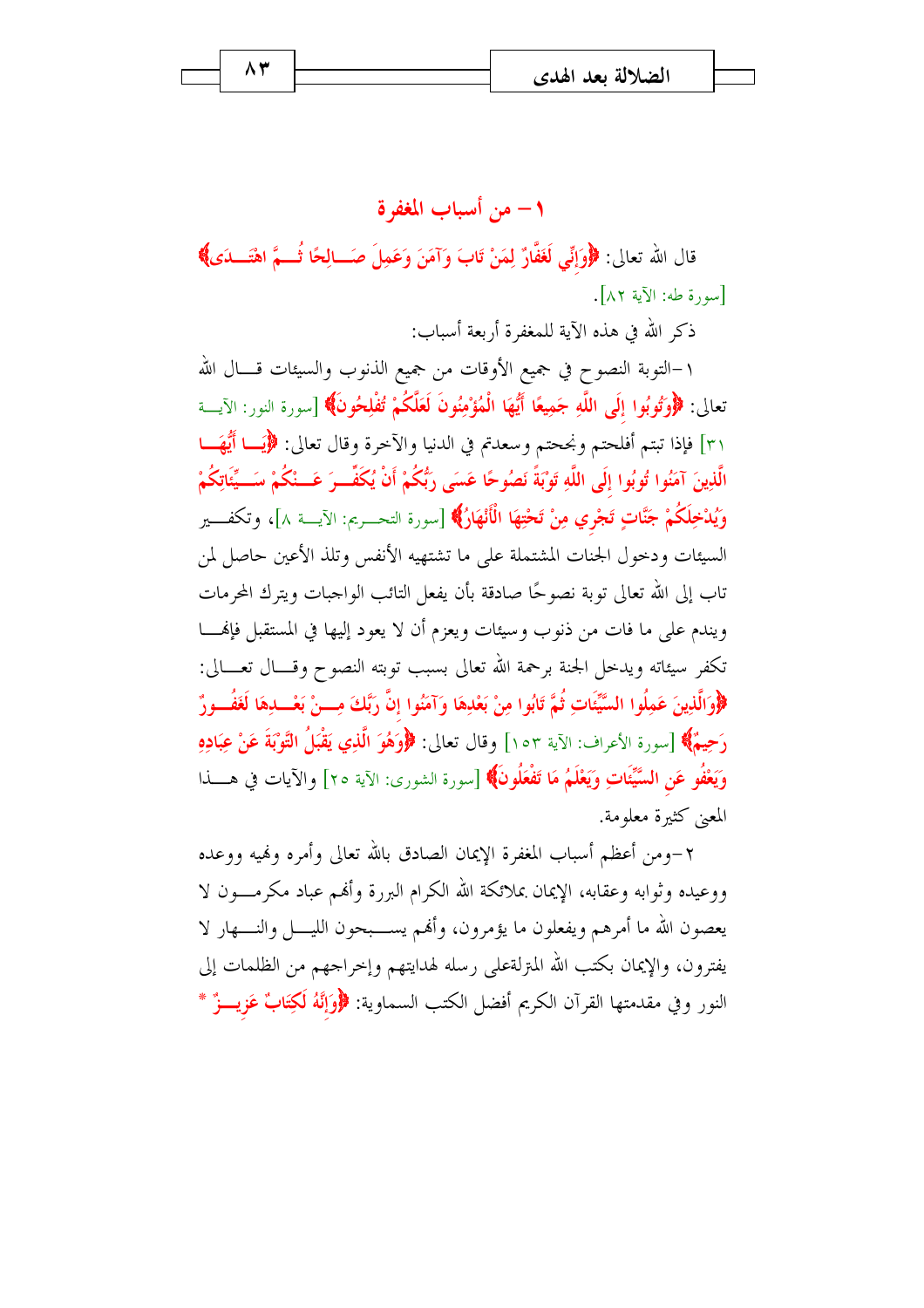١ – من أسباب المغفرة

قال الله تعالى: ﴿وَإِنِّي لَغَفَّارٌ لِمَنْ تَابَ وَآمَنَ وَعَمِلَ صَـــالِحًا ثُـــمَّ اهْتَـــدَى﴾ [سو, ة طه: الآية ٨٢].

ذكر الله في هذه الآية للمغفرة أربعة أسباب:

١–التوبة النصوح في جميع الأوقات من جميع الذنوب والسيئات قـــال الله تعالى: ﴿وَتُوبُوا إِلَى اللَّهِ جَمِيعًا أَيُّهَا الْمُؤْمِنُونَ لَعَلَّكُمْ تُفْلِحُونَ﴾ [سورة النور: الآيـــة ٣١] فإذا تبتم أفلحتم ونححتم وسعدتم في الدنيا والآخرة وقال تعالى: ﴿يَــا أَيُّهَــا الَّذِينَ آمَنُوا تُوبُوا إِلَى اللَّهِ تَوْبَةً نَصُوحًا عَسَى رَبُّكُمْ أَنْ يُكَفِّسِرَ عَسْنُكُمْ سَسيِّئَاتِكُمْ وَيُمْخِلَكُمْ جَنَّاتٍ تَجْرِي مِنْ تَحْتِهَا الْأَنْهَارُ﴾ [سورة التحـــريم: الآيـــة ٨]، وتكفــــير السيئات ودحول الجنات المشتملة على ما تشتهيه الأنفس وتلذ الأعين حاصل لمن تاب إلى الله تعالى توبة نصوحًا صادقة بأن يفعل التائب الواجبات ويترك المحرمات ويندم على ما فات من ذنوب وسيئات ويعزم أن لا يعود إليها في المستقبل فإنهــــا تكفر سيئاته ويدحل الجنة برحمة الله تعالى بسبب توبته النصوح وقـــال تعــــالى: ﴿وَالَّذِينَ عَمِلُوا السَّيِّئَاتِ ثُمَّ تَابُوا مِنْ بَعْدِهَا وَآمَنُوا إِنَّ رَبَّكَ مِسنْ بَعْسدِهَا لَغَفُسورٌ رَحِيمٌ﴾ [سورة الأعراف: الآية ١٥٣] وقال تعالى: ﴿وَهُوَ الَّذِي يَقْبَلُ التَّوْبَةَ عَنْ عِبَادِهِ وَيَعْفُو عَنِ السَّيِّئَاتِ وَيَعْلَمُ مَا تَفْعَلُونَ﴾ [سورة الشورى: الآية ٢٥] والآيات في هــــذا المعين كثيرة معلومة.

٢–ومن أعظم أسباب المغفرة الإيمان الصادق بالله تعالى وأمره ونميه ووعده ووعيده وثوابه وعقابه، الإيمان بملائكة الله الكرام البررة وألهم عباد مكرمــــون لا يعصون الله ما أمرهم ويفعلون ما يؤمرون، وأُفيم يســـبحون الليــــل والنــــهار لا يفترون، والإيمان بكتب الله المترلةعلى رسله لهدايتهم وإخراجهم من الظلمات إلى النور وفي مقدمتها القرآن الكريم أفضل الكتب السماوية: ﴿وَإِنَّهُ لَكِتَابٌ عَزِيتٌ \*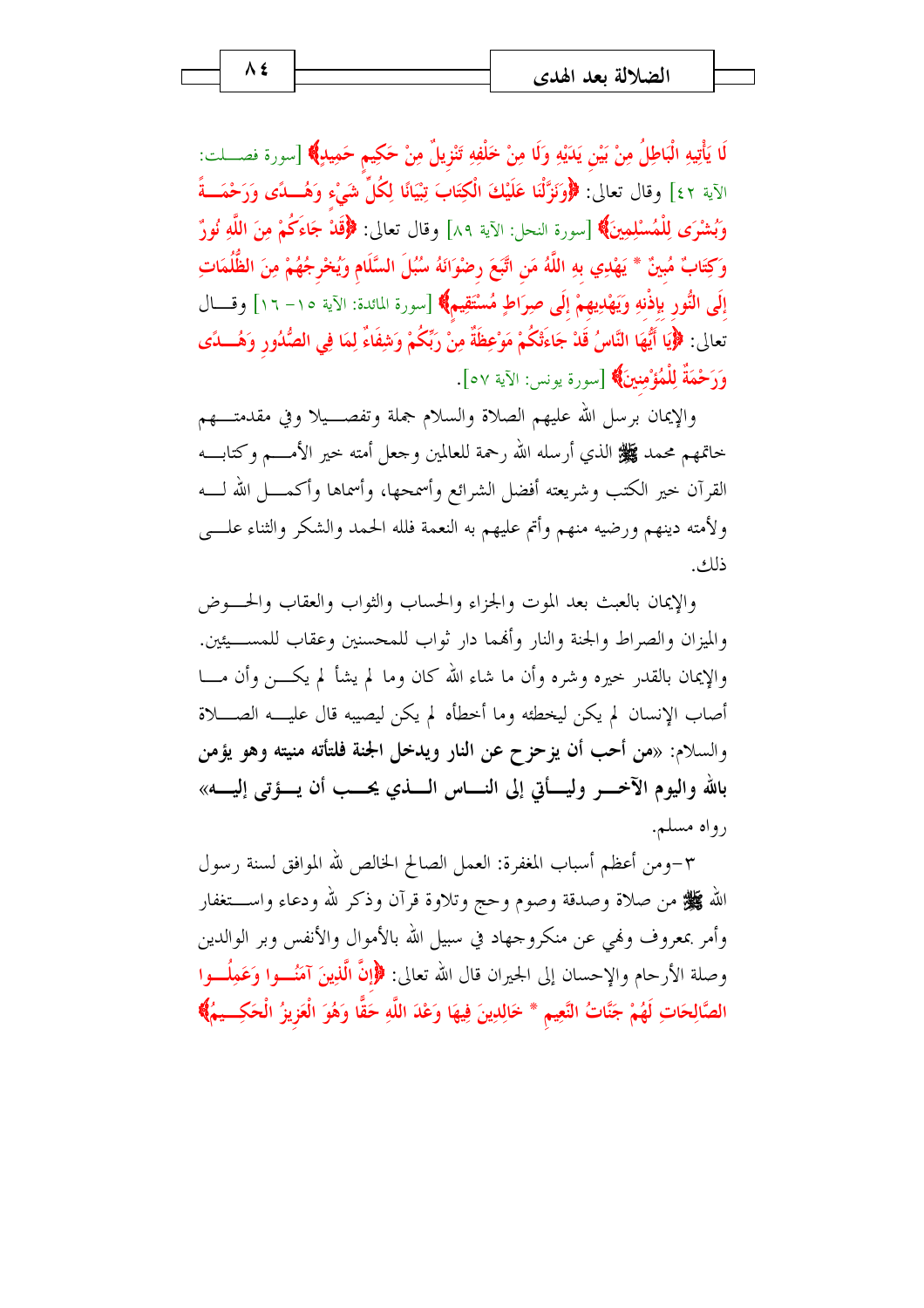| الضلالة بعد الهدى |  |
|-------------------|--|
|-------------------|--|

لَا يَأْتِيهِ الْبَاطِلُ مِنْ بَيْنِ يَدَيْهِ وَلَا مِنْ خَلْفِهِ تَنْزِيلٌ مِنْ حَكِيمٍ حَمِيدٍ﴾ [سورة فصـــلت: الآية ٤٢] وقال تعالى: ﴿وَنَزَّلْنَا عَلَيْكَ الْكِتَابَ تِبْيَانًا لِكُلِّ شَيْءٍ وَهُـــدًى وَرَحْمَـــةً وَبُشْرَى لِلْمُسْلِمِينَ﴾ [سورة النحل: الآية ٨٩] وقال تعالى: ﴿قَلْأُ جَاءَكُمْ مِنَ اللَّهِ نُورٌ وَكِتَابٌ مُبينٌ \* يَهْدِي بهِ اللَّهُ مَن اتَّبَعَ رضْوَانَهُ سُبُلَ السَّلَامِ وَيُخْرِجُهُمْ مِنَ الظُّلُمَاتِ إِلَى النُّورِ بِإِذْنِهِ وَيَهْدِيهِمْ إِلَى صِرَاطٍ مُسْتَقِيمٍ﴾ [سورة المائدة: الآية ١٥– ١٦] وقـــال تعالى: ﴿لِمَا أَيُّهَا النَّاسُ قَدْ جَاءَتْكُمْ مَوْعِظَةٌ مِنْ رَبِّكُمْ وَشِفَاءٌ لِمَا فِي الصُّدُور وَهُـــدًى وَرَحْمَةٌ لِلْمُؤْمِنِينَ﴾ [سورة يونس: الآية ٥٧].

والإيمان برسل الله عليهم الصلاة والسلام جملة وتفصـــيلا وفي مقدمتــــهم خاتمهم محمد ﷺ الذي أرسله الله رحمة للعالمين وجعل أمته خير الأمــــم وكتابـــه القرآن حير الكتب وشريعته أفضل الشرائع وأسمحها، وأسماها وأكمـــل الله لــــه ولأمته دينهم ورضيه منهم وأتم عليهم به النعمة فلله الحمد والشكر والثناء علسي ذلك.

والإيمان بالعبث بعد الموت والجزاء والحساب والثواب والعقاب والحسوض والميزان والصراط والجنة والنار وأفمما دار ثواب للمحسنين وعقاب للمســيئين. والإيمان بالقدر حيره وشره وأن ما شاء الله كان وما لم يشأ لم يكــــن وأن مــــا أصاب الإنسان لم يكن ليخطئه وما أخطأه لم يكن ليصيبه قال عليـــه الصــــلاة والسلام: «من أحب أن يزحزح عن النار ويدخل الجنة فلتأته منيته وهو يؤمن بالله واليوم الآخـــر وليــــأتى إلى النــــاس الـــــذي يحــــب أن يــــؤتى إليـــــه» رواه مسلم.

٣–ومن أعظم أسباب المغفرة: العمل الصالح الخالص لله الموافق لسنة رسول الله ﷺ من صلاة وصدقة وصوم وحج وتلاوة قرآن وذكر لله ودعاء واســـتغفار وأمر بمعروف ونمي عن منكروجهاد في سبيل الله بالأموال والأنفس وبر الوالدين وصلة الأرحام والإحسان إلى الجيران قال الله تعالى: ﴿إِنَّ الَّذِينَ آمَنُــوا وَعَمِلُــوا الصَّالِحَاتِ لَهُمْ جَنَّاتُ النَّعِيمِ \* خَالِدِينَ فِيهَا وَعْدَ اللَّهِ حَقًّا وَهُوَ الْعَزِيزُ الْحَكِسِيمُ﴾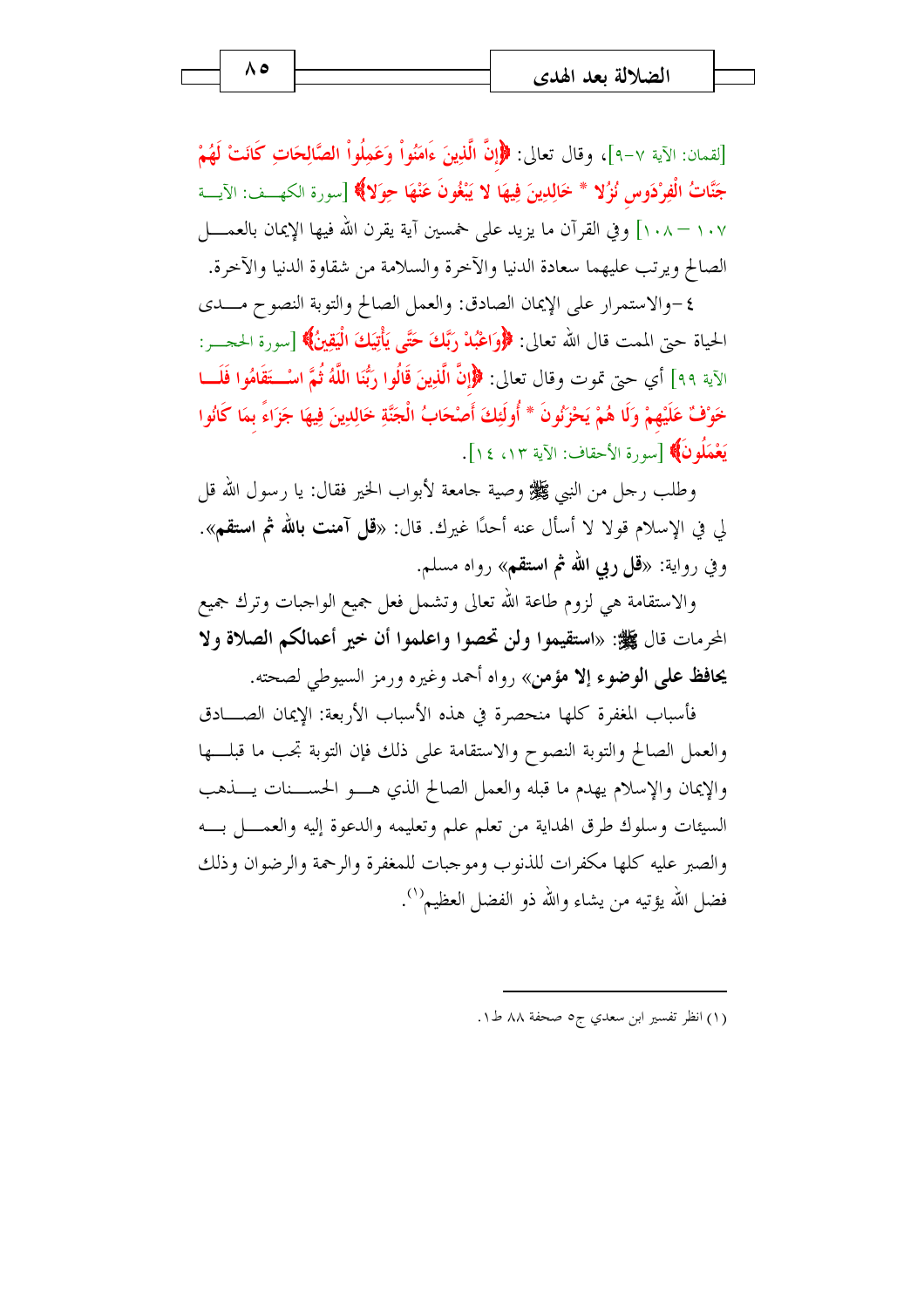[لقمان: الآية ٧-٩]، وقال تعالى: ﴿إِنَّ الَّذِينَ ءَامَنُواْ وَعَمِلُواْ الصَّالِحَاتِ كَانَتْ لَهُمْ جَنَّاتُ الْفِرْدَوس نُزُلا \* خَالِدِينَ فِيهَا لا يَبْغُونَ عَنْهَا حِوَلاً﴾ [سورة الكهـــف: الآيـــة ١٠٧ – ١٠٨] وفي القرآن ما يزيد على خمسين آية يقرن الله فيها الإيمان بالعمــــل الصالح ويرتب عليهما سعادة الدنيا والآحرة والسلامة من شقاوة الدنيا والآحرة.

٤-والاستمرار على الإيمان الصادق: والعمل الصالح والتوبة النصوح مـــدي الحياة حيّ الممت قال الله تعالى: ﴿وَاعْبُدْ رَبُّكَ حَتَّى يَأْتِيَكَ الْيَقِينُ﴾ [سورة الحجـــر: الآية ٩٩] أي حتى تموت وقال تعالى: ﴿إِنَّ الَّذِينَ قَالُوا رَبُّنَا اللَّهُ ثُمَّ اسْــتَقَامُوا فَلَـــا خَوْفٌ عَلَيْهِمْ وَلَا هُمْ يَحْزَنُونَ \* أُولَئِكَ أَصْحَابُ الْجَنَّةِ خَالِدِينَ فِيهَا جَزَاءً بمَا كَانُوا يَعْمَلُونَ﴾ [سورة الأحقاف: الآية ١٣، ١٤].

وطلب رحل من النبي ﷺ وصية حامعة لأبواب الخير فقال: يا رسول الله قل لى في الإسلام قولا لا أسأل عنه أحدًا غيرك. قال: «قل آمنت بالله ثم ا**ستقم**». وفي رواية: «قل **ربي الله ثم استقم**» رواه مسلم.

والاستقامة هي لزوم طاعة الله تعالى وتشمل فعل جميع الواجبات وترك جميع المحرمات قال ﷺ: «استقيموا ولن تحصوا واعلموا أن خير أعمالكم الصلاة ولا يحافظ على الوضوء إلا مؤمن» رواه أحمد وغيره ورمز السيوطي لصحته.

فأسباب المغفرة كلها منحصرة في هذه الأسباب الأربعة: الإيمان الصــــادق والعمل الصالح والتوبة النصوح والاستقامة على ذلك فإن التوبة تحب ما قبلها والإيمان والإسلام يهدم ما قبله والعمل الصالح الذي هــو الحســنات يـــذهب السيئات وسلوك طرق الهداية من تعلم علم وتعليمه والدعوة إليه والعمـــل بـــه والصبر عليه كلها مكفرات للذنوب وموجبات للمغفرة والرحمة والرضوان وذلك فضل الله يؤتيه من يشاء والله ذو الفضل العظيم''.

(١) انظر تفسير ابن سعدي ج٥ صحفة ٨٨ ط١.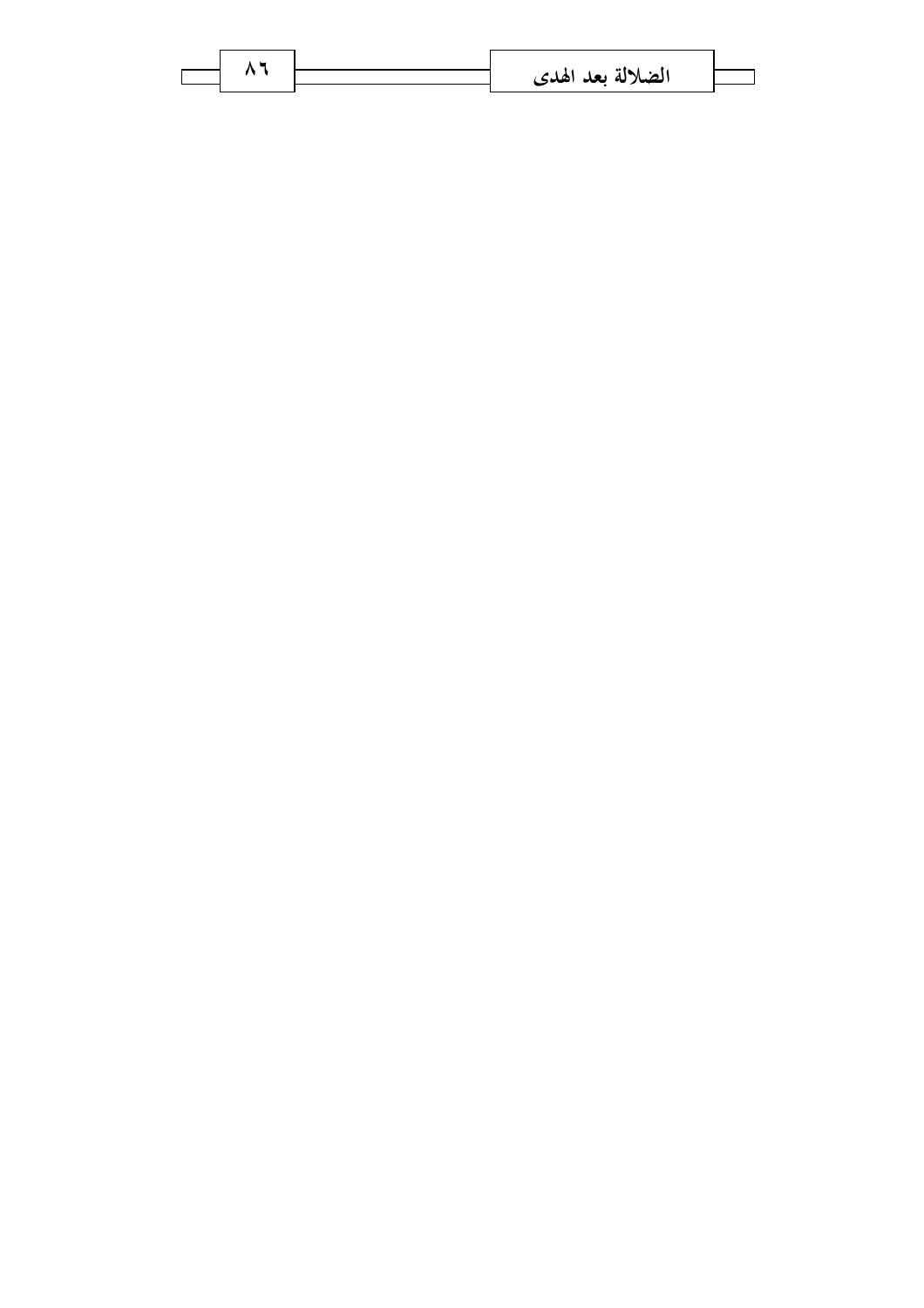|  | الضلالة بعد الهدي |  |
|--|-------------------|--|
|  |                   |  |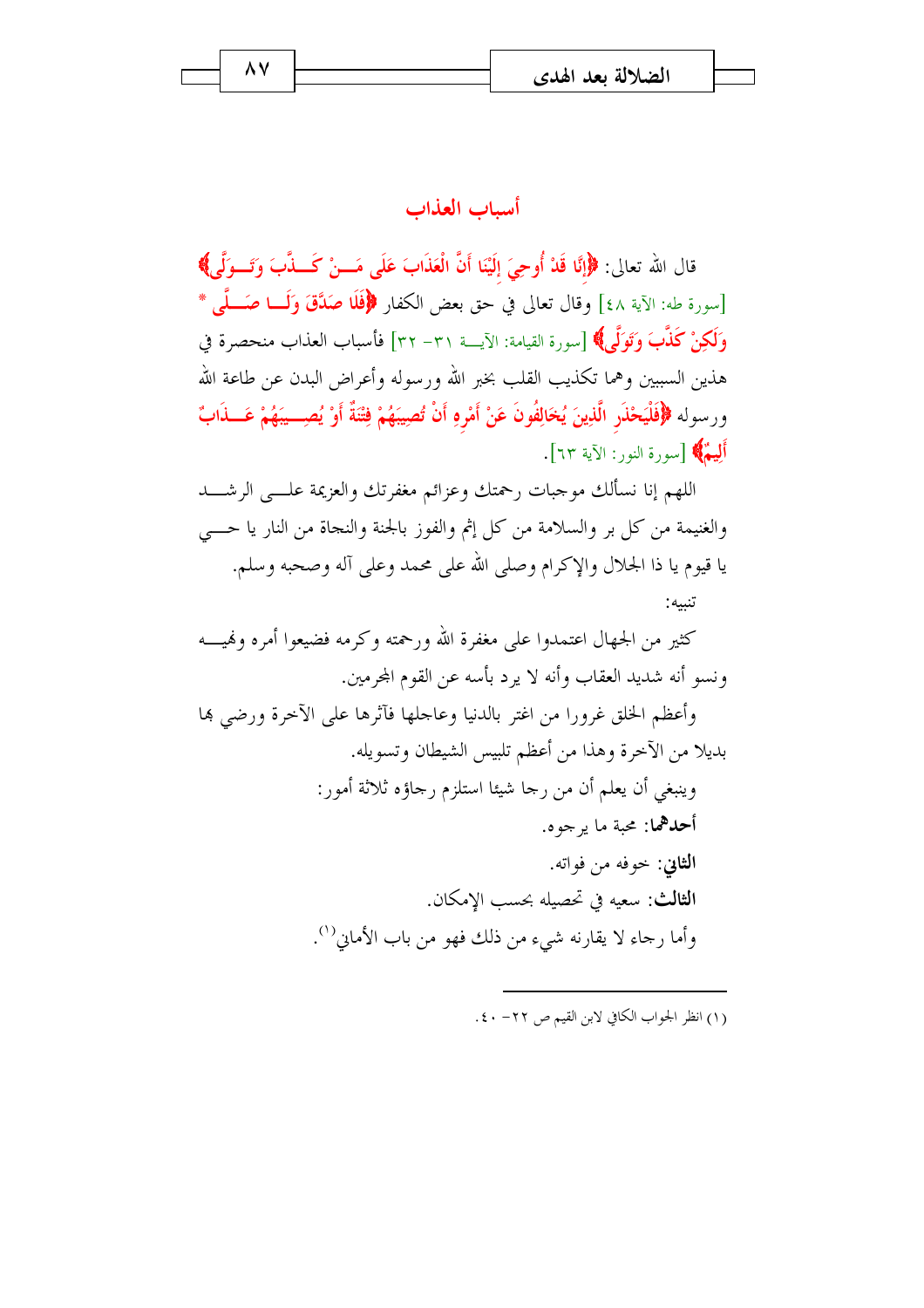## أسياب العذاب

قال الله تعالى: ﴿إِنَّا قَدْ أُوحِيَ إِلَيْنَا أَنَّ الْعَذَابَ عَلَى مَــنْ كَـــذَّبَ وَتَــوَلَّى﴾ [سورة طه: الآية ٤٨] وقال تعالى في حق بعض الكفار ۞ فَقَلَا صَدَّقَ وَلَـــا صَـــلَّمِي \* وَلَكِنْ كَنْبَ وَتَوَلَّمٍ ﴾ [سورة القيامة: الآيسة ٣١ – ٣٢] فأسباب العذاب منحصرة في هذين السببين وهما تكذيب القلب بخبر الله ورسوله وأعراض البدن عن طاعة الله ورسوله ﴿فَلْيَحْذَرِ الَّذِينَ يُخَالِفُونَ عَنْ أَمْرِهِ أَنْ تُصِيبَهُمْ فِتْنَةٌ أَوْ يُصِـــيبَهُمْ عَـــذَابٌ أَلِيهُ؟ [سورة النور: الآية ٦٣].

اللهم إنا نسألك موجبات رحمتك وعزائم مغفرتك والعزيمة علـــى الرشــــد والغنيمة من كل بر والسلامة من كل إثم والفوز بالجنة والنجاة من النار يا حــــي يا قيوم يا ذا الجلال والإكرام وصلى الله على محمد وعلى آله وصحبه وسلم. تنبيه:

كثير من الجهال اعتمدوا على مغفرة الله ورحمته وكرمه فضيعوا أمره ونميسه ونسو أنه شديد العقاب وأنه لا يرد بأسه عن القوم المحرمين.

وأعظم الخلق غرورا من اغتر بالدنيا وعاجلها فآثرها على الآخرة ورضى ها بديلا من الآخرة وهذا من أعظم تلبيس الشيطان وتسويله. وينبغي أن يعلم أن من رجا شيئا استلزم رجاؤه ثلاثة أمور: **أحدهما**: محية ما ب<sub>ر</sub>جوه.

> الثاني: خوفه من فواته. **الثالث:** سعيه في تحصيله بحسب الامكان. وأما رجاء لا يقارنه شيء من ذلك فهو من باب الأماين''.

> > (١) انظر الجواب الكافي لابن القيم ص ٢٢- ٤٠.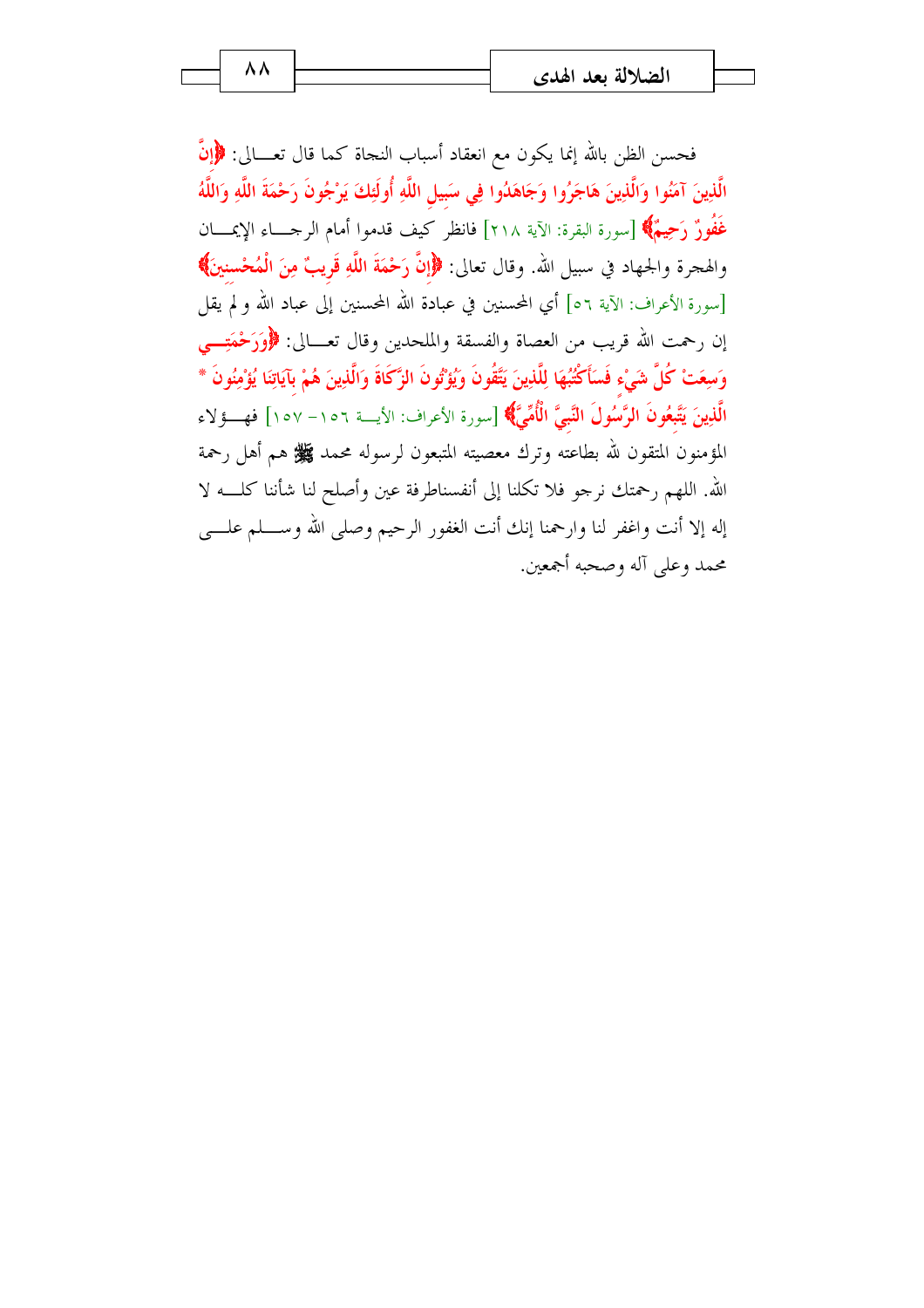فحسن الظن بالله إنما يكون مع انعقاد أسباب النجاة كما قال تعـــالى: ﴿إِنَّ الَّذِينَ آمَنُوا وَالَّذِينَ هَاجَرُوا وَجَاهَدُوا فِي سَبِيلِ اللَّهِ أُولَئِكَ يَرْجُونَ رَحْمَةَ اللَّهِ وَاللَّهُ غَفُورٌ رَحِيمٌ﴾ [سورة البقرة: الآية ٢١٨] فانظر كيف قدموا أمام الرجـــاء الإيمـــان والهجرة والجهاد في سبيل الله. وقال تعالى: ﴿إِنَّ رَحْمَةَ اللَّهِ قَرِيبٌ مِنَ الْمُحْسنينَ﴾ [سورة الأعراف: الآية ٥٦] أي المحسنين في عبادة الله المحسنين إلى عباد الله و لم يقل إن رحمت الله قريب من العصاة والفسقة والملحدين وقال تعـــالى: ﴿وَرَحْمَتِـــي وَسِعَتْ كُلَّ شَيْء فَسَأَكْتُبُهَا لِلَّذِينَ يَتَّقُونَ وَيُؤْثُونَ الزَّكَاةَ وَالَّذِينَ هُمْ بآياتِنَا يُؤْمِنُونَ \* الَّذِينَ يَتَّبِعُونَ الرَّسُولَ النَّبِيَّ الْأُمِّيُّ﴾ [سورة الأعراف: الأيـــة ١٥٦– ١٥٧] فهـــؤلاء المؤمنون المتقون لله بطاعته وترك معصيته المتبعون لرسوله محمد ﷺ هم أهل رحمة الله. اللهم رحمتك نرجو فلا تكلنا إلى أنفسناطرفة عين وأصلح لنا شأننا كلـــه لا إله إلا أنت واغفر لنا وارحمنا إنك أنت الغفور الرحيم وصلى الله وســــلم علــــى محمد وعلى آله وصحبه أجمعين.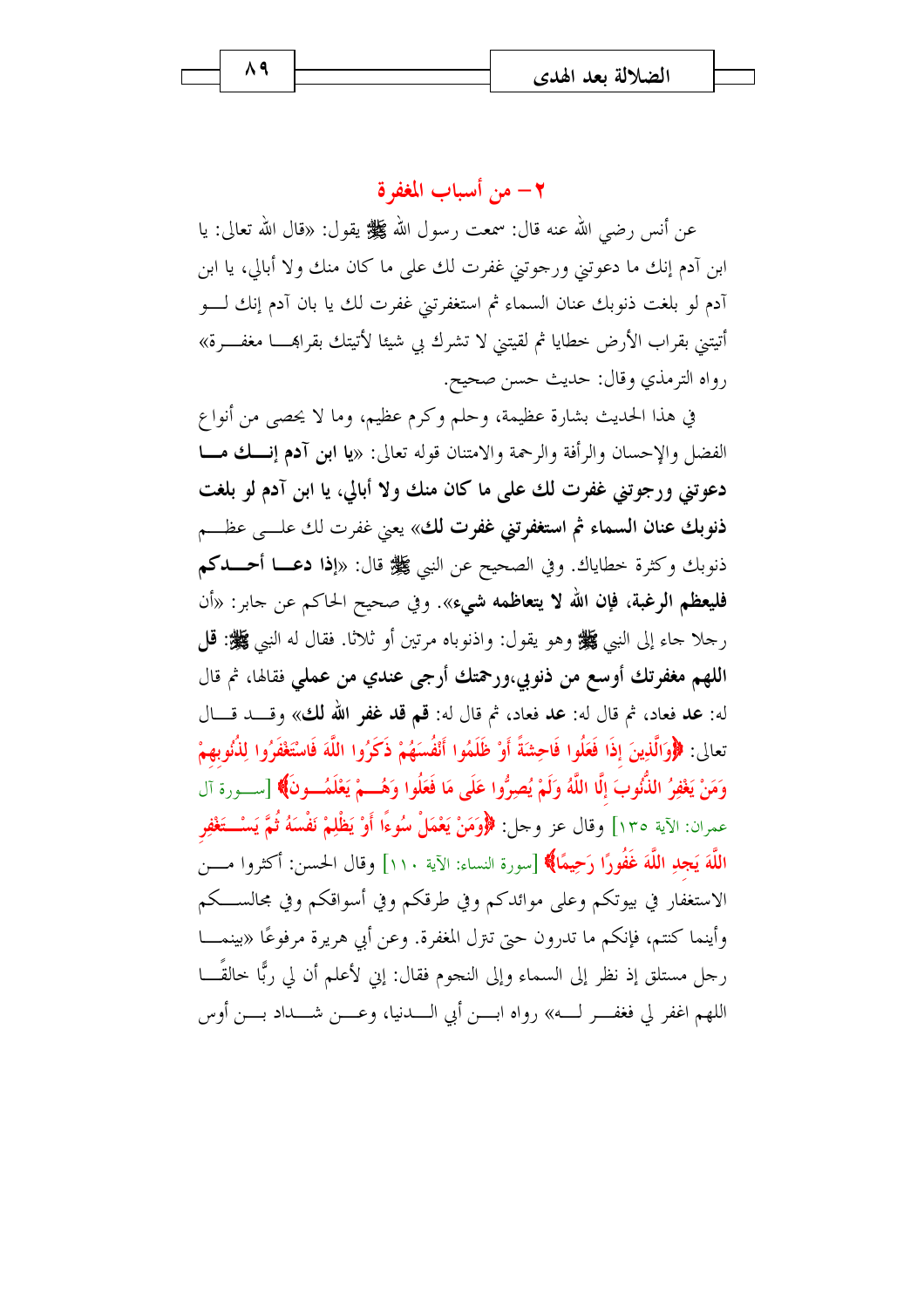٢ - من أسباب المغفرة

عن أنس رضي الله عنه قال: سمعت رسول الله ﷺ يقول: «قال الله تعالى: يا ابن آدم إنك ما دعوتني ورجوتني غفرت لك على ما كان منك ولا أبالي، يا ابن آدم لو بلغت ذنوبك عنان السماء ثم استغفرتني غفرت لك يا بان آدم إنك لــــو أتيتني بقراب الأرض خطايا ثم لقيتني لا تشرك بي شيئا لأتيتك بقرابهــــا مغفــــرة» رواه الترمذي وقال: حديث حسن صحيح.

في هذا الحديث بشارة عظيمة، وحلم وكرم عظيم، وما لا يحصى من أنواع الفضل والإحسان والرأفة والرحمة والامتنان قوله تعالى: «يا ابن آ**دم** إنسك مسا دعوتني ورجوتني غفرت لك على ما كان منك ولا أبالي، يا ابن آدم لو بلغت ذنوبك عنان السماء ثم استغفرتني غفرت لك» يعني غفرت لك علـــي عظـــم ذنوبك وكثرة خطاياك. وفي الصحيح عن النبي ﷺ قال: «إذا دعـــا أحــــدكم فليعظم الرغبة، فإن الله لا يتعاظمه شيء». وفي صحيح الحاكم عن حابر: «أن رحلا حاء إلى النبي ﷺ وهو يقول: واذنوباه مرتين أو ثلاثًا. فقال له النبي ﷺ: قل اللهم مغفرتك أوسع من ذنوبي،ورحمتك أرجى عندي من عملي فقالها، ثم قال له: **عد** فعاد، ثم قال له: **عد** فعاد، ثم قال له: **قم قد غفر الله لك**» وقـــد قـــال تعالى: ﴿وَالَّذِينَ إِذَا فَعَلُوا فَاحِشَةً أَوْ ظَلَمُوا أَنْفُسَهُمْ ذَكَرُوا اللَّهَ فَاسْتَغْفَرُوا لِذُنُوبهمْ وَمَنْ يَغْفِرُ الذُّنُوبَ إِلَّا اللَّهُ وَلَمْ يُصِرُّوا عَلَى مَا فَعَلُوا وَهُـــمْ يَعْلَمُـــونَ﴾ [ســـورة آل عمران: الآية ١٣٥] وقال عز وجل: ﴿وَمَنْ يَعْمَلْ سُوءًا أَوْ يَظْلِمْ نَفْسَهُ ثُمَّ يَسْـــتَغْفِرِ ا**للَّهَ يَجِدِ اللَّهَ غَفُورًا رَحِيمًا﴾ [**سورة النساء: الآية ١١٠] وقال الحسن: أكثروا مــــن الاستغفار في بيوتكم وعلى موائدكم وفي طرقكم وفي أسواقكم وفي مجالســـكم وأينما كنتم، فإنكم ما تدرون حتى تنزل المغفرة. وعن أبي هريرة مرفوعًا «بينمـــا رجل مستلق إذ نظر إلى السماء وإلى النجوم فقال: إين لأعلم أن لي ربًّا خالقًـــا اللهم اغفر لي فغف \_ لــه» , واه ابـــن أبي الـــدنيا، وعـــن شـــداد بـــن أوس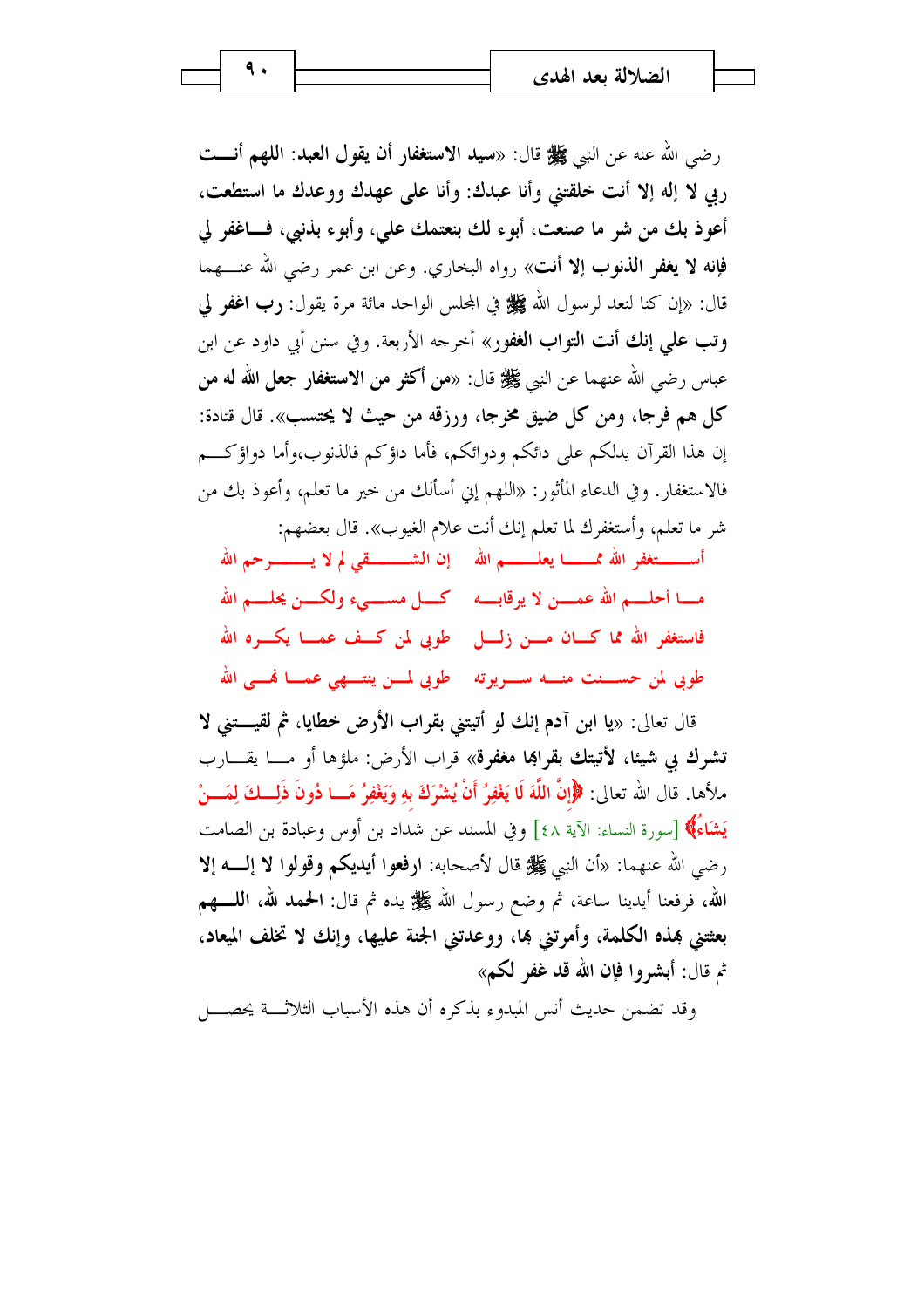|  | الضلاله بعد اهدى |  |
|--|------------------|--|
|  |                  |  |

 $\Box$ 

رضي الله عنه عن النبي ﷺ قال: «**سيد الاستغفار أن يقول العبد**: **اللهم أنـــت** ربي لا إله إلا أنت خلقتني وأنا عبدك: وأنا على عهدك ووعدك ما استطعت، أعوذ بك من شر ما صنعت، أبوء لك بنعتمك على، وأبوء بذنبي، فــاغفر لي فإنه لا يغفر الذنوب إلا أنت» رواه البخاري. وعن ابن عمر رضي الله عنـــهما قال: «إن كنا لنعد لرسول الله ﷺ في المحلس الواحد مائة مرة يقول: **رب اغفر لي** وتب على إنك أنت التواب الغفور» أحرجه الأربعة. وفي سنن أبي داود عن ابن عباس رضي الله عنهما عن النبي ﷺ قال: «من أكثو من الاستغفار جعل الله له من كلِّ هم فرجًا، ومَن كلِّ ضيقٍ مخرجًا، ورزقه من حيث لا يحتسب». قال قتادة: إن هذا القرآن يدلكم على دائكم ودوائكم، فأما داؤكم فالذنوب،وأما دواؤكسم فالاستغفار. وفي الدعاء المأثور: «اللهم إين أسألك من خير ما تعلم، وأعوذ بك من شر ما تعلم، وأستغفرك لما تعلم إنك أنت علام الغيوب». قال بعضهم:

أســـــــــتغفر الله ممـــــــــــا يعلــــــــــم الله = إن الشـــــــــــقي لم لا يــــــــــــرحم الله مــــا أحلــــــم الله عمـــــن لا يرقابـــــه كـــــل مســــــيء ولكـــــن يحلــــــم الله فاستغفر الله مما كـــان مــــن زلــــل طوبى لمن كـــف عمـــا يكــــوه الله طوبي لمن حسستت منسه سيبويوته - طوبي لمسن ينتسهي عمسا فمسى الله

قال تعالى: «يا ابن آدم إنك لو أتيتنى بقراب الأرض خطايا، ثم لقيــــتنى لا تشوك بي شيئًا، لأتيتك بقوابمًا مغفوة» قراب الأرض: ملؤها أو مـــا يقــــارب ملأها. قال الله تعالى: ﴿إِنَّ اللَّهَ لَا يَغْفِرُ أَنْ يُشْرَكَ بِهِ وَيَغْفِرُ مَــا دُونَ ذَلِـــكَ لِمَـــنْ يَشَاءُ﴾ [سورة النساء: الآية ٤٨] وفي المسند عن شداد بن أوس وعبادة بن الصامت رضي الله عنهما: «أن النبي ﷺ قال لأصحابه: ا**رفعوا أيديكم وقولوا لا إلـــــه إلا** الله، فرفعنا أيدينا ساعة، ثم وضع رسول الله ﷺ يده ثم قال: الحمد لله، اللــــهم بعثتني بهذه الكلمة، وأمرتني بما، ووعدتني الجنة عليها، وإنك لا تخلف الميعاد، ثم قال: أبشروا فإن الله قد غفر لكم»

وقد تضمن حديث أنس المبدوء بذكره أن هذه الأسباب الثلاثـــة يحصــــل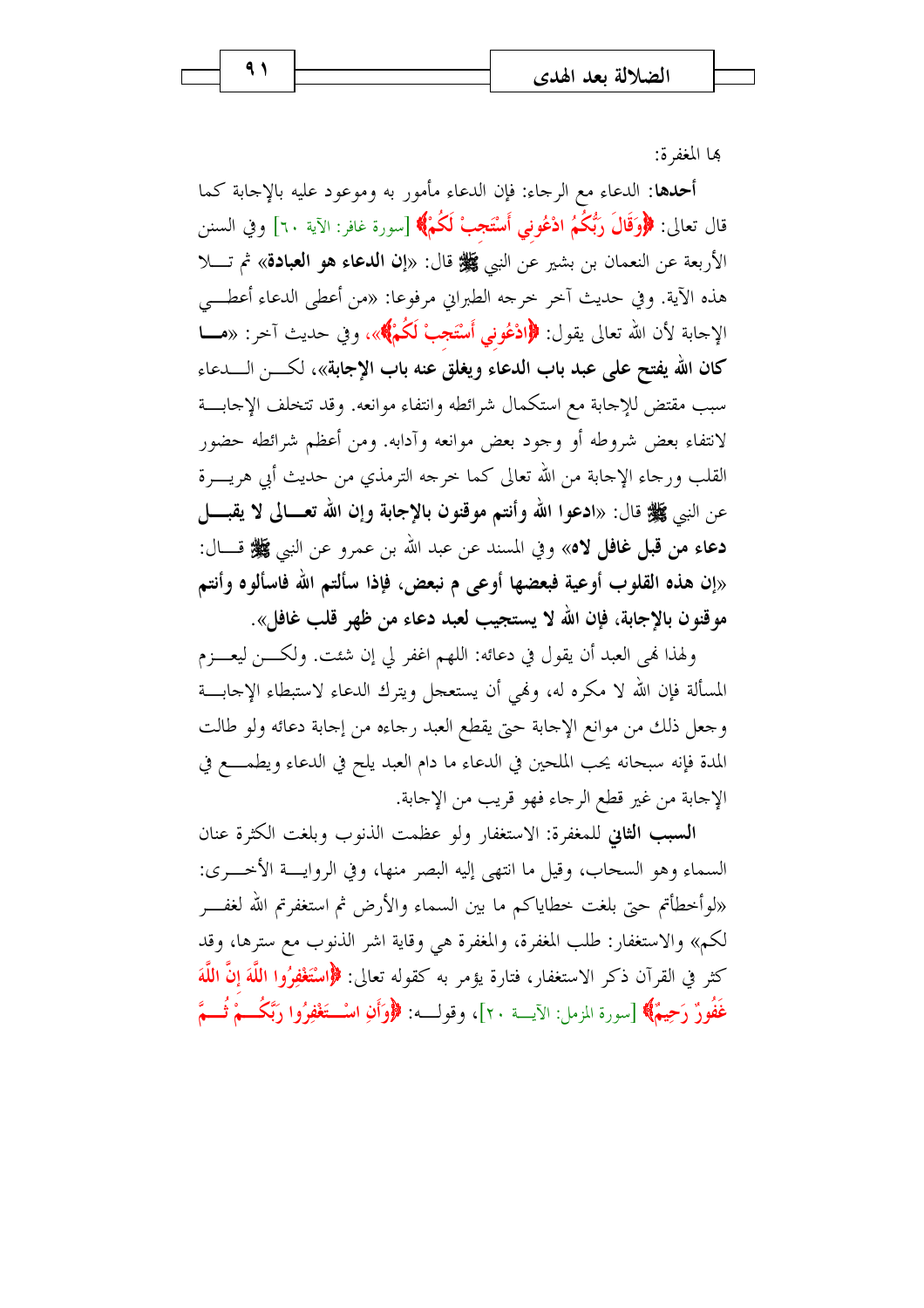بِما المغفرة:

أحمدها: الدعاء مع الرجاء: فإن الدعاء مأمور به وموعود عليه بالإجابة كما قال تعالى: ﴿وَقَالَ رَبُّكُمُ ادْعُونِي أَسْتَجِبْ لَكُمْ﴾ [سورة غافر: الآية ٢٠] وفي السنن الأربعة عن النعمان بن بشير عن النبي ﷺ قال: «إن ا**لدعاء هو العبادة**» ثم تــــلا هذه الآية. وفي حديث آخر خرجه الطبراني مرفوعا: «من أعطى الدعاء أعطـــي الإجابة لأن الله تعالى يقول: ﴿ادْعُونِي أَسْتَجِبْ لَكُمْ﴾»، وفي حديث آخر: «مـــا كان الله يفتح على عبد باب الدعاء ويغلق عنه باب الإجابة»، لكــــن الــــدعاء سبب مقتض للإجابة مع استكمال شرائطه وانتفاء موانعه. وقد تتخلف الإجابــة لانتفاء بعض شروطه أو وجود بعض موانعه وآدابه. ومن أعظم شرائطه حضور القلب ورجاء الإجابة من الله تعالى كما خرجه الترمذي من حديث أبي هريــــرة عن النبي ﷺ قال: «ادعوا الله وأنتم موقنون بالإجابة وإن الله تعـــالى لا يقبــــل دعاء من قبل غافل لاه» وفي المسند عن عبد الله بن عمرو عن النبي ﷺ قـــال: «إن هذه القلوب أوعية فبعضها أوعى م نبعض، فإذا سألتم الله فاسألوه وأنتم موقنون بالإجابة، فإن الله لا يستجيب لعبد دعاء من ظهر قلب غافل».

ولهذا في العبد أن يقول في دعائه: اللهم اغفر لي إن شئت. ولكـــن ليعـــزم المسألة فإن الله لا مكره له، وفمي أن يستعجل ويترك الدعاء لاستبطاء الإجابـــة وجعل ذلك من موانع الإجابة حتى يقطع العبد رجاءه من إجابة دعائه ولو طالت المدة فإنه سبحانه يحب الملحين في الدعاء ما دام العبد يلح في الدعاء ويطمــــع في الإجابة من غير قطع الرجاء فهو قريب من الإجابة.

السبب الثاني للمغفرة: الاستغفار ولو عظمت الذنوب وبلغت الكثرة عنان السماء وهو السحاب، وقيل ما انتهى إليه البصر منها، وفي الروايـــة الأحـــرى: «لوأخطأتم حتى بلغت خطاياكم ما بين السماء والأرض ثم استغفرتم الله لغفـــر لكم» والاستغفار : طلب المغفرة، والمغفرة هي وقاية اشر الذنوب مع سترها، وقد كثر في القرآن ذكر الاستغفار، فتارة يؤمر به كقوله تعالى: ﴿اسْتَغْفِرُوا اللَّهَ إِنَّ اللَّهَ غَفُورٌ رَحِيمٌ﴾ [سورة المزمل: الآيسة ٢٠]، وقولسه: ﴿وَأَنِ اسْسَتَغْفِرُوا رَبَّكُسِمْ ثُسَمَّ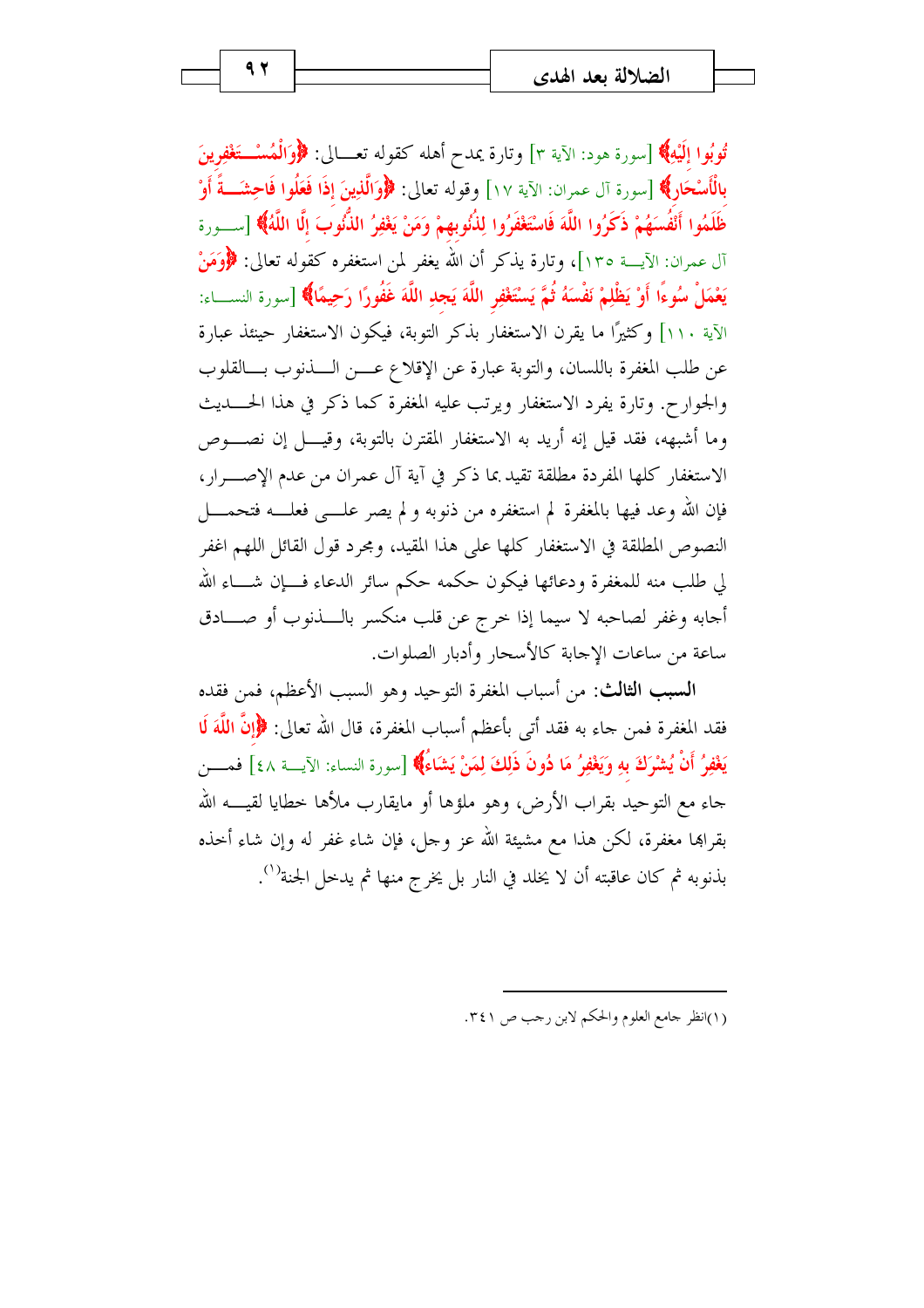| الضلالة بعد الهدى |  |
|-------------------|--|
|                   |  |

تُوبُوا إِلَيْهِ﴾ [سورة هود: الآية ٣] وتارة يمدح أهله كقوله تعـــالى: ﴿وَالْمُسْـــتَغْفِرِينَ بِالْأَسْحَارِ﴾ [سورة آل عمران: الآية ١٧] وقوله تعالى: ﴿وَالَّذِينَ إِذَا فَعَلُوا فَاحِشَــةً أَوْ ظَلَمُوا أَنْفُسَهُمْ ذَكَرُوا اللَّهَ فَاسْتَغْفَرُوا لِلْأُنُوبِهِمْ وَمَنْ يَغْفِرُ الذُّنُوبَ إلَّا اللَّهُ﴾ [ســـورة آل عمران: الآيـــة ١٣٥]، وتارة يذكر أن الله يغفر لمن استغفره كقوله تعالى: ﴿وَمَنْ يَعْمَلْ سُوءًا أَوْ يَظْلِمْ نَفْسَهُ ثُمَّ يَسْتَغْفِرِ اللَّهَ يَجدِ اللَّهَ غَفُورًا رَحِيمًا﴾ [سورة النســاء: الآية ١١٠] وكثيرًا ما يقرن الاستغفار بذكر التوبة، فيكون الاستغفار حينئذ عبارة عن طلب المغفرة باللسان، والتوبة عبارة عن الإقلاع عـــن الــــذوب بــــالقلوب والجوارح. وتارة يفرد الاستغفار ويرتب عليه المغفرة كما ذكر في هذا الحسديث وما أشبهه، فقد قيل إنه أريد به الاستغفار المقترن بالتوبة، وقيــــل إن نصــــوص الاستغفار كلها المفردة مطلقة تقيد بما ذكر في آية آل عمران من عدم الإصــــرار، فإن الله وعد فيها بالمغفرة لم استغفره من ذنوبه و لم يصر علـــى فعلــــه فتحمــــل النصوص المطلقة في الاستغفار كلها على هذا المقيد، ومجرد قول القائل اللهم اغفر لي طلب منه للمغفرة ودعائها فيكون حكمه حكم سائر الدعاء فـــإن شــــاء الله أجابه وغفر لصاحبه لا سيما إذا خرج عن قلب منكسر بالــــذنوب أو صـــــادق ساعة من ساعات الإجابة كالأسحار وأدبار الصلوات.

ا**لسبب الثالث**: من أسباب المغفرة التوحيد وهو السبب الأعظم، فمن فقده فقد المغفرة فمن جاء به فقد أتى بأعظم أسباب المغفرة، قال الله تعالى: ﴿إِنَّ اللَّهَ لَا يَغْفِرُ أَنْ يُشْرَكَ بِهِ وَيَغْفِرُ مَا دُونَ ذَلِكَ لِمَنْ يَشَاءُ﴾ [سورة النساء: الآيـــة ٤٨] فمــــن جاء مع التوحيد بقراب الأرض، وهو ملؤها أو مايقارب ملأها خطايا لقيــــه الله بقراهِا مغفرة، لكن هذا مع مشيئة الله عز وجل، فإن شاء غفر له وإن شاء أخذه بذنوبه ثم كان عاقبته أن لا يخلد في النار بل يخرج منها ثم يدخل الجنة<sup>(١)</sup>.

(١)انظر جامع العلوم والحكم لابن رحب ص ٣٤١.

۹ ۲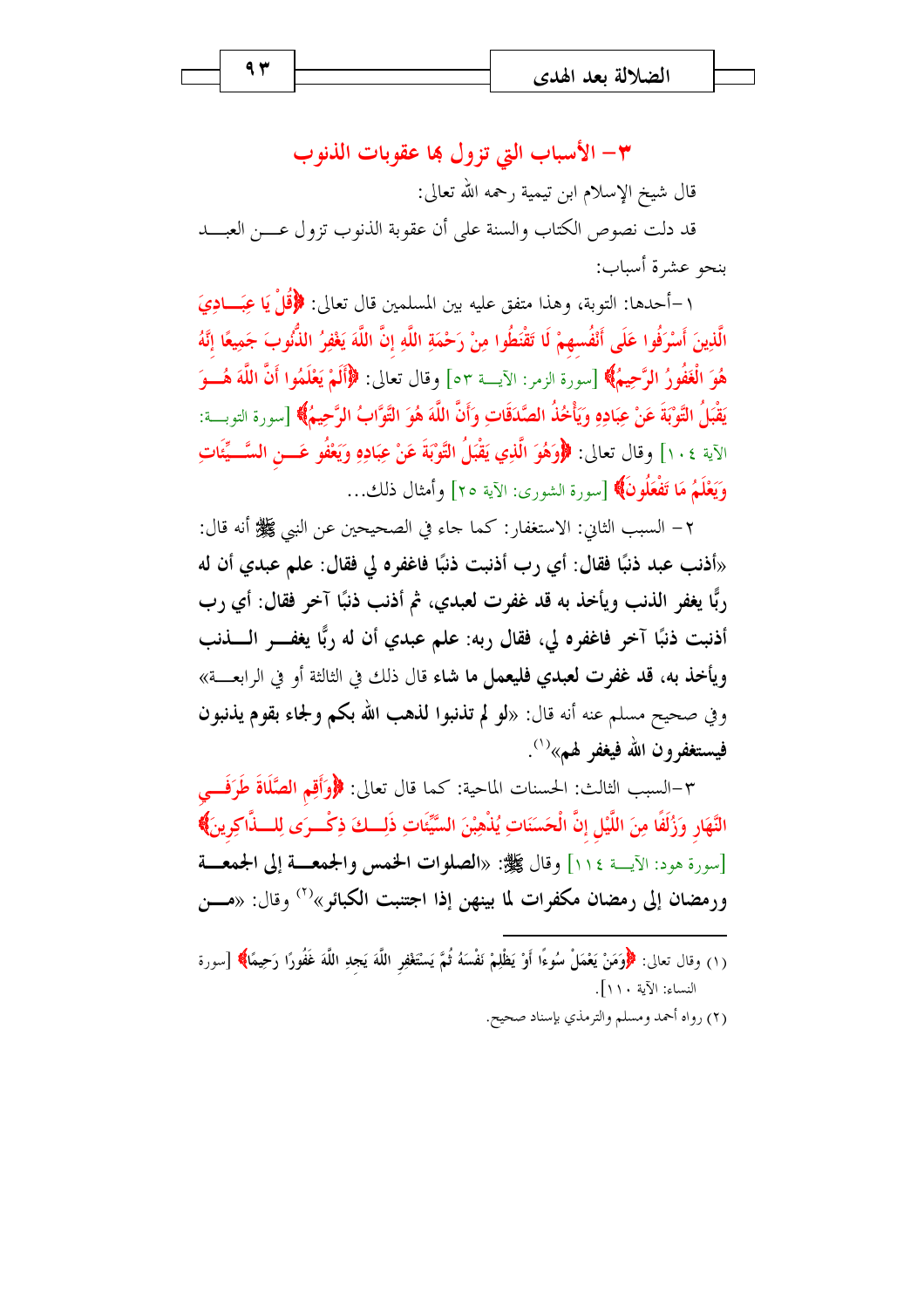٣- الأسباب التي تزول ها عقوبات الذنوب

قال شيخ الإسلام ابن تيمية رحمه الله تعالى: قد دلت نصوص الكتاب والسنة على أن عقوبة الذنوب تزول عــــن العبــــد بنحو عشرة أسباب:

١–أحدها: التوبة، وهذا متفق عليه بين المسلمين قال تعالى: ﴿قُلْ يَا عِبَـــادِيَ الَّذِينَ أَسْرَفُوا عَلَى أَنْفُسهمْ لَا تَقْنَطُوا مِنْ رَحْمَةِ اللَّهِ إِنَّ اللَّهَ يَغْفِرُ الذُّنُوبَ جَمِيعًا إنَّهُ هُوَ الْغَفُورُ الرَّحِيمُ﴾ [سورة الزمر: الآيـــة ٥٣] وقال تعالى: ﴿أَلَمْ يَعْلَمُوا أَنَّ اللَّهَ هُـــوَ يَقْبَلُ التَّوْبَةَ عَنْ عِبَادِهِ وَيَأْخُذُ الصَّدَقَاتِ وَأَنَّ اللَّهَ هُوَ التَّوَّابُ الرَّحِيمُ﴾ [سورة التوبسة: الآية ١٠٤] وقال تعالى: ﴿وَهُوَ الَّذِي يَقْبَلُ التَّوْبَةَ عَنْ عِبَادِهِ وَيَعْفُو عَـــنِ السَّـــيِّئَاتِ وَيَ**عْلَمُ مَا تَفْعَلُونَ﴾ [**سورة الشورى: الآية ٢٥**] وأمثال ذلك...** 

٢ – السبب الثاني: الاستغفار: كما جاء في الصحيحين عن النبي ﷺ أنه قال: «أذنب عبد ذنبًا فقال: أي رب أذنبت ذنبًا فاغفرِه لي فقال: علم عبدي أن له ربًّا يغفر الذنب ويأخذ به قد غفرت لعبدي، ثم أذنب ذنبًا آخر فقال: أي رب أذنبت ذنبًا آخرٍ فاغفره لي، فقال ربه: علم عبدي أن له ربًّا يغفـــر الــــذنب ويأخذ به، قد غفرت لعبدي فليعمل ما شاء قال ذلك في الثالثة أو في الرابعــــة» وفي صحيح مسلم عنه أنه قال: «لو لم تذنبوا لذهب الله بكم ولجاء بقوم يذنبون فيستغفرون الله فيغفر لهم»<sup>(١)</sup>.

٣-السبب الثالث: الحسنات الماحية: كما قال تعالى: ﴿وَأَقِمِ الصَّلَاةَ طَرَفَـــى النَّهَارِ وَزُلَفًا مِنَ اللَّيْلِ إِنَّ الْحَسَنَاتِ يُذْهِبْنَ السَّيِّئَاتِ ذَلِــكَ ذِكْــرَى لِلـــذَّاكِرِينَ﴾ [سورة هود: الآيسة ١١٤] وقال ﷺ: «الصلوات الخمس والجمعة إلى الجمعة ورمضان إلى رمضان مكفرات لما بينهن إذا اجتنبت الكبائر»<sup>(٢)</sup> وقال: «مـــن

- (١) وقال تعالى: ﴿وَمَنْ يَعْمَلْ سُوءًا أَوْ يَظْلِمْ نَفْسَهُ ثُمَّ يَسْتَغْفِرِ اللَّهَ يَجْدِ اللَّهَ غَفُورًا رَحِيمًا﴾ [سورة النساء: الآية ١١٠].
	- (٢) رواه أحمد ومسلم والترمذي بإسناد صحيح.

 $9<sub>1</sub>$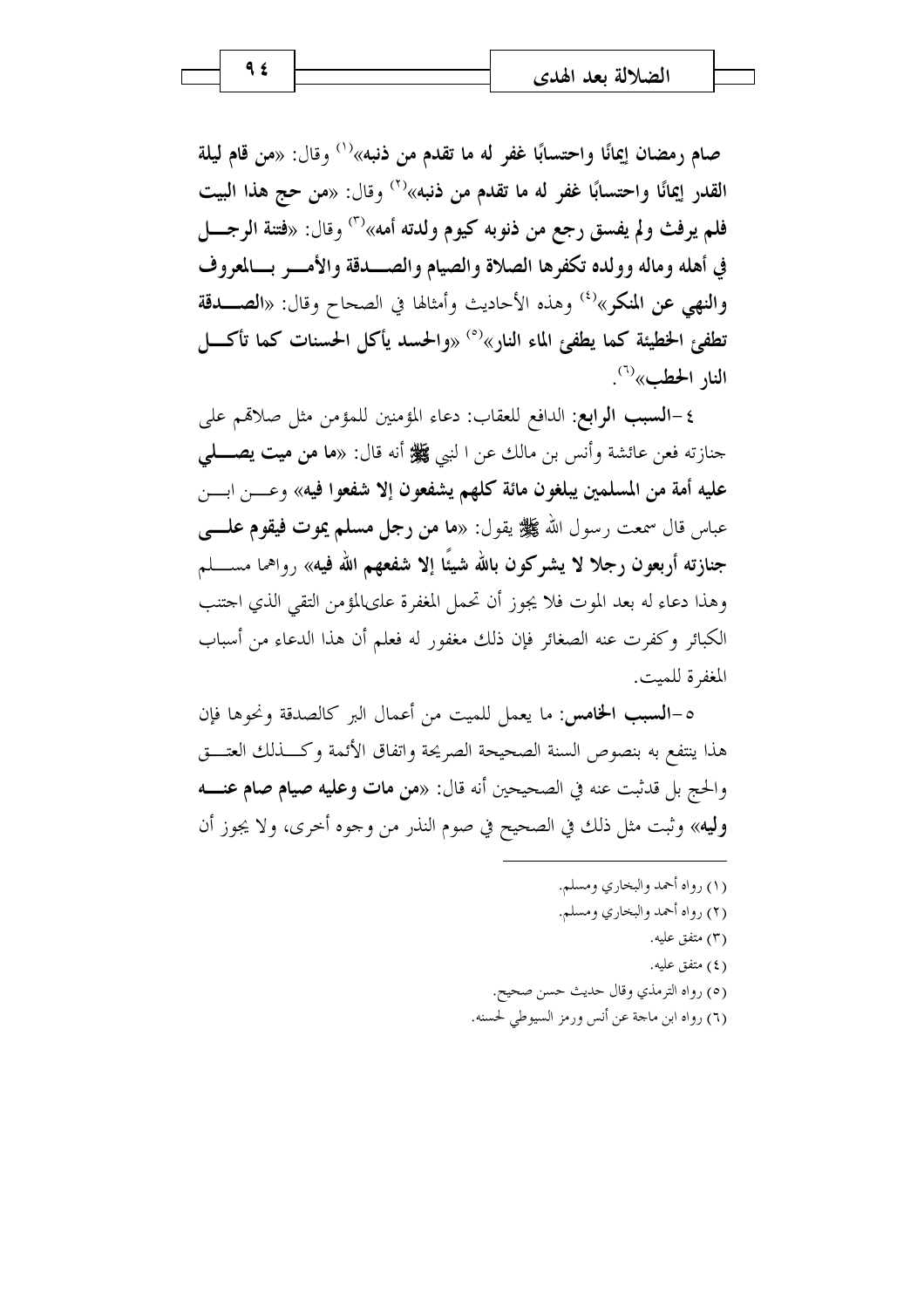|  | الضلاله بعد اهدى |  |
|--|------------------|--|
|  |                  |  |

صام رمضان إيمانًا واحتسابًا غفر له ما تقدم من ذنبه»<sup>(١)</sup> وقال: «من قام ليلة القدر إيمانًا واحتسابًا غفر له ما تقدم من ذنبه»<sup>(٢)</sup> وقال: «من حج هذا البيت فلم يرفث ولم يفسق رجع من ذنوبه كيوم ولدته أمه»<sup>(٣)</sup> وقال: «فتنة الرجــــل في أهله وماله وولده تكفرها الصلاة والصيام والصــــدقة والأمــــر بــــالمعروف والنهي عن المنكر»<sup>(٤)</sup> وهذه الأحاديث وأمثالها في الصحاح وقال: «ا**لصــــدقة** تطفئ الخطيئة كما يطفئ الماء النار»<sup>(٥)</sup> «والحسد يأكل الحسنات كما تأكـــل النار الحطب»<sup>(٦)</sup>.

٤-السبب الرابع: الدافع للعقاب: دعاء المؤمنين للمؤمن مثل صلاقمم على جنازته فعن عائشة وأنس بن مالك عن ا لنبي ﷺ أنه قال: «**ما من ميت يصــــلب**ي عليه أمة من المسلمين يبلغون مائة كلهم يشفعون إلا شفعوا فيه» وعــــن ابــــن عباس قال سمعت رسول الله ﷺ يقول: «ما من رجل مسلم يموت فيقوم علــــى جنازته أربعون رجلا لا يشركون بالله شيئًا إلا شفعهم الله فيه» روا<sup>ه</sup>ما مســــلم وهذا دعاء له بعد الموت فلا يجوز أن تحمل المغفرة علىالمؤمن التقى الذي احتنب الكبائر وكفرت عنه الصغائر فإن ذلك مغفور له فعلم أن هذا الدعاء من أسباب المغفرة للمبت.

0–ا**لسبب الخامس**: ما يعمل للميت من أعمال البر كالصدقة ونحوها فإن هذا ينتفع به بنصوص السنة الصحيحة الصريحة واتفاق الأئمة وكــذلك العتـــق والحج بل قدثبت عنه في الصحيحين أنه قال: «**من مات وعليه صيام صام عنــــه** وليه» وثبت مثل ذلك في الصحيح في صوم النذر من وحوه أخرى، ولا يجوز أن

> (١) رواه أحمد والبخاري ومسلم. (٢) رواه أحمد والبخاري ومسلم. (٣) متفق عليه. (٤) متفق عليه. (٥) رواه الترمذي وقال حديث حسن صحيح. (٦) رواه ابن ماجة عن أنس ورمز السيوطي لحسنه.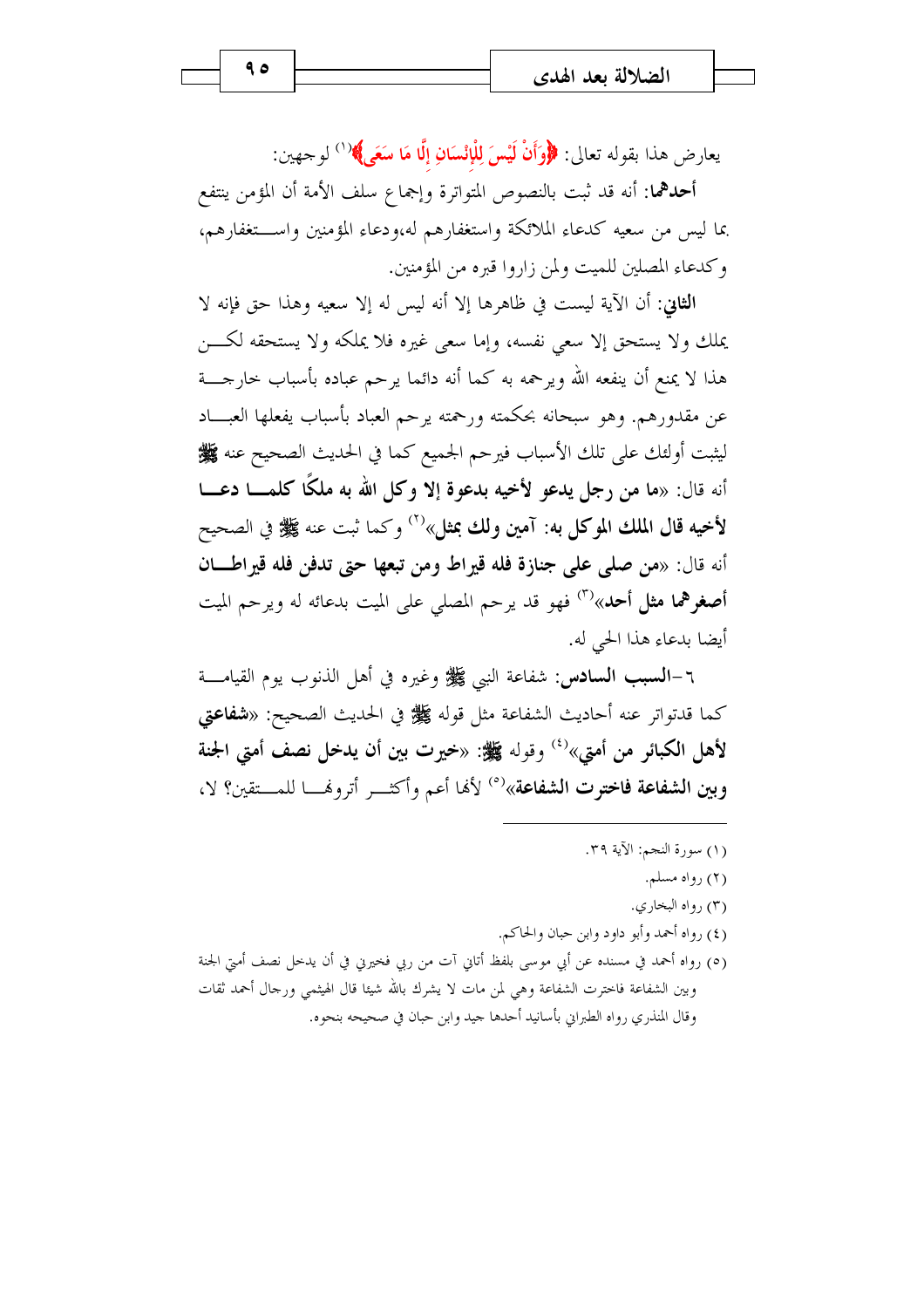يعارض هذا بقوله تعالى: ﴿وَأَنْ لَيْسَ لِلْإِنْسَانِ إِلَّا مَا سَعَى﴾ ( الوجهين:

أحدهما: أنه قد ثبت بالنصوص المتواترة وإجماع سلف الأمة أن المؤمن ينتفع بما ليس من سعيه كدعاء الملائكة واستغفارهم له،ودعاء المؤمنين واســـتغفارهم، وكدعاء المصلين للميت ولمن زاروا قبره من المؤمنين.

الثاني: أن الآية ليست في ظاهرها إلا أنه ليس له إلا سعيه وهذا حق فإنه لا يملك ولا يستحق إلا سعى نفسه، وإما سعى غيره فلا يملكه ولا يستحقه لكسن هذا لا يمنع أن ينفعه الله ويرحمه به كما أنه دائما يرحم عباده بأسباب خارجــــة عن مقدورهم. وهو سبحانه بحكمته ورحمته يرحم العباد بأسباب يفعلها العبـــاد ليثبت أولئك على تلك الأسباب فيرحم الجميع كما في الحديث الصحيح عنه ﷺ أنه قال: «ما من رجل يدعو لأخيه بدعوة إلا وكل الله به ملكًا كلمـــا دعـــا لأخيه قال الملك الموكل به: آمين ولك بمثل»<sup>(٢)</sup> وكما ثبت عنه ﷺ في الصحيح أنه قال: «من صلى على جنازة فله قيراط ومن تبعها حتى تدفن فله قيراطان **أصغرهما مثل أحد**»<sup>(٣)</sup> فهو قد يرحم المصلي على الميت بدعائه له ويرحم الميت أيضا بدعاء هذا الحي له.

٦-السبب السادس: شفاعة النبي ﷺ وغيره في أهل الذنوب يوم القيامــــة كما قدتواتر عنه أحاديث الشفاعة مثل قوله ﷺ في الحديث الصحيح: «**شفاعتي** لأهل الكبائر من أمتى»<sup>(٤)</sup> وقوله ﷺ: «خيرت بين أن يدخل نصف أمتى الجنة وبين الشفاعة فاختوت الشفاعة»<sup>(٥)</sup> لألها أعم وأكثــر أترولهــــا للمـــتقين؟ لا،

- (١) سورة النجم: الآية ٣٩.
	- (٢) رواه مسلم.
	- (٣) رواه البخاري.
- (٤) رواه أحمد وأبو داود وابن حبان والحاكم.
- (٥) رواه أحمد في مسنده عن أبي موسى بلفظ أتاني آت من ربي فخيرني في أن يدخل نصف أميّ الجنة وبين الشفاعة فاخترت الشفاعة وهي لمن مات لا يشرك بالله شيئا قال الهيثمي ورحال أحمد ثقات وقال المنذري رواه الطبراني بأسانيد أحدها جيد وابن حبان في صحيحه بنحوه.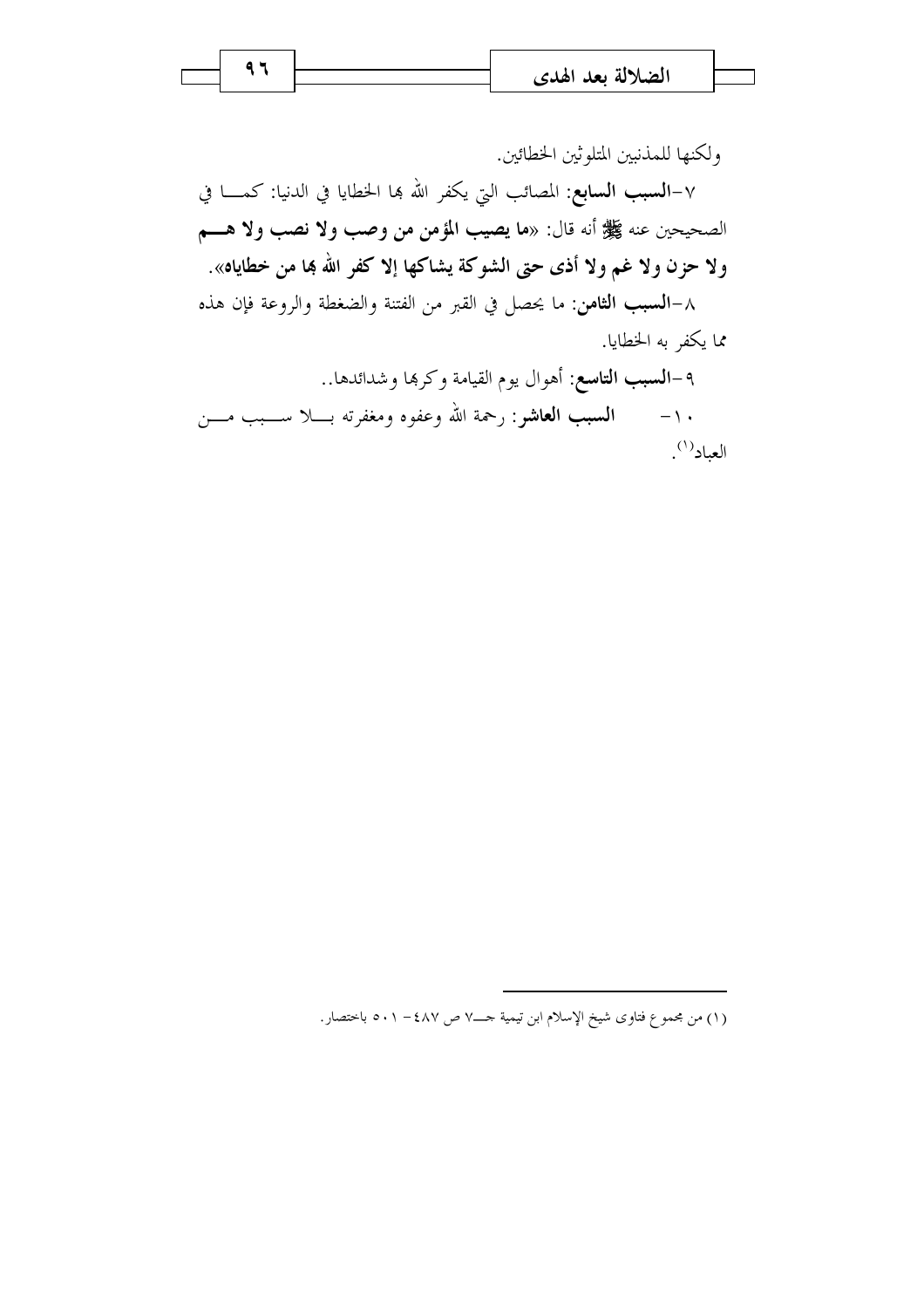|  | الضلاله بعد الهدي |  |
|--|-------------------|--|
|  |                   |  |

ولكنها للمذنبين المتلوثين الخطائين. ٧–السبب السابع: المصائب التي يكفر الله بما الخطايا في الدنيا: كمــــا في الصحيحين عنه ﷺ أنه قال: «ما يصيب المؤمن من وصب ولا نصب ولا هـــم ولا حزن ولا غم ولا أذى حتى الشوكة يشاكها إلا كفر الله بما من خطاياه». ٨–السبب الثامن: ما يحصل في القبر من الفتنة والضغطة والروعة فإن هذه مما يكفر به الخطايا. ٩-السبب التاسع: أهوال يوم القيامة وكرها وشدائدها..

١٠- ال**سبب العاشر**: رحمة الله وعفوه ومغفرته بـــلا ســــبب مـــن العباد<sup>(١)</sup>.

<sup>(</sup>١) من مجموع فتاوى شيخ الإسلام ابن تيمية حـــ٧ ص ٤٨٧ - ٥٠١ باختصار.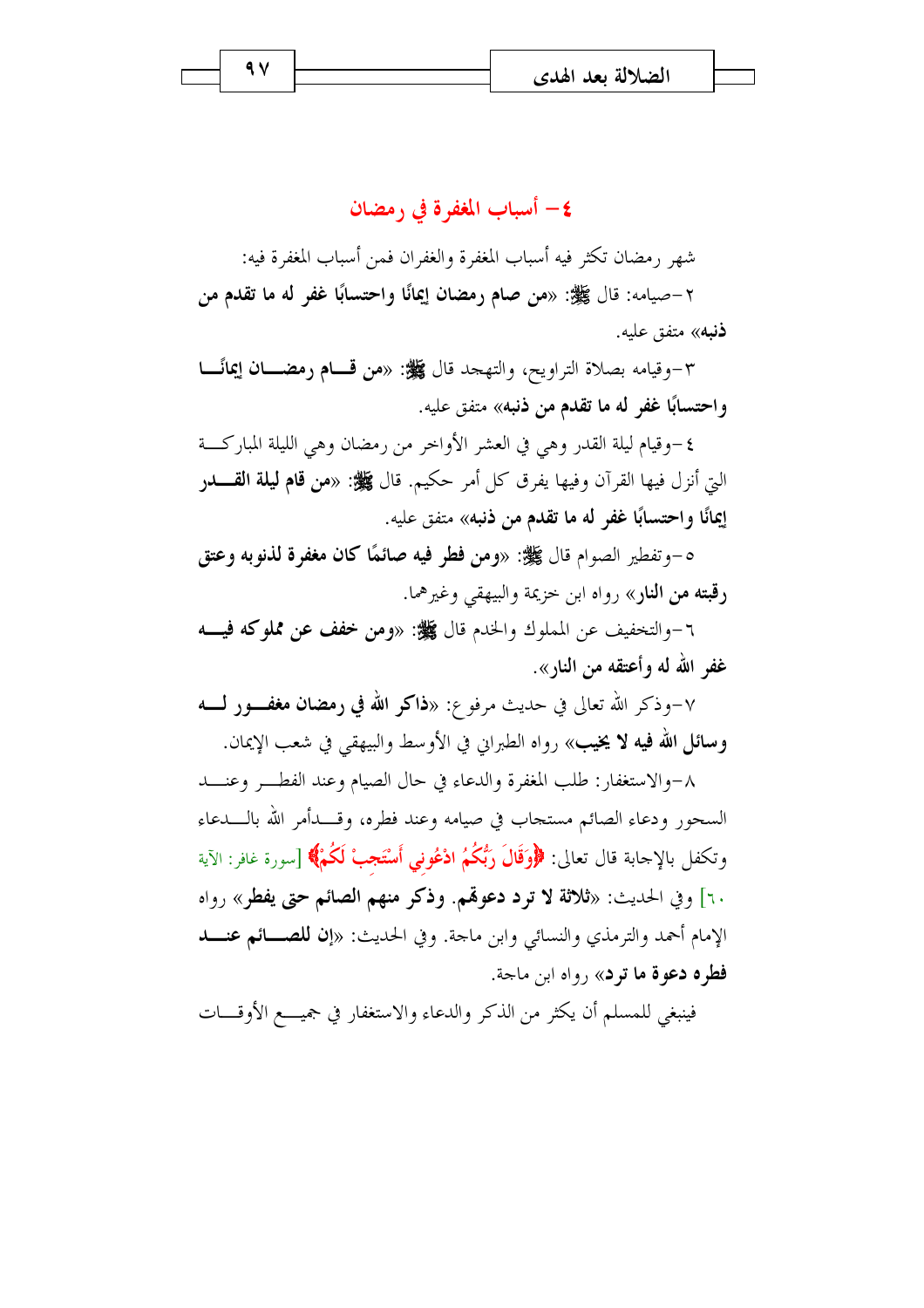٤ - أسباب المغفرة في رمضان

شهر رمضان تكثر فيه أسباب المغفرة والغفران فمن أسباب المغفرة فيه: ٢-صيامه: قال ﷺ: «من صام رمضان إيمانًا واحتسابًا غفر له ما تقدم من **ذنبه» متفق عليه.** 

٣-وقيامه بصلاة التراويح، والتهجد قال ﷺ: «من قسام رمضــان إيمانًـــا واحتسابًا غفر له ما تقدم من ذنبه» متفق عليه.

٤–وقيام ليلة القدر وهي في العشر الأواخر من رمضان وهي الليلة المباركـــة التيّ أنزل فيها القرآن وفيها يفرق كل أمر حكيم. قال ﷺ: «من قام ليلة القــــــــــــــــــــــــــــــ إيمانًا و احتسابًا غفر له ما تقدم من ذنبه» متفق عليه.

0-وتفطير الصوام قال ﷺ: «ومن فطر فيه صائعًا كان مغفرة لذنوبه وعتق د **قبته من النا**د » , واه ابن حزيمة والبيهقي وغيرهما.

٦-والتخفيف عن المملوك والخدم قال ﷺ: «ومن خفف عن مملوكه فيسه غفر الله له وأعتقه من النار».

٧–وذكر الله تعالى في حديث مرفو ع: «**ذاكر الله في رمضان مغفـــور لــــه** وسائل الله فيه لا يخيب» رواه الطبراني في الأوسط والبيهقي في شعب الإيمان.

٨–والاستغفار : طلب المغفرة والدعاء في حال الصيام وعند الفط\_ وعنــد السحور ودعاء الصائم مستجاب في صيامه وعند فطره، وقــــدأمر الله بالــــدعاء وتكفل بالإجابة قال تعالى: ﴿وَقَالَ رَبُّكُمُ ادْعُونِي أَسْتَجِبْ لَكُمْ﴾ [سورة غافر: الآية ٣٠] وفي الحديث: «ثلاثة لا ترد دعوقم. وذكر منهم الصائم حتى يفطر» رواه الإمام أحمد والترمذي والنسائي وابن ماحة. وفي الحديث: «إ**ن للصــائم عنـــد** فطره دعوة ما ترد» , واه ابن ماجة.

فينبغي للمسلم أن يكثر من الذكر والدعاء والاستغفار في جميـــع الأوقــــات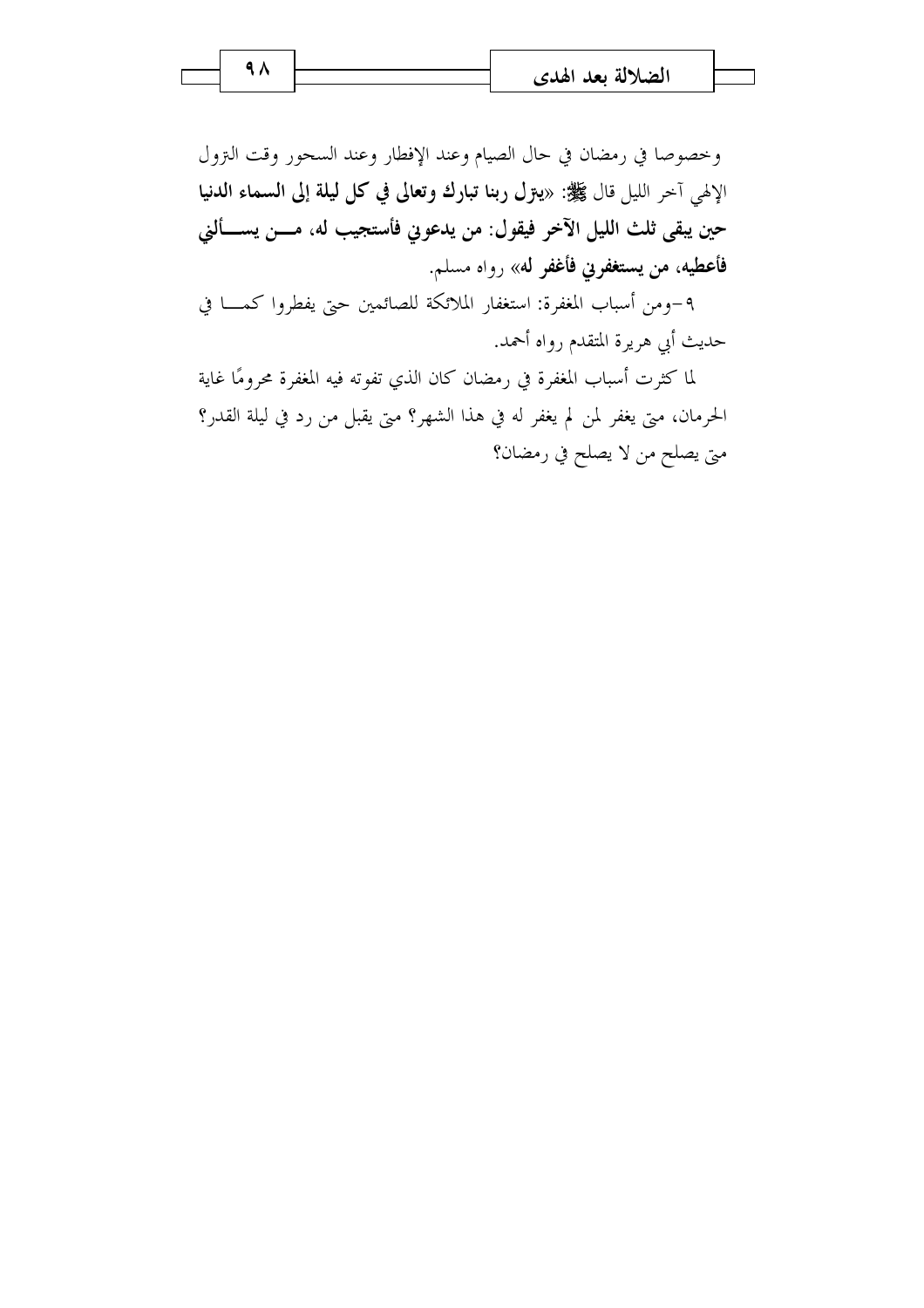|  | الضلالة بعد اهدى |  |
|--|------------------|--|
|  |                  |  |

وخصوصا في رمضان في حال الصيام وعند الإفطار وعند السحور وقت التزول الإلهي آخر الليل قال ﷺ: «يُتَرَلَّ ربنا تبارك وتعالى في كلِّ ليلة إلى السماء الدنيا حين يبقى ثلث الليل الآخر فيقول: من يدعوني فأستجيب له، مــــن يســــألني فأعطيه، من يستغفرني فأغفر له» رواه مسلم.

٩-ومن أسباب المغفرة: استغفار الملائكة للصائمين حتى يفطروا كمسا في حديث أبي هريرة المتقدم رواه أحمد.

لما كثرت أسباب المغفرة في رمضان كان الذي تفوته فيه المغفرة محرومًا غاية الحرمان، متى يغفر لمن لم يغفر له في هذا الشهر؟ متى يقبل من رد في ليلة القدر؟ متي يصلح من لا يصلح في رمضان؟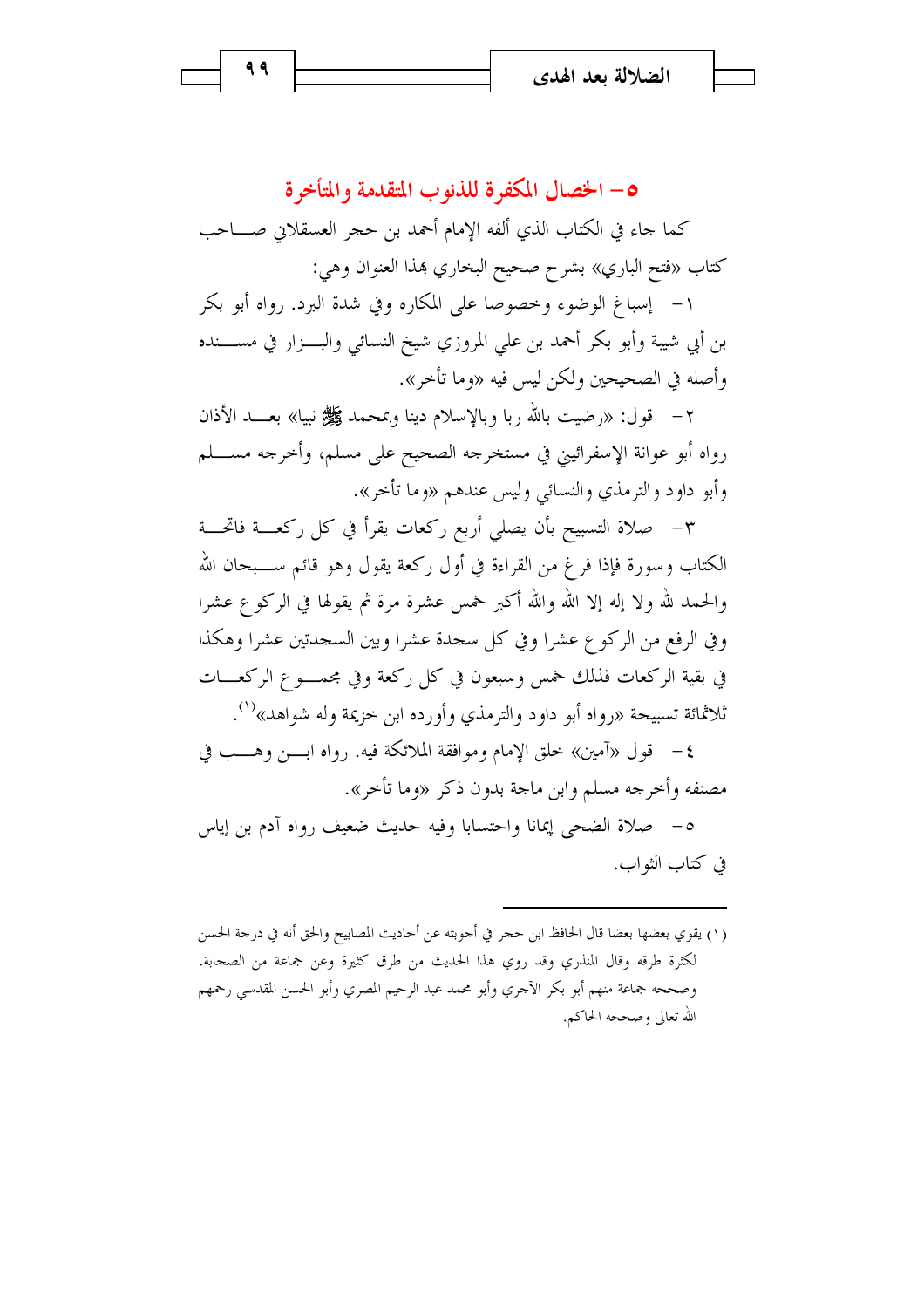99

٥– الخصال المكفرة للذنوب المتقدمة والمتأخرة

كما جاء في الكتاب الذي ألفه الإمام أحمد بن حجر العسقلاني صــــاحب كتاب «فتح الباري» بشرح صحيح البخاري هذا العنوان وهي:

١– إسباغ الوضوء وخصوصا على المكاره وفي شدة البرد. رواه أبو بكر بن أبي شيبة وأبو بكر أحمد بن على المروزي شيخ النسائي والبـــزار في مســـنده وأصله في الصحيحين ولكن ليس فيه «وما تأخر».

٢ – قول: «رضيت بالله ربا وبالإسلام دينا وبمحمد ﷺ نبيا» بعـــد الأذان رواه أبو عوانة الإسفرائيين في مستخرجه الصحيح على مسلم، وأخرجه مســـلم وأبو داود والترمذي والنسائي وليس عندهم «وما تأخر».

٣– صلاة التسبيح بأن يصلى أربع ركعات يقرأ في كل ركعـــة فاتحـــة الكتاب وسورة فإذا فرغ من القراءة في أول ركعة يقول وهو قائم ســـبحان الله والحمد لله ولا إله إلا الله والله أكبر خمس عشرة مرة ثم يقولها في الركوع عشرا وفي الرفع من الركوع عشرا وفي كل سجدة عشرا وبين السجدتين عشرا وهكذا في بقية الركعات فذلك خمس وسبعون في كل ركعة وفي مجمسوع الركعسات ثلاثمائة تسبيحة «رواه أبو داود والترمذي وأورده ابن حزيمة وله شواهد»<sup>(١</sup>).

٤ – قول «آمين» خلق الإمام وموافقة الملائكة فيه. , واه ابسن وهسب في مصنفه وأحرجه مسلم وابن ماجة بدون ذكر «وما تأخر».

٥- صلاة الضحى إيمانا واحتسابا وفيه حديث ضعيف رواه آدم بن إياس في كتاب الثواب.

(١) يقوي بعضها بعضا قال الحافظ ابن حجر في أجوبته عن أحاديث المصابيح والحق أنه في درجة الحسن لكثرة طرقه وقال المنذري وقد روى هذا الحديث من طرق كثيرة وعن جماعة من الصحابة. وصححه جماعة منهم أبو بكر الآجري وأبو محمد عبد الرحيم المصري وأبو الحسن المقدسي رحمهم الله تعالى وصححه الحاكم.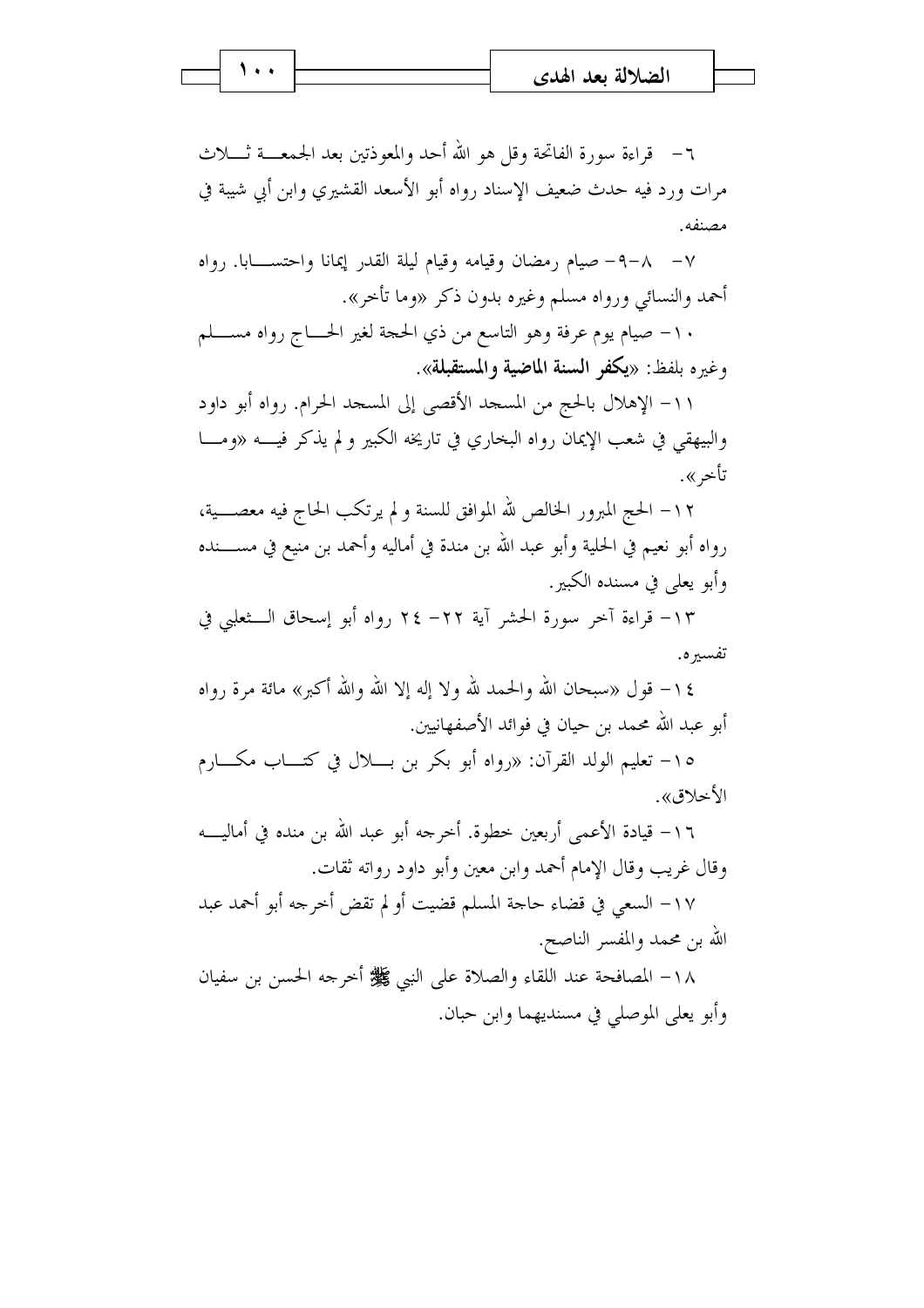|  | الضلالة بعد اهدى |  |
|--|------------------|--|
|  |                  |  |

٦ – قراءة سورة الفاتحة وقل هو الله أحد والمعوذتين بعد الجمعـــة ثــــلاث مرات ورد فيه حدث ضعيف الإسناد رواه أبو الأسعد القشيري وابن أبي شيبة في مصنفه.

٧ – ٨-٩- صيام رمضان وقيامه وقيام ليلة القدر إيمانا واحتســـابا. رواه أحمد والنسائي ورواه مسلم وغيره بدون ذكر «وما تأخر».

١٠- صيام يوم عرفة وهو التاسع من ذي الحجة لغير الحســاج رواه مســـلم وغيره بلفظ: «يكفر السنة الماضية والمستقبلة».

١١- الإهلال بالحج من المسجد الأقصى إلى المسجد الحرام. رواه أبو داود والبيهقي في شعب الإيمان رواه البخاري في تاريخه الكبير و لم يذكر فيــــه «ومــــا تأخر ».

١٢– الحج المبرور الحالص لله الموافق للسنة و لم يرتكب الحاج فيه معصــــية، رواه أبو نعيم في الحلية وأبو عبد الله بن مندة في أماليه وأحمد بن منيع في مســــنده وأبو يعلى في مسنده الكبير.

١٣- قراءة آخر سورة الحشر آية ٢٢- ٢٤ رواه أبو إسحاق الـــثعلبي في تفسيره.

١٤ - قول «سبحان الله والحمد لله ولا إله إلا الله والله أكبر» مائة مرة رواه أبو عبد الله محمد بن حيان في فوائد الأصفهانيين.

١٥- تعليم الولد القرآن: «رواه أبو بكر بن بـــلال في كتــــاب مكــــارم الأخلاق».

١٦- قيادة الأعمى أربعين حطوة. أخرجه أبو عبد الله بن منده في أماليــــه وقال غريب وقال الإمام أحمد وابن معين وأبو داود رواته ثقات.

١٧– السعي في قضاء حاجة المسلم قضيت أو لم تقض أحرجه أبو أحمد عبد الله بن محمد والمفسر الناصح.

١٨- المصافحة عند اللقاء والصلاة على النبي ﷺ أخرجه الحسن بن سفيان وأبو يعلى الموصلي في مسنديهما وابن حبان.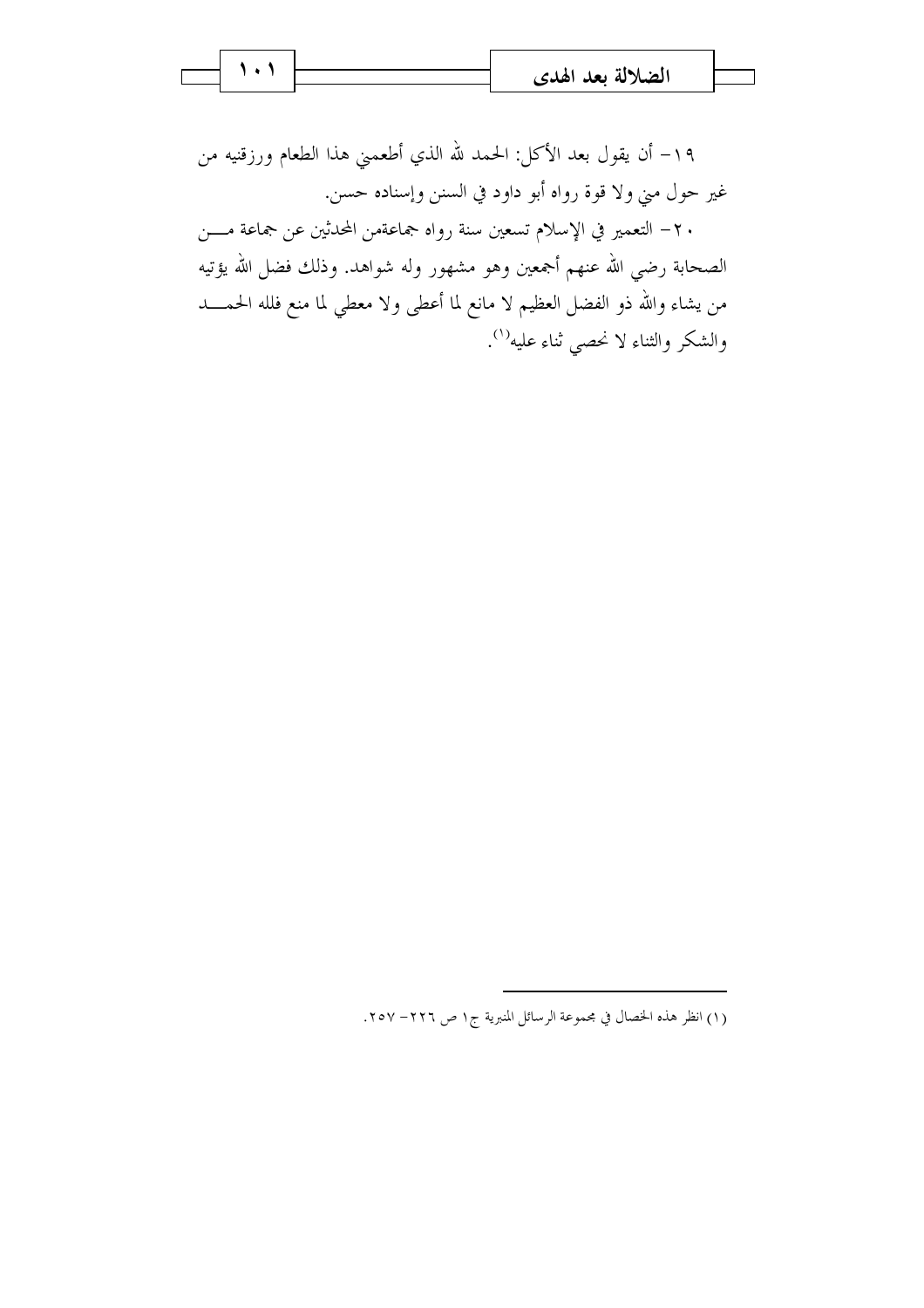|  | الضلالة بعد الهدي |  |
|--|-------------------|--|
|  |                   |  |

١٩- أن يقول بعد الأكل: الحمد لله الذي أطعمني هذا الطعام ورزقنيه من غير حول مني ولا قوة رواه أبو داود في السنن وإسناده حسن. ٢٠ – التعمير في الإسلام تسعين سنة رواه جماعةمن المحدثين عن جماعة مــــن الصحابة رضي الله عنهم أجمعين وهو مشهور وله شواهد. وذلك فضل الله يؤتيه من يشاء والله ذو الفضل العظيم لا مانع لما أعطى ولا معطي لما منع فلله الحمــــد والشكر والثناء لا نحصى ثناء عليه<sup>(١)</sup>.

<sup>(</sup>١) انظر هذه الخصال في مجموعة الرسائل المنبرية ج١ ص ٢٢٦– ٢٥٧.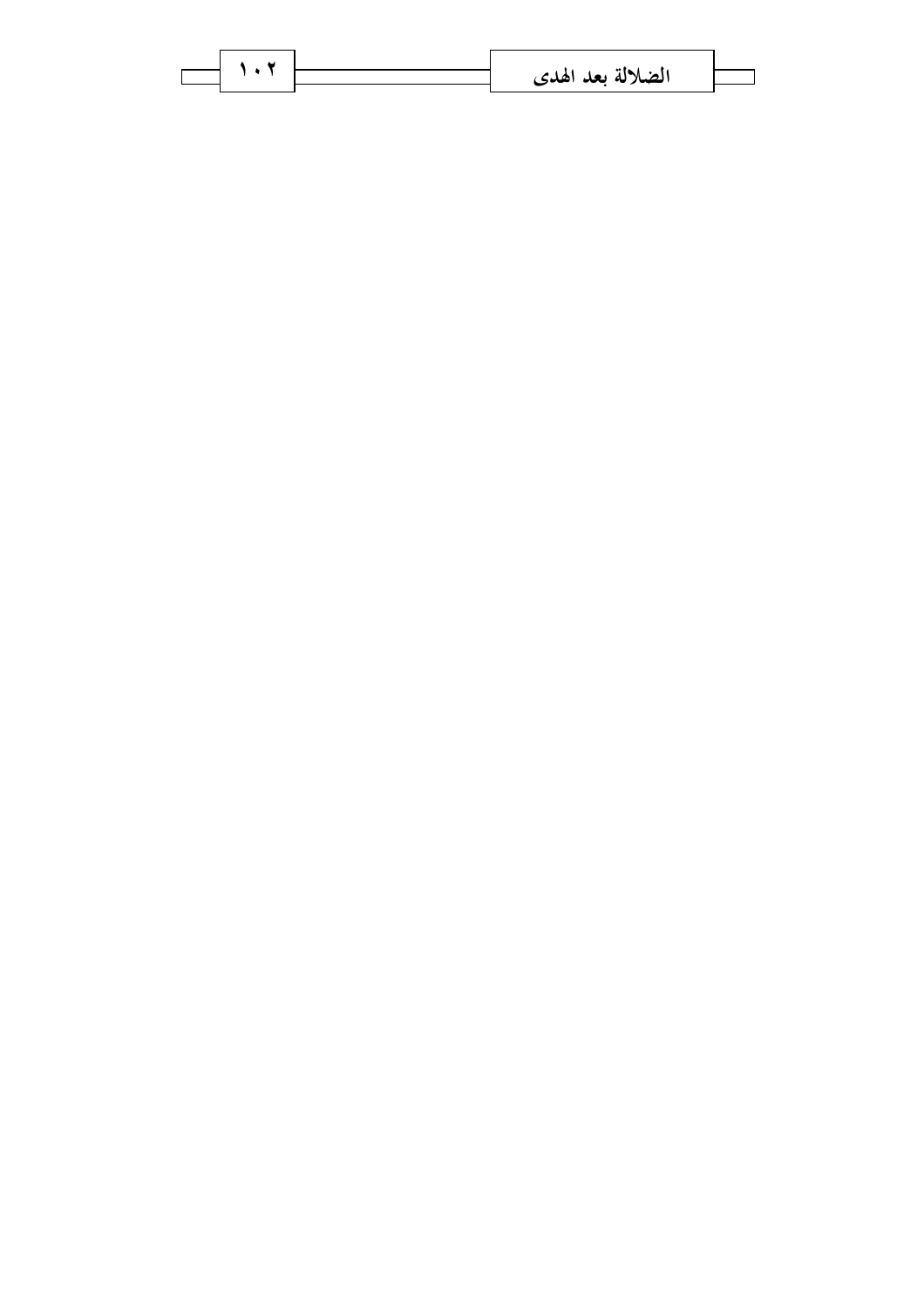|  | الضلاله بعد الهدي |  |
|--|-------------------|--|
|  |                   |  |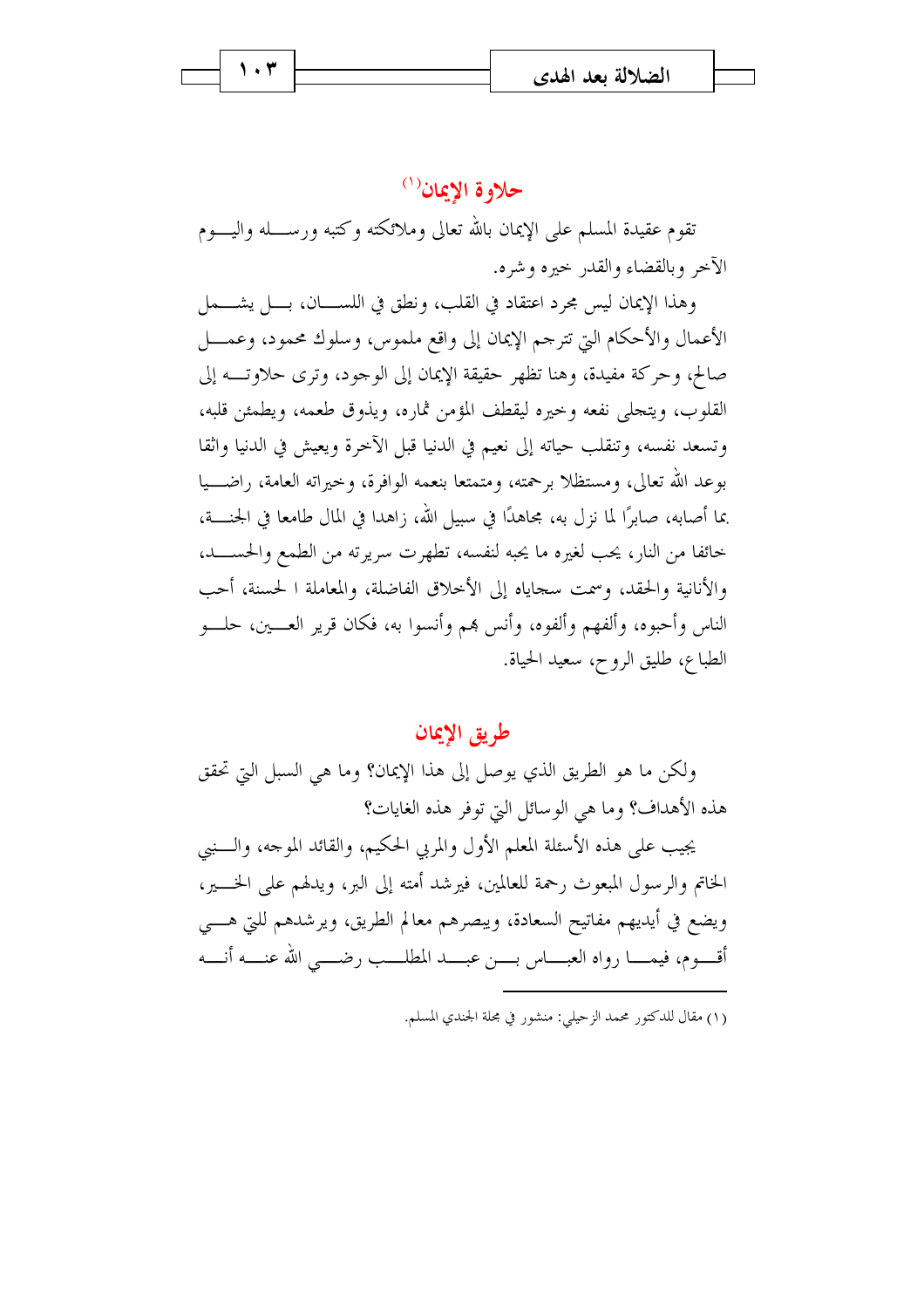## حلاوة الإيمان'''

تقوم عقيدة المسلم على الإيمان بالله تعالى وملائكته وكتبه ورســـله واليــــوم الآخر وبالقضاء والقدر حيره وشره.

وهذا الإيمان ليس مجرد اعتقاد في القلب، ونطق في اللســــان، بــــل يشـــــمل الأعمال والأحكام التي تترجم الإيمان إلى واقع ملموس، وسلوك محمود، وعمــــل صالح، وحركة مفيدة، وهنا تظهر حقيقة الإيمان إلى الوجود، وترى حلاوتــه إلى القلوب، ويتجلى نفعه وحيره ليقطف المؤمن ثماره، ويذوق طعمه، ويطمئن قلبه، وتسعد نفسه، وتنقلب حياته إلى نعيم في الدنيا قبل الآخرة ويعيش في الدنيا واثقا بوعد الله تعالى، ومستظلاً برحمته، ومتمتعاً بنعمه الوافرة، وخيراته العامة، راضـــياً بما أصابه، صابرًا لما نزل به، مجاهدًا في سبيل الله، زاهدا في المال طامعا في الجنــــة، خائفا من النار ، يحب لغيره ما يحبه لنفسه، تطهرت سريرته من الطمع والحســـد، والأنانية والحقد، وسمَّت سجاياه إلى الأخلاق الفاضلة، والمعاملة الحسنة، أحب الناس وأحبوه، وألفهم وألفوه، وأنس هِم وأنسوا به، فكان قرير العسين، حلسو الطباع، طليق الروح، سعيد الحياة.

## طريق الإيمان

ولكن ما هو الطريق الذي يوصل إلى هذا الإيمان؟ وما هي السبل التي تحقق هذه الأهداف؟ وما هي الوسائل التي توفر هذه الغايات؟

يجيب على هذه الأسئلة المعلم الأول والمربي الحكيم، والقائد الموجه، والـــنبي الخاتم والرسول المبعوث رحمة للعالمين، فيرشد أمته إلى البر، ويدلهم على الخـــــــير، ويضع في أيديهم مفاتيح السعادة، ويبصرهم معالم الطريق، ويرشدهم للتي هـــي أقـــــوم، فيمــــــا رواه العبـــــاس بـــــن عبــــــد المطلــــب رضـــــى الله عنـــــه أنـــــه

(١) مقال للدكتور محمد الزحيلي: منشور في محلة الجندي المسلم.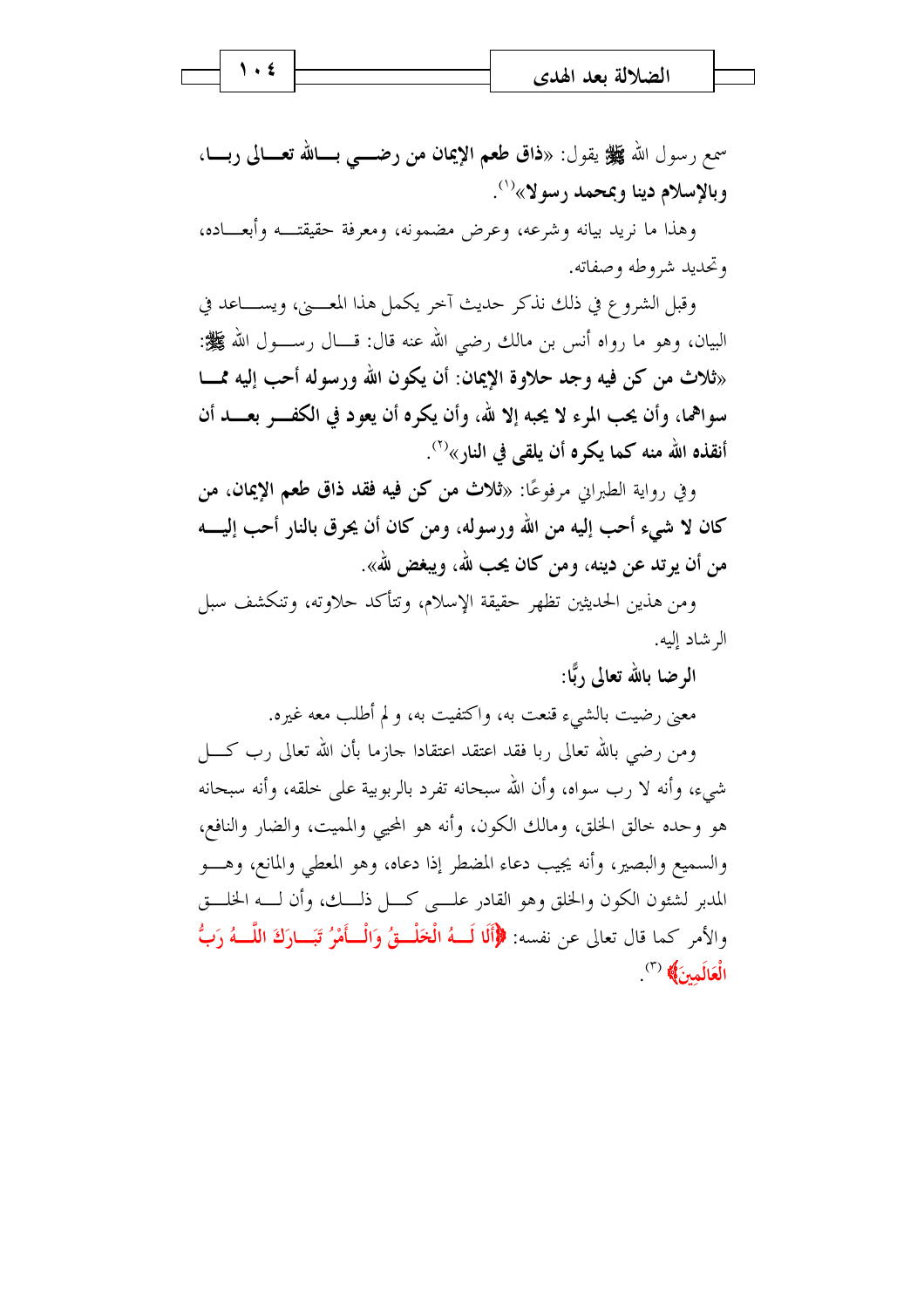سمع رسول الله ﷺ يقول: «ذاق طعم الإيمان من رضــــى بـــالله تعـــالى ربــــا، وبالإسلام دينا وبمحمد رسولا»<sup>(۱)</sup>.

وهذا ما نريد بيانه وشرعه، وعرض مضمونه، ومعرفة حقيقتــه وأبعـــاده، وتحديد شروطه وصفاته.

وقبل الشروع في ذلك نذكر حديث آخر يكمل هذا المعــــين، ويســــاعد في البيان، وهو ما رواه أنس بن مالك رضي الله عنه قال: قـــال رســــول الله ﷺ: «ثلاث من كن فيه وجد حلاوة الإيمان: أن يكون الله ورسوله أحب إليه ممــــا سواهماً، وأن يحب المرء لا يحبه إلا لله، وأن يكره أن يعود في الكفــــر بعـــــد أن أنقذه الله منه كما يكره أن يلقى في النار »<sup>(٢)</sup>.

وفي رواية الطبران مرفوعًا: «ثلاث من كن فيه فقد ذاق طعم الإيمان، من كان لا شيء أحب إليه من الله ورسوله، ومن كان أن يحرق بالنار أحب إليــــه من أن يرتد عن دينه، ومن كان يحب لله، ويبغض لله».

ومن هذين الحديثين تظهر حقيقة الإسلام، وتتأكد حلاوته، وتنكشف سبل الہ شاد إلىه.

الرضا بالله تعالى ربًّا:

معنى رضيت بالشيء قنعت به، واكتفيت به، و لم أطلب معه غيره.

ومن رضی بالله تعالی ربا فقد اعتقد اعتقادا جازما بأن الله تعالی رب کــــل شيء، وأنه لا رب سواه، وأن الله سبحانه تفرد بالربوبية على خلقه، وأنه سبحانه هو وحده حالق الخلق، ومالك الكون، وأنه هو المحيى والمميت، والضار والنافع، والسميع والبصير، وأنه يجيب دعاء المضطر إذا دعاه، وهو المعطى والمانع، وهــــو المدبر لشئون الكون والخلق وهو القادر عليے كيل ذليك، وأن لــه الخليــق والأمر كما قال تعالى عن نفسه: ﴿أَلَا لَــهُ الْخَلْــقُ وَالْــأَمْرُ تَبَــارَكَ اللَّــهُ رَبُّ الْعَالَمِينَ﴾ (٣).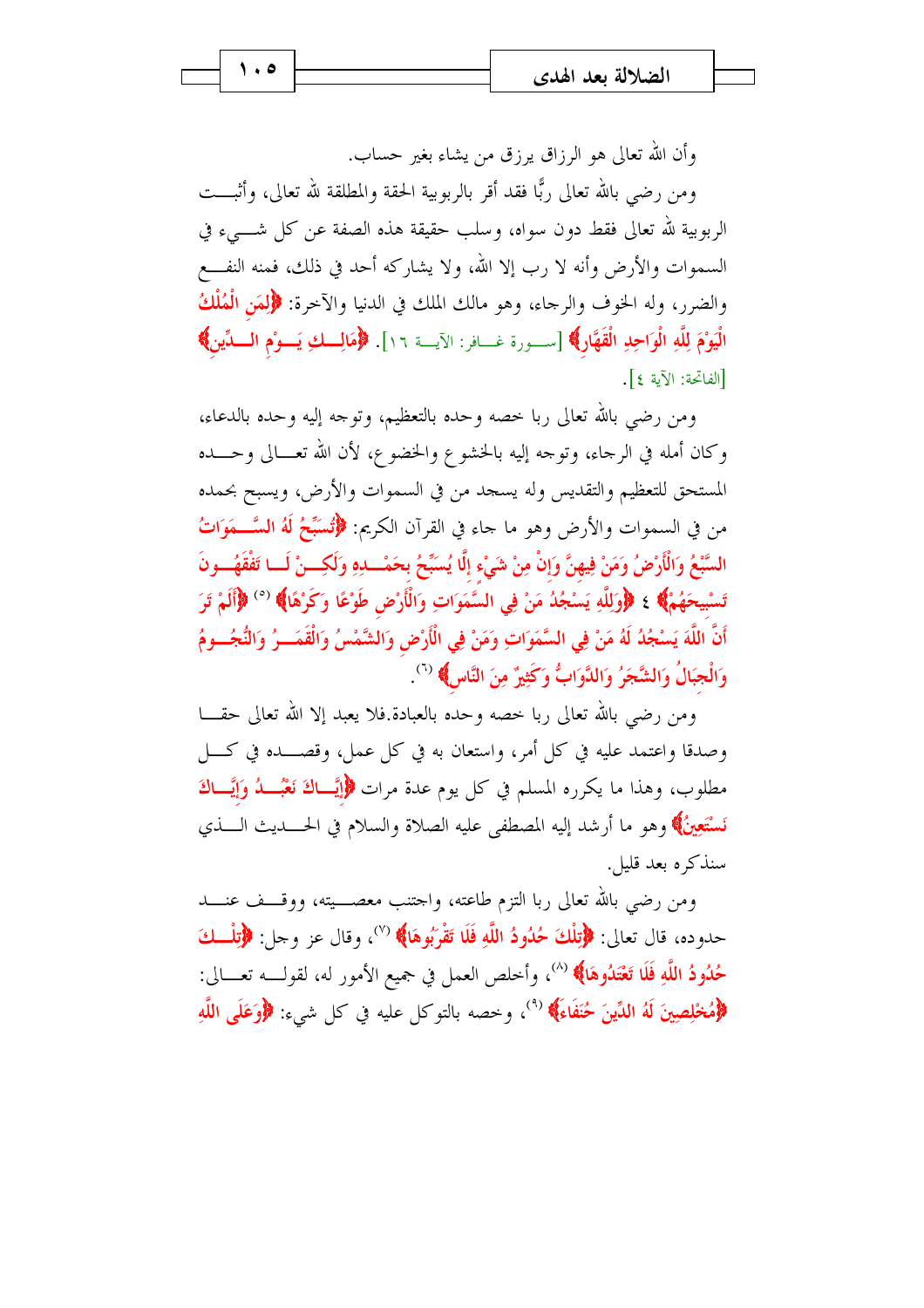وأن الله تعالى هو الرزاق يرزق من يشاء بغير حساب.

ومن رضي بالله تعالى ربًّا فقد أقر بالربوبية الحقة والمطلقة لله تعالى، وأثبـــت الربوبية لله تعالى فقط دون سواه، وسلب حقيقة هذه الصفة عن كل شــــىء في السموات والأرض وأنه لا رب إلا الله، ولا يشاركه أحد في ذلك، فمنه النفـــع والضرر، وله الخوف والرجاء، وهو مالك الملك في الدنيا والآخرة: ﴿لِمَن الْمُلْكُ الْيَوْمَ لِلَّهِ الْوَاحِدِ الْقَهَّارِ﴾ [سورة غــافر: الآيـــة ١٦]. ﴿مَالِـــاكِ يَـــوْمِ الْـــدِّينِ﴾ [الفاتحة: الآية ٤].

ومن رضي بالله تعالى ربا حصه وحده بالتعظيم، وتوجه إليه وحده بالدعاء، وكان أمله في الرجاء، وتوجه إليه بالخشوع والخضوع، لأن الله تعـــالى وحــــده المستحق للتعظيم والتقديس وله يسحد من في السموات والأرض، ويسبح بحمده من في السموات والأرض وهو ما جاء في القرآن الكريم: ﴿ تُسَبِّحُ لَهُ السَّـــمَوَاتُ السَّبْعُ وَالْأَرْضُ وَمَنْ فِيهنَّ وَإِنْ مِنْ شَيْء إِلَّا يُسَبِّحُ بحَمْـــادِهِ وَلَكِـــنْ لَـــا تَفْقَهُـــونَ تَسْبِيحَهُمْ﴾ ٤ ﴿وَلِلَّهِ يَسْجُدُ مَنْ فِي السَّمَوَاتِ وَالْأَرْضِ طَوْعًا وَكَرْهًا﴾ (°) ﴿أَلَمْ تَرَ أَنَّ اللَّهَ يَسْجُدُ لَهُ مَنْ فِي السَّمَوَاتِ وَمَنْ فِي الْأَرْضِ وَالشَّمْسُ وَالْقَمَـــرُ وَالنُّجُـــومُ وَالْجِبَالُ وَالشَّجَرُ وَالدَّوَابُّ وَكَثِيرٌ مِنَ النَّاسِ﴾ (٦).

ومن رضي بالله تعالى ربا خصه وحده بالعبادة.فلا يعبد إلا الله تعالى حقـــا وصدقا واعتمد عليه في كل أمر، واستعان به في كل عمل، وقصـــده في كــــل مطلوب، وهذا ما يكرره المسلم في كل يوم عدة مرات ﴿إِيَّــاكَ نَعْبُـــدُ وَإِيَّــاكَ نَسْتَعِينُ﴾ وهو ما أرشد إليه المصطفى عليه الصلاة والسلام في الحــــديث الــــذي سنذكره بعد قليل.

ومن رضي بالله تعالى ربا التزم طاعته، واحتنب معصـــيته، ووقـــف عنـــد حدوده، قال تعالى: ﴿وَتِلْكَ حُدُودُ اللَّهِ فَلَا تَقْرَبُوهَا﴾ (``)، وقال عز وجل: ﴿وَتَلْــكَ حُدُودُ اللَّهِ فَلَا تَعْتَدُوهَا﴾ <sup>(٨)</sup>، وأخلص العمل في جميع الأمور له، لقولـــه تعــــالي: ﴿مُعْظِمِينَ لَهُ اللَّهِنَ حُنَفَاءَ﴾ (°)، وخصه بالتوكل عليه في كل شيء: ﴿وَعَلَى اللَّهِ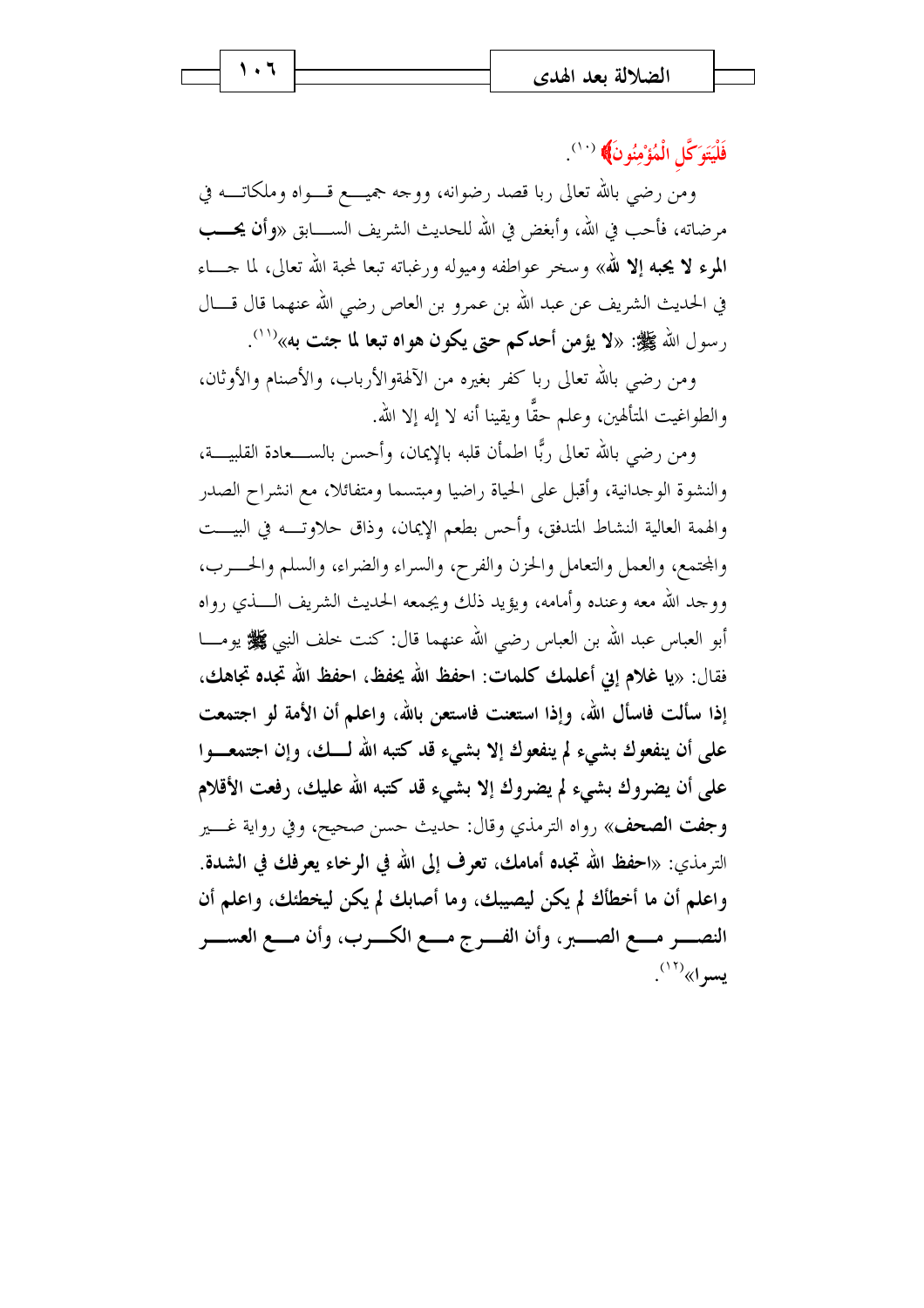|  | الضلاله بعد أهدى |  |
|--|------------------|--|
|  |                  |  |

 $\Box$ 

فَلْيَتَوَكَّلِ الْمُؤْمِنُونَ﴾ (١٠).

ومن رضي بالله تعالي ربا قصد رضوانه، ووجه جميـــع قــــواه وملكاتــــه في مرضاته، فأحب في الله، وأبغض في الله للحديث الشريف الســــابق «وأن يحــــب **المرء لا يحبه إلا لله**» وسخر عواطفه وميوله ورغباته تبعا لمحبة الله تعالى، لما حــــاء في الحديث الشريف عن عبد الله بن عمرو بن العاص رضي الله عنهما قال قـــال رسول الله ﷺ: «لا يؤمن أحدكم حتى يكون هواه تبعا لما جئت به»<sup>(١١</sup>).

ومن رضي بالله تعالى ربا كفر بغيره من الآلهقوالأرباب، والأصنام والأوثان، والطواغيت المتألهين، وعلم حقًّا ويقينا أنه لا إله إلا الله.

ومن رضي بالله تعالى ربًّا اطمأن قلبه بالإيمان، وأحسن بالســـعادة القلبيـــة، والنشوة الوجدانية، وأقبل على الحياة راضيا ومبتسما ومتفائلا، مع انشراح الصدر والهمة العالية النشاط المتدفق، وأحس بطعم الإيمان، وذاق حلاوتـــه في البيـــت والمحتمع، والعمل والتعامل والحزن والفرح، والسراء والضراء، والسلم والحـــرب، ووجد الله معه وعنده وأمامه، ويؤيد ذلك ويجمعه الحديث الشريف الــــذي رواه أبو العباس عبد الله بن العباس رضي الله عنهما قال: كنت خلف النبي ﷺ يومــــا فقال: «يا غلام إني أعلمك كلمات: احفظ الله يحفظ، احفظ الله تجده تجاهك، إذا سألت فاسأل الله، وإذا استعنت فاستعن بالله، واعلم أن الأمة لو اجتمعت على أن ينفعوك بشيء لم ينفعوك إلا بشيء قد كتبه الله لــــك، وإن اجتمعــــوا على أن يضروك بشيء لم يضروك إلا بشيء قد كتبه الله عليك، رفعت الأقلام وجفت الصحف» رواه الترمذي وقال: حديث حسن صحيح، وفي رواية غــــير الترمذي: «احفظ الله تجده أمامك، تعرف إلى الله في الرخاء يعرفك في الشدة. واعلم أن ما أخطأك لم يكن ليصيبك، وما أصابك لم يكن ليخطئك، واعلم أن النصب ومسع الصبير، وأن الفسرج مسع الكسرب، وأن مسع العسسر يسر ا»<sup>(١٢)</sup>.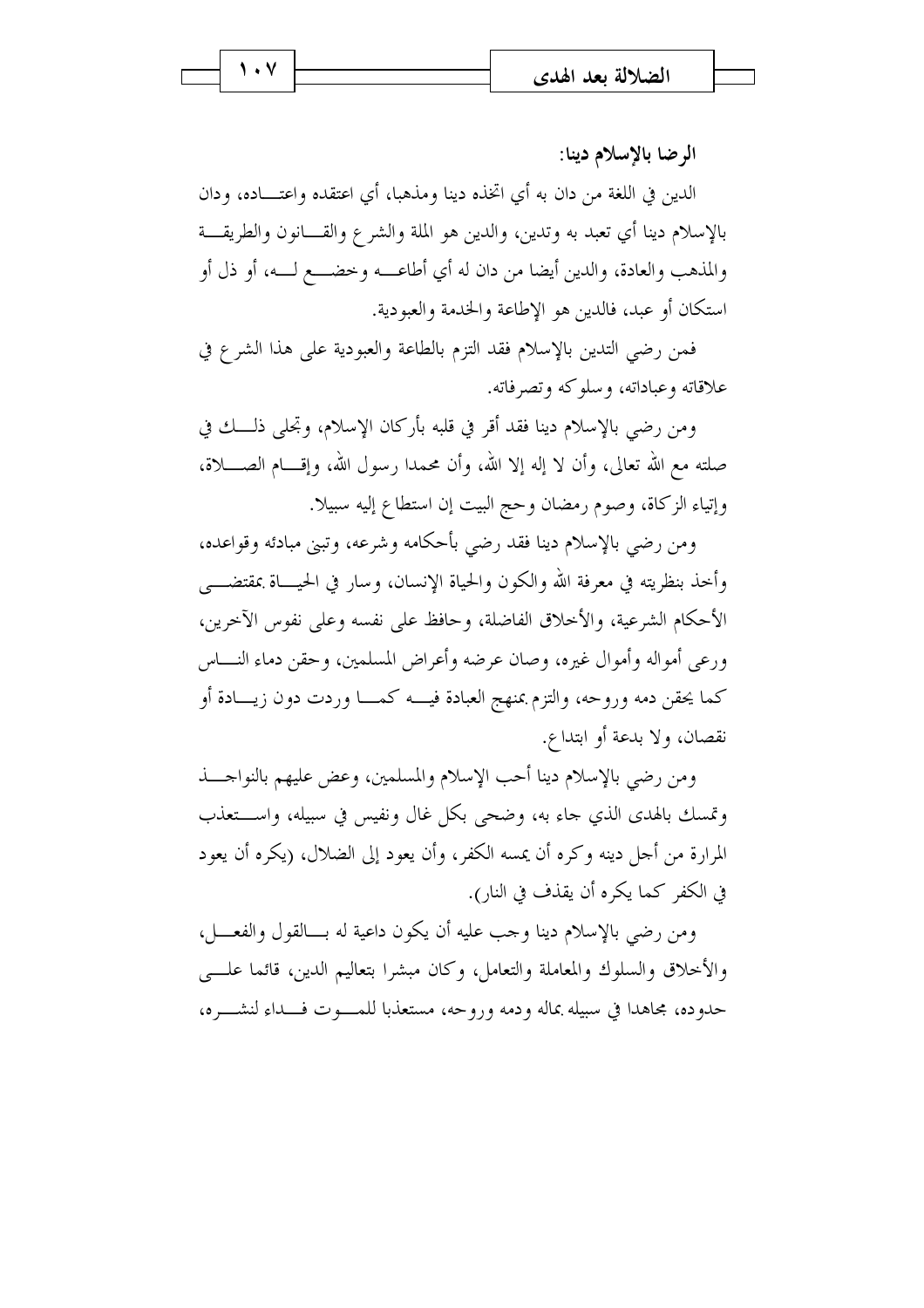$\mathcal{N}$ 

الرضا بالإسلام دينا:

الدين في اللغة من دان به أي اتخذه دينا ومذهبا، أي اعتقده واعتــــاده، ودان بالإسلام دينا أي تعبد به وتدين، والدين هو الملة والشرع والقسانون والطريقة والمذهب والعادة، والدين أيضا من دان له أي أطاعــــه وخضــــع لــــه، أو ذل أو استكان أو عبد، فالدين هو الإطاعة والخدمة والعبودية.

فمن رضي التدين بالإسلام فقد التزم بالطاعة والعبودية على هذا الشرع في علاقاته وعباداته، و سلوكه و تصرفاته.

ومن رضي بالإسلام دينا فقد أقر في قلبه بأركان الإسلام، وتجلَّى ذلـــك في صلته مع الله تعالى، وأن لا إله إلا الله، وأن محمدًا رسول الله، وإقـــام الصـــــلاة، وإتياء الزكاة، وصوم رمضان وحج البيت إن استطاع إليه سبيلا.

ومن رضى بالإسلام دينا فقد رضى بأحكامه وشرعه، وتبني مبادئه وقواعده، وأخذ بنظريته في معرفة الله والكون والحياة الإنسان، وسارٍ في الحيـــاة بمقتضــــي الأحكام الشرعية، والأخلاق الفاضلة، وحافظ على نفسه وعلى نفوس الآخرين، ورعي أمواله وأموال غيره، وصان عرضه وأعراض المسلمين، وحقن دماء النساس كما يحقن دمه وروحه، والتزم بمنهج العبادة فيــــه كمـــــا وردت دون زيــــادة أو نقصان، ولا بدعة أو ابتداع.

ومن رضي بالإسلام دينا أحب الإسلام والمسلمين، وعض عليهم بالنواجسذ وتمسك بالهدى الذي جاء به، وضحى بكل غال ونفيس في سبيله، واستعذب المرارة من أجل دينه وكره أن يمسه الكفر، وأن يعود إلى الضلال، (يكره أن يعود في الكفر كما يكره أن يقذف في الناري.

ومن رضي بالإسلام دينا وحب عليه أن يكون داعية له بـــالقول والفعــــل، والأخلاق والسلوك والمعاملة والتعامل، وكان مبشرا بتعاليم الدين، قائما علـــي حدوده، مجاهدا في سبيله بماله ودمه وروحه، مستعذبا للمــوت فــداء لنشـــره،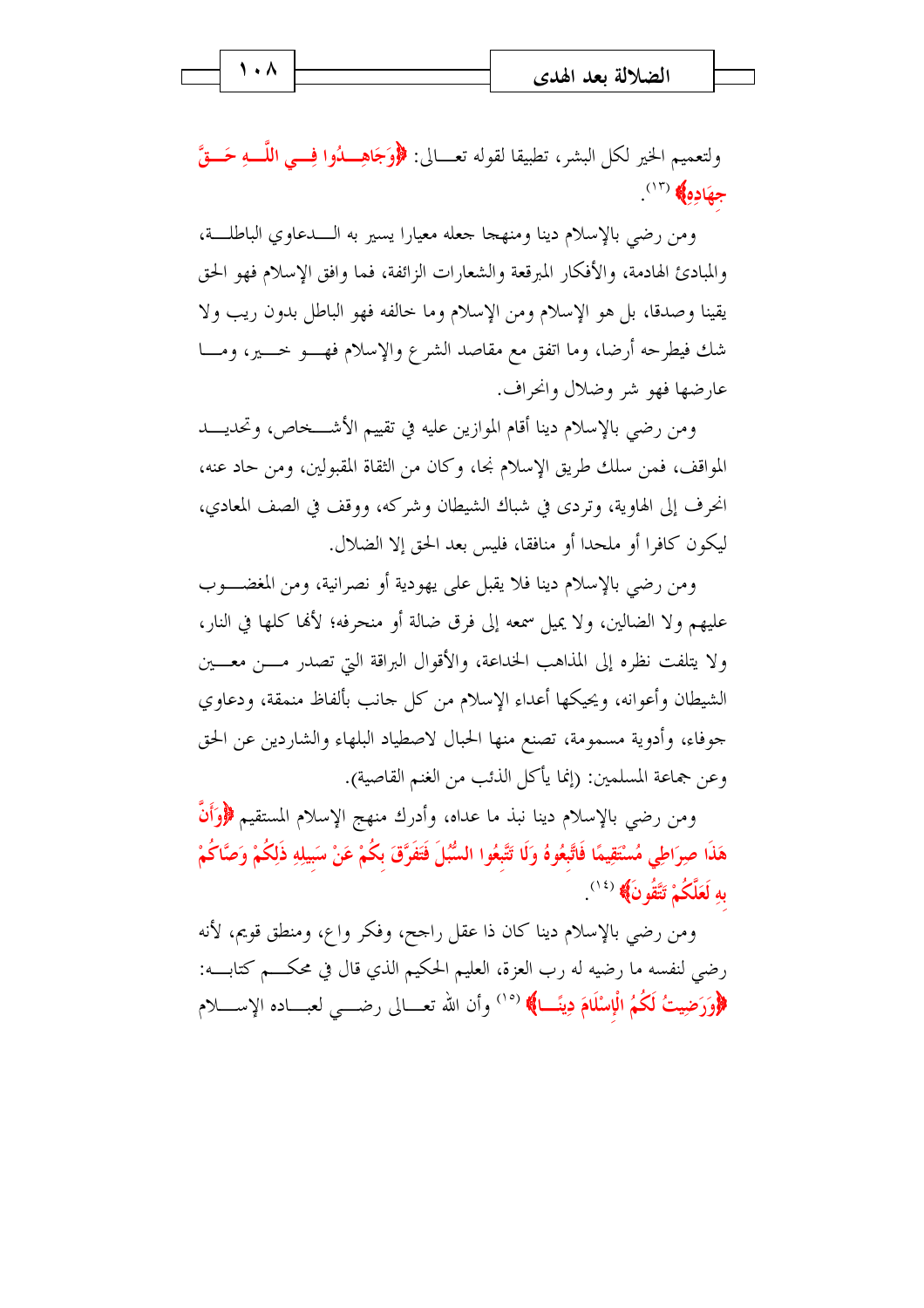|  | الضلاله بعد اهدى |  |
|--|------------------|--|
|  |                  |  |

 $\Box$ 

ولتعميم الخير لكل البشر، تطبيقا لقوله تعـــالى: ﴿وَجَاهِــــدُوا فِـــى اللَّـــهِ حَـــقَّ جهَادِهِ) (١٣).

ومن رضي بالإسلام دينا ومنهجا جعله معيارا يسير به الـــدعاوي الباطلـــة، والمبادئ الهادمة، والأفكار المبرقعة والشعارات الزائفة، فما وافق الإسلام فهو الحق يقينا وصدقا، بل هو الإسلام ومن الإسلام وما حالفه فهو الباطل بدون ريب ولا شك فيطرحه أرضا، وما اتفق مع مقاصد الشرع والإسلام فهـــو خــــير، ومــــا عارضها فهو شر وضلال وانحراف.

ومن رضي بالإسلام دينا أقام الموازين عليه في تقييم الأشـــخاص، وتحديـــد المواقف، فمن سلك طريق الإسلام نجا، وكان من الثقاة المقبولين، ومن حاد عنه، انحرف إلى الهاوية، وتردى في شباك الشيطان وشركه، ووقف في الصف المعادي، ليكون كافرًا أو ملحدًا أو منافقًا، فليس بعد الحقِّ إلا الضلال.

ومن رضي بالإسلام دينا فلا يقبل على يهودية أو نصرانية، ومن المغضب وب عليهم ولا الضالين، ولا يميل سمعه إلى فرق ضالة أو منحرفه؛ لألها كلها في النار، ولا يتلفت نظره إلى المذاهب الخداعة، والأقوال البراقة التي تصدر مسن معسين الشيطان وأعوانه، ويحيكها أعداء الإسلام من كل جانب بألفاظ منمقة، ودعاوي جوفاء، وأدوية مسمومة، تصنع منها الحبال لاصطياد البلهاء والشاردين عن الحق وعن جماعة المسلمين: (إنما يأكل الذئب من الغنم القاصية).

ومن رضي بالإسلام دينا نبذ ما عداه، وأدرك منهج الإسلام المستقيم ﴿وَأَنَّ هَذَا صِرَاطِي مُسْتَقِيمًا فَاتَّبِعُوهُ وَلَا تَتَّبِعُوا السُّبُلَ فَتَفَرَّقَ بِكُمْ عَنْ سَبِيلِهِ ذَلِكُمْ وَصَّاكُمْ بِهِ لَعَلَّكُمْ تَتَّقُونَ﴾ (13).

ومن رضي بالإسلام دينا كان ذا عقل راجح، وفكر واع، ومنطق قويم، لأنه رضي لنفسه ما رضيه له رب العزة، العليم الحكيم الذي قال في محكسم كتابــــه: ﴿وَرَضِيتُ لَكُمُ الْإِسْلَامَ دِينًـــا﴾ <sup>(١٥)</sup> وأن الله تعـــالى رضــــى لعبـــاده الإســــلام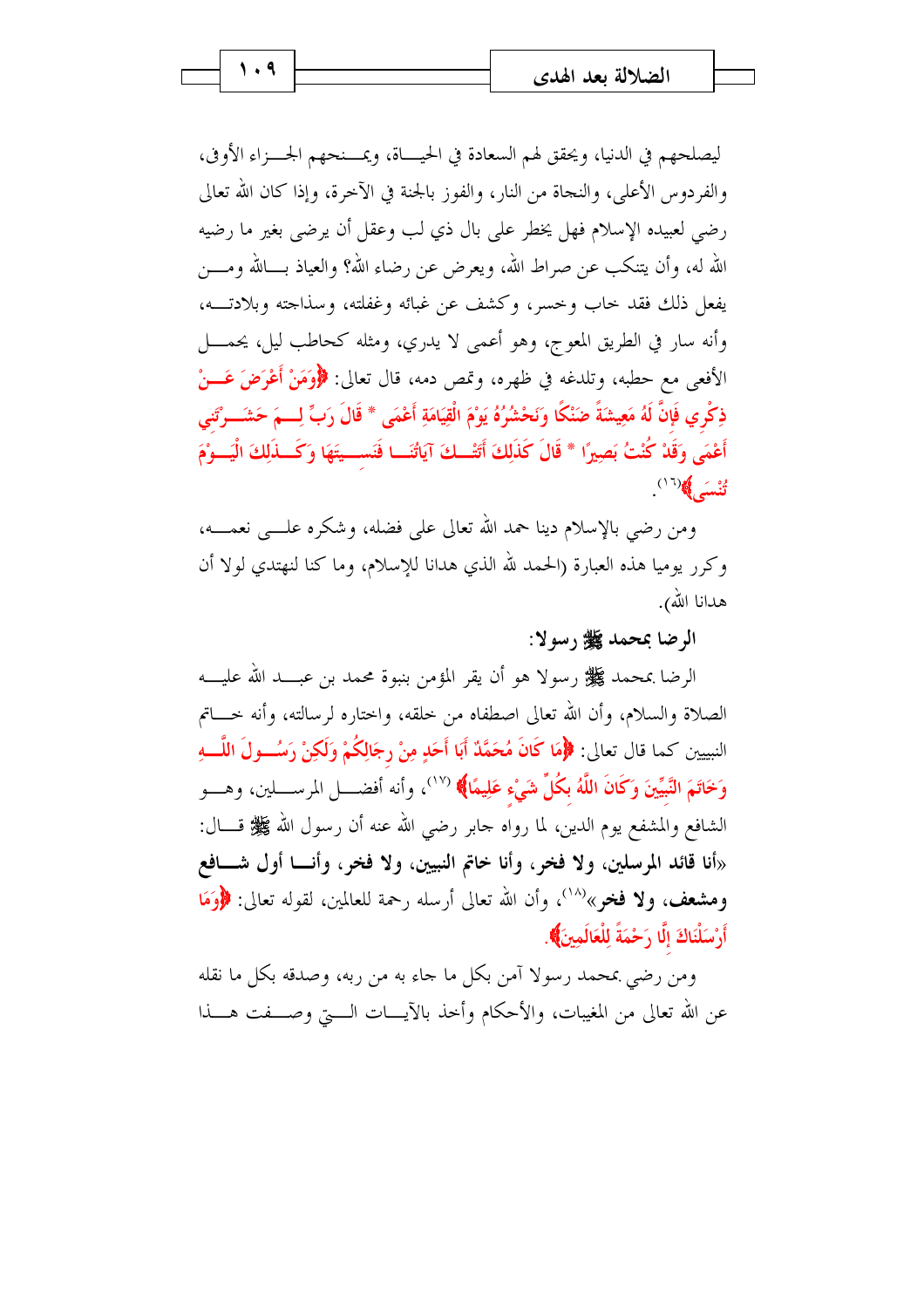|  | الضلاله بعد اهدى |  |
|--|------------------|--|
|  |                  |  |

ليصلحهم في الدنيا، ويحقق لهم السعادة في الحيـــاة، ويمـــنحهم الجـــزاء الأوفي، والفردوس الأعلى، والنجاة من النار، والفوز بالجنة في الآخرة، وإذا كان الله تعالى رضي لعبيده الإسلام فهل يخطر على بال ذي لب وعقل أن يرضى بغير ما رضيه الله له، وأن يتنكب عن صراط الله، ويعرض عن رضاء الله؟ والعياذ بـــالله ومــــن يفعل ذلك فقد حاب وحسر، وكشف عن غبائه وغفلته، وسذاجته وبلادتـــه، وأنه سار في الطريق المعوج، وهو أعمى لا يدري، ومثله كحاطب ليل، يحمــــل الأفعى مع حطبه، وتلدغه في ظهره، وتمص دمه، قال تعالى: ﴿وَمَنْ أَعْرَضَ عَـــنْ ذِكْرِي فَإِنَّ لَهُ مَعِيشَةً ضَنْكًا وَنَحْشُرُهُ يَوْمَ الْقِيَامَةِ أَعْمَى \* قَالَ رَبِّ لِـــمَ حَشَـــرْتَني أَعْمَى وَقَدْ كُنْتُ بَصِيرًا \* قَالَ كَذَلِكَ أَتَتْسَكَ آيَاتُنَسَا فَنَسَسِيَّهَا وَكَسْذَلِكَ الْيَسوْمَ تُنْسَمَى الْأَلْسَ.

ومن رضى بالإسلام دينا حمد الله تعالى على فضله، وشكره علــــى نعمــــه، وكرر يوميا هذه العبارة (الحمد لله الذي هدانا للإسلام، وما كنا لنهتدي لولا أن هدانا الله).

الرضا بمحمد ﷺ رسولا:

الرضا بمحمد ﷺ رسولا هو أن يقر المؤمن بنبوة محمد بن عبـــد الله عليــــه الصلاة والسلام، وأن الله تعالى اصطفاه من حلقه، واختاره لرسالته، وأنه حـــاتم النبييين كما قال تعالى: ﴿هَا كَانَ مُحَمَّدٌ أَبَا أَحَدٍ مِنْ رِجَالِكُمْ وَلَكِنْ رَسُـــولَ اللَّـــهِ وَخَاتَمَ النَّبِيِّينَ وَكَانَ اللَّهُ بِكُلِّ شَيْءٍ عَلِيمًا﴾ ''')، وأنه أفضـــل المرســــلين، وهــــو الشافع والمشفع يوم الدين، لما رواه جابر رضي الله عنه أن رسول الله ﷺ قـــال: «أنا قائد المرسلين، ولا فخر، وأنا خاتم النبيين، ولا فخر، وأنـــا أول شـــافع ومشعف، ولا فخر»<sup>(^\)</sup>، وأن الله تعالى أرسله رحمة للعالمين، لقوله تعالى: ﴿وَمَا أَرْسَلْنَاكَ إِلَّا رَحْمَةً لِلْعَالَمِينَ﴾.

ومن رضي بمحمد رسولا آمن بكل ما جاء به من ربه، وصدقه بكل ما نقله عن الله تعالى من المغيبات، والأحكام وأخذ بالآيـــات الـــــتي وصــــفت هــــذا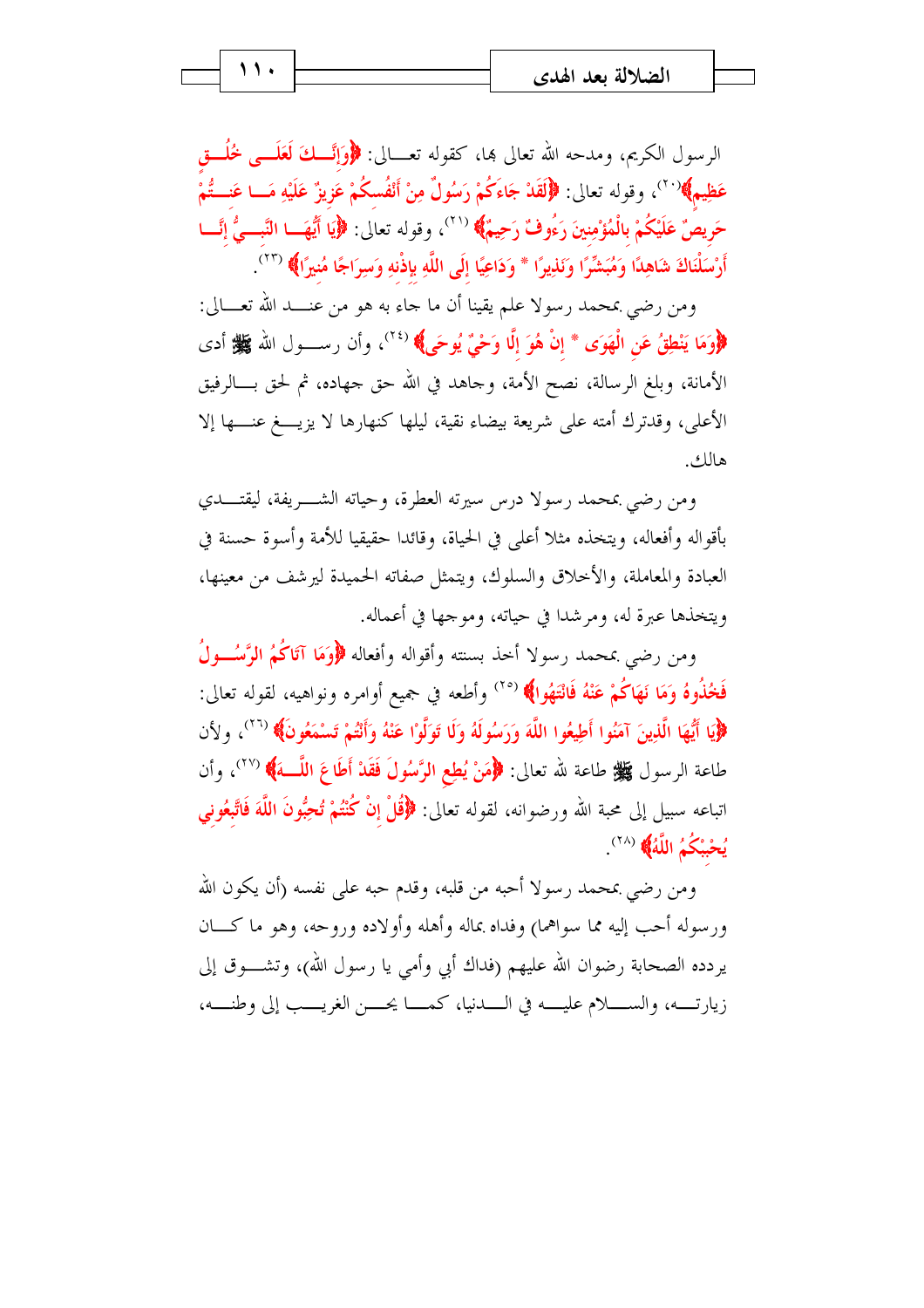|  | الضلالة بعد اهدى |  |
|--|------------------|--|
|  |                  |  |

الرسول الكريم، ومدحه الله تعالى بما، كقوله تعـــالى: ﴿وَإِنَّـــكَ لَعَلَـــمِي خُلُـــق عَظِيمٍ﴾ `` ``، وقوله تعالى: ﴿لَقَدْ جَاءَكُمْ رَسُولٌ مِنْ أَنْفُسكُمْ عَزِيزٌ عَلَيْهِ مَـــا عَنــــُّمْ حَرِيصٌ عَلَيْكُمْ بِالْمُؤْمِنِينَ رَءُوفٌ رَحِيمٌ﴾ (```)، وقوله تعالى: ﴿يَا أَيُّهَــا النَّبـــيُّ إنَّـــا أَرْسَلْنَاكَ شَاهِدًا وَمُبَشِّرًا وَنَذِيرًا \* وَدَاعِيًا إلَى اللَّهِ بِإِذْنهِ وَسِرَاجًا مُنِيرًا﴾ (٢٢).

ومن رضي بمحمد رسولا علم يقينا أن ما جاء به هو من عنـــد الله تعـــالى: ﴿وَمَا يَنْطِقُ عَنِ الْهَوَى \* إِنْ هُوَ إِلَّا وَحْيٌ يُوحَىِ﴾ <sup>(٢٤)</sup>، وأن رســــول الله ﷺ أدى الأمانة، وبلغ الرسالة، نصح الأمة، وجاهد في الله حق جهاده، ثم لحق بــــالرفيق الأعلى، وقدترك أمته على شريعة بيضاء نقية، ليلها كنهارها لا يزيــــغ عنــــها إلا هالك.

ومن رضي بمحمد رسولا درس سيرته العطرة، وحياته الشـــريفة، ليقتـــدي بأقواله وأفعاله، ويتخذه مثلاً أعلى في الحياة، وقائداً حقيقيا للأمة وأسوة حسنة في العبادة والمعاملة، والأخلاق والسلوك، ويتمثل صفاته الحميدة ليرشف من معينها، ويتخذها عبرة له، ومرشدا في حياته، وموجها في أعماله.

ومن رضي بمحمد , سولا أحذ بسنته وأقواله وأفعاله ﴿وَمَا آتَاكُمُ الرَّسُـولُ فَخُلُوهُ وَمَا نَهَاكُمْ عَنْهُ فَانْتَهُوا﴾ <sup>(٢٥)</sup> وأطعه في جميع أوامره ونواهيه، لقوله تعالى: ﴿يَا أَيُّهَا الَّذِينَ آمَنُوا أَطِيعُوا اللَّهَ وَرَسُولَهُ وَلَا تَوَلَّوْا عَنْهُ وَأَنْتُمْ تَسْمَعُونَ﴾ (ٽَا، ولأن طاعة الرسول ﷺ طاعة لله تعالى: ﴿مَنْ يُطِعِ الرَّسُولَ فَقَدْ أَطَاعَ اللَّـــهَ﴾ (٢٧)، وأن اتباعه سبيل إلى محبة الله ورضوانه، لقوله تعالى: ﴿قُلْ إِنْ كُنْتُمْ تُحِبُّونَ ا**للَّهَ فَاتَّبِعُوني** يُحْبِّكُمُ اللَّهُ) (^`).

ومن رضي بمحمد رسولا أحبه من قلبه، وقدم حبه على نفسه (أن يكون الله ورسوله أحب إليه مما سواهما) وفداه بماله وأهله وأولاده وروحه، وهو ما كـــان يردده الصحابة رضوان الله عليهم (فداك أبي وأمي يا رسول الله)، وتشــــوق إلى زيارتــــه، والســـــلام عليـــــه في الـــــدنيا، كمــــا يحــــن الغريــــب إلى وطنــــه،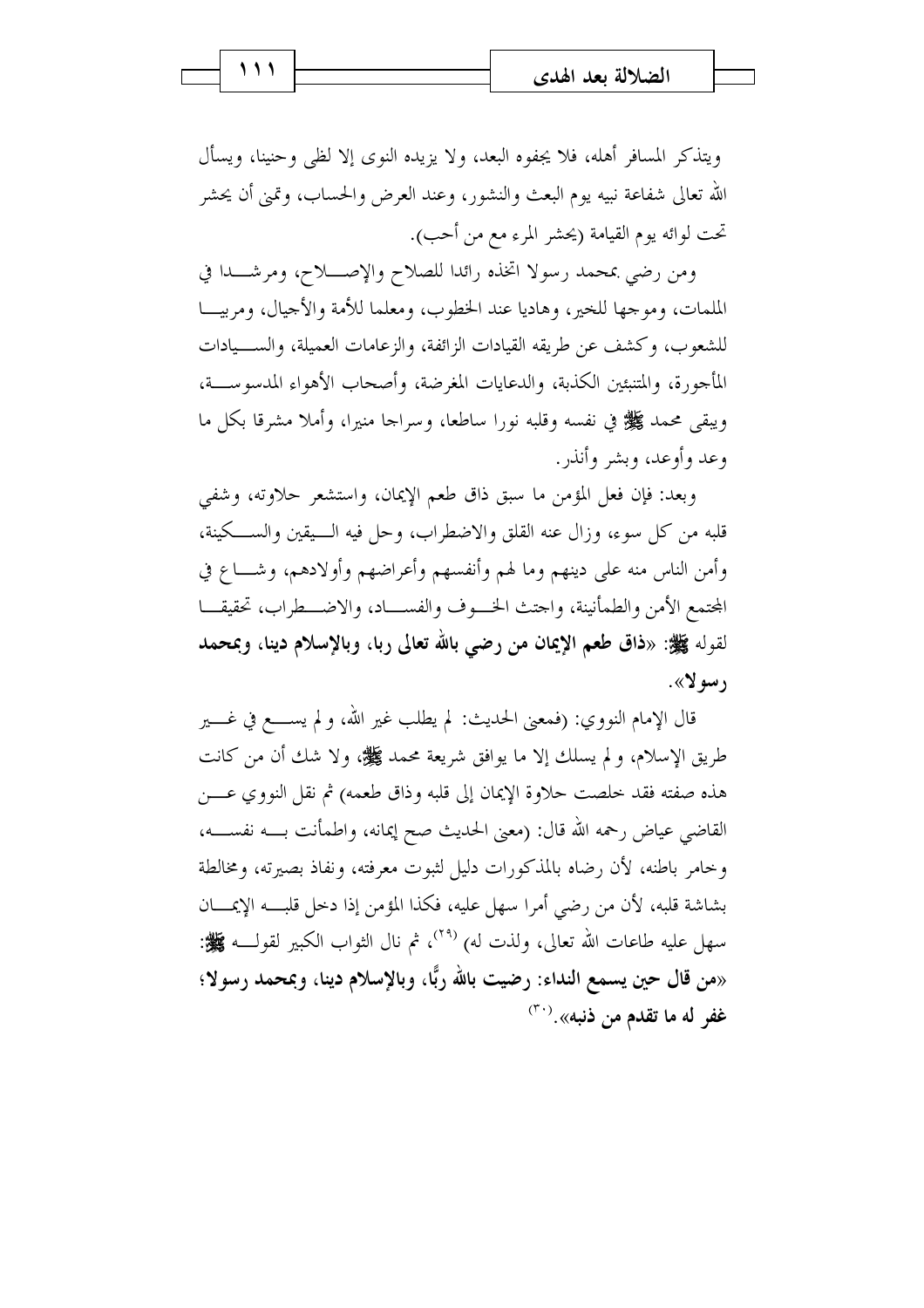|  | الضلالة بعد اهدى |  |
|--|------------------|--|
|  |                  |  |

ويتذكر المسافر أهله، فلا يجفوه البعد، ولا يزيده النوى إلا لظى وحنينا، ويسأل الله تعالى شفاعة نبيه يوم البعث والنشور ، وعند العرض والحساب، وتمنى أن يحشر تحت لوائه يوم القيامة (يحشر المرء مع من أحب).

ومن رضي بمحمد رسولا اتخذه رائدا للصلاح والإصللاح، ومرشــدا في الملمات، وموجها للخير، وهاديا عند الخطوب، ومعلما للأمة والأجيال، ومربيـــا للشعوب، وكشف عن طريقه القيادات الزائفة، والزعامات العميلة، والســـيادات المأجورة، والمتنبئين الكذبة، والدعايات المغرضة، وأصحاب الأهواء المدسوســـة، ويبقى محمد ﷺ في نفسه وقلبه نورا ساطعا، وسراجا منيرا، وأملا مشرقا بكل ما وعد وأوعد، وبشر وأنذر .

وبعد: فإن فعل المؤمن ما سبق ذاق طعم الإيمان، واستشعر حلاوته، وشفي قلبه من كل سوء، وزال عنه القلق والاضطراب، وحل فيه الـــيقين والســـكينة، وأمن الناس منه على دينهم وما لهم وأنفسهم وأعراضهم وأولادهم، وشــــاع في المحتمع الأمن والطمأنينة، واجتث الخسوف والفسساد، والاضسطراب، تحقيقــا لقوله ﷺ: «ذاق طعم الإيمان من رضي بالله تعالى ربا، وبالإسلام دينا، وبمحمد رسولا».

قال الإمام النووي: (فمعنى الحديث: لم يطلب غير الله، و لم يســــع في غــــير طريق الإسلام، و لم يسلك إلا ما يوافق شريعة محمد ﷺ، ولا شك أن من كانت هذه صفته فقد حلصت حلاوة الإيمان إلى قلبه وذاق طعمه) ثم نقل النووي عــــن القاضي عياض رحمه الله قال: (معنى الحديث صح إيمانه، واطمأنت بــــه نفســــه، وخامر باطنه، لأن رضاه بالمذكورات دليل لثبوت معرفته، ونفاذ بصيرته، ومخالطة بشاشة قلبه، لأن من رضي أمرا سهل عليه، فكذا المؤمن إذا دحل قلبه الإيمـــان سهل عليه طاعات الله تعالى، ولذت له) <sup>(٢٩)</sup>، ثم نال الثواب الكبير لقولــــه ﷺ: «من قال حين يسمع النداء: رضيت بالله ربًّا، وبالإسلام دينا، وبمحمد رسولا؛ غفر له ما تقدم من ذنبه». (\*\*)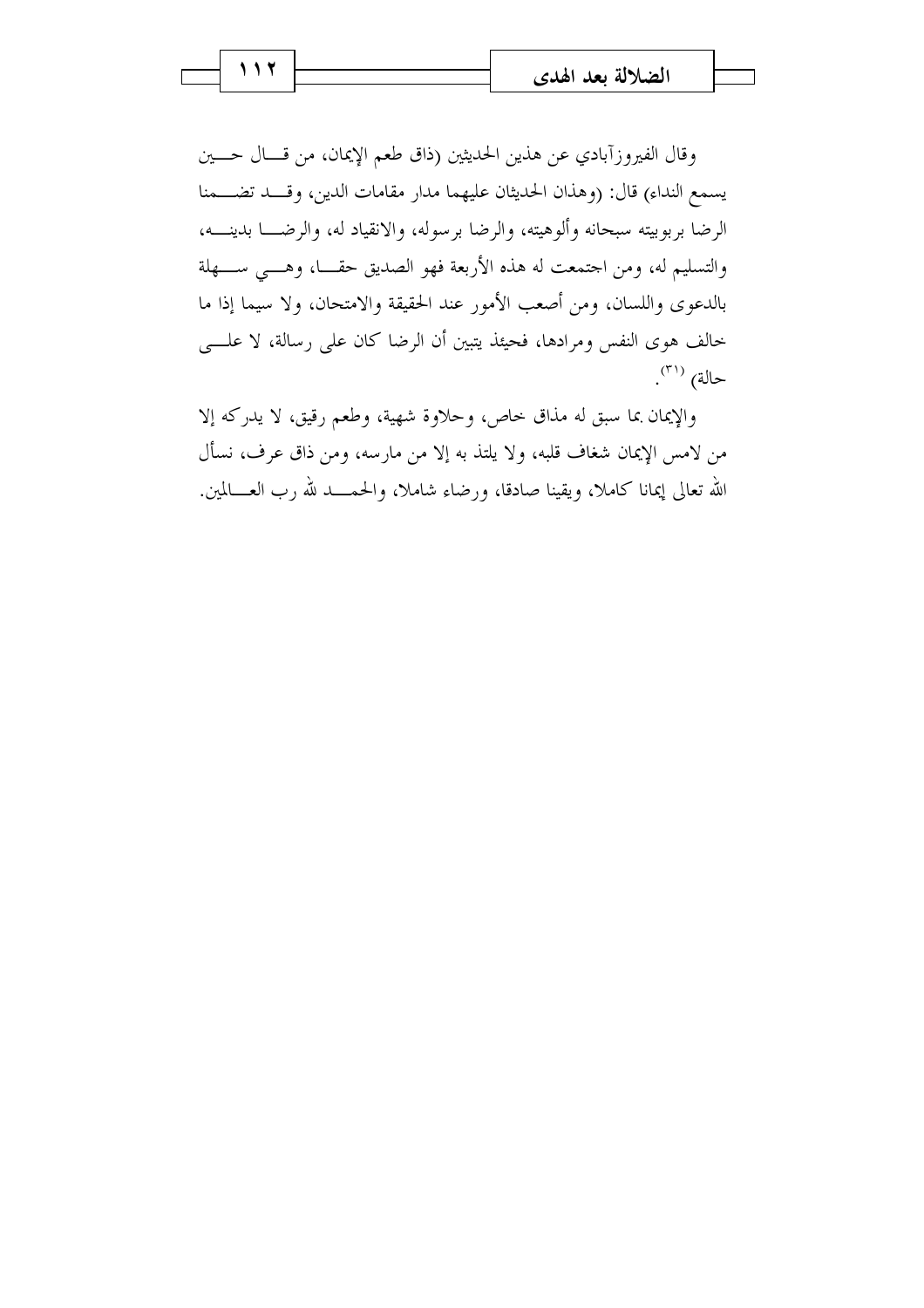|  | الضلاله بعد اهدى |  |
|--|------------------|--|
|  |                  |  |

وقال الفيروزآبادي عن هذين الحديثين (ذاق طعم الإيمان، من قسال حسين يسمع النداء) قال: (وهذان الحديثان عليهما مدار مقامات الدين، وقــد تضـــمنا الرضا بربوبيته سبحانه وألوهيته، والرضا برسوله، والانقياد له، والرضــــا بدينــــه، والتسليم له، ومن اجتمعت له هذه الأربعة فهو الصديق حقــا، وهـــي ســـهلة بالدعوى واللسان، ومن أصعب الأمور عند الحقيقة والامتحان، ولا سيما إذا ما خالف هوى النفس ومرادها، فحيئذ يتبين أن الرضا كان على رسالة، لا علــــى حالة) <sup>(٣١</sup>).

والإيمان بما سبق له مذاق خاص، وحلاوة شهية، وطعم رقيق، لا يدركه إلا من لامس الإيمان شغاف قلبه، ولا يلتذ به إلا من مارسه، ومن ذاق عرف، نسأل الله تعالى إيمانا كاملا، ويقينا صادقا، ورضاء شاملا، والحمــــد لله رب العــــالمين.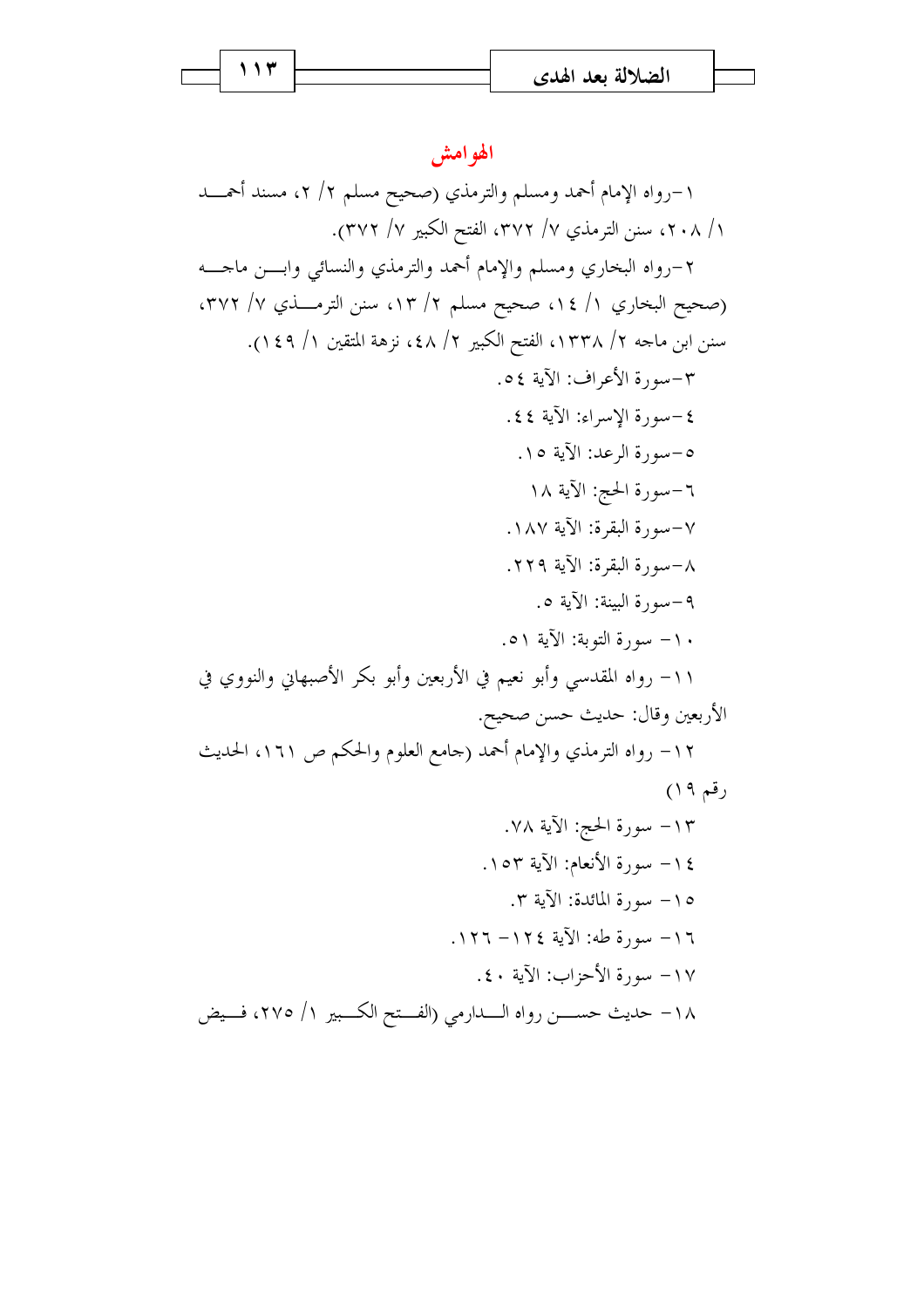١–رواه الإمام أحمد ومسلم والترمذي (صحيح مسلم ٢/ ٢، مسند أحمـــد ١/ ٢٠٨، سنن الترمذي ٧/ ٣٧٢، الفتح الكبير ٧/ ٣٧٢). ٢–رواه البخاري ومسلم والإمام أحمد والترمذي والنسائي وابسن ماجسه (صحيح البخاري ١/ ١٤/، صحيح مسلم ٢/ ١٣، سنن الترمـــذي ٧/ ٣٧٢، سنن ابن ماجه ٢/ ١٣٣٨، الفتح الكبير ٢/ ٤٨، نزهة المتقين ١/ ٤٩). ٣-سورة الأعراف: الآية ٥٤. ٤ –سورة الاسراء: الآية ٤٤. ٥–سورة الرعد: الآية ١٥. ٦–سورة الحج: الآية ١٨ ٧–سورة البقرة: الآية ١٨٧. ٨–سورة البقرة: الآية ٢٢٩. ٩-سورة البينة: الآية ٥. ١٠ - سو, ة التوبة: الآية ٥١. ١١- رواه المقدسي وأبو نعيم في الأربعين وأبو بكر الأصبهاني والنووي في الأربعين وقال: حديث حسن صحيح. ١٢– رواه الترمذي والإمام أحمد (جامع العلوم والحكم ص ١٦١، الحديث رقبه ۱۹) ١٣- سورة الحج: الآية ٧٨. ١٤- سورة الأنعام: الآية ١٥٣. ١٥– سورة المائدة: الآية ٣. ١٦- سورة طه: الآية ١٢٤- ١٢٦. ١٧- سورة الأحزاب: الآية ٤٠. ١٨ – حديث حســـــن رواه الــــــدارمي (الفــــتح الكــــبير ١/ ٢٧٥، فـــيض

الهو امش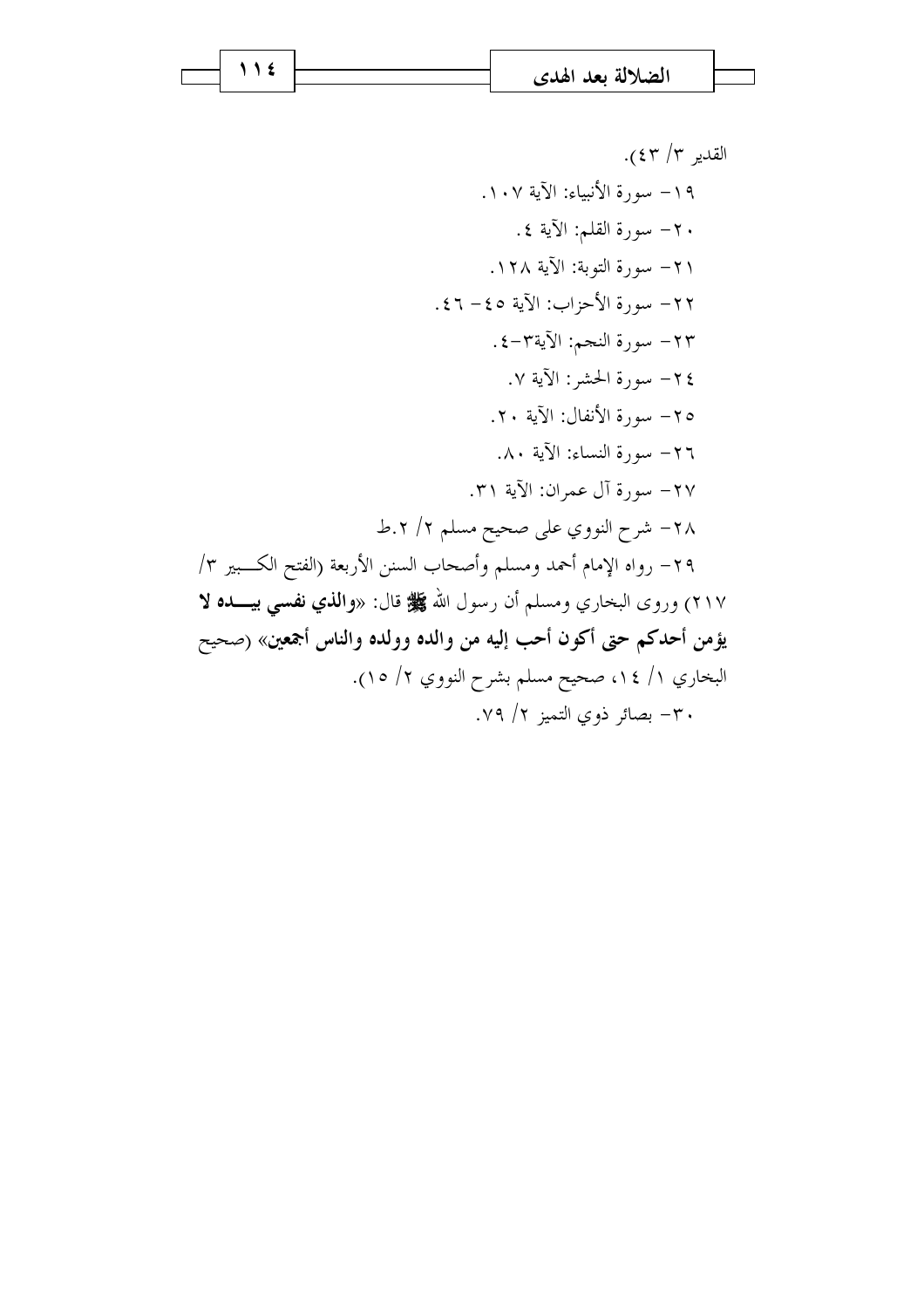111

القدير ٢/ ٤٣). ١٩- سورة الأنبياء: الآية ١٠٧. ٢٠ - سورة القلم: الآية ٤. ٢١– سورة التوبة: الآية ١٢٨. ٢٢– سورة الأحزاب: الآية ٤٥– ٤٦. ٢٣– سورة النجم: الآية٣–٤. ٢٤– سورة الحشر: الآية ٧. ٢٥- سورة الأنفال: الآية ٢٠. ٢٦- سورة النساء: الآية ٨٠. ٢٧– سورة آل عمران: الآية ٣١. ٢٨- شرح النووي على صحيح مسلم ٢/ ٠.ط ٢٩– رواه الإمام أحمد ومسلم وأصحاب السنن الأربعة (الفتح الكـــبير ٣/ ٢١٧) وروى البخاري ومسلم أن رسول الله ﷺ قال: «وا**لذي نفسي بيــــده لا** يؤمن أحدكم حتى أكون أحب إليه من والده وولده والناس أجمعين» (صحيح البخاري ١/ ١٤، صحيح مسلم بشرح النووي ٢/ ١٥). ٣٠– بصائر ذوي التميز ٧/ ٧٩.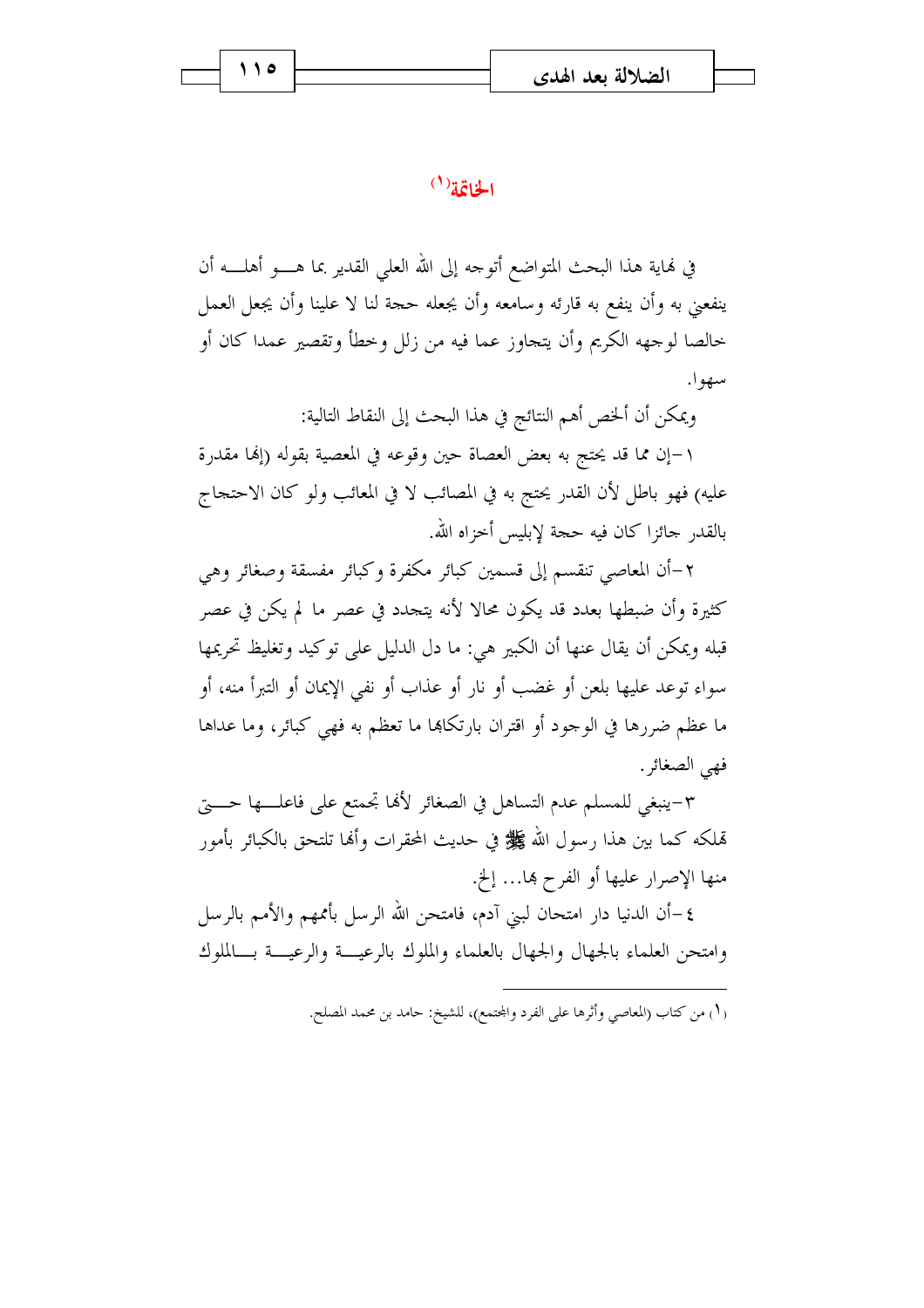$^{(1)}$ الخاتمة $^{(1)}$ 

في نماية هذا البحث المتواضع أتوجه إلى الله العلمي القدير بما هــــو أهلـــــه أن ينفعني به وأن ينفع به قارئه وسامعه وأن يجعله حجة لنا لا علينا وأن يجعل العمل خالصا لوجهه الكريم وأن يتجاوز عما فيه من زلل وخطأ وتقصير عمدا كان أو سهوا.

ويمكن أن ألخص أهم النتائج في هذا البحث إلى النقاط التالية:

١-إن مما قد يحتج به بعض العصاة حين وقوعه في المعصية بقوله (إلها مقدرة عليه) فهو باطل لأن القدر يحتج به في المصائب لا في المعائب ولو كان الاحتجاج بالقدر جائزا كان فيه حجة لإبليس أخزاه الله.

٢-أن المعاصي تنقسم إلى قسمين كبائر مكفرة وكبائر مفسقة وصغائر وهي كثيرة وأن ضبطها بعدد قد يكون محالا لأنه يتجدد في عصر ما لم يكن في عصر قبله ويمكن أن يقال عنها أن الكبير هي: ما دل الدليل على توكيد وتغليظ تحريمها سواء توعد عليها بلعن أو غضب أو نار أو عذاب أو نفي الإيمان أو التبرأ منه، أو ما عظم ضررها في الوجود أو اقتران بارتكاها ما تعظم به فهي كبائر، وما عداها فهي الصغائر .

٣-ينبغي للمسلم عدم التساهل في الصغائر لألها تجمتع على فاعلـــها حـــــيّ تملكه كما بين هذا رسول الله ﷺ في حديث المحقرات وألها تلتحق بالكبائر بأمور منها الإصرار عليها أو الفرح ها... إلخ.

٤–أن الدنيا دار امتحان لبني آدم، فامتحن الله الرسل بأممهم والأمم بالرسل وامتحن العلماء بالجهال والجهال بالعلماء والملوك بالرعيسة والرعيسة بسالملوك

(١) من كتاب (المعاصي وأثرها على الفرد والمجتمع)، للشيخ: حامد بن محمد المصلح.

 $\bigwedge$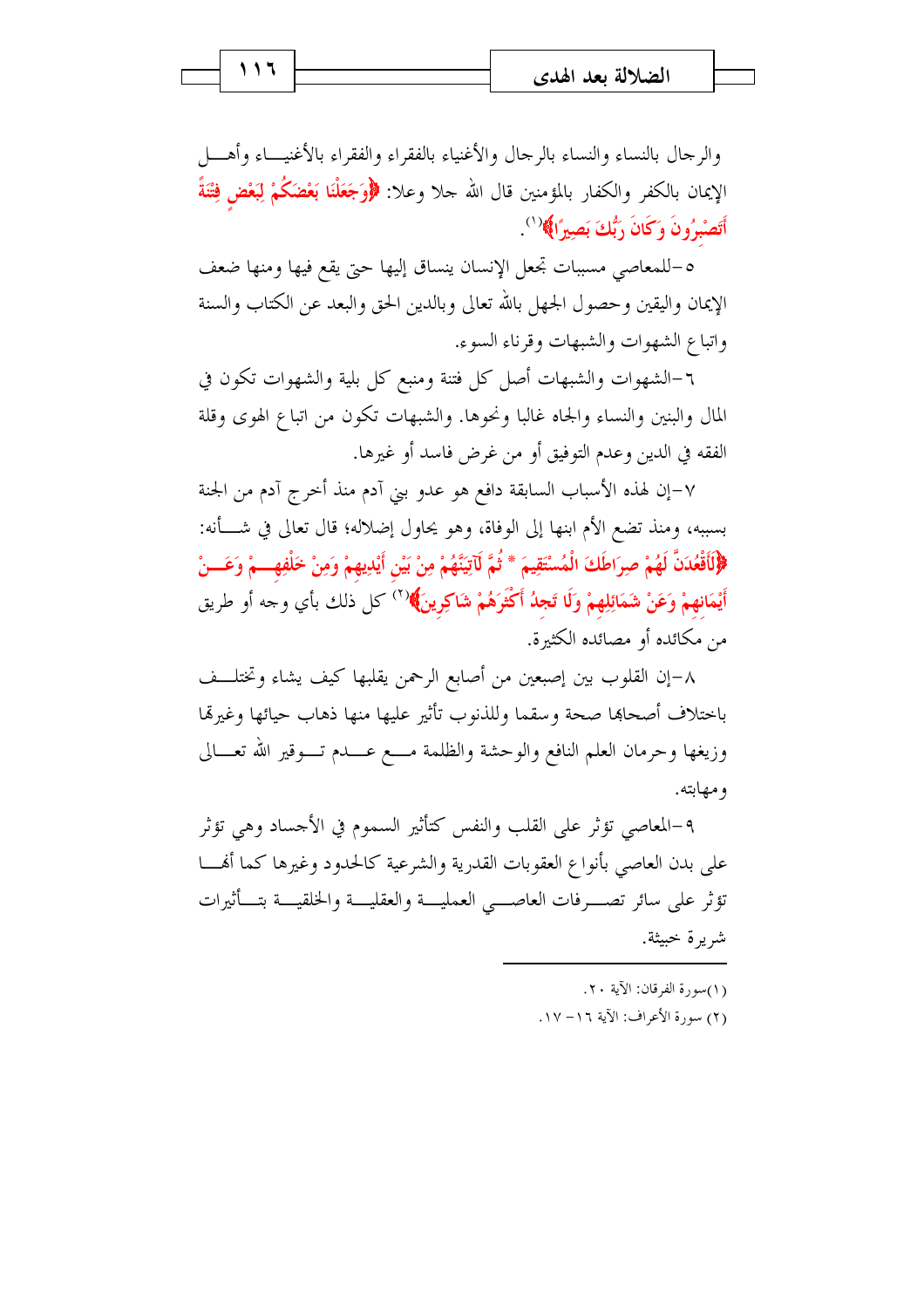|  | الضلاله بعد الهدي |  |
|--|-------------------|--|
|  |                   |  |

والرجال بالنساء والنساء بالرجال والأغنياء بالفقراء والفقراء بالأغنيساء وأهسل الإيمان بالكفر والكفار بالمؤمنين قال الله حلا وعلا: ﴿وَجَعَلْنَا بَعْضَكُمْ لِبَعْضٍ فِتْنَةً أَتَصْبِرُونَ وَكَانَ رَبُّكَ بَصِيرًا﴾ ('ُ

٥–للمعاصي مسببات تجعل الإنسان ينساق إليها حبّ يقع فيها ومنها ضعف الإيمان واليقين وحصول الجهل بالله تعالى وبالدين الحق والبعد عن الكتاب والسنة واتباع الشهوات والشبهات وقرناء السوء.

٦–الشهوات والشبهات أصل كل فتنة ومنبع كل بلية والشهوات تكون في المال والبنين والنساء والجاه غالبا ونحوها. والشبهات تكون من اتباع الهوى وقلة الفقه في الدين وعدم التوفيق أو من غرض فاسد أو غيرها.

٧–إن لهذه الأسباب السابقة دافع هو عدو بني آدم منذ أخرج آدم من الجنة بسببه، ومنذ تضع الأم ابنها إلى الوفاة، وهو يحاول إضلاله؛ قال تعالى في شـــأنه: ﴿لْأَقْفُدَنَّ لَهُمْ صِرَاطَكَ الْمُسْتَقِيمَ \* ثُمَّ لَآتِيَّتُهُمْ مِنْ بَيْنِ أَيْدِيهِمْ وَمِنْ خَلْفِهِــمْ وَعَـــنْ أَيْمَانهِمْ وَعَنْ شَمَائِلِهِمْ وَلَا تَجِدُ أَكْثَرَهُمْ شَاكِرِينَ﴾(`` كل ذلك بأي وجه أو طريق من مكائده أو مصائده الكثيرة.

٨–إن القلوب بين إصبعين من أصابع الرحمن يقلبها كيف يشاء وتختلــف باحتلاف أصحاها صحة وسقما وللذنوب تأثير عليها منها ذهاب حيائها وغيرقما وزيغها وحرمان العلم النافع والوحشة والظلمة مـــع عــــدم تــــوقير الله تعــــالى و مهابته.

٩–المعاصبي تؤثر على القلب والنفس كتأثير السموم في الأجساد وهي تؤثر على بدن العاصي بأنواع العقوبات القدرية والشرعية كالحدود وغيرها كما أفمـــا تؤثر على سائر تصـــرفات العاصـــي العمليـــة والعقليـــة والخلقيـــة بتـــأثيرات شريرة خبيثة.

> (١)سورة الفرقان: الآية ٢٠. (٢) سورة الأعراف: الآية ١٦– ١٧.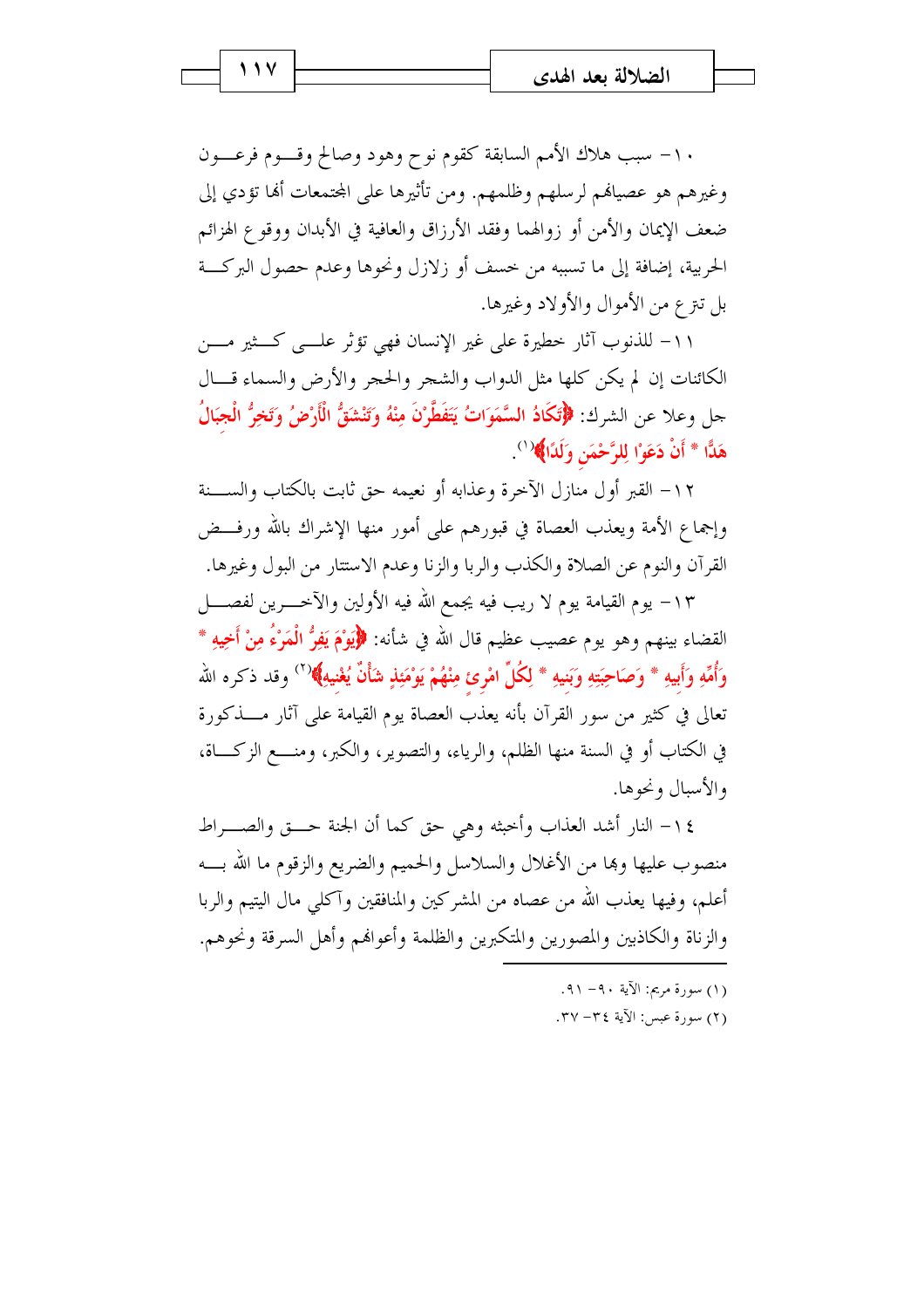|  | الضلاله بعد اهدى |  |
|--|------------------|--|
|  |                  |  |

١٠- سبب هلاك الأمم السابقة كقوم نوح وهود وصالح وقسوم فرعسون وغيرهم هو عصيافمم لرسلهم وظلمهم. ومن تأثيرها على المحتمعات أفما تؤدي إلى ضعف الإيمان والأمن أو زوالهما وفقد الأرزاق والعافية في الأبدان ووقوع الهزائم الحربية، إضافة إلى ما تسببه من حسف أو زلازل ونحوها وعدم حصول البركسة بل تنزع من الأموال والأولاد وغيرها.

١١- للذنوب آثار حطيرة على غير الإنسان فهي تؤثر عليے كشير مسن الكائنات إن لم يكن كلها مثل الدواب والشجر والحجر والأرض والسماء قسال حل وعلا عن الشرك: ﴿لَقَكَادُ السَّمَوَاتُ يَتَفَطَّرْنَ مِنْهُ وَتَنْشَقُّ الْأَرْضُ وَتَخِرُّ الْجِبَالُ هَلًّا \* أَنْ دَعَوْا لِلرَّحْمَنِ وَلَدًا﴾ (')

١٢– القبر أول منازل الآخرة وعذابه أو نعيمه حق ثابت بالكتاب والســـنة وإجماع الأمة ويعذب العصاة في قبورهم على أمور منها الإشراك بالله ورفـــض القرآن والنوم عن الصلاة والكذب والربا والزنا وعدم الاستتار من البول وغيرها.

١٣– يوم القيامة يوم لا ريب فيه يجمع الله فيه الأولين والآخــــرين لفصـــــل القضاء بينهم وهو يوم عصيب عظيم قال الله في شأنه: ﴿يَوْمَ يَفِرُّ الْمَرْءُ مِنْ أَخِيهِ \* وَأُمِّهِ وَأَبِيهِ \* وَصَاحِبَتِهِ وَبَنيهِ \* لِكُلِّ امْرِئ مِنْهُمْ يَوْمَئِذٍ شَأْنٌ يُغْنِيهِ﴾(`` وقد ذكره الله تعالى في كثير من سور القرآن بأنه يعذب العصاة يوم القيامة على آثار مــــذكورة في الكتاب أو في السنة منها الظلم، والرياء، والتصوير، والكبر، ومنــــع الزكــــاة، والأسبال ونحوها.

١٤- النار أشد العذاب وأحبثه وهي حق كما أن الجنة حـــق والصــــراط منصوب عليها وها من الأغلال والسلاسل والحميم والضريع والزقوم ما الله بسه أعلم، وفيها يعذب الله من عصاه من المشركين والمنافقين وآكلي مال اليتيم والربا والزناة والكاذبين والمصورين والمتكبرين والظلمة وأعوافمم وأهل السرقة ونحوهم.

> (١) سورة مريم: الآية ٩٠– ٩١. (٢) سورة عبس: الآية ٣٤– ٣٧.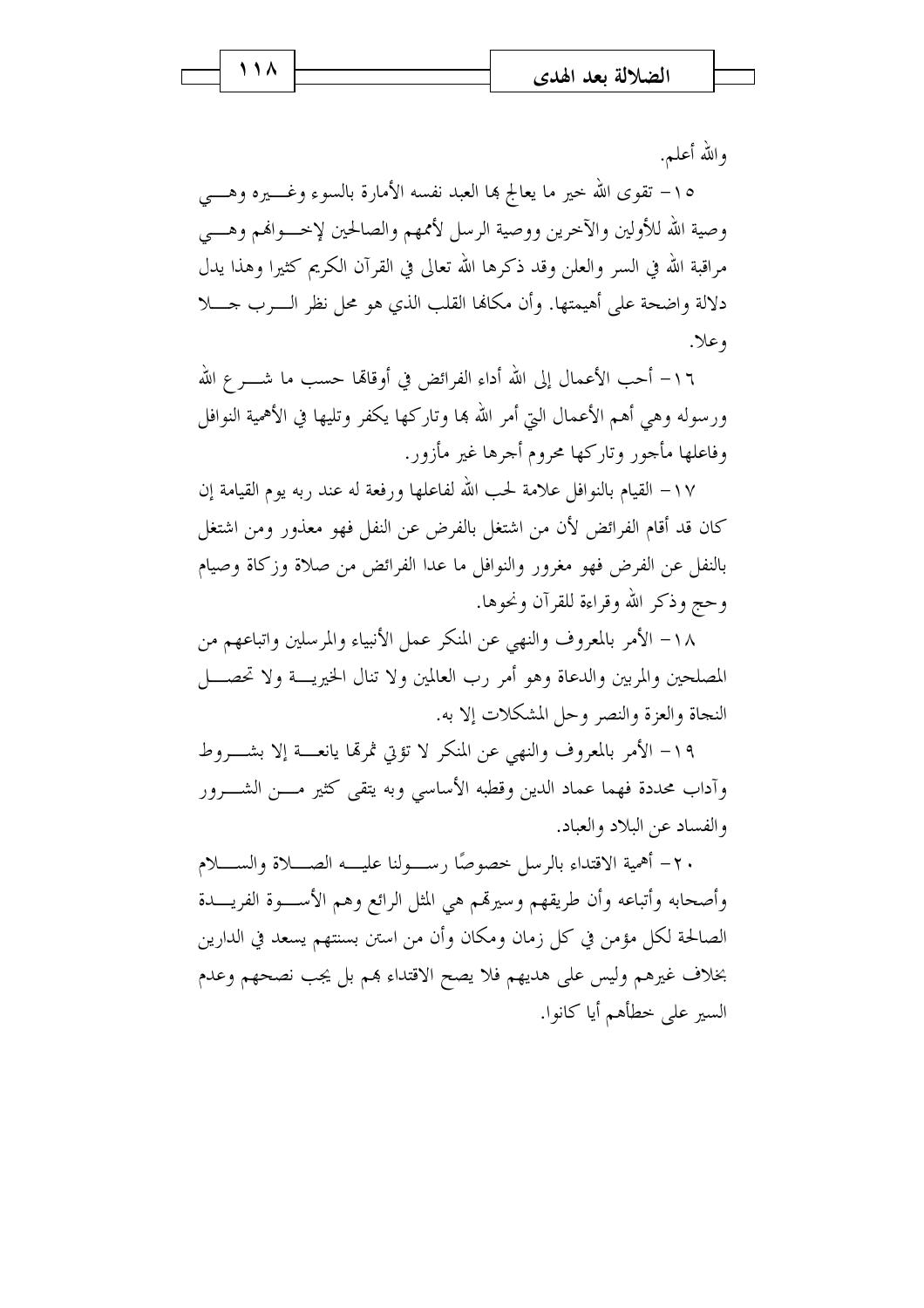|  | الضلاله بعد اهدى |  |
|--|------------------|--|
|  |                  |  |

والله أعلم.

١٥- تقوى الله حير ما يعالج ها العبد نفسه الأمارة بالسوء وغــــيره وهــــي وصية الله للأولين والآخرين ووصية الرسل لأممهم والصالحين لإخـــوالهم وهــــي مراقبة الله في السر والعلن وقد ذكرها الله تعالى في القرآن الكريم كثيرًا وهذا يدل دلالة واضحة على أهيمتها. وأن مكالها القلب الذي هو محل نظر الــــرب حـــــلا وعلا.

١٦– أحب الأعمال إلى الله أداء الفرائض في أوقالها حسب ما شــــر ع الله ورسوله وهي أهم الأعمال التي أمر الله بما وتاركها يكفر وتليها في الأهمية النوافل وفاعلها مأجور وتاركها محروم أجرها غير مأزور .

١٧ – القيام بالنوافل علامة لحب الله لفاعلها ورفعة له عند ربه يوم القيامة إن كان قد أقام الفرائض لأن من اشتغل بالفرض عن النفل فهو معذور ومن اشتغل بالنفل عن الفرض فهو مغرور والنوافل ما عدا الفرائض من صلاة وزكاة وصيام وحج وذكر الله وقراءة للقرآن ونحوها.

١٨– الأمر بالمعروف والنهي عن المنكر عمل الأنبياء والمرسلين واتباعهم من النجاة والعزة والنصر وحل المشكلات إلا به.

١٩- الأمر بالمعروف والنهي عن المنكر لا تؤتي ثمرتما يانعـــة إلا بشـــروط وأداب محددة فهما عماد الدين وقطبه الأساسي وبه يتقى كثير مسن الشسرور والفساد عن البلاد والعباد.

٢٠- أهمية الاقتداء بالرسل حصوصًا رســولنا عليــه الصـــلاة والســـلام وأصحابه وأتباعه وأن طريقهم وسيرقمم هي المثل الرائع وهم الأسب ة الفريسدة الصالحة لكل مؤمن في كل زمان ومكان وأن من استن بسنتهم يسعد في الدارين بخلاف غيرهم وليس على هديهم فلا يصح الاقتداء هم بل يجب نصحهم وعدم السير على خطأهم أيا كانوا.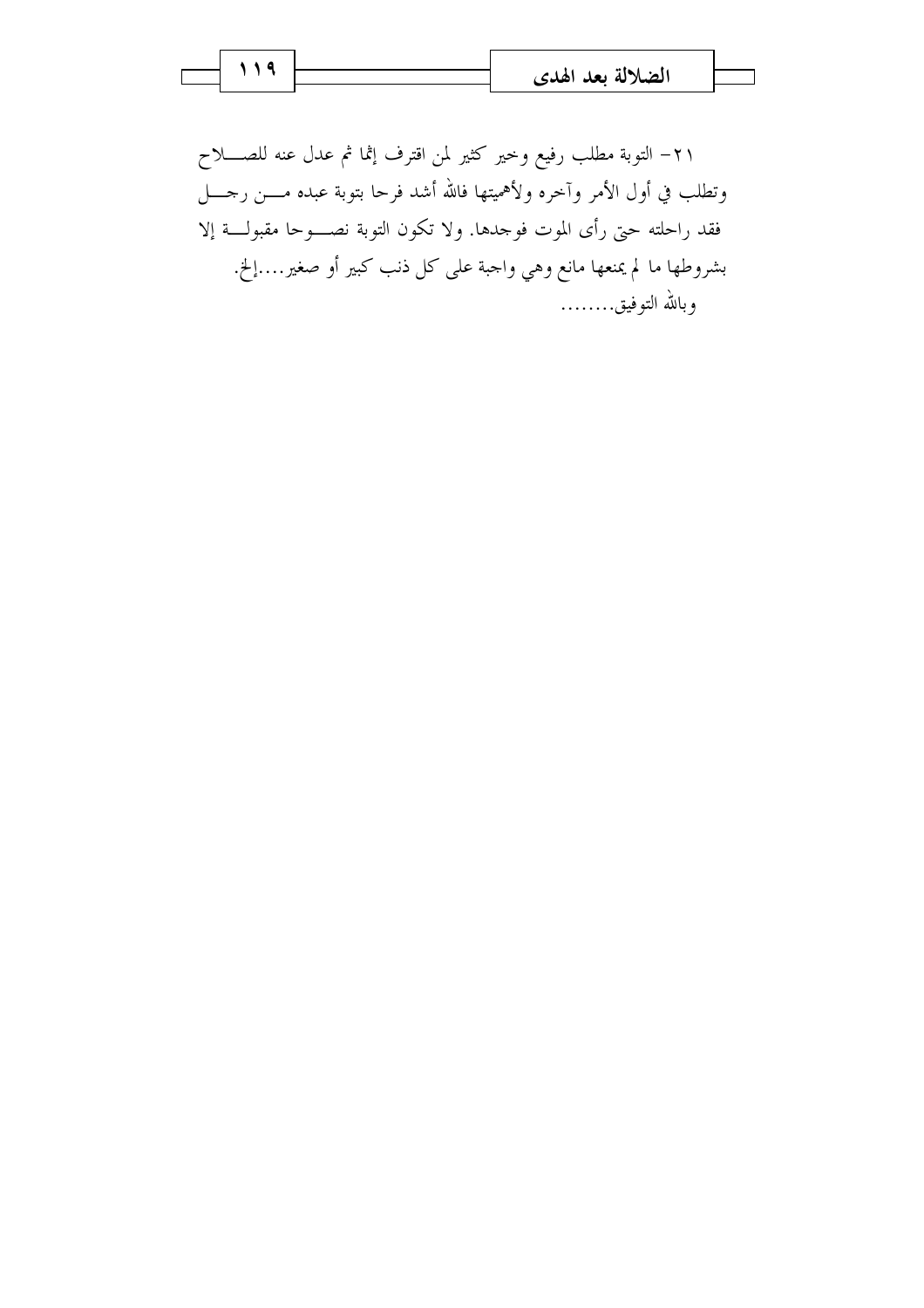|  | الضلالة بعد الهدي |  |
|--|-------------------|--|
|  |                   |  |

٢١– التوبة مطلب رفيع وخير كثير لمن اقترف إثما ثم عدل عنه للصــــلاح وتطلب في أول الأمر وآخره ولأهميتها فالله أشد فرحا بتوبة عبده مــــن رحـــــل فقد راحلته حتى رأى الموت فوجدها. ولا تكون التوبة نصـــوحا مقبولـــة إلا بشروطها ما لم يمنعها مانع وهي واجبة على كل ذنب كبير أو صغير….إلخ. وبالله التوفيق........